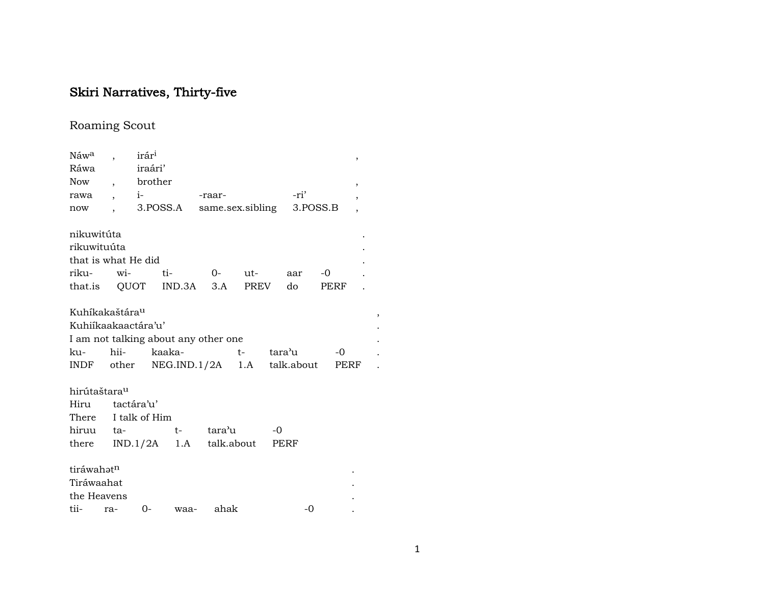# Skiri Narratives, Thirty-five

# Roaming Scout

| Náw <sup>a</sup>           |     | irár <sup>i</sup> |                                        |          |           |      |          |      | $\,$                     |   |  |
|----------------------------|-----|-------------------|----------------------------------------|----------|-----------|------|----------|------|--------------------------|---|--|
| Ráwa                       |     | iraári'           |                                        |          |           |      |          |      |                          |   |  |
| Now, brother               |     |                   |                                        |          |           |      |          |      | $\overline{\phantom{a}}$ |   |  |
|                            |     |                   | rawa, i-                               | -raar-   |           |      | -ri'     |      |                          |   |  |
| now                        |     |                   | 3.POSS.A same.sex.sibling              |          |           |      | 3.POSS.B |      |                          |   |  |
| nikuwitúta                 |     |                   |                                        |          |           |      |          |      |                          |   |  |
| rikuwituúta                |     |                   |                                        |          |           |      |          |      |                          |   |  |
| that is what He did        |     |                   |                                        |          |           |      |          |      |                          |   |  |
| riku-                      | wi- |                   | ti-                                    | $0-$ ut- |           |      | aar      | $-0$ |                          |   |  |
|                            |     |                   | that.is QUOT IND.3A 3.A                |          | PREV      |      | do       | PERF |                          |   |  |
| Kuhíkakaštára <sup>u</sup> |     |                   |                                        |          |           |      |          |      |                          | , |  |
| Kuhiíkaakaactára'u'        |     |                   |                                        |          |           |      |          |      |                          |   |  |
|                            |     |                   | I am not talking about any other one   |          |           |      |          |      |                          |   |  |
| ku-                        |     |                   | hii- kaaka-                            |          | t- tara'u |      |          | $-0$ |                          |   |  |
|                            |     |                   | INDF other NEG.IND.1/2A 1.A talk.about |          |           |      |          | PERF |                          |   |  |
| hirútaštara <sup>u</sup>   |     |                   |                                        |          |           |      |          |      |                          |   |  |
| Hiru tactára'u'            |     |                   |                                        |          |           |      |          |      |                          |   |  |
| There I talk of Him        |     |                   |                                        |          |           |      |          |      |                          |   |  |
|                            |     |                   | hiruu ta-   t-                         | tara'u   |           | $-0$ |          |      |                          |   |  |
|                            |     |                   | there IND.1/2A 1.A talk.about PERF     |          |           |      |          |      |                          |   |  |
| tiráwahatn                 |     |                   |                                        |          |           |      |          |      |                          |   |  |
| Tiráwaahat                 |     |                   |                                        |          |           |      |          |      |                          |   |  |
| the Heavens                |     |                   |                                        |          |           |      |          |      |                          |   |  |
| tii-                       | ra- | $0 -$             | waa-                                   | ahak     |           |      | $-0$     |      |                          |   |  |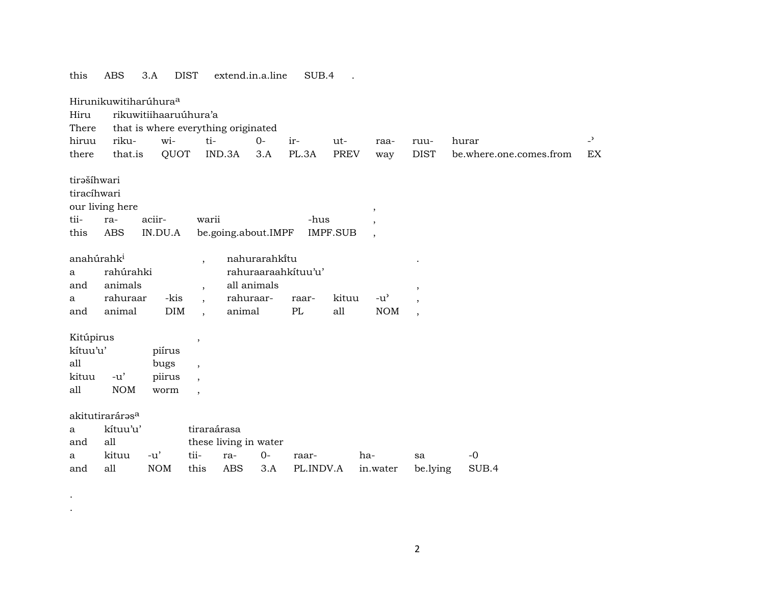| this                                                                 | <b>ABS</b><br>3.A                                            | <b>DIST</b>                      |                                                                                            | extend.in.a.line                           |               | SUB.4               |                 |                                     |                          |                         |                |
|----------------------------------------------------------------------|--------------------------------------------------------------|----------------------------------|--------------------------------------------------------------------------------------------|--------------------------------------------|---------------|---------------------|-----------------|-------------------------------------|--------------------------|-------------------------|----------------|
| Hirunikuwitiharúhura <sup>a</sup><br>Hiru<br>There                   | rikuwitiihaaruúhura'a<br>that is where everything originated |                                  |                                                                                            |                                            |               |                     |                 |                                     |                          |                         |                |
| hiruu                                                                | riku-                                                        | wi-                              | ti-                                                                                        |                                            | $O -$         | ir-                 | ut-             | raa-                                | ruu-                     | hurar                   | $\overline{a}$ |
| there                                                                | that.is                                                      | QUOT                             |                                                                                            | IND.3A                                     | 3.A           | PL.3A               | <b>PREV</b>     | way                                 | <b>DIST</b>              | be.where.one.comes.from | EX             |
| tirašíhwari<br>tiracíhwari<br>our living here<br>tii-<br>ra-<br>this | <b>ABS</b>                                                   | aciir-<br>IN.DU.A                | warii                                                                                      | be.going.about.IMPF                        |               | -hus                | <b>IMPF.SUB</b> | $\cdot$<br>$\overline{\phantom{a}}$ |                          |                         |                |
| anahúrahk <sup>i</sup>                                               |                                                              |                                  | $\overline{\phantom{a}}$                                                                   |                                            | nahurarahkitu |                     |                 |                                     |                          |                         |                |
| a                                                                    | rahúrahki                                                    |                                  |                                                                                            |                                            |               | rahuraaraahkituu'u' |                 |                                     |                          |                         |                |
| and                                                                  | animals                                                      |                                  | $\overline{ }$                                                                             | all animals                                |               |                     |                 |                                     |                          |                         |                |
| a                                                                    | rahuraar                                                     | -kis                             |                                                                                            | rahuraar-                                  |               | raar-               | kituu           | $-u^{\prime}$                       | $\overline{\phantom{a}}$ |                         |                |
| and                                                                  | animal                                                       | DIM                              |                                                                                            | animal                                     |               | PL                  | all             | <b>NOM</b>                          | $\cdot$                  |                         |                |
| Kitúpirus<br>kítuu'u'<br>all<br>kituu<br>all                         | $-u'$<br><b>NOM</b>                                          | piírus<br>bugs<br>piirus<br>worm | $\, ,$<br>$\overline{\phantom{a}}$<br>$\overline{\phantom{a}}$<br>$\overline{\phantom{a}}$ |                                            |               |                     |                 |                                     |                          |                         |                |
| akitutiraráras <sup>a</sup><br>a<br>all<br>and<br>a<br>all<br>and    | kítuu'u'<br>kituu                                            | $-u'$<br><b>NOM</b>              | tiraraárasa<br>tii-<br>this                                                                | these living in water<br>ra-<br><b>ABS</b> | $0-$<br>3.A   | raar-<br>PL.INDV.A  |                 | ha-<br>in.water                     | sa<br>be.lying           | $-0$<br>SUB.4           |                |

.

.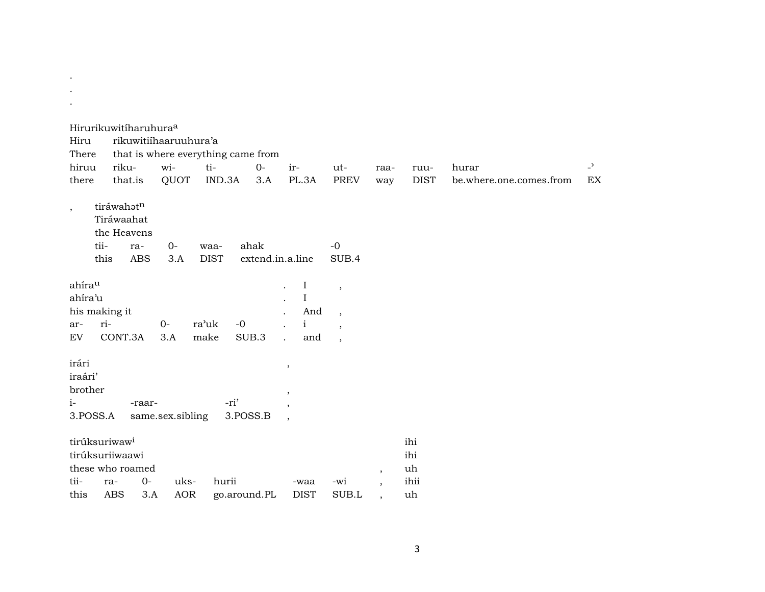| $\bullet$                                       |                                                                                |                   |                    |                       |                                    |                                                             |                                                                                             |         |                                |                         |                |
|-------------------------------------------------|--------------------------------------------------------------------------------|-------------------|--------------------|-----------------------|------------------------------------|-------------------------------------------------------------|---------------------------------------------------------------------------------------------|---------|--------------------------------|-------------------------|----------------|
|                                                 | Hirurikuwitíharuhura <sup>a</sup>                                              |                   |                    |                       |                                    |                                                             |                                                                                             |         |                                |                         |                |
| Hiru                                            |                                                                                |                   |                    | rikuwitiihaaruuhura'a |                                    |                                                             |                                                                                             |         |                                |                         |                |
| There                                           |                                                                                |                   |                    |                       | that is where everything came from |                                                             |                                                                                             |         |                                |                         |                |
| hiruu                                           | riku-                                                                          |                   | wi-                | ti-                   | $0-$                               | ir-                                                         | ut-                                                                                         | raa-    | ruu-                           | hurar                   | $\overline{a}$ |
| there                                           |                                                                                | that.is           | QUOT               | IND.3A                | 3.A                                | PL.3A                                                       | PREV                                                                                        | way     | <b>DIST</b>                    | be.where.one.comes.from | EX             |
| $\cdot$                                         | tiráwahatn<br>Tiráwaahat<br>the Heavens<br>tii-<br>this                        | ra-<br><b>ABS</b> | $0-$<br>3.A        | waa-<br><b>DIST</b>   | ahak<br>extend.in.a.line           |                                                             | $-0$<br>SUB.4                                                                               |         |                                |                         |                |
| ahírau<br>ahíra'u<br>ar-<br>EV                  | his making it<br>ri-<br>CONT.3A                                                |                   | $0-$<br>3.A        | ra'uk<br>make         | $-0$<br>SUB.3                      | I<br>$\bf{I}$<br>And<br>$\mathbf{i}$<br>and<br>$\mathbf{r}$ | $\cdot$<br>$\overline{\phantom{a}}$<br>$\overline{\phantom{a}}$<br>$\overline{\phantom{a}}$ |         |                                |                         |                |
| irári<br>iraári'<br>brother<br>$i-$<br>3.POSS.A |                                                                                | -raar-            | same.sex.sibling   |                       | -ri'<br>3.POSS.B                   | $\,$<br>$\,$<br>$\cdot$<br>$\overline{\phantom{a}}$         |                                                                                             |         |                                |                         |                |
| tii-<br>this                                    | tirúksuriwaw <sup>i</sup><br>tirúksuriiwaawi<br>these who roamed<br>ra-<br>ABS | $0-$<br>3.A       | uks-<br><b>AOR</b> | hurii                 | go.around.PL                       | -waa<br><b>DIST</b>                                         | -wi<br>SUB.L                                                                                | $\cdot$ | ihi<br>ihi<br>uh<br>ihii<br>uh |                         |                |

 $\bullet$  $\sim$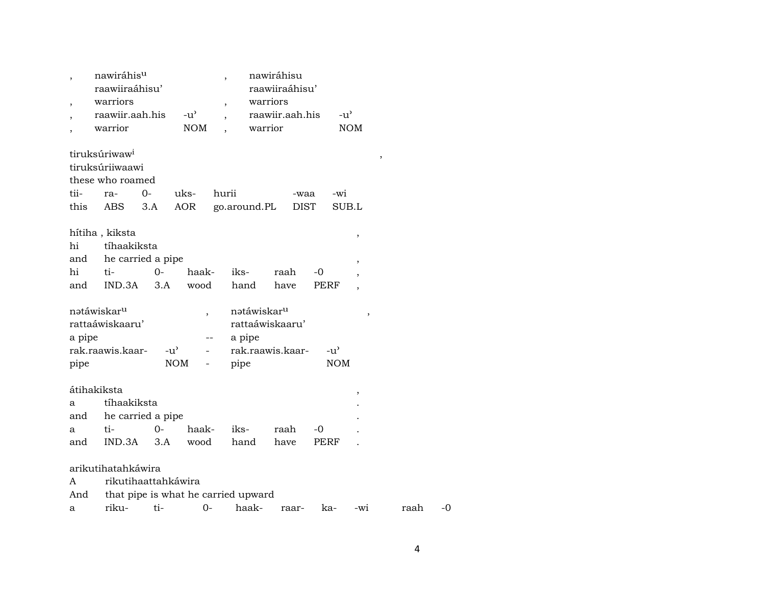|                        | nawiráhis <sup>u</sup><br>raawiiraáhisu'<br>warriors<br>raawiir.aah.his<br>warrior<br>tiruksúriwaw <sup>i</sup><br>tiruksúriiwaawi<br>these who roamed |                                   | $-u^{\prime}$<br><b>NOM</b> | $\overline{ }$<br>warrior           | nawiráhisu<br>raawiiraáhisu'<br>warriors<br>raawiir.aah.his | $-u^{\prime}$     | <b>NOM</b><br>$\, ,$ |      |    |
|------------------------|--------------------------------------------------------------------------------------------------------------------------------------------------------|-----------------------------------|-----------------------------|-------------------------------------|-------------------------------------------------------------|-------------------|----------------------|------|----|
| tii-                   | ra-                                                                                                                                                    | 0-                                | uks-                        | hurii                               | -waa                                                        | -wi               |                      |      |    |
| this                   | ABS                                                                                                                                                    | 3.A                               | <b>AOR</b>                  | go.around.PL                        | <b>DIST</b>                                                 |                   | SUB.L                |      |    |
| hi<br>and<br>hi<br>and | hítiha , kiksta<br>tíhaakiksta<br>ti-<br>IND.3A                                                                                                        | he carried a pipe<br>$O -$<br>3.A | haak-<br>wood               | iks-<br>hand                        | raah<br>have                                                | -0<br><b>PERF</b> | $\, ,$<br>,          |      |    |
|                        | natáwiskar <sup>u</sup>                                                                                                                                |                                   |                             | natáwiskar <sup>u</sup>             |                                                             |                   |                      |      |    |
|                        | rattaáwiskaaru'                                                                                                                                        |                                   |                             |                                     | rattaáwiskaaru'                                             |                   | ,                    |      |    |
| a pipe                 |                                                                                                                                                        |                                   |                             | a pipe                              |                                                             |                   |                      |      |    |
|                        | rak.raawis.kaar-                                                                                                                                       | $-u^{\prime}$                     |                             |                                     | rak.raawis.kaar-                                            | $-u^{\prime}$     |                      |      |    |
| pipe                   |                                                                                                                                                        |                                   | <b>NOM</b>                  | pipe                                |                                                             | <b>NOM</b>        |                      |      |    |
|                        |                                                                                                                                                        |                                   |                             |                                     |                                                             |                   |                      |      |    |
| átihakiksta            |                                                                                                                                                        |                                   |                             |                                     |                                                             |                   |                      |      |    |
| a                      | tíhaakiksta                                                                                                                                            |                                   |                             |                                     |                                                             |                   | $\, ,$               |      |    |
| and                    |                                                                                                                                                        | he carried a pipe                 |                             |                                     |                                                             |                   |                      |      |    |
| a                      | ti-                                                                                                                                                    | 0-                                | haak-                       | iks-                                | raah                                                        | -0                |                      |      |    |
| and                    | IND.3A                                                                                                                                                 | 3.A                               | wood                        | hand                                | have                                                        | PERF              |                      |      |    |
|                        |                                                                                                                                                        |                                   |                             |                                     |                                                             |                   |                      |      |    |
|                        | arikutihatahkáwira                                                                                                                                     |                                   |                             |                                     |                                                             |                   |                      |      |    |
| A                      |                                                                                                                                                        | rikutihaattahkáwira               |                             |                                     |                                                             |                   |                      |      |    |
| And                    |                                                                                                                                                        |                                   |                             | that pipe is what he carried upward |                                                             |                   |                      |      |    |
| a                      | riku-                                                                                                                                                  | ti-                               | $0-$                        | haak-                               | raar-                                                       | ka-               | -wi                  | raah | -0 |
|                        |                                                                                                                                                        |                                   |                             |                                     |                                                             |                   |                      |      |    |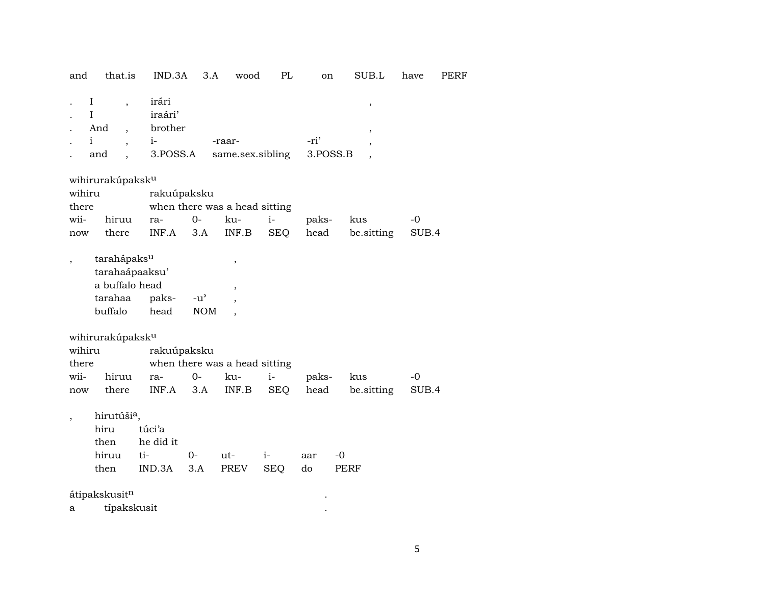| and                            | that.is                                                                                                              | IND.3A                                          | 3.A                         | wood                                          | PL                 | on               | SUB.L               | have          | PERF |
|--------------------------------|----------------------------------------------------------------------------------------------------------------------|-------------------------------------------------|-----------------------------|-----------------------------------------------|--------------------|------------------|---------------------|---------------|------|
|                                | I<br>$\overline{\phantom{a}}$<br>T<br>And<br>$\mathbf{i}$<br>$\overline{\phantom{a}}$<br>and<br>$\ddot{\phantom{0}}$ | irári<br>iraári'<br>brother<br>$i-$<br>3.POSS.A |                             | -raar-<br>same.sex.sibling                    |                    | -ri'<br>3.POSS.B | ,<br>$\overline{ }$ |               |      |
| wihiru<br>there<br>wii-<br>now | wihirurakúpaksk <sup>u</sup><br>hiruu<br>there                                                                       | rakuúpaksku<br>ra-<br>INF.A                     | $0-$<br>3.A                 | when there was a head sitting<br>ku-<br>INF.B | $i-$<br><b>SEQ</b> | paks-<br>head    | kus<br>be.sitting   | $-0$<br>SUB.4 |      |
|                                | tarahápaks <sup>u</sup><br>tarahaápaaksu'<br>a buffalo head<br>tarahaa<br>buffalo                                    | paks-<br>head                                   | $-u^{\prime}$<br><b>NOM</b> | $\, ,$<br>,                                   |                    |                  |                     |               |      |
| wihiru<br>there<br>wii-<br>now | wihirurakúpaksk <sup>u</sup><br>hiruu<br>there                                                                       | rakuúpaksku<br>ra-<br>INF.A                     | $O -$<br>3.A                | when there was a head sitting<br>ku-<br>INF.B | $i-$<br><b>SEQ</b> | paks-<br>head    | kus<br>be sitting   | $-0$<br>SUB.4 |      |
| $\overline{ }$                 | hirutúši <sup>a</sup> ,<br>hiru<br>then<br>hiruu<br>then<br>átipakskusitn                                            | túci'a<br>he did it<br>ti-<br>IND.3A            | $0-$<br>3.A                 | ut-<br>PREV                                   | $i-$<br><b>SEQ</b> | aar<br>do        | $-0$<br><b>PERF</b> |               |      |
| а                              | típakskusit                                                                                                          |                                                 |                             |                                               |                    |                  |                     |               |      |
|                                |                                                                                                                      |                                                 |                             |                                               |                    |                  |                     |               |      |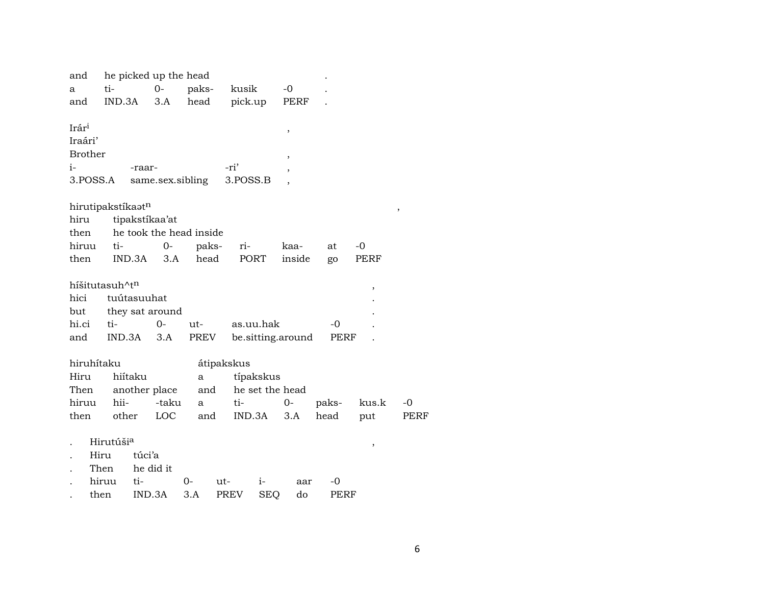| and<br>a                                       |       | ti-                        |        | he picked up the head<br>$0-$ | paks- |     | kusik       |            | $-0$                          |             |        |      |
|------------------------------------------------|-------|----------------------------|--------|-------------------------------|-------|-----|-------------|------------|-------------------------------|-------------|--------|------|
| and                                            |       | IND.3A                     |        | 3.A                           | head  |     | pick.up     |            | PERF                          |             |        |      |
| Irár <sup>i</sup><br>Iraári'<br><b>Brother</b> |       |                            |        |                               |       |     |             |            | $\pmb{\mathcal{E}}$<br>$\, ,$ |             |        |      |
| i-                                             |       |                            | -raar- |                               |       |     | -ri'        |            |                               |             |        |      |
| 3.POSS.A                                       |       |                            |        | same.sex.sibling              |       |     | 3.POSS.B    |            |                               |             |        |      |
|                                                |       |                            |        |                               |       |     |             |            |                               |             |        |      |
|                                                |       | hirutipakstíkaatn          |        |                               |       |     |             |            |                               |             |        | ,    |
| hiru                                           |       |                            |        | tipakstíkaa'at                |       |     |             |            |                               |             |        |      |
| then                                           |       |                            |        | he took the head inside       |       |     |             |            |                               |             |        |      |
| hiruu                                          |       | ti-                        |        | $O -$                         | paks- |     | ri-         |            | kaa-                          | at          | $-0$   |      |
| then                                           |       |                            | IND.3A | 3.A                           | head  |     | PORT        |            | inside                        | go          | PERF   |      |
|                                                |       |                            |        |                               |       |     |             |            |                               |             |        |      |
|                                                |       | híšitutasuh^t <sup>n</sup> |        |                               |       |     |             |            |                               |             | $\, ,$ |      |
| hici                                           |       | tuútasuuhat                |        |                               |       |     |             |            |                               |             |        |      |
| but                                            |       |                            |        | they sat around               |       |     |             |            |                               |             |        |      |
| hi.ci                                          |       | ti-                        |        | $0-$                          | ut-   |     | as.uu.hak   |            |                               | $-0$        |        |      |
| and                                            |       | IND.3A                     |        | 3.A                           | PREV  |     |             |            | be.sitting.around             | PERF        |        |      |
| hiruhítaku                                     |       |                            |        |                               |       |     | átipakskus  |            |                               |             |        |      |
| Hiru                                           |       | hiítaku                    |        |                               | a     |     |             | típakskus  |                               |             |        |      |
| Then                                           |       |                            |        | another place                 | and   |     |             |            | he set the head               |             |        |      |
| hiruu                                          |       | hii-                       |        | -taku                         | a     |     | ti-         |            | 0-                            | paks-       | kus.k  | -0   |
| then                                           |       | other                      |        | LOC                           | and   |     | IND.3A      |            | 3.A                           | head        | put    | PERF |
|                                                |       |                            |        |                               |       |     |             |            |                               |             |        |      |
|                                                |       | Hirutúši <sup>a</sup>      |        |                               |       |     |             |            |                               |             | $\,$   |      |
|                                                | Hiru  |                            | túci'a |                               |       |     |             |            |                               |             |        |      |
|                                                | Then  |                            |        | he did it                     |       |     |             |            |                               |             |        |      |
|                                                | hiruu |                            | ti-    |                               | $0-$  | ut- |             | i-         | aar                           | -0          |        |      |
|                                                | then  |                            | IND.3A |                               | 3.A   |     | <b>PREV</b> | <b>SEQ</b> | do                            | <b>PERF</b> |        |      |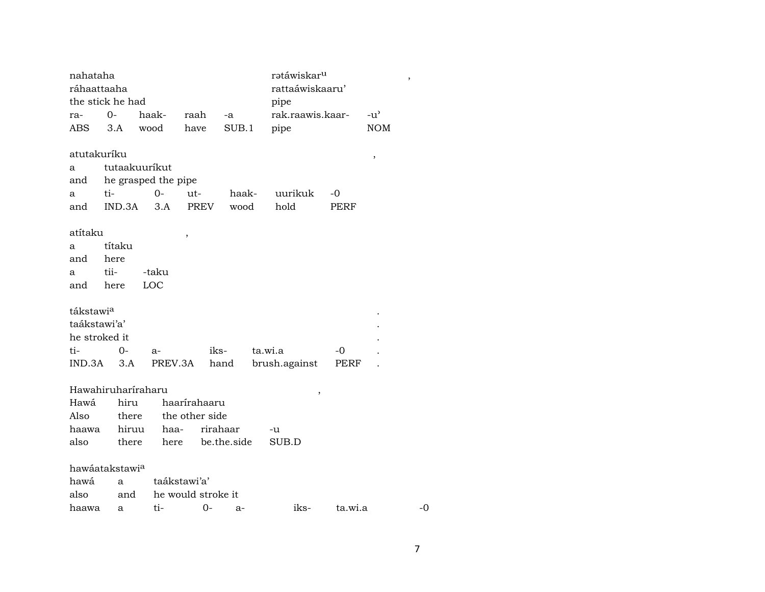| nahataha<br>ráhaattaaha |                    |                     |                    |          | ratáwiskar <sup>u</sup><br>rattaáwiskaaru' |             |               | $\, ,$ |
|-------------------------|--------------------|---------------------|--------------------|----------|--------------------------------------------|-------------|---------------|--------|
|                         | the stick he had   |                     |                    |          | pipe                                       |             |               |        |
| ra-                     | $0-$               | haak-               | raah               | $-a$     | rak.raawis.kaar-                           |             | $-u^{\prime}$ |        |
| ABS                     | 3.A                | wood                | have               | SUB.1    | pipe                                       |             | <b>NOM</b>    |        |
| atutakuríku             |                    |                     |                    |          |                                            |             | $\,$          |        |
| a                       |                    | tutaakuuríkut       |                    |          |                                            |             |               |        |
| and                     |                    | he grasped the pipe |                    |          |                                            |             |               |        |
| a                       | ti-                | $O -$               | ut-                | haak-    | uurikuk                                    | -0          |               |        |
| and                     | IND.3A             | 3.A                 | PREV               | wood     | hold                                       | <b>PERF</b> |               |        |
| atítaku                 |                    |                     | ,                  |          |                                            |             |               |        |
| a                       | títaku             |                     |                    |          |                                            |             |               |        |
| and                     | here               |                     |                    |          |                                            |             |               |        |
| a                       | tii-               | -taku               |                    |          |                                            |             |               |        |
| and here                |                    | LOC                 |                    |          |                                            |             |               |        |
| tákstawia               |                    |                     |                    |          |                                            |             |               |        |
| taákstawi'a'            |                    |                     |                    |          |                                            |             |               |        |
| he stroked it           |                    |                     |                    |          |                                            |             |               |        |
| ti-                     | $0-$               | $a-$                |                    | iks-     | ta.wi.a                                    | -0          |               |        |
|                         | $IND.3A$ $3.A$     |                     | PREV.3A            | hand     | brush.against                              | PERF        |               |        |
|                         | Hawahiruharíraharu |                     |                    |          |                                            |             |               |        |
| Hawá                    | hiru               |                     | haarírahaaru       |          | $\,$                                       |             |               |        |
| Also                    | there              |                     | the other side     |          |                                            |             |               |        |
| haawa                   | hiruu              |                     | haa-               | rirahaar | -u                                         |             |               |        |
| also                    | there              |                     | here be.the.side   |          | SUB.D                                      |             |               |        |
|                         |                    |                     |                    |          |                                            |             |               |        |
|                         | hawáatakstawia     |                     |                    |          |                                            |             |               |        |
| hawá                    | a                  |                     | taákstawi'a'       |          |                                            |             |               |        |
| also                    | and                |                     | he would stroke it |          |                                            |             |               |        |
| haawa                   | a                  | ti-                 | 0-                 | $a-$     | iks-                                       | ta.wi.a     |               | -0     |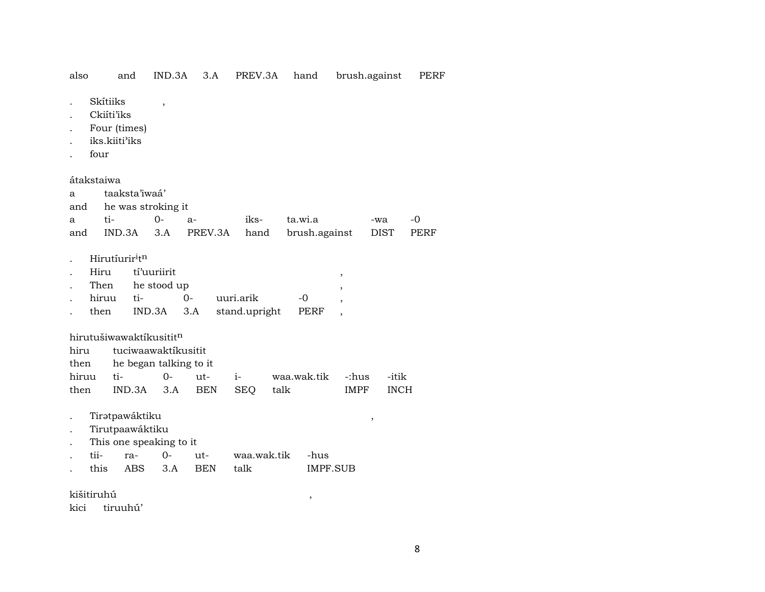| also |  |  |  |  |  | and IND.3A 3.A PREV.3A hand brush.against PERF |  |
|------|--|--|--|--|--|------------------------------------------------|--|
|------|--|--|--|--|--|------------------------------------------------|--|

- . Skítiiks ,
- . Ckiíti'iks
- . Four (times)
- . iks.kiiti"iks
- . four

átakstaiwa

| a    |                                        | taaksta'iwaá'                       |      |           |               |               |                          |             |      |
|------|----------------------------------------|-------------------------------------|------|-----------|---------------|---------------|--------------------------|-------------|------|
|      |                                        | and he was stroking it              |      |           |               |               |                          |             |      |
| a    | ti-                                    | 0-                                  | $a-$ |           | iks-          | ta.wi.a       |                          | -wa         | -0   |
| and  | IND.3A                                 | 3.A                                 |      | PREV.3A   | hand          | brush.against |                          | <b>DIST</b> | PERF |
|      |                                        |                                     |      |           |               |               |                          |             |      |
|      | Hirutíurir <sup>i</sup> t <sup>n</sup> |                                     |      |           |               |               |                          |             |      |
|      | Hiru                                   | tí'uuriirit                         |      |           |               |               | $\cdot$                  |             |      |
|      |                                        | Then he stood up                    |      |           |               |               | $\cdot$                  |             |      |
|      | hiruu                                  | ti-                                 | $0-$ | uuri.arik |               | -0            | $\overline{\phantom{a}}$ |             |      |
|      | then                                   | IND.3A                              | 3.A  |           | stand.upright | PERF          | ,                        |             |      |
|      |                                        |                                     |      |           |               |               |                          |             |      |
|      |                                        | hirutušiwawaktikusitit <sup>n</sup> |      |           |               |               |                          |             |      |
| hiru |                                        | tuciwaawaktikusitit                 |      |           |               |               |                          |             |      |

| then he began talking to it  |  |  |  |                                                                |           |  |  |  |  |
|------------------------------|--|--|--|----------------------------------------------------------------|-----------|--|--|--|--|
|                              |  |  |  | hiruu ti-      0-   ut-    i-      waa.wak.tik   -:hus   -itik |           |  |  |  |  |
| then IND.3A 3.A BEN SEO talk |  |  |  |                                                                | IMPF INCH |  |  |  |  |

- . TirŸtpawáktiku ,
- . Tirutpaawáktiku
- . This one speaking to it
- . tii- ra- 0- ut- waa.wak.tik -hus . this ABS 3.A BEN talk IMPF.SUB

kišitiruhú ,

kici tiruuhú'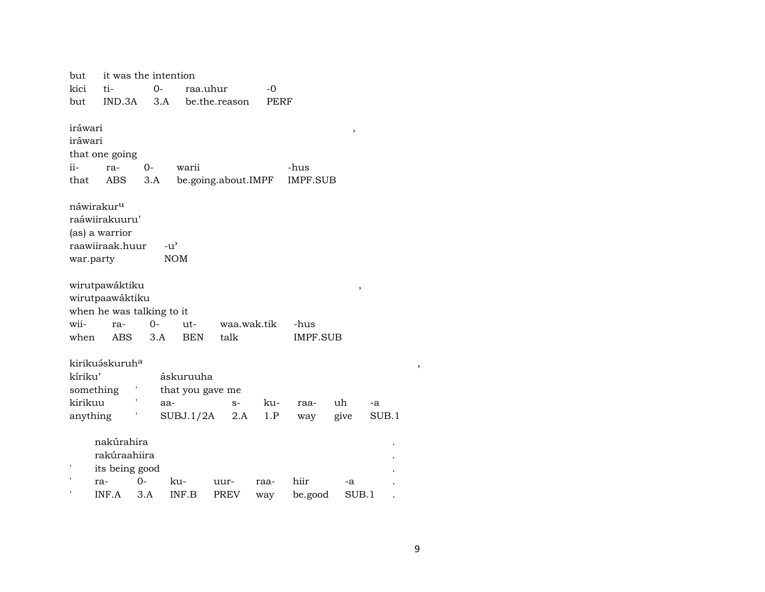| but                    |                            | it was the intention |                  |                     |      |                 |       |       |  |
|------------------------|----------------------------|----------------------|------------------|---------------------|------|-----------------|-------|-------|--|
| kici                   | ti-                        | $O -$                | raa.uhur         |                     | $-0$ |                 |       |       |  |
| but                    | IND.3A                     | 3.A                  |                  | be.the.reason       | PERF |                 |       |       |  |
|                        |                            |                      |                  |                     |      |                 |       |       |  |
| iráwari                |                            |                      |                  |                     |      |                 | ,     |       |  |
| iráwari                |                            |                      |                  |                     |      |                 |       |       |  |
|                        | that one going             |                      |                  |                     |      |                 |       |       |  |
| ii-                    | ra-                        | $0-$                 | warii            |                     |      | -hus            |       |       |  |
| that                   | <b>ABS</b>                 | 3.A                  |                  | be.going.about.IMPF |      | <b>IMPF.SUB</b> |       |       |  |
|                        |                            |                      |                  |                     |      |                 |       |       |  |
| náwirakur <sup>u</sup> |                            |                      |                  |                     |      |                 |       |       |  |
|                        | raáwiirakuuru'             |                      |                  |                     |      |                 |       |       |  |
|                        | (as) a warrior             |                      |                  |                     |      |                 |       |       |  |
|                        | raawiiraak.huur            | $-u^{\prime}$        |                  |                     |      |                 |       |       |  |
| war.party              |                            |                      | <b>NOM</b>       |                     |      |                 |       |       |  |
|                        |                            |                      |                  |                     |      |                 |       |       |  |
|                        | wirutpawáktiku             |                      |                  |                     |      |                 | ,     |       |  |
|                        | wirutpaawáktiku            |                      |                  |                     |      |                 |       |       |  |
|                        | when he was talking to it  |                      |                  |                     |      |                 |       |       |  |
| wii-                   | ra-                        | $O -$                | ut-              | waa.wak.tik         |      | -hus            |       |       |  |
| when                   | ABS                        | 3.A                  | <b>BEN</b>       | talk                |      | IMPF.SUB        |       |       |  |
|                        |                            |                      |                  |                     |      |                 |       |       |  |
|                        | kirikuáskuruh <sup>a</sup> |                      |                  |                     |      |                 |       |       |  |
| kíriku'                |                            |                      | áskuruuha        |                     |      |                 |       |       |  |
|                        | something                  |                      | that you gave me |                     |      |                 |       |       |  |
| kirikuu                |                            | aa-                  |                  | $S-$                | ku-  | raa-            | uh    | -a    |  |
| anything               |                            |                      | SUBJ.1/2A        | 2.A                 | 1.P  | way             | give  | SUB.1 |  |
|                        |                            |                      |                  |                     |      |                 |       |       |  |
|                        | nakúrahira                 |                      |                  |                     |      |                 |       |       |  |
|                        | rakúraahiira               |                      |                  |                     |      |                 |       |       |  |
|                        | its being good             |                      |                  |                     |      |                 |       |       |  |
|                        |                            | 0-                   | ku-              |                     |      | hiir            |       |       |  |
|                        | ra-                        |                      |                  | uur-                | raa- |                 | -a    |       |  |
|                        | INF.A                      | 3.A                  | INF.B            | <b>PREV</b>         | way  | be.good         | SUB.1 |       |  |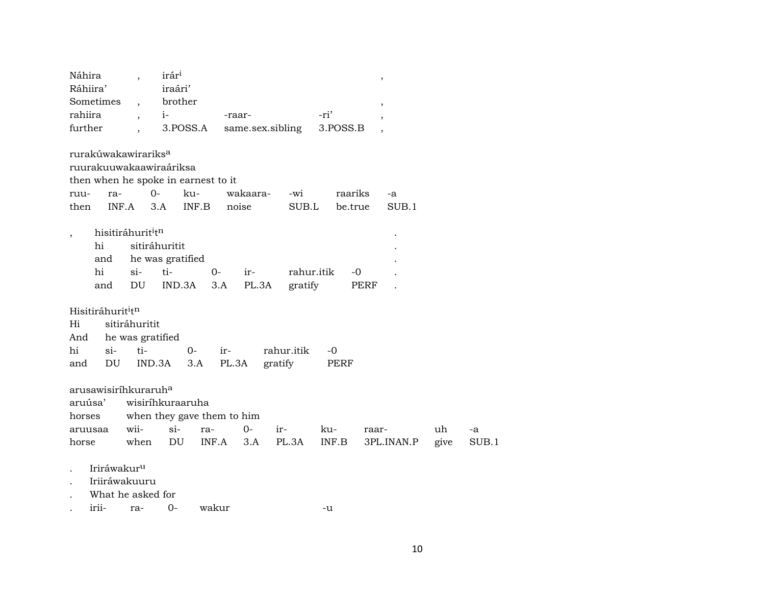| Náhira                                    |                         | $\overline{\phantom{a}}$      | irár <sup>ı</sup>                    |             |                  |            |          | $\, ,$                   |      |       |
|-------------------------------------------|-------------------------|-------------------------------|--------------------------------------|-------------|------------------|------------|----------|--------------------------|------|-------|
| Ráhiira'                                  |                         |                               | iraári'                              |             |                  |            |          |                          |      |       |
| Sometimes                                 |                         | $\overline{\phantom{a}}$      | brother                              |             |                  |            |          | $\overline{\phantom{a}}$ |      |       |
| rahiira                                   |                         | $\overline{ }$                | $i-$                                 |             | -raar-           |            | -ri'     |                          |      |       |
| further                                   |                         |                               | 3.POSS.A                             |             | same.sex.sibling |            | 3.POSS.B |                          |      |       |
| rurakúwakawirariks <sup>a</sup>           |                         |                               | ruurakuuwakaawiraáriksa              |             |                  |            |          |                          |      |       |
|                                           |                         |                               |                                      |             |                  |            |          |                          |      |       |
|                                           |                         |                               | then when he spoke in earnest to it  |             |                  |            |          |                          |      |       |
| ruu-                                      | ra-                     |                               | $O -$                                | ku-         | wakaara-         | -wi        | raariks  | -a                       |      |       |
| then                                      |                         | INF.A                         | 3.A                                  | INF.B       | noise            | SUB.L      |          | SUB.1<br>be.true         |      |       |
|                                           |                         | hisitiráhurit <sup>i</sup> tn |                                      |             |                  |            |          |                          |      |       |
| $\overline{\phantom{a}}$<br>hi            |                         |                               | sitiráhuritit                        |             |                  |            |          |                          |      |       |
|                                           | and                     |                               |                                      |             |                  |            |          |                          |      |       |
| hi                                        |                         |                               | he was gratified                     |             |                  |            |          |                          |      |       |
|                                           |                         | $\sin$<br>DU                  | ti-                                  | $0-$        | ir-              | rahur.itik |          | -0                       |      |       |
|                                           | and                     |                               | IND.3A                               | 3.A         | PL.3A            | gratify    |          | PERF                     |      |       |
| Hisitiráhurit <sup>i</sup> t <sup>n</sup> |                         |                               |                                      |             |                  |            |          |                          |      |       |
| Hi                                        |                         | sitiráhuritit                 |                                      |             |                  |            |          |                          |      |       |
| And                                       |                         |                               | he was gratified                     |             |                  |            |          |                          |      |       |
| hi                                        | $si-$                   | ti-                           |                                      | $0-$<br>ir- |                  | rahur.itik | $-0$     |                          |      |       |
| and                                       | DU                      |                               | IND.3A                               | 3.A         | PL.3A            | gratify    | PERF     |                          |      |       |
|                                           |                         |                               |                                      |             |                  |            |          |                          |      |       |
| arusawisiríhkuraruh <sup>a</sup>          |                         |                               |                                      |             |                  |            |          |                          |      |       |
| aruúsa'                                   |                         |                               | wisiríhkuraaruha                     |             |                  |            |          |                          |      |       |
|                                           |                         |                               |                                      |             |                  |            |          |                          |      |       |
| horses                                    |                         |                               | when they gave them to him<br>$si$ - |             | $0 -$            |            |          |                          |      |       |
| aruusaa                                   |                         | wii-                          |                                      | ra-         |                  | ir-        | ku-      | raar-                    | uh   | -a    |
| horse                                     |                         | when                          | DU                                   | INF.A       | 3.A              | PL.3A      | INF.B    | 3PL.INAN.P               | give | SUB.1 |
|                                           | Iriráwakur <sup>u</sup> |                               |                                      |             |                  |            |          |                          |      |       |
|                                           |                         | Iriiráwakuuru                 |                                      |             |                  |            |          |                          |      |       |
|                                           |                         |                               |                                      |             |                  |            |          |                          |      |       |
|                                           |                         | What he asked for             |                                      |             |                  |            |          |                          |      |       |
| irii-                                     |                         | ra-                           | $0 -$                                | wakur       |                  |            | -u       |                          |      |       |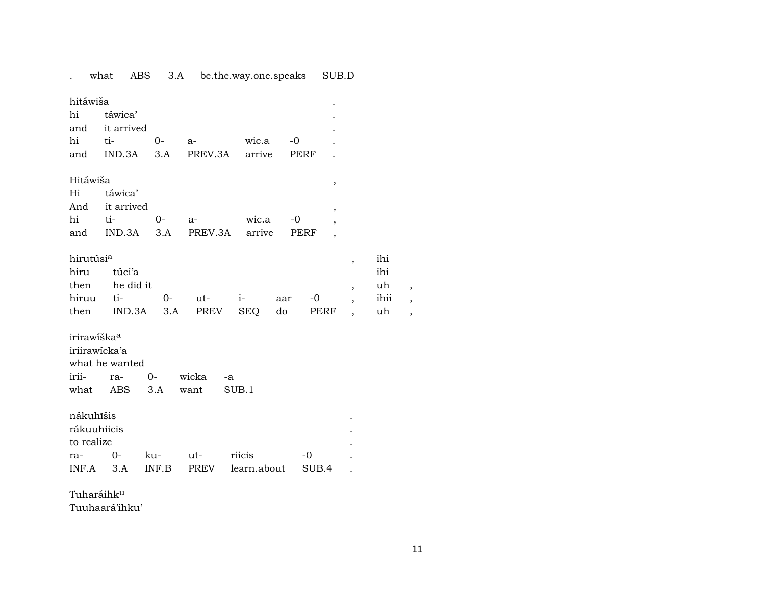. what ABS 3.A be.the.way.one.speaks SUB.D hitáwiša . hi táwica' . and it arrived hi ti- 0- a- wic.a -0 . and IND.3A 3.A PREV.3A arrive PERF . Hitáwiša , Hi táwica' And it arrived , , hi ti- 0- a- wic.a -0 , and IND.3A 3.A PREV.3A arrive PERF , hirutúsi<sup>a</sup> , ihi hiru túci'a ihi  $\begin{minipage}{.4\linewidth} \textbf{then} & \textbf{he did it} & \textbf{in} & \textbf{in} & \textbf{in} \end{minipage}$ hiruu ti- 0- ut- i- aar -0 , ihii , then IND.3A 3.A PREV SEQ do PERF , uh , irirawíška<sup>a</sup> iriirawícka'a what he wanted irii- ra- 0- wicka -a what ABS 3.A want SUB.1 nákuhîšis . rákuuhiicis . to realize ra- 0- ku- ut- riicis -0 . INF.A 3.A INF.B PREV learn.about SUB.4 .

Tuharáihk<sup>u</sup>

Tuuhaará'ihku'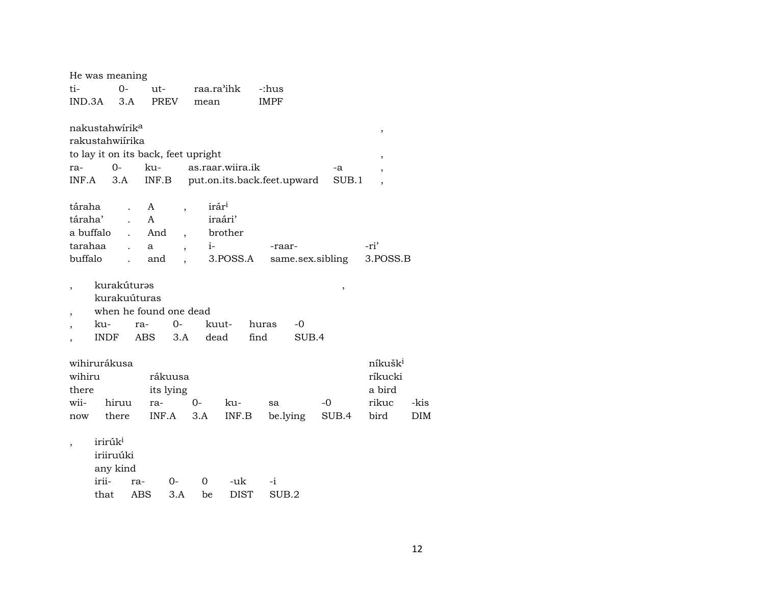|           | He was meaning             |              |                                     |                          |                   |                  |                             |       |                          |      |
|-----------|----------------------------|--------------|-------------------------------------|--------------------------|-------------------|------------------|-----------------------------|-------|--------------------------|------|
| ti-       |                            | $0-$         | $ut -$                              |                          | raa.ra'ihk        |                  | -:hus                       |       |                          |      |
| IND.3A    |                            | 3.A          | <b>PREV</b>                         |                          | mean              |                  | <b>IMPF</b>                 |       |                          |      |
|           |                            |              |                                     |                          |                   |                  |                             |       |                          |      |
|           | nakustahwírik <sup>a</sup> |              |                                     |                          |                   |                  |                             |       | $\, ,$                   |      |
|           | rakustahwiírika            |              |                                     |                          |                   |                  |                             |       |                          |      |
|           |                            |              | to lay it on its back, feet upright |                          |                   |                  |                             |       | $\overline{\phantom{a}}$ |      |
| ra-       |                            | $0-$         | ku-                                 |                          |                   | as.raar.wiira.ik |                             | -a    |                          |      |
| INF.A     |                            | 3.A          | INF.B                               |                          |                   |                  | put.on.its.back.feet.upward | SUB.1 | ,                        |      |
|           |                            |              |                                     |                          |                   |                  |                             |       |                          |      |
| táraha    |                            |              | A                                   | $\overline{\phantom{a}}$ | irár <sup>i</sup> |                  |                             |       |                          |      |
| táraha'   |                            |              | A                                   |                          | iraári'           |                  |                             |       |                          |      |
| a buffalo |                            | $\mathbf{L}$ | And                                 | $\overline{\phantom{a}}$ |                   | brother          |                             |       |                          |      |
| tarahaa   |                            |              | a                                   | $\overline{\phantom{a}}$ | $i-$              |                  | -raar-                      |       | -ri'                     |      |
| buffalo   |                            |              | and                                 |                          |                   | 3.POSS.A         | same.sex.sibling            |       | 3.POSS.B                 |      |
|           |                            |              |                                     |                          |                   |                  |                             |       |                          |      |
|           | kurakúturəs                |              |                                     |                          |                   |                  |                             | ,     |                          |      |
|           |                            |              | kurakuúturas                        |                          |                   |                  |                             |       |                          |      |
|           |                            |              | when he found one dead              |                          |                   |                  |                             |       |                          |      |
|           | ku-                        |              | ra-                                 | 0-                       | kuut-             |                  | huras<br>$-0$               |       |                          |      |
|           | INDF                       |              | ABS                                 | 3.A                      | dead              |                  | find<br>SUB.4               |       |                          |      |
|           |                            |              |                                     |                          |                   |                  |                             |       |                          |      |
|           | wihirurákusa               |              |                                     |                          |                   |                  |                             |       | níkušk <sup>i</sup>      |      |
| wihiru    |                            |              | rákuusa                             |                          |                   |                  |                             |       | ríkucki                  |      |
| there     |                            |              | its lying                           |                          |                   |                  |                             |       | a bird                   |      |
| wii-      |                            | hiruu        | ra-                                 | $0-$                     |                   | ku-              | sa                          | -0    | rikuc                    | -kis |
| now       |                            | there        | INF.A                               |                          | 3.A               | INF.B            | be.lying                    | SUB.4 | bird                     | DIM  |
|           |                            |              |                                     |                          |                   |                  |                             |       |                          |      |
|           | irirúk <sup>i</sup>        |              |                                     |                          |                   |                  |                             |       |                          |      |
|           | iriiruúki                  |              |                                     |                          |                   |                  |                             |       |                          |      |
|           | any kind                   |              |                                     |                          |                   |                  |                             |       |                          |      |
|           | irii-                      |              | ra-                                 | 0-                       | 0                 | -uk              | $-i$                        |       |                          |      |
|           | that                       |              | ABS                                 | 3.A                      | be                | <b>DIST</b>      | SUB <sub>.2</sub>           |       |                          |      |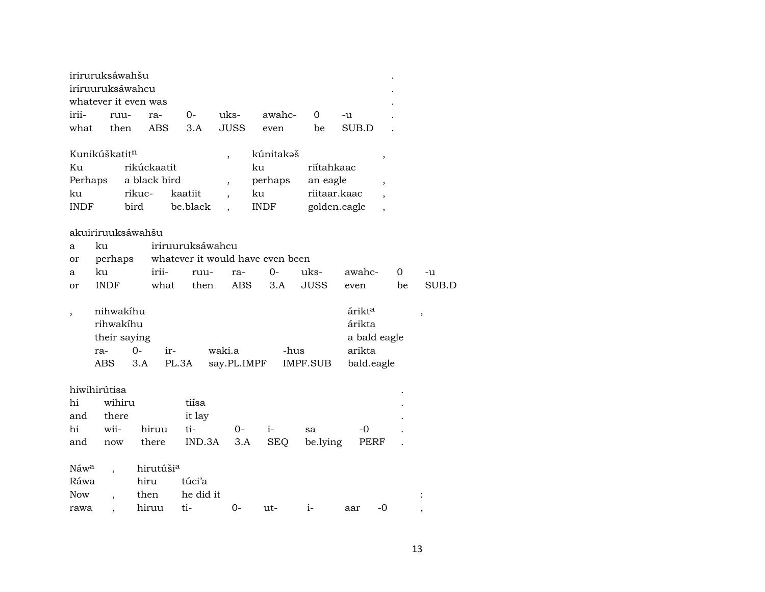|                  | iriruruksáwahšu                                       |              |              |                  |                          |                                  |              |                                                      |                          |       |
|------------------|-------------------------------------------------------|--------------|--------------|------------------|--------------------------|----------------------------------|--------------|------------------------------------------------------|--------------------------|-------|
|                  | iriruuruksáwahcu                                      |              |              |                  |                          |                                  |              |                                                      |                          |       |
|                  | whatever it even was                                  |              |              |                  |                          |                                  |              |                                                      |                          |       |
| irii-            |                                                       | ruu-         | ra-          | 0-               | uks-                     | awahc-                           | 0            | -u                                                   |                          |       |
| what             |                                                       | then         | <b>ABS</b>   | 3.A              | <b>JUSS</b>              | even                             | be           | SUB.D                                                |                          |       |
|                  |                                                       |              |              |                  |                          |                                  |              |                                                      |                          |       |
|                  | Kunikúškatit <sup>n</sup>                             |              |              |                  | $\overline{\phantom{a}}$ | kúnitakəš                        |              |                                                      | ,                        |       |
| Ku               |                                                       |              | rikúckaatit  |                  |                          | ku                               | riítahkaac   |                                                      |                          |       |
| Perhaps          |                                                       |              | a black bird |                  | $\overline{\phantom{a}}$ | perhaps                          | an eagle     |                                                      | $\overline{\phantom{a}}$ |       |
| ku               |                                                       | rikuc-       |              | kaatiit          | $\ddot{\phantom{0}}$     | ku                               | riitaar.kaac |                                                      |                          |       |
| <b>INDF</b>      |                                                       | bird         |              | be.black         |                          | <b>INDF</b>                      | golden.eagle |                                                      |                          |       |
|                  |                                                       |              |              |                  |                          |                                  |              |                                                      |                          |       |
|                  | akuiriruuksáwahšu                                     |              |              |                  |                          |                                  |              |                                                      |                          |       |
| a                | ku                                                    |              |              | iriruuruksáwahcu |                          |                                  |              |                                                      |                          |       |
| or               | perhaps                                               |              |              |                  |                          | whatever it would have even been |              |                                                      |                          |       |
| a                | ku                                                    |              | irii-        | ruu-             | ra-                      | $0 -$                            | uks-         | awahc-                                               | 0                        | -u    |
| or               | <b>INDF</b>                                           |              | what         | then             | <b>ABS</b>               | 3.A                              | <b>JUSS</b>  | even                                                 | be                       | SUB.D |
|                  | nihwakíhu<br>rihwakíhu<br>their saying<br>ra-<br>ABS. | $O -$<br>3.A | ir-          | PL.3A            | waki.a<br>say.PL.IMPF    | -hus                             | IMPF.SUB     | árikt <sup>a</sup><br>árikta<br>arikta<br>bald.eagle | a bald eagle             | ,     |
|                  | hiwihirútisa                                          |              |              |                  |                          |                                  |              |                                                      |                          |       |
| hi               | wihiru                                                |              |              | tiísa            |                          |                                  |              |                                                      |                          |       |
| and              | there                                                 |              |              | it lay           |                          |                                  |              |                                                      |                          |       |
| $\hbox{hi}$      | wii-                                                  |              | hiruu        | ti-              | $O -$                    | $i-$                             | sa           | -0                                                   |                          |       |
| and              | now                                                   |              | there        | IND.3A           | 3.A                      | <b>SEQ</b>                       | be.lying     | PERF                                                 |                          |       |
|                  |                                                       |              |              |                  |                          |                                  |              |                                                      |                          |       |
| Náw <sup>a</sup> |                                                       |              | hirutúšia    |                  |                          |                                  |              |                                                      |                          |       |
| Ráwa             |                                                       |              | hiru         | túci'a           |                          |                                  |              |                                                      |                          |       |
| <b>Now</b>       | $\overline{\phantom{a}}$                              |              | then         | he did it        |                          |                                  |              |                                                      |                          |       |
| rawa             |                                                       |              | hiruu        | ti-              | 0-                       | ut-                              | $i-$         | aar                                                  | $-0$                     |       |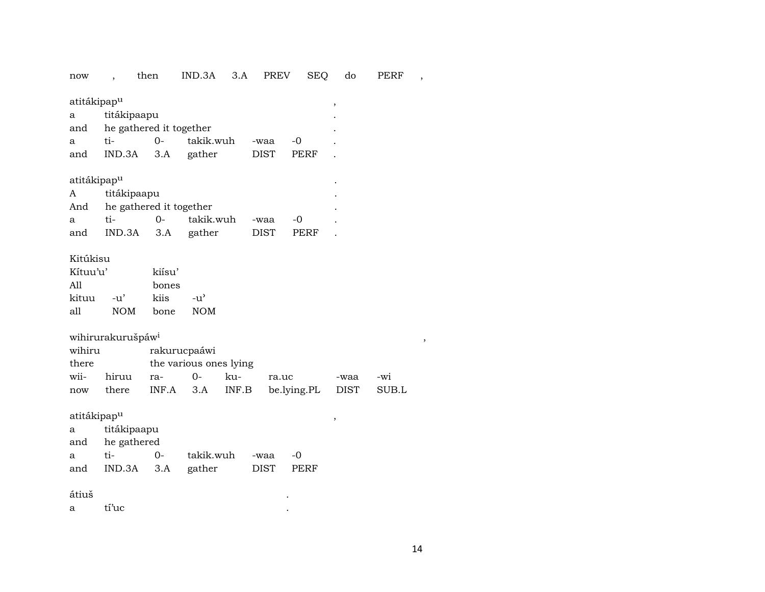now , then IND.3A 3.A PREV SEQ do PERF ,

atitákipap $^{\textrm{u}}$ 

| a   | titákipaapu             |        |           |             |       |           |
|-----|-------------------------|--------|-----------|-------------|-------|-----------|
| and | he gathered it together |        |           |             |       | $\bullet$ |
| a   | ti-                     | $()$ - | takik.wuh | -waa        | $-()$ |           |
| and | $IND.3A$ $3.A$          |        | gather    | <b>DIST</b> | PERF  |           |

atitákipap<sup>u</sup> en antiko a servedor a servedor a servedor a servedor a servedor a servedor a servedor a servedor a se

| A   | titákipaapu             |          |           |             |       |  |
|-----|-------------------------|----------|-----------|-------------|-------|--|
| And | he gathered it together |          |           |             |       |  |
| a   | ti-                     | $\Omega$ | takik.wuh | -waa        | $-()$ |  |
| and | IND.3A 3.A              |          | gather    | <b>DIST</b> | PERF  |  |

### Kitúkisu

| $K$ ituu'u' |        | kiísu' |                    |
|-------------|--------|--------|--------------------|
| A11         |        | bones  |                    |
| kituu       | $-11'$ | kiis   | $-11$ <sup>2</sup> |
| all         | NOM.   | bone   | <b>NOM</b>         |

| wihirurakurušpáw <sup>i</sup> |       |       |                        |     |                                        |      |     |  |  |  |  |  |
|-------------------------------|-------|-------|------------------------|-----|----------------------------------------|------|-----|--|--|--|--|--|
| wihiru                        |       |       | rakurucpaáwi           |     |                                        |      |     |  |  |  |  |  |
| there                         |       |       | the various ones lying |     |                                        |      |     |  |  |  |  |  |
| wii-                          | hiruu | $ra-$ | $\Omega$               | ku- | ra.uc                                  | -waa | -wi |  |  |  |  |  |
| now                           | there |       |                        |     | INF.A 3.A INF.B be.lying.PL DIST SUB.L |      |     |  |  |  |  |  |

atitákipap<br/>^  $\hfill$  ,  $\hfill$  ,  $\hfill$ 

| a a |                   | titákipaapu |                |      |       |  |  |  |  |  |  |  |
|-----|-------------------|-------------|----------------|------|-------|--|--|--|--|--|--|--|
|     | and he gathered   |             |                |      |       |  |  |  |  |  |  |  |
| a   | ti-               | $O-$        | takik.wuh -waa |      | $-()$ |  |  |  |  |  |  |  |
| and | IND.3A 3.A gather |             |                | DIST | PERF  |  |  |  |  |  |  |  |

### átiuš .

 $\begin{tabular}{lllllllll} a & \text{tí'uc} & & & & & . \end{tabular}$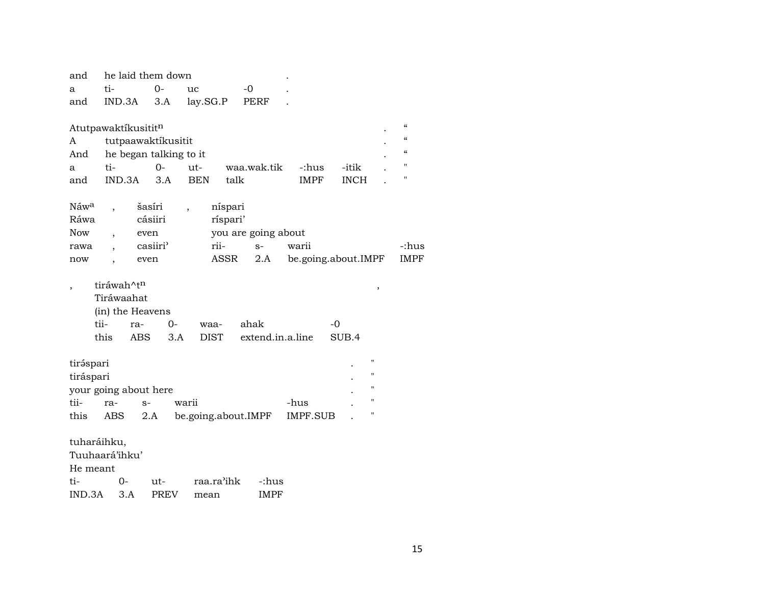| and                   |                        |            | he laid them down      |                     |          |                     |                     |             |                          |                                        |
|-----------------------|------------------------|------------|------------------------|---------------------|----------|---------------------|---------------------|-------------|--------------------------|----------------------------------------|
| a                     | ti-                    |            | $O -$                  | uc                  | -0       |                     |                     |             |                          |                                        |
| and                   | IND.3A                 |            | 3.A                    | lay.SG.P            |          | <b>PERF</b>         |                     |             |                          |                                        |
|                       |                        |            |                        |                     |          |                     |                     |             |                          |                                        |
| Atutpawaktíkusititn   |                        |            |                        |                     |          |                     |                     |             |                          | $\boldsymbol{\zeta}\boldsymbol{\zeta}$ |
| A                     |                        |            | tutpaawaktíkusitit     |                     |          |                     |                     |             |                          | $\epsilon$                             |
| And                   |                        |            | he began talking to it |                     |          |                     |                     |             |                          | $\boldsymbol{\zeta}\boldsymbol{\zeta}$ |
| a                     | ti-                    |            | $0 -$                  | ut-                 |          | waa.wak.tik         | -:hus               | -itik       |                          | П                                      |
| and                   | IND.3A                 |            | 3.A                    | <b>BEN</b>          | talk     |                     | <b>IMPF</b>         | <b>INCH</b> |                          | "                                      |
|                       |                        |            |                        |                     |          |                     |                     |             |                          |                                        |
| Náw <sup>a</sup>      |                        | šasíri     |                        |                     | níspari  |                     |                     |             |                          |                                        |
| Ráwa                  |                        | cásiiri    |                        |                     | ríspari' |                     |                     |             |                          |                                        |
| <b>Now</b>            |                        | even       |                        |                     |          | you are going about |                     |             |                          |                                        |
| rawa                  |                        | casiiri'   |                        | rii-                |          | $S-$                | warii               |             |                          | -:hus                                  |
| now                   |                        | even       |                        |                     | ASSR     | 2.A                 | be.going.about.IMPF |             |                          | <b>IMPF</b>                            |
|                       | tiráwah^t <sup>n</sup> |            |                        |                     |          |                     |                     |             |                          |                                        |
|                       | Tiráwaahat             |            |                        |                     |          |                     |                     |             | $\overline{\phantom{a}}$ |                                        |
|                       | (in) the Heavens       |            |                        |                     |          |                     |                     |             |                          |                                        |
|                       | tii-                   | ra-        | $0-$                   | waa-                |          | ahak                |                     | $-0$        |                          |                                        |
|                       | this                   | <b>ABS</b> | 3.A                    | <b>DIST</b>         |          | extend.in.a.line    |                     | SUB.4       |                          |                                        |
|                       |                        |            |                        |                     |          |                     |                     |             |                          |                                        |
| tiráspari             |                        |            |                        |                     |          |                     |                     |             | $\pmb{\mathsf{H}}$       |                                        |
| tiráspari             |                        |            |                        |                     |          |                     |                     |             | $\pmb{\mathsf{H}}$       |                                        |
| your going about here |                        |            |                        |                     |          |                     |                     |             | $\pmb{\mathsf{H}}$       |                                        |
| tii-                  | ra-                    | $S-$       |                        | warii               |          |                     | -hus                |             | $\mathbf{H}$             |                                        |
| this                  | ABS                    | 2.A        |                        | be.going.about.IMPF |          |                     | <b>IMPF.SUB</b>     |             | $\pmb{\mathsf{H}}$       |                                        |
|                       |                        |            |                        |                     |          |                     |                     |             |                          |                                        |
| tuharáihku,           |                        |            |                        |                     |          |                     |                     |             |                          |                                        |
| Tuuhaará'ihku'        |                        |            |                        |                     |          |                     |                     |             |                          |                                        |
| He meant              |                        |            |                        |                     |          |                     |                     |             |                          |                                        |
| ti-                   | 0-                     |            | ut-                    | raa.ra'ihk          |          | -:hus               |                     |             |                          |                                        |
| IND.3A                |                        | 3.A        | <b>PREV</b>            | mean                |          | <b>IMPF</b>         |                     |             |                          |                                        |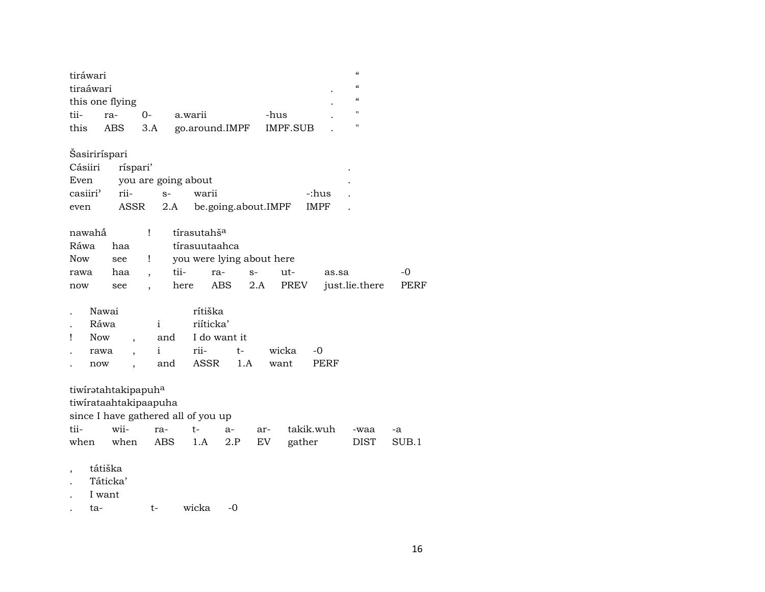| tiráwari<br>tiraáwari |                                              |                          |                                     |                     |                 |             | $\mathcal{C}$<br>$\epsilon$ |       |
|-----------------------|----------------------------------------------|--------------------------|-------------------------------------|---------------------|-----------------|-------------|-----------------------------|-------|
|                       | this one flying                              |                          |                                     |                     |                 |             | $\epsilon$                  |       |
| tii-                  | ra-                                          | $0-$                     | a.warii                             |                     | -hus            |             | "                           |       |
| this                  | ABS                                          | 3.A                      |                                     | go.around.IMPF      | <b>IMPF.SUB</b> |             | $\blacksquare$              |       |
| Šasiriríspari         |                                              |                          |                                     |                     |                 |             |                             |       |
| Cásiiri               | ríspari'                                     |                          |                                     |                     |                 |             |                             |       |
| Even                  |                                              |                          | you are going about                 |                     |                 |             |                             |       |
| casiiri'              | rii-                                         | $S-$                     | warii                               |                     |                 | -:hus       |                             |       |
| even                  | ASSR                                         |                          | 2.A                                 | be.going.about.IMPF |                 | <b>IMPF</b> |                             |       |
| nawahắ                |                                              | Ţ                        | tírasutahš <sup>a</sup>             |                     |                 |             |                             |       |
| Ráwa                  | haa                                          |                          | tírasuutaahca                       |                     |                 |             |                             |       |
| <b>Now</b>            | see                                          | Ţ                        | you were lying about here           |                     |                 |             |                             |       |
| rawa                  | haa                                          | $\overline{\phantom{a}}$ | tii-                                | ra-<br>$S-$         | ut-             | as.sa       |                             | -0    |
| now                   | see                                          | $\ddot{\phantom{0}}$     | here                                | ABS                 | PREV<br>2.A     |             | just.lie.there              | PERF  |
|                       | Nawai                                        |                          | rítiška                             |                     |                 |             |                             |       |
|                       | Ráwa                                         | $\mathbf{i}$             | riíticka'                           |                     |                 |             |                             |       |
| Ţ                     | <b>Now</b>                                   | and                      |                                     | I do want it        |                 |             |                             |       |
|                       |                                              | i                        | rii-                                | t-                  | wicka           | -0          |                             |       |
|                       | rawa                                         | and                      | ASSR                                | 1.A                 | want            | PERF        |                             |       |
|                       | now<br>,                                     |                          |                                     |                     |                 |             |                             |       |
|                       | tiwiratahtakipapuha<br>tiwirataahtakipaapuha |                          |                                     |                     |                 |             |                             |       |
|                       |                                              |                          | since I have gathered all of you up |                     |                 |             |                             |       |
| tii-                  | wii-                                         | ra-                      | $t-$                                | $a-$                | ar-             | takik.wuh   | -waa                        | -a    |
| when                  | when                                         | <b>ABS</b>               | 1.A                                 | 2.P                 | EV              | gather      | <b>DIST</b>                 | SUB.1 |
| ta-                   | tátiška<br>Táticka'<br>I want                | t-                       | wicka                               | $-0$                |                 |             |                             |       |
|                       |                                              |                          |                                     |                     |                 |             |                             |       |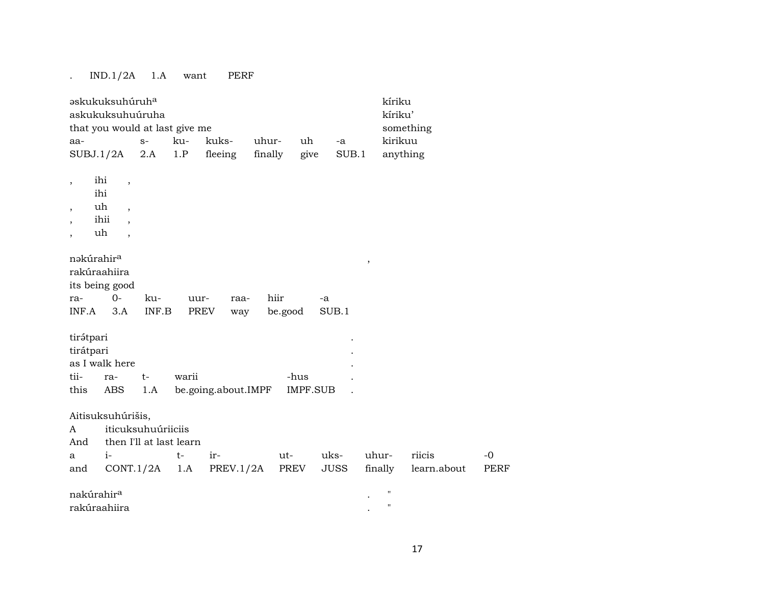## . IND.1/2A 1.A want PERF

| <b>askukuksuhúruha</b>                                                                                                                                               |                                               |                                 |                                |                     |                  | kíriku                                   |                     |
|----------------------------------------------------------------------------------------------------------------------------------------------------------------------|-----------------------------------------------|---------------------------------|--------------------------------|---------------------|------------------|------------------------------------------|---------------------|
| askukuksuhuúruha                                                                                                                                                     |                                               |                                 |                                |                     |                  | kíriku'                                  |                     |
| that you would at last give me                                                                                                                                       |                                               |                                 |                                |                     |                  | something                                |                     |
| aa-                                                                                                                                                                  | $S-$                                          | kuks-<br>ku-                    | uhur-                          | uh                  | $-a$             | kirikuu                                  |                     |
| SUBJ.1/2A                                                                                                                                                            | 2.A                                           | 1.P<br>fleeing                  | finally                        | give                | SUB.1            | anything                                 |                     |
| ihi<br>$\overline{\phantom{a}}$<br>$\overline{\phantom{a}}$<br>ihi<br>uh<br>$\overline{\phantom{a}}$<br>$\overline{\phantom{a}}$<br>ihii<br>$\overline{\phantom{a}}$ |                                               |                                 |                                |                     |                  |                                          |                     |
| uh<br>$\overline{\phantom{a}}$                                                                                                                                       |                                               |                                 |                                |                     |                  |                                          |                     |
| nəkúrahir <sup>a</sup><br>rakúraahiira<br>its being good<br>$0-$<br>ra-<br>INF.A<br>3.A                                                                              | ku-<br>INF.B                                  | uur-<br>PREV                    | hiir<br>raa-<br>be.good<br>way | -a<br>SUB.1         | $\, ,$           |                                          |                     |
| tirátpari<br>tirátpari<br>as I walk here                                                                                                                             |                                               |                                 |                                |                     |                  |                                          |                     |
| tii-<br>ra-                                                                                                                                                          | $t-$                                          | warii                           |                                | -hus                |                  |                                          |                     |
| this<br>ABS                                                                                                                                                          | 1.A                                           | be.going.about.IMPF             |                                | <b>IMPF.SUB</b>     |                  |                                          |                     |
| Aitisuksuhúrišis,<br>A<br>And<br>$i-$<br>a<br>CONT.1/2A<br>and                                                                                                       | iticuksuhuúriiciis<br>then I'll at last learn | ir-<br>$t-$<br>PREV.1/2A<br>1.A | ut-<br>PREV                    | uks-<br><b>JUSS</b> | uhur-<br>finally | riicis<br>learn.about                    | $-0$<br><b>PERF</b> |
| nakúrahir <sup>a</sup><br>rakúraahiira                                                                                                                               |                                               |                                 |                                |                     |                  | $\pmb{\mathsf{H}}$<br>$\pmb{\mathsf{H}}$ |                     |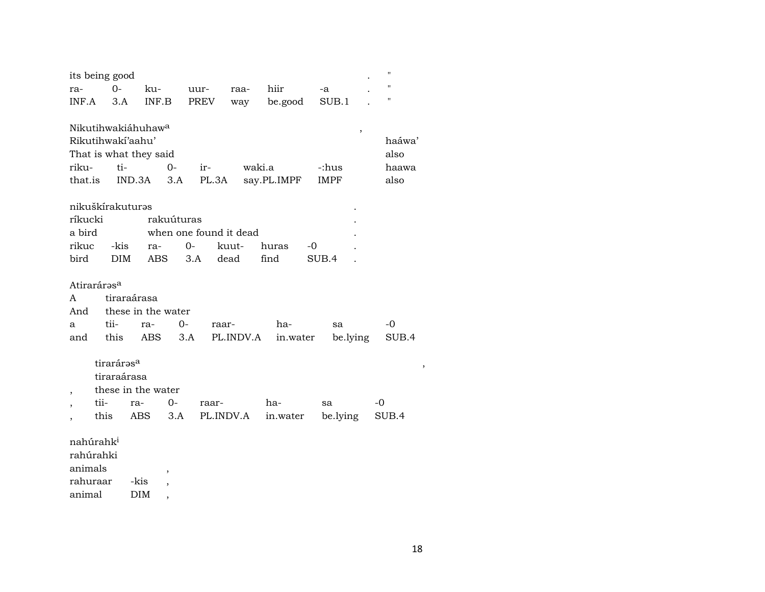|          | its being good          |             |                                |            |             |                        |             |       |             | 11     |
|----------|-------------------------|-------------|--------------------------------|------------|-------------|------------------------|-------------|-------|-------------|--------|
| ra-      | $0-$                    |             | ku-                            |            | uur-        | raa-                   | hiir        | -a    |             | "      |
| INF.A    |                         | 3.A         | INF.B                          |            | <b>PREV</b> | way                    | be.good     |       | SUB.1       | "      |
|          |                         |             |                                |            |             |                        |             |       |             |        |
|          |                         |             | Nikutihwakiáhuhaw <sup>a</sup> |            |             |                        |             |       | ,           |        |
|          | Rikutihwakí'aahu'       |             |                                |            |             |                        |             |       |             | haáwa' |
|          |                         |             | That is what they said         |            |             |                        |             |       |             | also   |
| riku-    |                         | ti-         |                                | $0-$       | ir-         | waki.a                 |             |       | -:hus       | haawa  |
| that.is  |                         | IND.3A      |                                | 3.A        | PL.3A       |                        | say.PL.IMPF |       | <b>IMPF</b> | also   |
|          | nikuškírakuturəs        |             |                                |            |             |                        |             |       |             |        |
| ríkucki  |                         |             |                                | rakuúturas |             |                        |             |       |             |        |
| a bird   |                         |             |                                |            |             | when one found it dead |             |       |             |        |
| rikuc    |                         | -kis        | ra-                            | $0-$       |             | kuut-                  | huras       | -0    |             |        |
| bird     |                         | <b>DIM</b>  | ABS                            | 3.A        |             | dead                   | find        | SUB.4 |             |        |
|          |                         |             |                                |            |             |                        |             |       |             |        |
|          | Atiraráras <sup>a</sup> |             |                                |            |             |                        |             |       |             |        |
| A        |                         | tiraraárasa |                                |            |             |                        |             |       |             |        |
| And      |                         |             | these in the water             |            |             |                        |             |       |             |        |
| a        | tii-                    |             | ra-                            | $0-$       | raar-       |                        | ha-         |       | sa          | $-0$   |
| and      | this                    |             | ABS                            | 3.A        |             | PL.INDV.A              | in.water    |       | be.lying    | SUB.4  |
|          |                         |             |                                |            |             |                        |             |       |             |        |
|          | tiraráras <sup>a</sup>  |             |                                |            |             |                        |             |       |             | ,      |
|          | tiraraárasa             |             |                                |            |             |                        |             |       |             |        |
| ,        |                         |             | these in the water             |            |             |                        |             |       |             |        |
|          | tii-                    | ra-         |                                | $0-$       | raar-       |                        | ha-         | sa    |             | -0     |
|          | this                    |             | ABS.                           | 3.A        |             | PL.INDV.A              | in.water    |       | be.lying    | SUB.4  |
|          |                         |             |                                |            |             |                        |             |       |             |        |
|          | nahúrahk <sup>i</sup>   |             |                                |            |             |                        |             |       |             |        |
|          | rahúrahki               |             |                                |            |             |                        |             |       |             |        |
| animals  |                         |             | $\overline{\phantom{a}}$       |            |             |                        |             |       |             |        |
| rahuraar |                         | -kis        | $\overline{\phantom{a}}$       |            |             |                        |             |       |             |        |

animal DIM,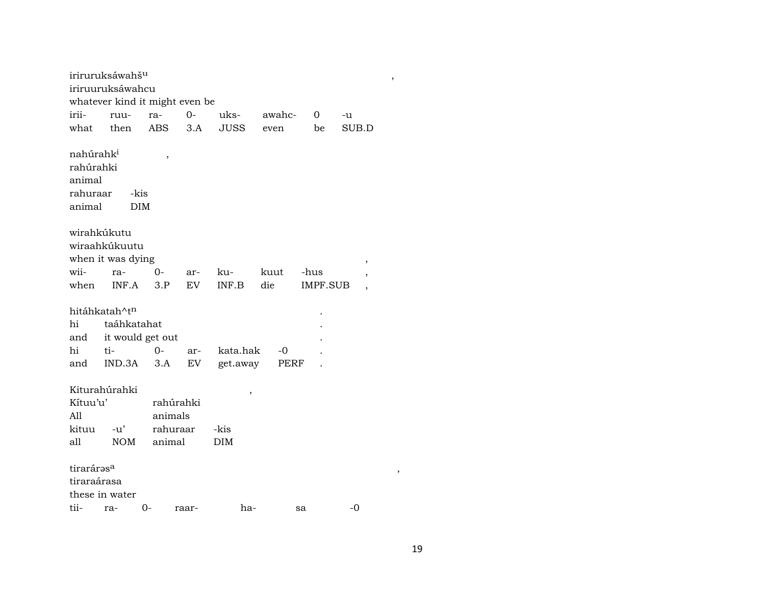|                                                                    | iriruruksáwahš <sup>u</sup><br>iriruuruksáwahcu              |           |       |             |        |          |                          | , |  |  |
|--------------------------------------------------------------------|--------------------------------------------------------------|-----------|-------|-------------|--------|----------|--------------------------|---|--|--|
| whatever kind it might even be                                     |                                                              |           |       |             |        |          |                          |   |  |  |
| irii-                                                              | ruu-                                                         | ra-       | $0 -$ | uks-        | awahc- | 0        | -u                       |   |  |  |
| what                                                               | then                                                         | ABS       | 3.A   | <b>JUSS</b> | even   | be       | SUB.D                    |   |  |  |
| nahúrahk <sup>i</sup><br>rahúrahki<br>animal<br>rahuraar<br>animal | -kis<br>DIM                                                  | $\,$      |       |             |        |          |                          |   |  |  |
| wirahkúkutu                                                        |                                                              |           |       |             |        |          |                          |   |  |  |
|                                                                    | wiraahkúkuutu                                                |           |       |             |        |          |                          |   |  |  |
|                                                                    | when it was dying                                            |           |       |             |        |          | ,                        |   |  |  |
| wii-                                                               | ra-                                                          | $0-$      | ar-   | ku-         | kuut   | -hus     | ,                        |   |  |  |
| when                                                               | INF.A                                                        | 3.P       | EV    | INF.B       | die    | IMPF.SUB | $\overline{\phantom{a}}$ |   |  |  |
|                                                                    |                                                              |           |       |             |        |          |                          |   |  |  |
|                                                                    | hitáhkatah^t <sup>n</sup>                                    |           |       |             |        |          |                          |   |  |  |
| hi                                                                 | taáhkatahat                                                  |           |       |             |        |          |                          |   |  |  |
| and                                                                | it would get out                                             |           |       |             |        |          |                          |   |  |  |
| hi                                                                 | ti-                                                          | $O -$     | ar-   | kata.hak    | $-0$   |          |                          |   |  |  |
| and                                                                | IND.3A                                                       | 3.A       | EV    | get.away    | PERF   |          |                          |   |  |  |
| Kítuu'u'                                                           | Kiturahúrahki                                                | rahúrahki |       | ,           |        |          |                          |   |  |  |
| A11                                                                |                                                              | animals   |       |             |        |          |                          |   |  |  |
| kituu                                                              | -u'                                                          | rahuraar  |       | -kis        |        |          |                          |   |  |  |
| all                                                                | <b>NOM</b>                                                   | animal    |       | DIM         |        |          |                          |   |  |  |
|                                                                    | tiraráras <sup>a</sup><br>,<br>tiraraárasa<br>these in water |           |       |             |        |          |                          |   |  |  |
|                                                                    | tii- ra- 0-                                                  |           | raar- | ha-         |        | sa       | -0                       |   |  |  |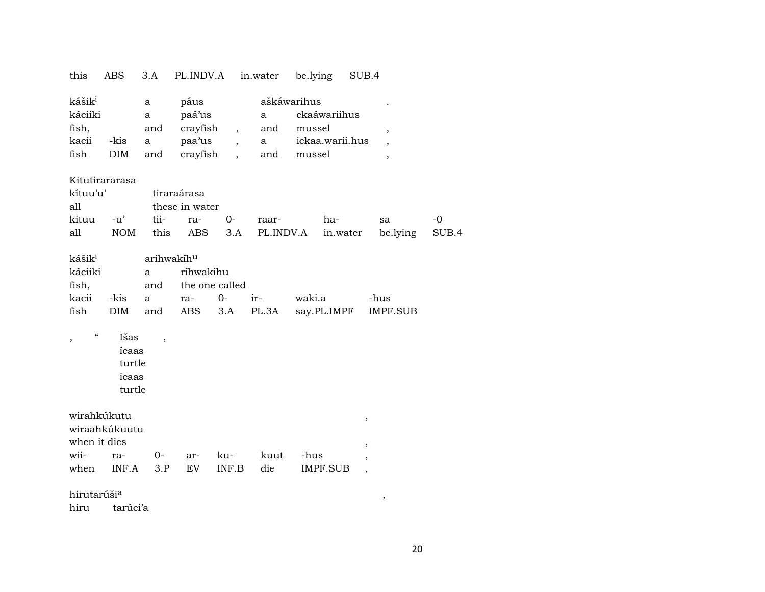| this                     | ABS            | 3.A                      | PL.INDV.A      |                          | in.water     | be.lying    |                 | SUB.4                    |       |
|--------------------------|----------------|--------------------------|----------------|--------------------------|--------------|-------------|-----------------|--------------------------|-------|
| kášik <sup>i</sup>       |                | a                        | páus           |                          |              | aškáwarihus |                 |                          |       |
| káciiki                  |                | a                        | paá'us         |                          | a            |             | ckaáwariihus    |                          |       |
| fish,                    |                | and                      | crayfish       | $\overline{\phantom{a}}$ | and          | mussel      |                 | $\overline{\phantom{a}}$ |       |
| kacii                    | -kis           | a                        | paa'us         | $\ddot{\phantom{0}}$     | $\mathbf{a}$ |             | ickaa.warii.hus |                          |       |
| fish                     | DIM            | and                      | crayfish       |                          | and          | mussel      |                 | $\overline{\phantom{a}}$ |       |
|                          |                |                          |                |                          |              |             |                 |                          |       |
|                          | Kitutirararasa |                          |                |                          |              |             |                 |                          |       |
| kítuu'u'                 |                |                          | tiraraárasa    |                          |              |             |                 |                          |       |
| all                      |                |                          | these in water |                          |              |             |                 |                          |       |
| kituu                    | $-u'$          | tii-                     | ra-            | $0-$                     | raar-        |             | ha-             | sa                       | $-0$  |
| all                      | <b>NOM</b>     | this                     | <b>ABS</b>     | 3.A                      | PL.INDV.A    |             | in.water        | be.lying                 | SUB.4 |
|                          |                |                          |                |                          |              |             |                 |                          |       |
| kášik <sup>i</sup>       |                | arihwakíhu               |                |                          |              |             |                 |                          |       |
| káciiki                  |                | a                        | ríhwakihu      |                          |              |             |                 |                          |       |
| fish,                    |                | and                      | the one called |                          |              |             |                 |                          |       |
| kacii                    | -kis           | a                        | ra-            | $0-$                     | ir-          | waki.a      |                 | -hus                     |       |
| fish                     | <b>DIM</b>     | and                      | ABS            | 3.A                      | PL.3A        |             | say.PL.IMPF     | IMPF.SUB                 |       |
| $\pmb{\zeta}\pmb{\zeta}$ | Išas           | $\overline{\phantom{a}}$ |                |                          |              |             |                 |                          |       |
|                          | ícaas          |                          |                |                          |              |             |                 |                          |       |
|                          | turtle         |                          |                |                          |              |             |                 |                          |       |
|                          | icaas          |                          |                |                          |              |             |                 |                          |       |
|                          | turtle         |                          |                |                          |              |             |                 |                          |       |
|                          |                |                          |                |                          |              |             |                 |                          |       |
|                          | wirahkúkutu    |                          |                |                          |              |             |                 | $\, ,$                   |       |
|                          | wiraahkúkuutu  |                          |                |                          |              |             |                 |                          |       |
| when it dies             |                |                          |                |                          |              |             |                 | $\overline{\phantom{a}}$ |       |
| wii-                     | ra-            | $O -$                    | ar-            | ku-                      | kuut         | -hus        |                 |                          |       |
| when                     | INF.A          | 3.P                      | EV             | INF.B                    | die          |             | <b>IMPF.SUB</b> |                          |       |
|                          |                |                          |                |                          |              |             |                 |                          |       |
| hirutarúši <sup>a</sup>  |                |                          |                |                          |              |             |                 | $\,$                     |       |

hiru tarúci'a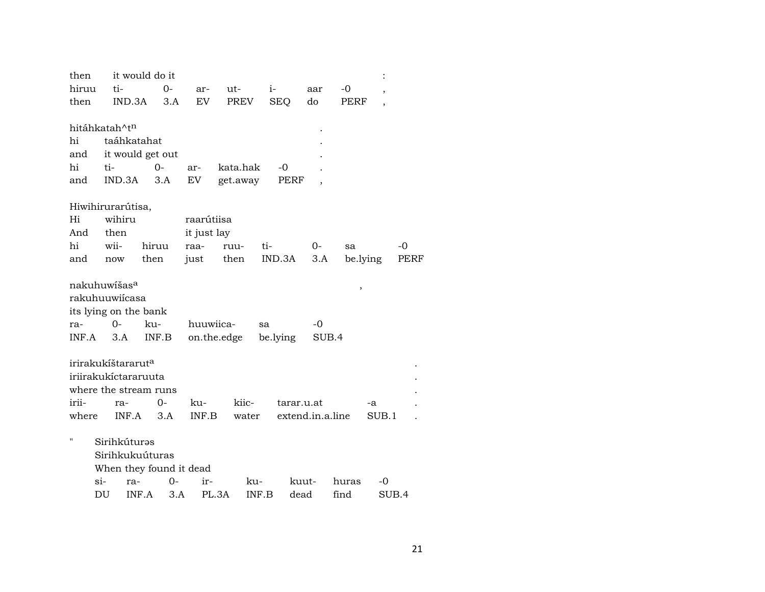| then        |                                | it would do it          |             |             |               |                  |             |                          |             |
|-------------|--------------------------------|-------------------------|-------------|-------------|---------------|------------------|-------------|--------------------------|-------------|
| hiruu       | ti-                            | $0 -$                   | ar-         | ut-         | $i-$          | aar              | -0          | $\overline{\phantom{a}}$ |             |
| then        | IND.3A                         | 3.A                     | EV          | PREV        | <b>SEQ</b>    | do               | <b>PERF</b> | $\overline{ }$           |             |
|             |                                |                         |             |             |               |                  |             |                          |             |
|             | hitáhkatah^tn                  |                         |             |             |               |                  |             |                          |             |
| hi          | taáhkatahat                    |                         |             |             |               |                  |             |                          |             |
| and         |                                | it would get out        |             |             |               |                  |             |                          |             |
| hi          | ti-                            | $0-$                    | ar-         | kata.hak    | -0            |                  |             |                          |             |
| and         | IND.3A                         | 3.A                     | EV          | get.away    | PERF          |                  |             |                          |             |
|             |                                |                         |             |             |               |                  |             |                          |             |
|             | Hiwihirurarútisa,              |                         |             |             |               |                  |             |                          |             |
| Hi          | wihiru                         |                         | raarútiisa  |             |               |                  |             |                          |             |
| And         | then                           |                         | it just lay |             |               |                  |             |                          |             |
| $\hbox{hi}$ | wii-                           | hiruu                   | raa-        | ruu-        | ti-           | $0-$             | sa          | $-0$                     |             |
| and         | now                            | then                    | just        | then        | IND.3A        | 3.A              | be.lying    |                          | <b>PERF</b> |
|             |                                |                         |             |             |               |                  |             |                          |             |
|             | nakuhuwišas <sup>a</sup>       |                         |             |             |               |                  | ,           |                          |             |
|             | rakuhuuwiícasa                 |                         |             |             |               |                  |             |                          |             |
|             | its lying on the bank          |                         |             |             |               |                  |             |                          |             |
| ra-         | 0-                             | ku-                     | huuwiica-   |             | sa            | -0               |             |                          |             |
| INF.A       | 3.A                            | INF.B                   |             | on.the.edge | be.lying      | SUB.4            |             |                          |             |
|             |                                |                         |             |             |               |                  |             |                          |             |
|             | irirakukíštararut <sup>a</sup> |                         |             |             |               |                  |             |                          |             |
|             | iriirakukictararuuta           |                         |             |             |               |                  |             |                          |             |
|             | where the stream runs          |                         |             |             |               |                  |             |                          |             |
| irii-       | ra-                            | $O -$                   | ku-         | kiic-       | tarar.u.at    |                  | -a          |                          |             |
| where       | INF.A                          | 3.A                     | INF.B       | water       |               | extend.in.a.line |             | SUB.1                    |             |
| н           |                                |                         |             |             |               |                  |             |                          |             |
|             | Sirihkúturəs                   |                         |             |             |               |                  |             |                          |             |
|             | Sirihkukuúturas                |                         |             |             |               |                  |             |                          |             |
|             |                                | When they found it dead |             |             |               |                  |             |                          |             |
|             | $\sin$<br>ra-                  | $O-$                    | ir-         | ku-         |               | kuut-            | huras       | -0                       |             |
|             | DU                             | INF.A<br>3.A            | PL.3A       |             | INF.B<br>dead |                  | find        | SUB.4                    |             |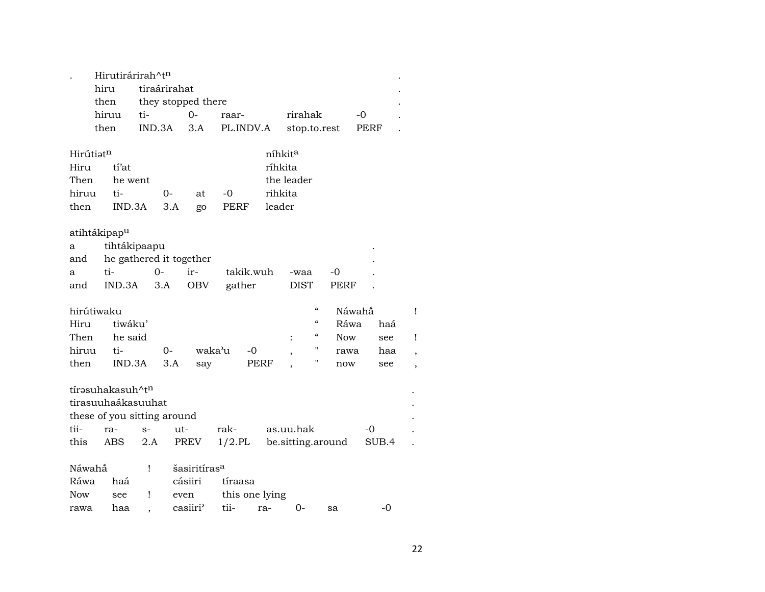|                          |       | Hirutirárirah^tn             |      |                             |                          |           |           |                     |              |                    |                   |      |       |                          |
|--------------------------|-------|------------------------------|------|-----------------------------|--------------------------|-----------|-----------|---------------------|--------------|--------------------|-------------------|------|-------|--------------------------|
|                          | hiru  |                              |      | tiraárirahat                |                          |           |           |                     |              |                    |                   |      |       |                          |
|                          | then  |                              |      |                             | they stopped there       |           |           |                     |              |                    |                   |      |       |                          |
|                          | hiruu |                              | ti-  |                             | $O -$                    | raar-     |           |                     | rirahak      |                    |                   | -0   |       |                          |
|                          | then  |                              |      | IND.3A                      | 3.A                      | PL.INDV.A |           |                     | stop.to.rest |                    |                   | PERF |       |                          |
| Hirútiatn                |       |                              |      |                             |                          |           |           | níhkit <sup>a</sup> |              |                    |                   |      |       |                          |
| Hiru                     |       | tí'at                        |      |                             |                          |           |           | ríhkita             |              |                    |                   |      |       |                          |
| Then                     |       | he went                      |      |                             |                          |           |           | the leader          |              |                    |                   |      |       |                          |
| hiruu                    |       |                              |      |                             |                          |           |           | rihkita             |              |                    |                   |      |       |                          |
|                          |       | ti-                          |      | $O-$                        | at                       | -0        |           |                     |              |                    |                   |      |       |                          |
| then                     |       | IND.3A                       |      | 3.A                         | go                       | PERF      |           | leader              |              |                    |                   |      |       |                          |
| atihtákipap <sup>u</sup> |       |                              |      |                             |                          |           |           |                     |              |                    |                   |      |       |                          |
| a                        |       | tihtákipaapu                 |      |                             |                          |           |           |                     |              |                    |                   |      |       |                          |
| and                      |       |                              |      | he gathered it together     |                          |           |           |                     |              |                    |                   |      |       |                          |
| a                        | ti-   |                              |      | $0-$                        | ir-                      |           | takik.wuh |                     | -waa         |                    | -0                |      |       |                          |
| and                      |       | IND.3A                       |      | 3.A                         | <b>OBV</b>               | gather    |           |                     | <b>DIST</b>  |                    | <b>PERF</b>       |      |       |                          |
|                          |       |                              |      |                             |                          |           |           |                     |              |                    |                   |      |       |                          |
| hirútiwaku               |       |                              |      |                             |                          |           |           |                     |              | $\epsilon$         | Náwahấ            |      |       | Ţ                        |
| Hiru                     |       | tiwáku'                      |      |                             |                          |           |           |                     |              | $\epsilon\epsilon$ | Ráwa              |      | haá   |                          |
| Then                     |       | he said                      |      |                             |                          |           |           |                     |              | "                  | Now               |      | see   | Ţ                        |
| hiruu                    |       | ti-                          |      | 0-                          | waka'u                   |           | -0        |                     |              | 11                 | rawa              |      | haa   | $\overline{\phantom{a}}$ |
| then                     |       | IND.3A                       |      | 3.A                         | say                      |           | PERF      |                     |              | П                  | now               |      | see   | $\overline{\phantom{a}}$ |
|                          |       |                              |      |                             |                          |           |           |                     |              |                    |                   |      |       |                          |
|                          |       | tírəsuhakasuh^t <sup>n</sup> |      |                             |                          |           |           |                     |              |                    |                   |      |       |                          |
|                          |       | tirasuuhaákasuuhat           |      |                             |                          |           |           |                     |              |                    |                   |      |       |                          |
|                          |       |                              |      | these of you sitting around |                          |           |           |                     |              |                    |                   |      |       |                          |
| tii-                     |       | ra-                          | $S-$ | $ut-$                       |                          | rak-      |           | as.uu.hak           |              |                    |                   | -0   |       |                          |
| this                     |       | ABS                          | 2.A  |                             | PREV                     | $1/2$ .PL |           |                     |              |                    | be.sitting.around |      | SUB.4 |                          |
|                          |       |                              |      |                             |                          |           |           |                     |              |                    |                   |      |       |                          |
| Náwahắ                   |       |                              | Ţ    |                             | šasiritíras <sup>a</sup> |           |           |                     |              |                    |                   |      |       |                          |
| Ráwa                     |       | haá                          |      |                             | cásiiri                  | tíraasa   |           |                     |              |                    |                   |      |       |                          |
| Now                      |       | see                          | Ţ    | even                        |                          |           |           | this one lying      |              |                    |                   |      |       |                          |
| rawa                     |       | haa                          |      |                             | casiiri'                 | tii-      |           | ra-                 | 0-           |                    | sa                |      | -0    |                          |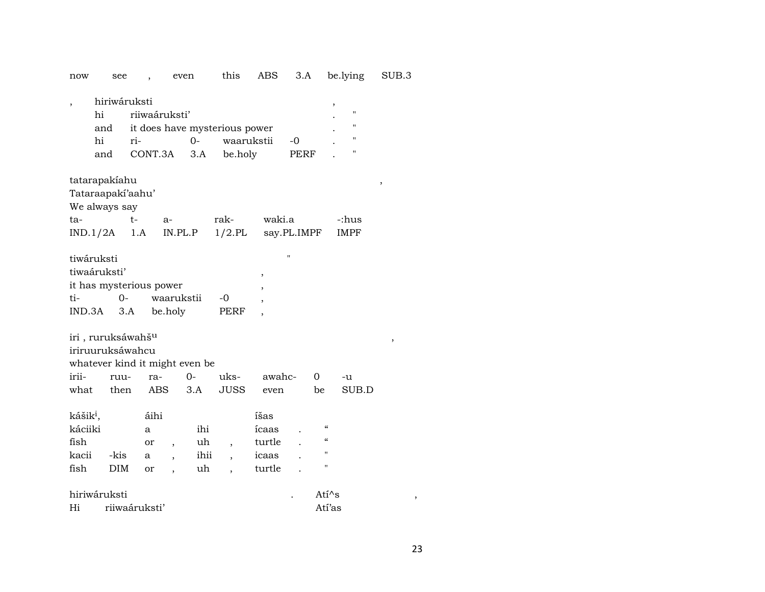| now                  | see                            |               | even                     |       | this                          | ABS    | 3.A          |                            | be.lying    | SUB.3 |
|----------------------|--------------------------------|---------------|--------------------------|-------|-------------------------------|--------|--------------|----------------------------|-------------|-------|
| $\overline{ }$       | hiriwáruksti<br>hi             | riiwaáruksti' |                          |       |                               |        |              | ,                          | "<br>П      |       |
|                      | and                            |               |                          |       | it does have mysterious power |        |              |                            | "           |       |
|                      | hi                             | ri-           |                          | $0-$  | waarukstii                    |        | -0           |                            | "           |       |
|                      | and                            | CONT.3A       |                          | 3.A   | be.holy                       |        | PERF         |                            |             |       |
|                      | tatarapakiahu                  |               |                          |       |                               |        |              |                            |             | ,     |
|                      | Tataraapaki'aahu'              |               |                          |       |                               |        |              |                            |             |       |
|                      | We always say                  |               |                          |       |                               |        |              |                            |             |       |
| ta-                  |                                | $t-$          | $a-$                     |       | rak-                          | waki.a |              |                            | -:hus       |       |
|                      | IND.1/2A                       | 1.A           | IN.PL.P                  |       | $1/2$ .PL                     |        | say.PL.IMPF  |                            | <b>IMPF</b> |       |
|                      |                                |               |                          |       |                               |        |              |                            |             |       |
|                      | tiwáruksti                     |               |                          |       |                               |        | $\mathbf{H}$ |                            |             |       |
|                      | tiwaáruksti'                   |               |                          |       |                               | $\, ,$ |              |                            |             |       |
|                      | it has mysterious power        |               |                          |       |                               |        |              |                            |             |       |
| ti-                  | $O -$                          |               | waarukstii               |       | -0                            |        |              |                            |             |       |
| IND.3A               | 3.A                            |               | be.holy                  |       | PERF                          |        |              |                            |             |       |
|                      | iri, ruruksáwahš <sup>u</sup>  |               |                          |       |                               |        |              |                            |             |       |
|                      | iriruuruksáwahcu               |               |                          |       |                               |        |              |                            |             | ,     |
|                      | whatever kind it might even be |               |                          |       |                               |        |              |                            |             |       |
| irii-                | ruu-                           | ra-           |                          | $O -$ | uks-                          | awahc- |              | 0                          | -u          |       |
|                      |                                |               |                          |       |                               |        |              |                            |             |       |
| what                 | then                           | <b>ABS</b>    |                          | 3.A   | <b>JUSS</b>                   | even   |              | be                         | SUB.D       |       |
| kášik <sup>i</sup> , |                                | áihi          |                          |       |                               | íšas   |              |                            |             |       |
| káciiki              |                                | a             |                          | ihi   |                               | ícaas  |              | $\boldsymbol{\mathcal{C}}$ |             |       |
| fish                 |                                | or            | $\overline{\phantom{a}}$ | uh    | ,                             | turtle |              | $\epsilon$                 |             |       |
| kacii                | -kis                           | а             |                          | ihii  | $\overline{\phantom{a}}$      | icaas  |              | $^{\prime}$                |             |       |
| fish                 | <b>DIM</b>                     | or            |                          | uh    |                               | turtle |              | $\pmb{\mathsf{H}}$         |             |       |
|                      | hiriwáruksti                   |               |                          |       |                               |        |              | $Ati^s$                    |             |       |
|                      |                                |               |                          |       |                               |        |              |                            |             |       |
| Hi                   |                                | riiwaáruksti' |                          |       |                               |        |              | Atí'as                     |             |       |

23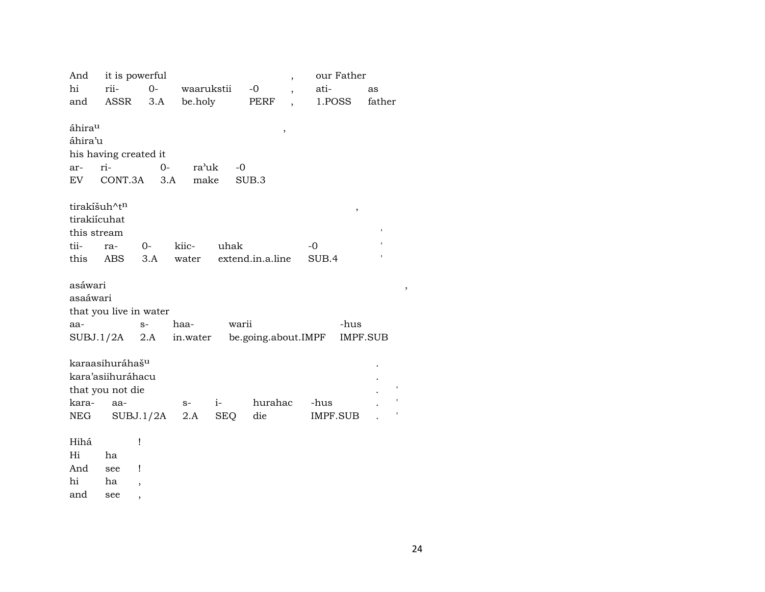And it is powerful our Father  $\overline{\phantom{a}}$ rii- $O$ hi waarukstii  $-0$ atias and ASSR  $3.A$ be.holy PERF 1.POSS father  $\ddot{\phantom{a}}$ áhira<sup>u</sup>  $\overline{\phantom{a}}$ áhira'u his having created it ar- ri- $O$ ra'uk  $-0$ make SUB.3 EV  $CONT.3A$   $3.A$ tirakíšuh^t<sup>n</sup>  $\overline{\phantom{a}}$ tirakiícuhat this stream tii- $-<sup>0</sup>$ ra- $0$ kiicuhak  $3.A$ water extend.in.a.line  $\overline{\phantom{a}}$ this ABS SUB.4 asáwari  $\overline{\phantom{a}}$ asaáwari that you live in water aa- $S$ warii haa--hus  $SUBJ.1/2A$  2.A in.water be.going.about.IMPF IMPF.SUB karaasihuráhaš<sup>u</sup> kara'asiihuráhacu that you not die karaaa $i$ hurahac  $S-$ -hus  $SUBJ.1/2A$  2.A **SEQ NEG** die **IMPF.SUB**  $\mathbf{r}$ Hihá  $\mathbf{I}$ Hi ha And  $\perp$ see

hi ha  $\overline{\phantom{a}}$ 

and see  $\overline{\phantom{a}}$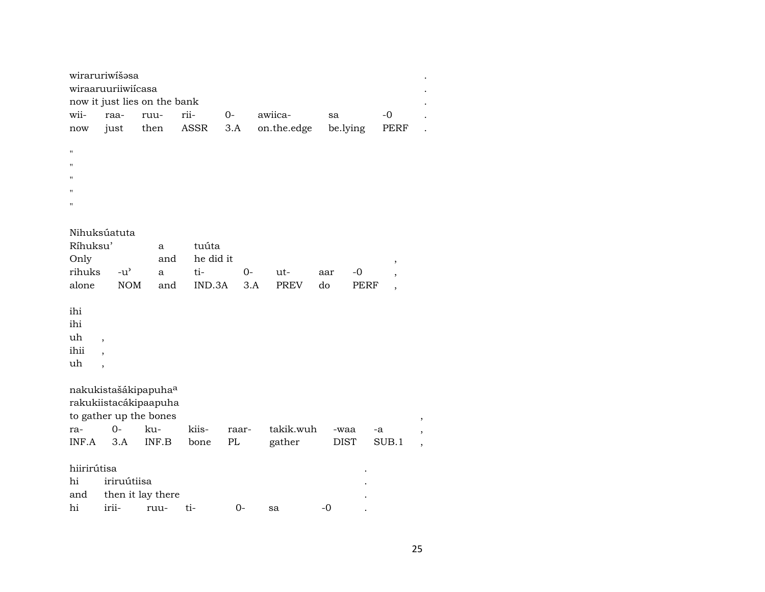|                                | wiraruriwíšosa<br>wiraaruuriiwiícasa                      | now it just lies on the bank                                                        |           |       |             |                   |                                   |
|--------------------------------|-----------------------------------------------------------|-------------------------------------------------------------------------------------|-----------|-------|-------------|-------------------|-----------------------------------|
| wii-                           | raa-                                                      | ruu-                                                                                | rii-      | $0-$  | awiica-     | sa                | $-0$                              |
| now                            | just                                                      | then                                                                                | ASSR      | 3.A   | on.the.edge | be.lying          | PERF                              |
| П                              |                                                           |                                                                                     |           |       |             |                   |                                   |
| $\mathbf{u}$                   |                                                           |                                                                                     |           |       |             |                   |                                   |
|                                |                                                           |                                                                                     |           |       |             |                   |                                   |
|                                |                                                           |                                                                                     |           |       |             |                   |                                   |
| п                              |                                                           |                                                                                     |           |       |             |                   |                                   |
|                                |                                                           |                                                                                     |           |       |             |                   |                                   |
|                                | Nihuksúatuta                                              |                                                                                     |           |       |             |                   |                                   |
| Ríhuksu'                       |                                                           | a                                                                                   | tuúta     |       |             |                   |                                   |
| Only                           |                                                           | and                                                                                 | he did it |       |             |                   |                                   |
| rihuks                         | $-u$ <sup><math>\prime</math></sup>                       | a                                                                                   | ti-       | $0-$  | ut-         | $-0$<br>aar       | ,                                 |
| alone                          | <b>NOM</b>                                                | and                                                                                 | IND.3A    | 3.A   | <b>PREV</b> | do<br><b>PERF</b> | $\overline{\phantom{a}}$          |
|                                |                                                           |                                                                                     |           |       |             |                   | $^\mathrm{,}$                     |
| ihi<br>ihi<br>uh<br>ihii<br>uh | ,<br>$\overline{\phantom{a}}$<br>$\overline{\phantom{a}}$ |                                                                                     |           |       |             |                   |                                   |
|                                |                                                           |                                                                                     |           |       |             |                   |                                   |
|                                |                                                           | nakukistašákipapuha <sup>a</sup><br>rakukiistacákipaapuha<br>to gather up the bones |           |       |             |                   | ,                                 |
| ra-                            | $0-$                                                      | ku-                                                                                 | kiis-     | raar- | takik.wuh   | -waa              | -a                                |
| INF.A                          | 3.A                                                       | INF.B                                                                               | bone      | PL    | gather      | <b>DIST</b>       | SUB.1<br>$\overline{\phantom{a}}$ |
| hiirirútisa<br>hi<br>and       | iriruútiisa                                               | then it lay there                                                                   |           |       |             |                   |                                   |
| hi                             | irii-                                                     | ruu-                                                                                | ti-       | $0-$  | sa          | $-0$              |                                   |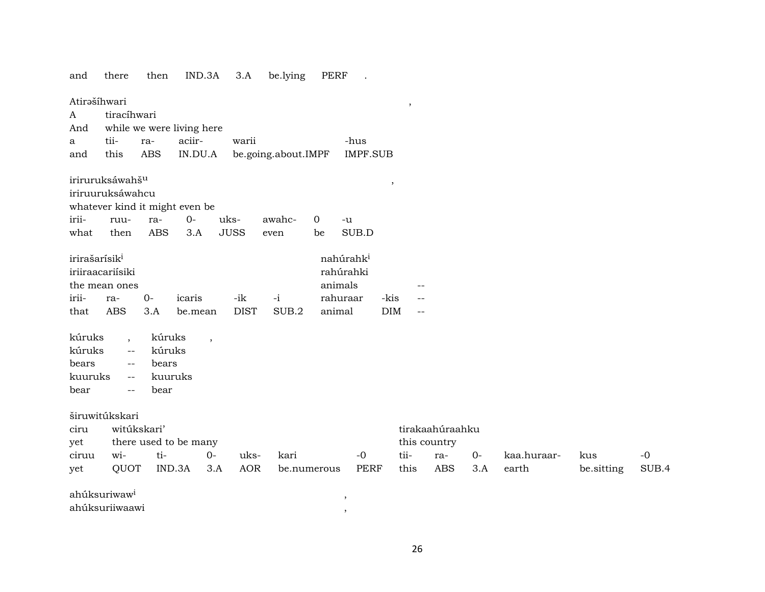| and                                          | there                                                                                      | then                              | IND.3A                                   | 3.A                       | be.lying            | PERF                                       |                       |                                                |                                                      |             |                      |                   |               |
|----------------------------------------------|--------------------------------------------------------------------------------------------|-----------------------------------|------------------------------------------|---------------------------|---------------------|--------------------------------------------|-----------------------|------------------------------------------------|------------------------------------------------------|-------------|----------------------|-------------------|---------------|
| Atirašíhwari<br>$\boldsymbol{A}$<br>And      | tiracíhwari                                                                                |                                   | while we were living here                |                           |                     |                                            |                       | $\,$                                           |                                                      |             |                      |                   |               |
| a                                            | tii-                                                                                       | ra-                               | aciir-                                   | warii                     |                     |                                            | -hus                  |                                                |                                                      |             |                      |                   |               |
| and                                          | this                                                                                       | <b>ABS</b>                        | IN.DU.A                                  |                           | be.going.about.IMPF |                                            | <b>IMPF.SUB</b>       |                                                |                                                      |             |                      |                   |               |
|                                              | iriruruksáwahš <sup>u</sup><br>iriruuruksáwahcu                                            |                                   | whatever kind it might even be           |                           |                     |                                            |                       | $\,$                                           |                                                      |             |                      |                   |               |
| irii-                                        | ruu-                                                                                       | ra-                               | $0-$                                     | uks-                      | awahc-              | 0                                          | $-u$                  |                                                |                                                      |             |                      |                   |               |
| what                                         | then                                                                                       | <b>ABS</b>                        | 3.A                                      | <b>JUSS</b>               | even                | be                                         | SUB.D                 |                                                |                                                      |             |                      |                   |               |
| irirašarísik <sup>i</sup><br>irii-<br>that   | iriiraacariisiki<br>the mean ones<br>ra-<br><b>ABS</b>                                     | $0-$<br>3.A                       | icaris<br>be.mean                        | -ik<br><b>DIST</b>        | $-i$<br>SUB.2       | rahúrahki<br>animals<br>rahuraar<br>animal | nahúrahk <sup>i</sup> | $-$<br>-kis<br><b>DIM</b><br>$\qquad \qquad -$ |                                                      |             |                      |                   |               |
| kúruks<br>kúruks<br>bears<br>kuuruks<br>bear | $\overline{\phantom{a}}$<br>$-\,-$<br>$\overline{\phantom{m}}$<br>$\overline{\phantom{a}}$ | kúruks<br>kúruks<br>bears<br>bear | $\overline{\phantom{a}}$<br>kuuruks      |                           |                     |                                            |                       |                                                |                                                      |             |                      |                   |               |
| ciru<br>yet<br>ciruu<br>yet                  | širuwitúkskari<br>wi-<br>QUOT                                                              | witúkskari'<br>ti-                | there used to be many<br>$O -$<br>IND.3A | uks-<br><b>AOR</b><br>3.A | kari                | be.numerous                                | $-0$<br><b>PERF</b>   | tii-<br>this                                   | tirakaahúraahku<br>this country<br>ra-<br><b>ABS</b> | $0-$<br>3.A | kaa.huraar-<br>earth | kus<br>be.sitting | $-0$<br>SUB.4 |
|                                              | ahúksuriwaw <sup>i</sup><br>ahúksuriiwaawi                                                 |                                   |                                          |                           |                     |                                            | ,                     |                                                |                                                      |             |                      |                   |               |

26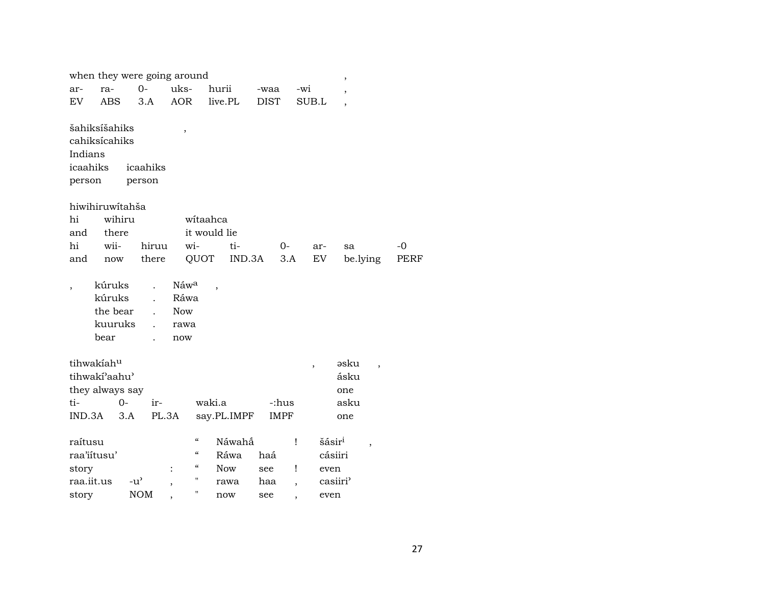|                                                                 |                                                 |               | when they were going around |                                                       |                                                                                            |                              |             |             |                          |                                       | $\,$                             |      |  |
|-----------------------------------------------------------------|-------------------------------------------------|---------------|-----------------------------|-------------------------------------------------------|--------------------------------------------------------------------------------------------|------------------------------|-------------|-------------|--------------------------|---------------------------------------|----------------------------------|------|--|
| ar-                                                             | ra-                                             |               | $0-$                        | uks-                                                  | hurii                                                                                      |                              | -waa        |             | -wi                      |                                       | ,                                |      |  |
| EV.                                                             | <b>ABS</b>                                      |               | 3.A                         | <b>AOR</b>                                            |                                                                                            | live.PL                      | <b>DIST</b> |             | SUB.L                    |                                       | $\overline{\phantom{a}}$         |      |  |
| šahiksíšahiks<br>cahiksícahiks<br>Indians<br>icaahiks<br>person |                                                 |               | icaahiks<br>person          | $\, ,$                                                |                                                                                            |                              |             |             |                          |                                       |                                  |      |  |
| hiwihiruwitahša                                                 |                                                 |               |                             |                                                       |                                                                                            |                              |             |             |                          |                                       |                                  |      |  |
| hi                                                              |                                                 | wihiru        |                             |                                                       | witaahca                                                                                   |                              |             |             |                          |                                       |                                  |      |  |
| and                                                             | there                                           |               |                             |                                                       | it would lie                                                                               |                              |             |             |                          |                                       |                                  |      |  |
| hi                                                              | wii-                                            |               | hiruu                       | wi-                                                   |                                                                                            | ti-                          |             | 0-          |                          | ar-                                   | sa                               | -0   |  |
| and                                                             | now                                             |               | there                       |                                                       | QUOT                                                                                       | IND.3A                       |             | 3.A         |                          | EV                                    | be.lying                         | PERF |  |
| ,                                                               | kúruks<br>kúruks<br>the bear<br>kuuruks<br>bear |               |                             | Náw <sup>a</sup><br>Ráwa<br><b>Now</b><br>rawa<br>now | $\overline{\phantom{a}}$                                                                   |                              |             |             |                          |                                       |                                  |      |  |
| tihwakiahu                                                      |                                                 |               |                             |                                                       |                                                                                            |                              |             |             | $\overline{\phantom{a}}$ |                                       | əsku<br>$\overline{\phantom{a}}$ |      |  |
| tihwakí'aahu'                                                   |                                                 |               |                             |                                                       |                                                                                            |                              |             |             |                          |                                       | ásku                             |      |  |
| they always say                                                 |                                                 |               |                             |                                                       |                                                                                            |                              |             |             |                          |                                       | one                              |      |  |
| ti-                                                             |                                                 | $0 -$         | ir-                         |                                                       | waki.a                                                                                     |                              |             | -:hus       |                          |                                       | asku                             |      |  |
| IND.3A                                                          |                                                 | 3.A           | PL.3A                       |                                                       |                                                                                            | say.PL.IMPF                  |             | <b>IMPF</b> |                          |                                       | one                              |      |  |
| raítusu<br>raa'iitusu'<br>story                                 |                                                 |               |                             |                                                       | $\boldsymbol{\mathcal{C}}$<br>$\boldsymbol{\zeta}\boldsymbol{\zeta}$<br>$\epsilon\epsilon$ | Náwahấ<br>Ráwa<br><b>Now</b> | haá<br>see  |             | Ţ<br>Ţ                   | šásir <sup>i</sup><br>cásiiri<br>even | $\overline{ }$                   |      |  |
| raa.iit.us                                                      |                                                 | $-u^{\prime}$ |                             |                                                       | 11                                                                                         | rawa                         | haa         |             |                          | casiiri'                              |                                  |      |  |
| story                                                           |                                                 |               | <b>NOM</b>                  |                                                       | н                                                                                          | now                          | see         | ,           |                          | even                                  |                                  |      |  |
|                                                                 |                                                 |               |                             |                                                       |                                                                                            |                              |             |             |                          |                                       |                                  |      |  |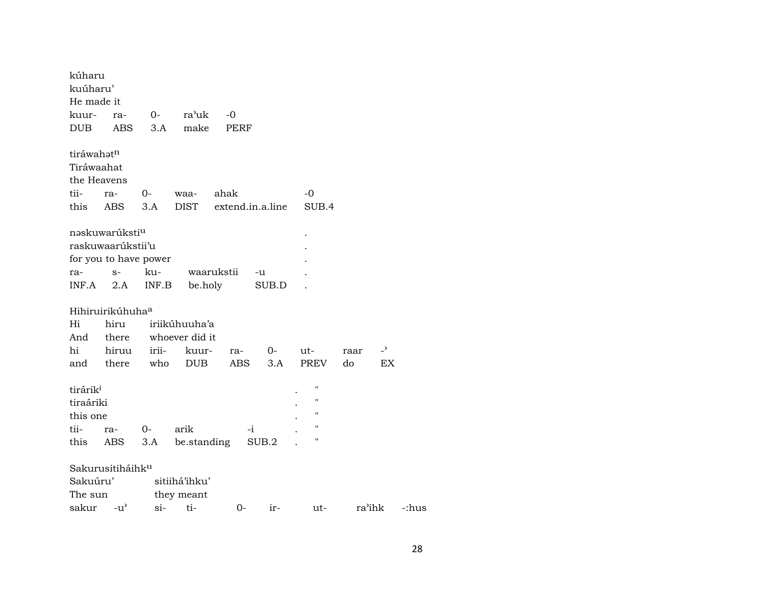| kúharu<br>kuúharu'   |                                     |       |                |            |                  |                |        |                |       |
|----------------------|-------------------------------------|-------|----------------|------------|------------------|----------------|--------|----------------|-------|
| He made it           |                                     |       |                |            |                  |                |        |                |       |
| kuur-                | ra-                                 | $O-$  | ra'uk          | $-0$       |                  |                |        |                |       |
| <b>DUB</b>           | <b>ABS</b>                          | 3.A   | make           | PERF       |                  |                |        |                |       |
| tiráwahatn           |                                     |       |                |            |                  |                |        |                |       |
| Tiráwaahat           |                                     |       |                |            |                  |                |        |                |       |
| the Heavens          |                                     |       |                |            |                  |                |        |                |       |
| tii-                 | ra-                                 | $O-$  | waa-           | ahak       |                  | $-0$           |        |                |       |
| this                 | ABS                                 | 3.A   | <b>DIST</b>    |            | extend.in.a.line | SUB.4          |        |                |       |
|                      | nəskuwarúksti <sup>u</sup>          |       |                |            |                  |                |        |                |       |
|                      | raskuwaarúkstii'u                   |       |                |            |                  |                |        |                |       |
|                      | for you to have power               |       |                |            |                  |                |        |                |       |
| ra-                  | $S-$                                | ku-   |                | waarukstii | -u               |                |        |                |       |
| INF.A                | 2.A                                 | INF.B | be.holy        |            | SUB.D            |                |        |                |       |
|                      | Hihiruirikúhuha <sup>a</sup>        |       |                |            |                  |                |        |                |       |
| Hi                   | hiru                                |       | iriikúhuuha'a  |            |                  |                |        |                |       |
| And                  | there                               |       | whoever did it |            |                  |                |        |                |       |
| hi                   | hiruu                               | irii- | kuur-          | ra-        | $O-$             | ut-            | raar   | $\overline{z}$ |       |
| and                  | there                               | who   | <b>DUB</b>     | <b>ABS</b> | 3.A              | PREV           | do     | EX             |       |
| tirárik <sup>i</sup> |                                     |       |                |            |                  | $\blacksquare$ |        |                |       |
| tiraáriki            |                                     |       |                |            |                  | "              |        |                |       |
| this one             |                                     |       |                |            |                  | "              |        |                |       |
| tii-                 | ra-                                 | 0-    | arik           |            | $-i$             | 11             |        |                |       |
| this                 | ABS                                 | 3.A   | be.standing    |            | SUB.2            | 11             |        |                |       |
|                      |                                     |       |                |            |                  |                |        |                |       |
|                      | Sakurusitiháihk <sup>u</sup>        |       |                |            |                  |                |        |                |       |
| Sakuúru'             |                                     |       | sitiihá'ihku'  |            |                  |                |        |                |       |
| The sun              |                                     |       | they meant     |            |                  |                |        |                |       |
| sakur                | $-u$ <sup><math>\prime</math></sup> | $si-$ | ti-            | 0-         | $ir-$            | ut-            | ra'ihk |                | -:hus |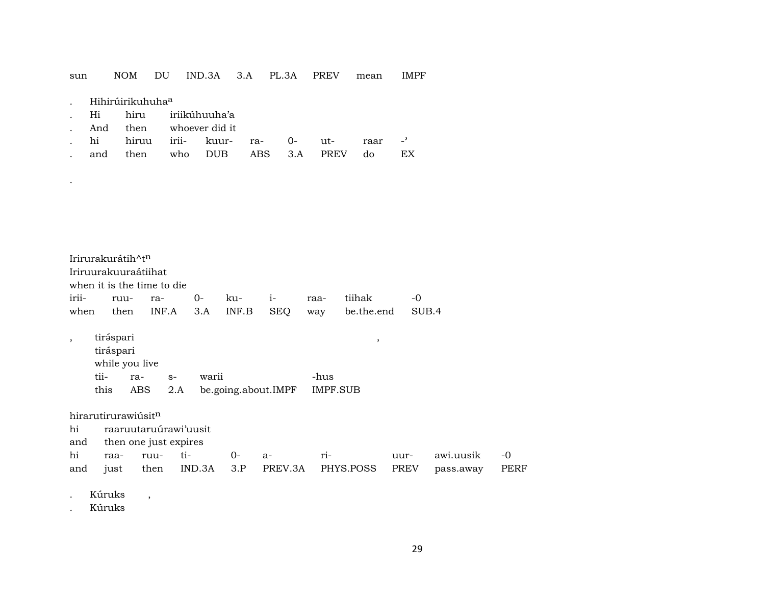### IND.3A 3.A PL.3A PREV sun **NOM** DU mean **IMPF**

|  |  | Hihirúirikuhuha <sup>a</sup> |
|--|--|------------------------------|
|  |  |                              |

 $\bullet$ 

 $\overline{\phantom{a}}$ 

- iriikúhuuha'a hiru Hi
- And then whoever did it
- $\overline{\phantom{a}}$ hi hiruu iriikuurra- $O$ utraar  $\sim$ EX
- **DUB**  $3.A$ then **ABS** PREV  $d<sub>o</sub>$ who and

Irirurakurátih^tn Iriruurakuuraátiihat when it is the time to die  $i -0$ iriiruura- $0$ kutiihak raa-INF.A  $3.A$ INF.B **SEQ** be.the.end SUB.4 when then way

tiráspari tiráspari while you live tiira- $S$ warii -hus this **ABS** be.going.about.IMPF  $2.A$ **IMPF.SUB** 

hirarutirurawiúsitn

raaruutaruúrawi'uusit hi

then one just expires and

 $\overline{\phantom{a}}$ 

 $-0$ hi raaruuti- $0$ riawi.uusik  $a$ uur-**PREV** just IND.3A  $3.P$ PREV.3A PHYS.POSS pass.away PERF and then

Kúruks

Kúruks

 $\, ,$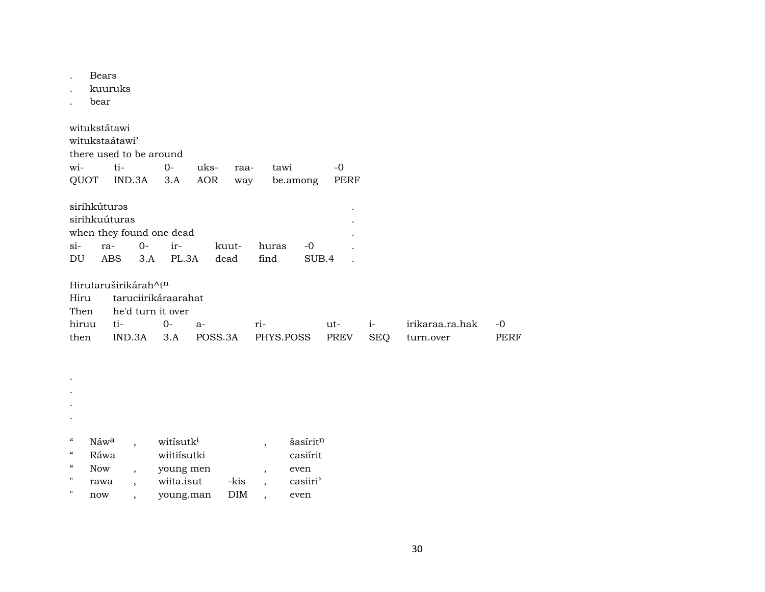Bears  $\cdot$ 

kuuruks

bear  $\sim$ 

witukstátawi witukstaátawi' there used to be around wi- $O$  $ti$ uksraatawi  $-0$ QUOT IND.3A 3.A AOR way PERF be.among

|                          | sirihkúturəs  |  |                    |  |      |       |  |  |  |  |
|--------------------------|---------------|--|--------------------|--|------|-------|--|--|--|--|
| sirihkuúturas            |               |  |                    |  |      |       |  |  |  |  |
| when they found one dead |               |  |                    |  |      |       |  |  |  |  |
|                          | $\sin$ ra- 0- |  | ir- kuut- huras    |  |      | $-()$ |  |  |  |  |
| DU                       |               |  | ABS 3.A PL.3A dead |  | find | SUB.4 |  |  |  |  |

Hirutaruširikárah^tn

|      | Hiru taruciirikáraarahat  |  |  |                                                 |  |  |                           |      |  |  |  |
|------|---------------------------|--|--|-------------------------------------------------|--|--|---------------------------|------|--|--|--|
|      | Then he'd turn it over    |  |  |                                                 |  |  |                           |      |  |  |  |
|      | hiruu ti-        0-    a- |  |  | $ri$ -                                          |  |  | ut- i- irikaraa.ra.hak -0 |      |  |  |  |
| then |                           |  |  | IND.3A 3.A POSS.3A PHYS.POSS PREV SEO turn.over |  |  |                           | PERF |  |  |  |

 $\langle \cdot \rangle$  $\mathcal{L}$ 

 $\mathcal{L}$ 

 $\mathcal{L}$ 

| $\epsilon$        | Náw <sup>a</sup> | witisutk <sup>i</sup> |      | šasírit <sup>n</sup> |
|-------------------|------------------|-----------------------|------|----------------------|
| $\epsilon$        | Ráwa             | wiitiisutki           |      | casiírit             |
| $\epsilon$        | Now              | young men             |      | even                 |
| $^{\prime\prime}$ | rawa             | wiita.isut            | -kis | casiiri'             |
| $^{\prime\prime}$ | now              | young.man             | DIM  | even                 |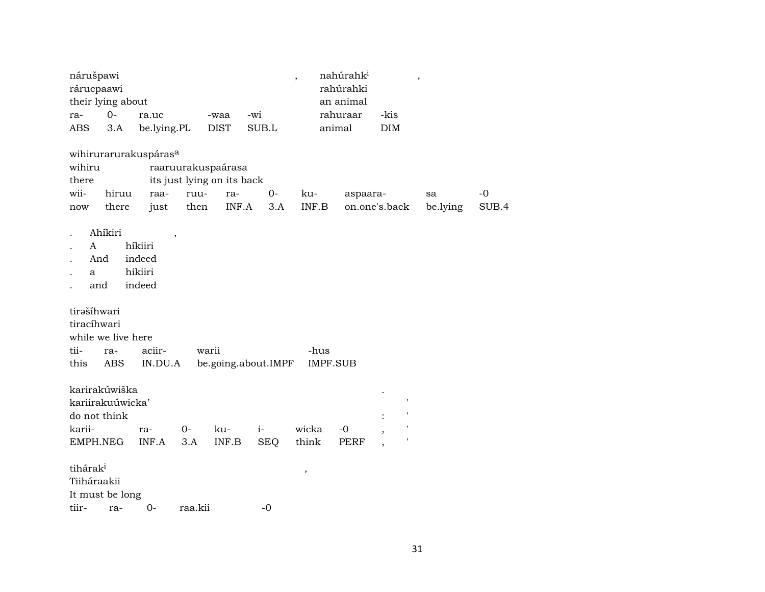| nárušpawi<br>rárucpaawi                    | their lying about                 |                                                   |                                                                  |                                                                    |                     | $\overline{\phantom{a}}$         | nahúrahk <sup>i</sup><br>rahúrahki<br>an animal |               | $\, ,$         |               |
|--------------------------------------------|-----------------------------------|---------------------------------------------------|------------------------------------------------------------------|--------------------------------------------------------------------|---------------------|----------------------------------|-------------------------------------------------|---------------|----------------|---------------|
| ra-                                        | $0-$                              | ra.uc                                             |                                                                  | -waa                                                               | -wi                 |                                  | rahuraar                                        | -kis          |                |               |
| ABS                                        | 3.A                               | be.lying.PL                                       |                                                                  | <b>DIST</b>                                                        | SUB.L               |                                  | animal                                          | DIM           |                |               |
| wihiru<br>there<br>wii-<br>now             | hiruu<br>there                    | wihirurarurakuspáras <sup>a</sup><br>raa-<br>just | raaruurakuspaárasa<br>its just lying on its back<br>ruu-<br>then | ra-<br>$\ensuremath{\mathsf{INF}}\xspace\text{-}\mathrm{A}\xspace$ | $O -$<br>3.A        | ku-<br>$\textsf{INF}.\textsf{B}$ | aspaara-                                        | on.one's.back | sa<br>be.lying | $-0$<br>SUB.4 |
| A<br>And<br>a<br>and                       | Ahíkiri                           | híkiiri<br>indeed<br>hikiiri<br>indeed            |                                                                  |                                                                    |                     |                                  |                                                 |               |                |               |
| tirašíhwari<br>tiracíhwari<br>tii-<br>this | while we live here<br>ra-<br>ABS  | aciir-<br>IN.DU.A                                 | warii                                                            |                                                                    | be.going.about.IMPF | -hus                             | <b>IMPF.SUB</b>                                 |               |                |               |
| do not think                               | karirakúwiška<br>kariirakuúwicka' |                                                   |                                                                  |                                                                    |                     |                                  |                                                 |               |                |               |
| karii-<br>EMPH.NEG                         |                                   | ra-<br>INF.A                                      | $0-$<br>3.A                                                      | ku-<br>INF.B                                                       | $i-$<br><b>SEQ</b>  | wicka<br>think                   | $-0$<br>PERF                                    |               |                |               |
| tihárak <sup>i</sup><br>Tiiháraakii        | It must be long                   |                                                   |                                                                  |                                                                    |                     | $\,$                             |                                                 |               |                |               |
| tiir-                                      | ra-                               | $0-$                                              | raa.kii                                                          |                                                                    | $-0$                |                                  |                                                 |               |                |               |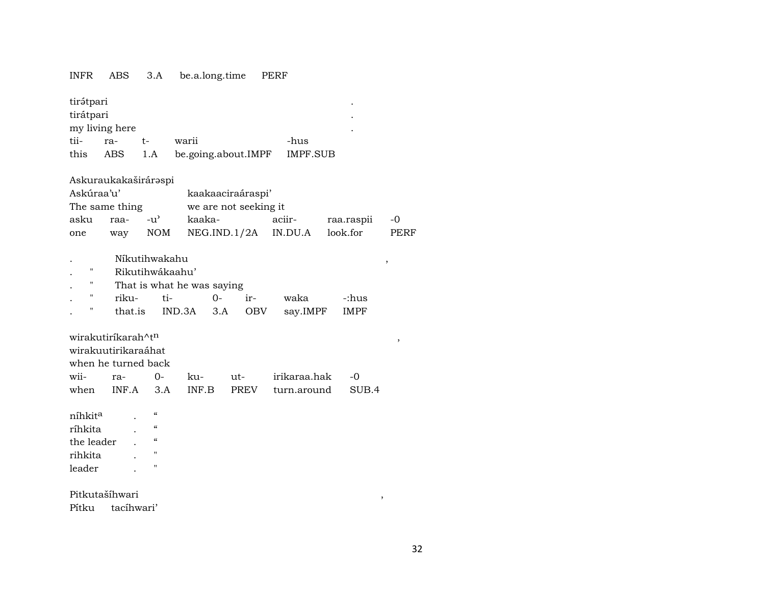## INFR ABS 3.A be.a.long.time PERF

| tirátpari<br>tirátpari                                                                                                                                                                                                             | my living here       |                                                                |        |                       |              |  |            |      |  |
|------------------------------------------------------------------------------------------------------------------------------------------------------------------------------------------------------------------------------------|----------------------|----------------------------------------------------------------|--------|-----------------------|--------------|--|------------|------|--|
| tii-                                                                                                                                                                                                                               | ra-                  | t-                                                             | warii  |                       | -hus         |  |            |      |  |
| this                                                                                                                                                                                                                               | <b>ABS</b>           | 1.A                                                            |        | be.going.about.IMPF   | IMPF.SUB     |  |            |      |  |
|                                                                                                                                                                                                                                    | Askuraukakaširáraspi |                                                                |        |                       |              |  |            |      |  |
| Askúraa'u'                                                                                                                                                                                                                         |                      |                                                                |        | kaakaaciraáraspi'     |              |  |            |      |  |
|                                                                                                                                                                                                                                    | The same thing       |                                                                |        | we are not seeking it |              |  |            |      |  |
| asku                                                                                                                                                                                                                               | raa-                 | $-u^{\prime}$                                                  | kaaka- |                       | aciir-       |  | raa.raspii | -0   |  |
| one                                                                                                                                                                                                                                | way                  | <b>NOM</b>                                                     |        | NEG.IND.1/2A          | IN.DU.A      |  | look.for   | PERF |  |
| Níkutihwakahu<br>,<br>н<br>Rikutihwákaahu'<br>н<br>That is what he was saying<br>н<br>riku-<br>ti-<br>$0-$<br>ir-<br>waka<br>-:hus<br>н<br>that.is<br>IND.3A<br>3.A<br><b>OBV</b><br>say.IMPF<br><b>IMPF</b><br>wirakutiríkarah^tn |                      |                                                                |        |                       |              |  |            |      |  |
|                                                                                                                                                                                                                                    |                      |                                                                |        |                       |              |  |            | ,    |  |
|                                                                                                                                                                                                                                    | wirakuutirikaraáhat  |                                                                |        |                       |              |  |            |      |  |
|                                                                                                                                                                                                                                    | when he turned back  |                                                                |        |                       |              |  |            |      |  |
| wii-                                                                                                                                                                                                                               | ra-                  | $0-$                                                           | ku-    | ut-                   | irikaraa.hak |  | $-0$       |      |  |
| when                                                                                                                                                                                                                               | INF.A                | 3.A                                                            | INF.B  | <b>PREV</b>           | turn.around  |  | SUB.4      |      |  |
| níhkit <sup>a</sup><br>ríhkita<br>the leader<br>rihkita<br>leader                                                                                                                                                                  |                      | $\mathcal{C}\mathcal{C}$<br>$\epsilon$<br>$\epsilon$<br>п<br>п |        |                       |              |  |            |      |  |
|                                                                                                                                                                                                                                    | Pitkutašíhwari       |                                                                |        |                       |              |  | ,          |      |  |
| Pítku                                                                                                                                                                                                                              | tacíhwari'           |                                                                |        |                       |              |  |            |      |  |

32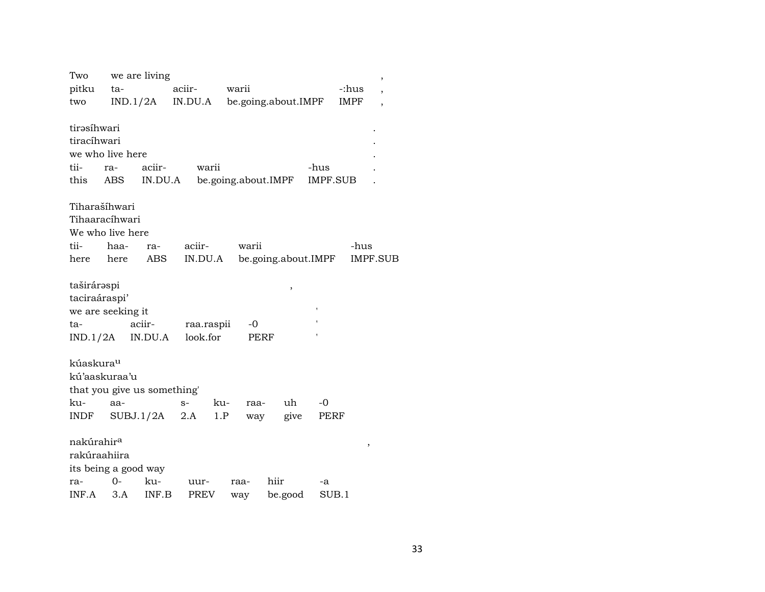| Two                    |      | we are living               |             |            |       |                     |                     |             |                 |
|------------------------|------|-----------------------------|-------------|------------|-------|---------------------|---------------------|-------------|-----------------|
| pitku                  | ta-  |                             | aciir-      |            | warii |                     |                     | -:hus       | $\overline{ }$  |
| two                    |      | IND.1/2A                    | IN.DU.A     |            |       | be.going.about.IMPF |                     | <b>IMPF</b> | ,               |
|                        |      |                             |             |            |       |                     |                     |             |                 |
| tirəsihwari            |      |                             |             |            |       |                     |                     |             |                 |
| tiracíhwari            |      |                             |             |            |       |                     |                     |             |                 |
| we who live here       |      |                             |             |            |       |                     |                     |             |                 |
| tii-                   | ra-  | aciir-                      |             | warii      |       |                     | -hus                |             |                 |
| this                   | ABS  | IN.DU.A                     |             |            |       | be.going.about.IMPF | <b>IMPF.SUB</b>     |             |                 |
|                        |      |                             |             |            |       |                     |                     |             |                 |
| Tiharašíhwari          |      |                             |             |            |       |                     |                     |             |                 |
| Tihaaracíhwari         |      |                             |             |            |       |                     |                     |             |                 |
| We who live here       |      |                             |             |            |       |                     |                     |             |                 |
| tii-                   | haa- | ra-                         | aciir-      |            | warii |                     |                     | -hus        |                 |
| here                   | here | <b>ABS</b>                  | IN.DU.A     |            |       |                     | be.going.about.IMPF |             | <b>IMPF.SUB</b> |
| taširáraspi            |      |                             |             |            |       |                     |                     |             |                 |
| taciraáraspi'          |      |                             |             |            |       | ,                   |                     |             |                 |
| we are seeking it      |      |                             |             |            |       |                     |                     |             |                 |
| ta-                    |      | aciir-                      |             | raa.raspii | -0    |                     |                     |             |                 |
| IND.1/2A               |      | IN.DU.A                     | look.for    |            | PERF  |                     |                     |             |                 |
|                        |      |                             |             |            |       |                     |                     |             |                 |
| kúaskura <sup>u</sup>  |      |                             |             |            |       |                     |                     |             |                 |
| kú'aaskuraa'u          |      |                             |             |            |       |                     |                     |             |                 |
|                        |      | that you give us something' |             |            |       |                     |                     |             |                 |
| ku-                    | aa-  |                             | $S-$        | ku-        | raa-  | uh                  | -0                  |             |                 |
| INDF                   |      | SUBJ.1/2A                   | 2.A         | 1.P        | way   | give                | PERF                |             |                 |
|                        |      |                             |             |            |       |                     |                     |             |                 |
| nakúrahir <sup>a</sup> |      |                             |             |            |       |                     |                     | $\,$        |                 |
| rakúraahiira           |      |                             |             |            |       |                     |                     |             |                 |
|                        |      | its being a good way        |             |            |       |                     |                     |             |                 |
| ra-                    | 0-   | ku-                         | uur-        |            | raa-  | hiir                | -a                  |             |                 |
| INF.A                  | 3.A  | INF.B                       | <b>PREV</b> |            | way   | be.good             | SUB.1               |             |                 |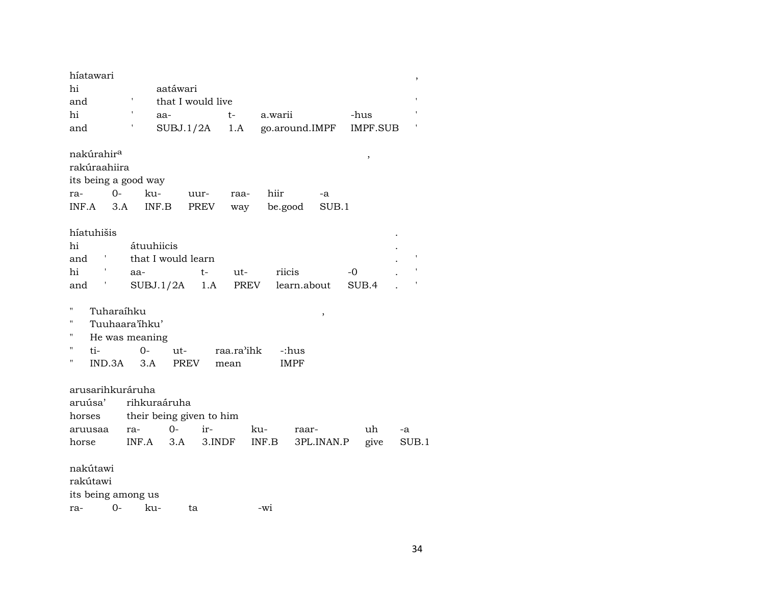| híatawari              |            |                          |                   |        |            |         |             |                |       |                 |    | ,     |
|------------------------|------------|--------------------------|-------------------|--------|------------|---------|-------------|----------------|-------|-----------------|----|-------|
| hi                     |            |                          | aatáwari          |        |            |         |             |                |       |                 |    |       |
| and                    |            |                          | that I would live |        |            |         |             |                |       |                 |    |       |
| hi                     |            |                          | aa-               |        | $t-$       | a.warii |             |                | -hus  |                 |    |       |
| and                    |            |                          | SUBJ.1/2A         |        | 1.A        |         |             | go.around.IMPF |       | <b>IMPF.SUB</b> |    |       |
| nakúrahir <sup>a</sup> |            |                          |                   |        |            |         |             |                |       | ,               |    |       |
| rakúraahiira           |            |                          |                   |        |            |         |             |                |       |                 |    |       |
| its being a good way   |            |                          |                   |        |            |         |             |                |       |                 |    |       |
| ra-                    | $O -$      | ku-                      |                   |        |            | hiir    |             |                |       |                 |    |       |
|                        |            |                          |                   | uur-   | raa-       |         |             | -a<br>SUB.1    |       |                 |    |       |
| INF.A                  | 3.A        | INF.B                    |                   | PREV   | way        |         | be.good     |                |       |                 |    |       |
| híatuhišis             |            |                          |                   |        |            |         |             |                |       |                 |    |       |
| hi                     |            | átuuhiicis               |                   |        |            |         |             |                |       |                 |    |       |
| and                    |            | that I would learn       |                   |        |            |         |             |                |       |                 |    |       |
| hi                     |            | aa-                      |                   | t-     | ut-        |         | riicis      |                | -0    |                 |    |       |
| and                    |            | SUBJ.1/2A                |                   | 1.A    | PREV       |         | learn.about |                | SUB.4 |                 |    |       |
|                        |            |                          |                   |        |            |         |             |                |       |                 |    |       |
| н                      | Tuharaíhku |                          |                   |        |            |         |             |                |       |                 |    |       |
| н                      |            | Tuuhaara'ihku'           |                   |        |            |         |             | $\, ,$         |       |                 |    |       |
| Н                      |            |                          |                   |        |            |         |             |                |       |                 |    |       |
| н                      |            | He was meaning           |                   |        |            |         |             |                |       |                 |    |       |
| ti-<br>Ħ               |            | $0-$                     | ut-               |        | raa.ra'ihk |         | -:hus       |                |       |                 |    |       |
|                        | IND.3A     | 3.A                      | <b>PREV</b>       |        | mean       |         | <b>IMPF</b> |                |       |                 |    |       |
|                        |            |                          |                   |        |            |         |             |                |       |                 |    |       |
| arusarihkuráruha       |            |                          |                   |        |            |         |             |                |       |                 |    |       |
| aruúsa'                |            | rihkuraáruha             |                   |        |            |         |             |                |       |                 |    |       |
| horses                 |            | their being given to him |                   |        |            |         |             |                |       |                 |    |       |
| aruusaa                |            | ra-                      | 0-                | ir-    |            | ku-     | raar-       |                |       | uh              | -a |       |
| horse                  |            | INF.A                    | 3.A               | 3.INDF |            | INF.B   |             | 3PL.INAN.P     |       | give            |    | SUB.1 |
| nakútawi<br>rakútawi   |            |                          |                   |        |            |         |             |                |       |                 |    |       |
| its being among us     |            |                          |                   |        |            |         |             |                |       |                 |    |       |
| ra-                    | $0-$       | ku-                      | ta                |        |            | -wi     |             |                |       |                 |    |       |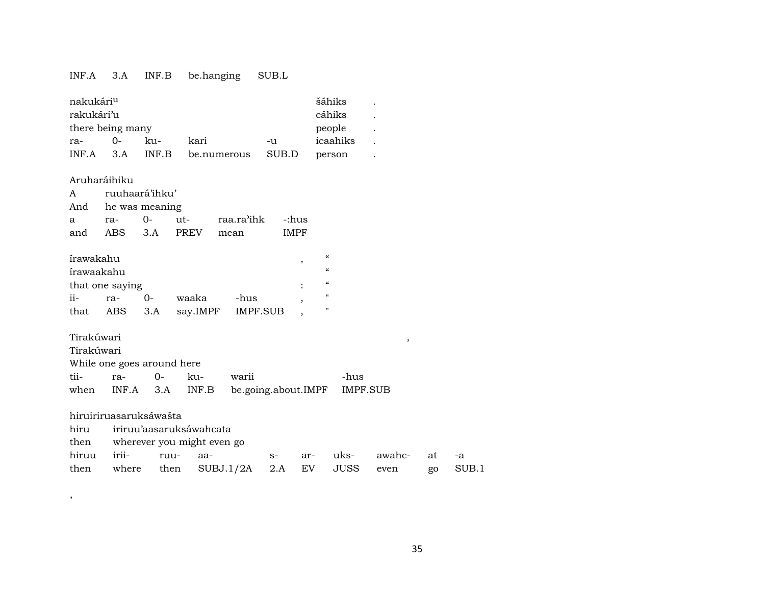### INF.A 3.A INF.B be.hanging SUB.L

| nakukári <sup>u</sup> | šáhiks   |  |  |  |        |        |  |  |  |
|-----------------------|----------|--|--|--|--------|--------|--|--|--|
| rakukári'u<br>cáhiks  |          |  |  |  |        |        |  |  |  |
| there being many      |          |  |  |  | people | $\sim$ |  |  |  |
| ra-                   | icaahiks |  |  |  |        |        |  |  |  |
| INF A                 | person   |  |  |  |        |        |  |  |  |

### Aruharáihiku

|  |  |                                        | <b>IMPF</b>                                            |  |  |  |  |  |  |
|--|--|----------------------------------------|--------------------------------------------------------|--|--|--|--|--|--|
|  |  | A ruuhaará'ihku'<br>And he was meaning | a ra- 0- ut- raa.ra'ihk -:hus<br>and ABS 3.A PREV mean |  |  |  |  |  |  |

| írawakahu |                 |         |       |                   |  | $\epsilon$ |  |  |  |  |
|-----------|-----------------|---------|-------|-------------------|--|------------|--|--|--|--|
|           | írawaakahu      |         |       |                   |  |            |  |  |  |  |
|           | that one saying |         |       |                   |  | $\epsilon$ |  |  |  |  |
| $ii -$    | ra-             | $O -$   | waaka | -hus              |  |            |  |  |  |  |
| that      |                 | ABS 3.A |       | say.IMPF IMPF.SUB |  |            |  |  |  |  |

## Tirakúwari ,

Tirakúwari

,

While one goes around here

| tii- | ra- | $\Omega$ | ku- | warii                                             | -hus |
|------|-----|----------|-----|---------------------------------------------------|------|
|      |     |          |     | when INF.A 3.A INF.B be.going.about.IMPF IMPF.SUB |      |

|  | hiruiriruasaruksáwašta |  |  |
|--|------------------------|--|--|
|  |                        |  |  |
|  |                        |  |  |

hiru iriruu'aasaruksáwahcata

| then | wherever you might even go |  |  |
|------|----------------------------|--|--|

| hiruu irii- ruu- aa- |                                                     |  | s- ar- uks- awahc- at -a |  |
|----------------------|-----------------------------------------------------|--|--------------------------|--|
|                      | then where then SUBJ.1/2A 2.A EV JUSS even go SUB.1 |  |                          |  |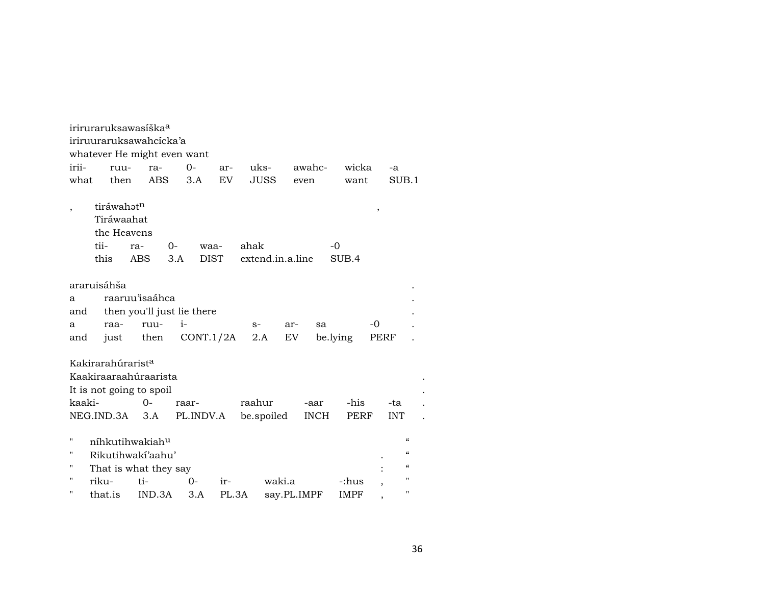|         | iriruraruksawasiška <sup>a</sup>                                      |                               |                            |              |                |        |             |                 |                               |                                        |  |  |
|---------|-----------------------------------------------------------------------|-------------------------------|----------------------------|--------------|----------------|--------|-------------|-----------------|-------------------------------|----------------------------------------|--|--|
|         | iriruuraruksawahcicka'a                                               |                               |                            |              |                |        |             |                 |                               |                                        |  |  |
|         | whatever He might even want                                           |                               |                            |              |                |        |             |                 |                               |                                        |  |  |
| irii-   |                                                                       | ruu-                          | ra-                        | $O -$        | ar-            | uks-   |             | awahc-          | wicka                         | -a                                     |  |  |
| what    |                                                                       | then                          | ABS                        | 3.A          | EV <sub></sub> |        | <b>JUSS</b> | even            | want                          | SUB.1                                  |  |  |
|         |                                                                       |                               |                            |              |                |        |             |                 |                               |                                        |  |  |
| $\cdot$ |                                                                       | tiráwahatn                    |                            |              |                |        |             |                 | ,                             |                                        |  |  |
|         |                                                                       | Tiráwaahat                    |                            |              |                |        |             |                 |                               |                                        |  |  |
|         | the Heavens                                                           |                               |                            |              |                |        |             |                 |                               |                                        |  |  |
|         | tii-<br>ahak<br>$-0$<br>$0-$<br>ra-<br>waa-                           |                               |                            |              |                |        |             |                 |                               |                                        |  |  |
|         | this<br><b>ABS</b><br><b>DIST</b><br>3.A<br>extend.in.a.line<br>SUB.4 |                               |                            |              |                |        |             |                 |                               |                                        |  |  |
|         |                                                                       |                               |                            |              |                |        |             |                 |                               |                                        |  |  |
|         | araruisáhša                                                           |                               |                            |              |                |        |             |                 |                               |                                        |  |  |
| a       | raaruu'isaáhca                                                        |                               |                            |              |                |        |             |                 |                               |                                        |  |  |
| and     |                                                                       |                               | then you'll just lie there |              |                |        |             |                 |                               |                                        |  |  |
| a       | raa-                                                                  |                               | ruu-                       | $\mathbf{i}$ |                | $S-$   |             | ar-<br>sa       | -0                            |                                        |  |  |
| and     | just                                                                  |                               | then                       | CONT.1/2A    |                | 2.A    |             | EV.<br>be.lying |                               | PERF                                   |  |  |
|         |                                                                       |                               |                            |              |                |        |             |                 |                               |                                        |  |  |
|         |                                                                       | Kakirarahúrarist <sup>a</sup> |                            |              |                |        |             |                 |                               |                                        |  |  |
|         |                                                                       |                               | Kaakiraaraahúraarista      |              |                |        |             |                 |                               |                                        |  |  |
|         |                                                                       | It is not going to spoil      |                            |              |                |        |             |                 |                               |                                        |  |  |
| kaaki-  |                                                                       |                               | $O -$                      | raar-        |                | raahur |             | -aar            | -his                          | -ta                                    |  |  |
|         | NEG.IND.3A                                                            |                               | 3.A                        | PL.INDV.A    |                |        | be.spoiled  | <b>INCH</b>     | PERF                          | <b>INT</b>                             |  |  |
|         |                                                                       |                               |                            |              |                |        |             |                 |                               |                                        |  |  |
| 11      |                                                                       | níhkutihwakiah <sup>u</sup>   |                            |              |                |        |             |                 |                               | $\boldsymbol{\zeta}\boldsymbol{\zeta}$ |  |  |
| 11      |                                                                       |                               | Rikutihwaki'aahu'          |              |                |        |             |                 |                               | $\mathcal{C}\mathcal{C}$               |  |  |
| н       |                                                                       |                               | That is what they say      |              |                |        |             |                 |                               | $\boldsymbol{\zeta}\boldsymbol{\zeta}$ |  |  |
| 11      | riku-                                                                 | $ti-$                         |                            | $0-$         | ir-            |        | waki.a      |                 | -:hus                         | 11                                     |  |  |
| п       | that.is                                                               |                               | IND.3A                     | 3.A          | PL.3A          |        |             | say.PL.IMPF     | <b>IMPF</b><br>$\overline{ }$ | $\mathbf{H}$                           |  |  |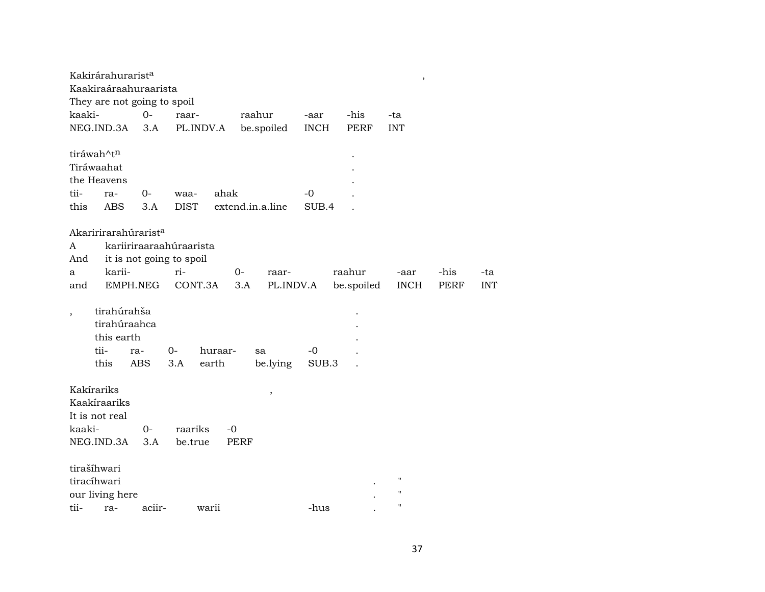| Kakirárahurarist <sup>a</sup> |             |                                      |                          |             |                  |                     |             | $\,$               |             |            |
|-------------------------------|-------------|--------------------------------------|--------------------------|-------------|------------------|---------------------|-------------|--------------------|-------------|------------|
|                               |             | Kaakiraáraahuraarista                |                          |             |                  |                     |             |                    |             |            |
| kaaki-                        |             | They are not going to spoil<br>$0 -$ | raar-                    |             | raahur           |                     | -his        | -ta                |             |            |
| NEG.IND.3A                    |             | 3.A                                  | PL.INDV.A                |             | be.spoiled       | -aar<br><b>INCH</b> | <b>PERF</b> | <b>INT</b>         |             |            |
|                               |             |                                      |                          |             |                  |                     |             |                    |             |            |
| tiráwah^tn                    |             |                                      |                          |             |                  |                     |             |                    |             |            |
| Tiráwaahat                    |             |                                      |                          |             |                  |                     |             |                    |             |            |
| the Heavens                   |             |                                      |                          |             |                  |                     |             |                    |             |            |
| tii-                          | ra-         | $0-$                                 | waa-                     | ahak        |                  | -0                  |             |                    |             |            |
| this                          | <b>ABS</b>  | 3.A                                  | <b>DIST</b>              |             | extend.in.a.line | SUB.4               |             |                    |             |            |
|                               |             |                                      |                          |             |                  |                     |             |                    |             |            |
|                               |             | Akaririrarahúrarist <sup>a</sup>     |                          |             |                  |                     |             |                    |             |            |
| A                             |             |                                      | kariiriraaraahúraarista  |             |                  |                     |             |                    |             |            |
| And                           |             |                                      | it is not going to spoil |             |                  |                     |             |                    |             |            |
| a                             | karii-      |                                      | ri-                      | 0-          | raar-            |                     | raahur      | -aar               | -his        | -ta        |
| and                           |             | EMPH.NEG                             | CONT.3A                  | 3.A         | PL.INDV.A        |                     | be.spoiled  | <b>INCH</b>        | <b>PERF</b> | <b>INT</b> |
|                               | tirahúrahša |                                      |                          |             |                  |                     |             |                    |             |            |
|                               |             | tirahúraahca                         |                          |             |                  |                     |             |                    |             |            |
|                               | this earth  |                                      |                          |             |                  |                     |             |                    |             |            |
|                               | tii-        | ra-                                  | 0-                       | huraar-     | sa               | -0                  |             |                    |             |            |
|                               | this        | <b>ABS</b>                           | 3.A                      | earth       | be.lying         | SUB.3               |             |                    |             |            |
|                               |             |                                      |                          |             |                  |                     |             |                    |             |            |
| Kakírariks                    |             |                                      |                          |             |                  |                     |             |                    |             |            |
| Kaakíraariks                  |             |                                      |                          |             | $^\mathrm{,}$    |                     |             |                    |             |            |
| It is not real                |             |                                      |                          |             |                  |                     |             |                    |             |            |
| kaaki-                        |             | $0-$                                 | raariks                  | $-0$        |                  |                     |             |                    |             |            |
| NEG.IND.3A                    |             | 3.A                                  | be.true                  | <b>PERF</b> |                  |                     |             |                    |             |            |
|                               |             |                                      |                          |             |                  |                     |             |                    |             |            |
| tirašíhwari                   |             |                                      |                          |             |                  |                     |             |                    |             |            |
| tiracíhwari                   |             |                                      |                          |             |                  |                     |             | $\pmb{\mathsf{H}}$ |             |            |
| our living here               |             |                                      |                          |             |                  |                     |             | $^{\prime\prime}$  |             |            |
| tii-                          | ra-         | aciir-                               |                          | warii       |                  | -hus                |             | $\pmb{\mathsf{H}}$ |             |            |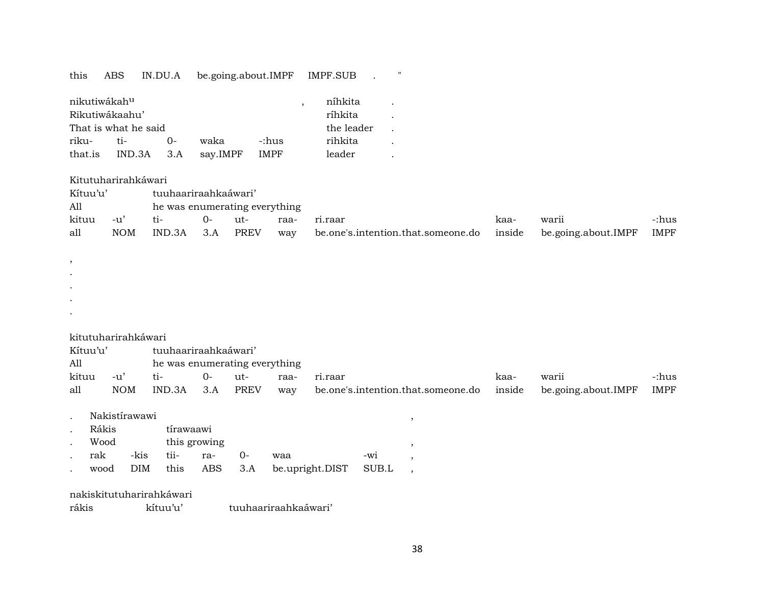### this ABS IN.DU.A be.going.about.IMPF IMPF.SUB . "

| nikutiwákah <sup>u</sup> |                      |    | níhkita    |             |         |  |
|--------------------------|----------------------|----|------------|-------------|---------|--|
| Rikutiwákaahu'           |                      |    | ríhkita    |             |         |  |
|                          | That is what he said |    | the leader |             |         |  |
| riku-                    | ti-                  | ∩– | waka       | -:hus       | rihkita |  |
| that.is                  | IND.3A 3.A           |    | say.IMPF   | <b>IMPF</b> | leader  |  |

#### Kitutuharirahkáwari

| Kítuu'u' |            | tuuhaariraahkaáwari'          |     |      |      |                                    |        |                     |       |
|----------|------------|-------------------------------|-----|------|------|------------------------------------|--------|---------------------|-------|
| All      |            | he was enumerating everything |     |      |      |                                    |        |                     |       |
| kituu    | -u'        | $t_1$ -                       | ( ) | -ut- | raa- | ri.raar                            | kaa-   | warii               | -:hus |
| all      | <b>NOM</b> | IND.3A                        | 3.A | PREV | way  | be.one's.intention.that.someone.do | inside | be.going.about.IMPF | IMPF  |

## .

, . .

## kitutuharirahkáwari

| Kítuu'u' |        |                               | tuuhaariraahkaáwari' |     |      |                                                                   |      |       |       |  |  |
|----------|--------|-------------------------------|----------------------|-----|------|-------------------------------------------------------------------|------|-------|-------|--|--|
| All      |        | he was enumerating everything |                      |     |      |                                                                   |      |       |       |  |  |
| kituu    | $-11'$ | $+i-$                         | $()$ -               | ut- | raa- | ri.raar                                                           | kaa- | warii | -:hus |  |  |
| all      | NOM    | IND.3A 3.A PREV               |                      |     |      | way be.one's.intention.that.someone.do inside be.going.about.IMPF |      |       | IMPF  |  |  |

| Nakistírawawi |  |
|---------------|--|
|               |  |

| Rákis | tirawaawi |
|-------|-----------|
|       |           |

| Wood |  | this growing         |  |                                              |       |  |  |  |
|------|--|----------------------|--|----------------------------------------------|-------|--|--|--|
|      |  | rak -kis tii- ra- 0- |  | waa                                          | $-W1$ |  |  |  |
|      |  |                      |  | wood DIM this ABS 3.A be.upright.DIST SUB.L, |       |  |  |  |

### nakiskitutuharirahkáwari

rákis kítuu'u' tuuhaariraahkaáwari'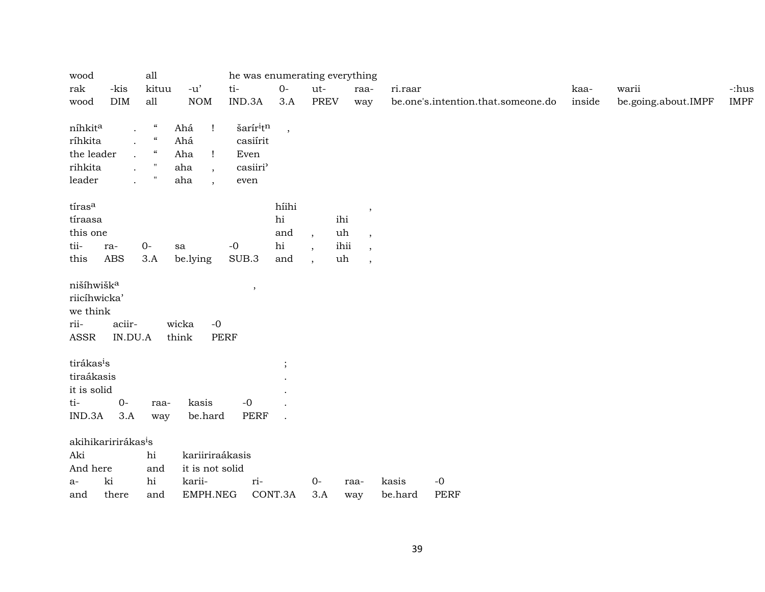| wood                   |                                 | all                        |                                 | he was enumerating everything     |             |                      |                                        |         |                                    |        |                     |             |
|------------------------|---------------------------------|----------------------------|---------------------------------|-----------------------------------|-------------|----------------------|----------------------------------------|---------|------------------------------------|--------|---------------------|-------------|
| rak                    | -kis                            | kituu                      | $-u'$                           | $\operatorname{ti}$ -             | $0-$        | ut-                  | raa-                                   | ri.raar |                                    | kaa-   | warii               | -:hus       |
| wood                   | <b>DIM</b>                      | all                        | <b>NOM</b>                      | IND.3A                            | 3.A         | <b>PREV</b>          | way                                    |         | be.one's.intention.that.someone.do | inside | be.going.about.IMPF | <b>IMPF</b> |
|                        |                                 |                            |                                 |                                   |             |                      |                                        |         |                                    |        |                     |             |
| níhkita                | $\ddot{\phantom{0}}$            | $\epsilon\epsilon$         | Ahá<br>T                        | šarír <sup>i</sup> t <sup>n</sup> | $\,$ ,      |                      |                                        |         |                                    |        |                     |             |
| ríhkita                | $\ddot{\phantom{a}}$            | $\boldsymbol{\mathcal{G}}$ | Ahá                             | casiírit                          |             |                      |                                        |         |                                    |        |                     |             |
| the leader             | $\ddot{\phantom{a}}$            | $\boldsymbol{\mathcal{G}}$ | Aha<br>Ţ                        | Even                              |             |                      |                                        |         |                                    |        |                     |             |
| rihkita                | $\ddot{\phantom{a}}$            | $\blacksquare$             | aha<br>$\overline{\phantom{a}}$ | casiiri'                          |             |                      |                                        |         |                                    |        |                     |             |
| leader                 | $\overline{a}$                  | $\pmb{\mathsf{H}}$         | aha                             | $\,$ even                         |             |                      |                                        |         |                                    |        |                     |             |
| tíras <sup>a</sup>     |                                 |                            |                                 |                                   | híihi       |                      |                                        |         |                                    |        |                     |             |
| tíraasa                |                                 |                            |                                 |                                   | $\hbox{hi}$ | ihi                  | $\cdot$                                |         |                                    |        |                     |             |
| this one               |                                 |                            |                                 |                                   | and         | $\ddot{\phantom{0}}$ | uh<br>$\overline{\phantom{a}}$         |         |                                    |        |                     |             |
| tii-                   | ra-                             | $0-$                       | sa                              | $-0$                              | hi          |                      | ihii                                   |         |                                    |        |                     |             |
| this                   | ABS                             | 3.A                        | be.lying                        | SUB.3                             | and         | $\cdot$              | $\,$<br>uh<br>$\overline{\phantom{a}}$ |         |                                    |        |                     |             |
|                        |                                 |                            |                                 |                                   |             |                      |                                        |         |                                    |        |                     |             |
| nišíhwišk <sup>a</sup> |                                 |                            |                                 | $\,$                              |             |                      |                                        |         |                                    |        |                     |             |
| riicíhwicka'           |                                 |                            |                                 |                                   |             |                      |                                        |         |                                    |        |                     |             |
| we think               |                                 |                            |                                 |                                   |             |                      |                                        |         |                                    |        |                     |             |
| rii-                   | aciir-                          |                            | wicka<br>$-0$                   |                                   |             |                      |                                        |         |                                    |        |                     |             |
| ASSR                   | IN.DU.A                         |                            | think<br><b>PERF</b>            |                                   |             |                      |                                        |         |                                    |        |                     |             |
| tirákas <sup>i</sup> s |                                 |                            |                                 |                                   |             |                      |                                        |         |                                    |        |                     |             |
| tiraákasis             |                                 |                            |                                 |                                   | $\cdot$     |                      |                                        |         |                                    |        |                     |             |
| it is solid            |                                 |                            |                                 |                                   |             |                      |                                        |         |                                    |        |                     |             |
| ti-                    | $O-$                            | raa-                       | kasis                           | $-0$                              |             |                      |                                        |         |                                    |        |                     |             |
| IND.3A                 | 3.A                             |                            | be.hard                         | PERF                              |             |                      |                                        |         |                                    |        |                     |             |
|                        |                                 | way                        |                                 |                                   |             |                      |                                        |         |                                    |        |                     |             |
|                        | akihikaririrákas <sup>i</sup> s |                            |                                 |                                   |             |                      |                                        |         |                                    |        |                     |             |
| Aki                    |                                 | hi                         | kariiriraákasis                 |                                   |             |                      |                                        |         |                                    |        |                     |             |
| And here               |                                 | and                        | it is not solid                 |                                   |             |                      |                                        |         |                                    |        |                     |             |
| a-                     | ki                              | hi                         | karii-                          | ri-                               |             | $0-$                 | raa-                                   | kasis   | $\mbox{-}0$                        |        |                     |             |
| and                    | there                           | and                        | EMPH.NEG                        |                                   | CONT.3A     | 3.A                  | way                                    | be.hard | <b>PERF</b>                        |        |                     |             |
|                        |                                 |                            |                                 |                                   |             |                      |                                        |         |                                    |        |                     |             |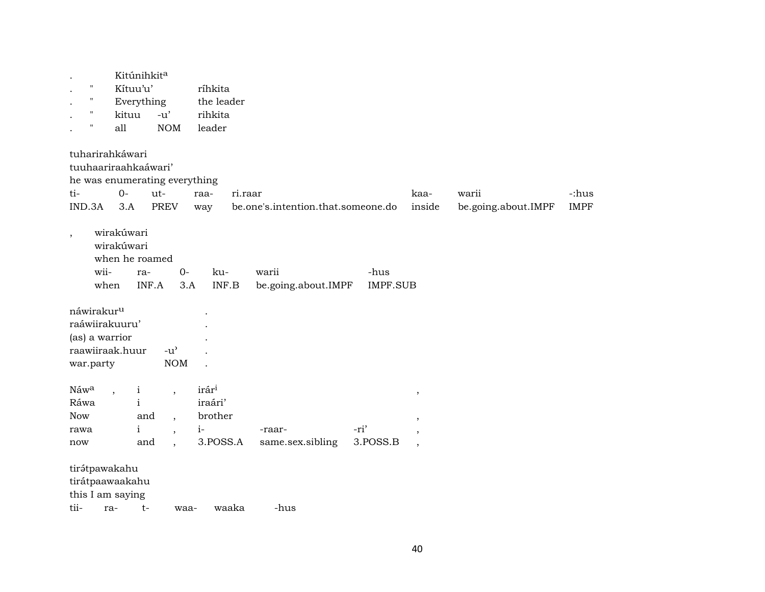| $\pmb{\mathsf{H}}$<br>$\pmb{\mathsf{H}}$<br>$\pmb{\mathsf{H}}$<br>$\pmb{\mathsf{H}}$ | Kitúnihkita<br>Kítuu'u'<br>Everything<br>kituu<br>all       | $-u'$<br><b>NOM</b>                                                                                  | ríhkita<br>the leader<br>rihkita<br>leader                  |                              |                                    |                                                                           |                              |                      |
|--------------------------------------------------------------------------------------|-------------------------------------------------------------|------------------------------------------------------------------------------------------------------|-------------------------------------------------------------|------------------------------|------------------------------------|---------------------------------------------------------------------------|------------------------------|----------------------|
| ti-<br>IND.3A                                                                        | tuharirahkáwari<br>tuuhaariraahkaáwari'<br>$O -$<br>3.A     | he was enumerating everything<br>ut-<br><b>PREV</b>                                                  | raa-<br>way                                                 | ri.raar                      | be.one's.intention.that.someone.do | kaa-<br>inside                                                            | warii<br>be.going.about.IMPF | -:hus<br><b>IMPF</b> |
| $\,$                                                                                 | wirakúwari<br>wirakúwari<br>when he roamed<br>wii-<br>when  | $0-$<br>ra-<br>INF.A                                                                                 | ku-<br>INF.B<br>3.A                                         | warii<br>be.going.about.IMPF | -hus<br><b>IMPF.SUB</b>            |                                                                           |                              |                      |
| náwirakur <sup>u</sup><br>war.party                                                  | raáwiirakuuru'<br>(as) a warrior<br>raawiiraak.huur         | $-u^{\prime}$<br><b>NOM</b>                                                                          |                                                             |                              |                                    |                                                                           |                              |                      |
| Náwa<br>Ráwa<br><b>Now</b><br>rawa<br>now                                            | $\mathbf{i}$<br>$\mathbf{i}$<br>$\mathbf{i}$                | $\overline{ }$<br>and<br>$\ddot{\phantom{0}}$<br>$\ddot{\phantom{1}}$<br>and<br>$\ddot{\phantom{1}}$ | irár <sup>i</sup><br>iraári'<br>brother<br>$i-$<br>3.POSS.A | -raar-<br>same.sex.sibling   | -ri'<br>3.POSS.B                   | $\, ,$<br>$\overline{\phantom{a}}$<br>$\cdot$<br>$\overline{\phantom{a}}$ |                              |                      |
| tii-                                                                                 | tirátpawakahu<br>tirátpaawaakahu<br>this I am saying<br>ra- | $t-$<br>waa-                                                                                         | waaka                                                       | -hus                         |                                    |                                                                           |                              |                      |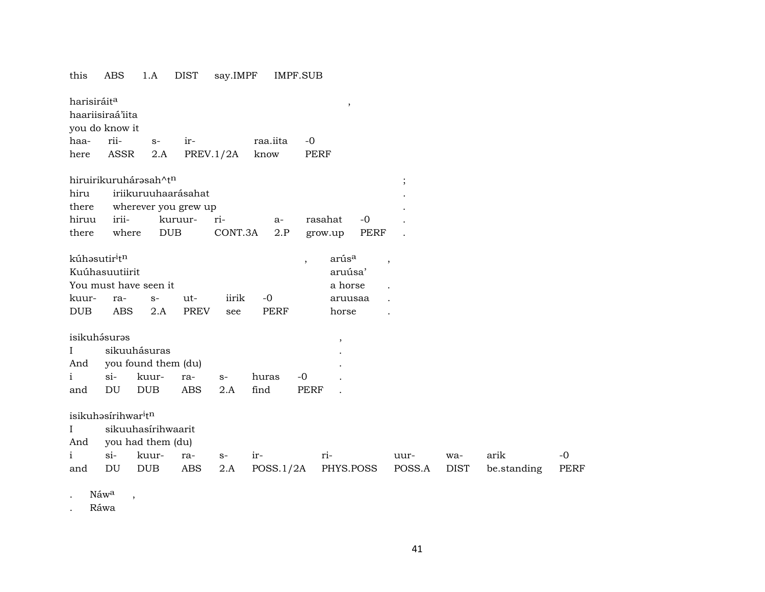# this ABS 1.A DIST say.IMPF IMPF.SUB  $\qquad \qquad \text{harisiráit}^{\text{a}} \qquad \qquad \text{harisiráit}^{\text{a}} \qquad \qquad \text{hers}^{\text{b}} \qquad \text{hers}^{\text{b}} \qquad \text{hers}^{\text{b}} \qquad \text{hers}^{\text{b}} \qquad \text{hers}^{\text{b}} \qquad \text{hers}^{\text{b}} \qquad \text{hers}^{\text{b}} \qquad \text{hers}^{\text{b}} \qquad \text{hers}^{\text{b}} \qquad \text{hers}^{\text{b}} \qquad \text{hers}^{\text{b}} \qquad \text{hers}^$ haariisiraá'iita you do know it haa- rii- s- ir- raa.iita -0 here ASSR 2.A PREV.1/2A know PERF hiruirikuruhárəsah^t $^{\text{th}}$  ; hiru iriikuruuhaarásahat . there wherever you grew up hiruu irii- kuruur- ri- a- rasahat -0 . there where DUB CONT.3A 2.P grow.up PERF kúhŸsutir³t¶ , arús° , Kuúhasuutiirit aruúsa' aruúsa' aruúsa' aruúsa' aruúsa' aruúsa' aruúsa' aruúsa' aruúsa' aruúsa You must have seen it a horse . A horse . kuur- ra- s- ut- iirik -0 aruusaa . DUB ABS 2.A PREV see PERF horse . isikuh¿surŸs , I sikuuhásuras . And you found them (du) . i si- kuur- ra- s- huras -0 . and DU DUB ABS 2.A find PERF . isikuhəsírihwar<sup>i</sup>t<sup>n</sup> I sikuuhasírihwaarit And you had them (du) i si- kuur- ra- s- ir- ri- uur- wa- arik -0 and DU DUB ABS 2.A POSS.1/2A PHYS.POSS POSS.A DIST be.standing PERF

Náw<sup>a</sup>,

. Ráwa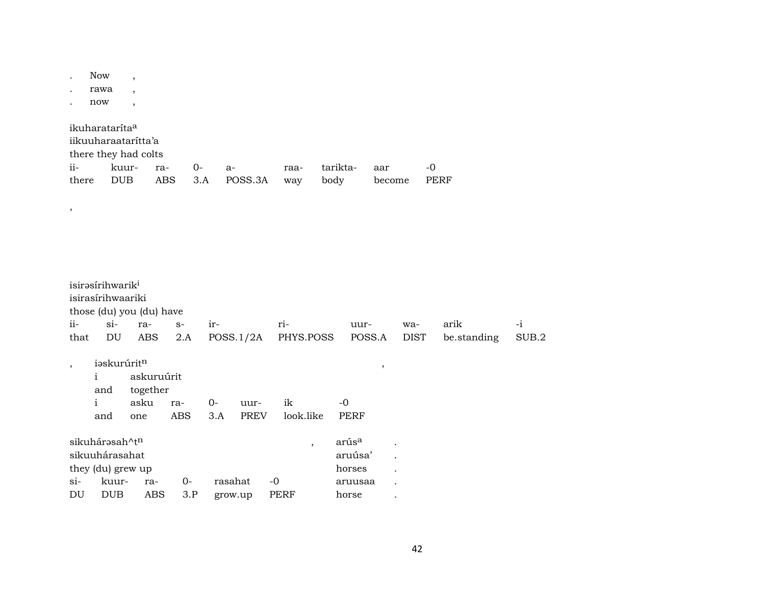|                | Now<br>rawa<br>now                                                                               | $\overline{ }$<br>$\overline{\phantom{a}}$<br>$\overline{\phantom{a}}$ |                                 |              |                     |                     |                          |                                                            |                      |                     |               |
|----------------|--------------------------------------------------------------------------------------------------|------------------------------------------------------------------------|---------------------------------|--------------|---------------------|---------------------|--------------------------|------------------------------------------------------------|----------------------|---------------------|---------------|
| ii-<br>there   | ikuharataríta <sup>a</sup><br>iikuuharaataritta'a<br>there they had colts<br>kuur-<br><b>DUB</b> |                                                                        | ra-<br><b>ABS</b>               | $0-$<br>3.A  | $a-$<br>POSS.3A     | raa-<br>way         | tarikta-<br>body         | aar                                                        | become               | $-0$<br><b>PERF</b> |               |
| $\, ,$         |                                                                                                  |                                                                        |                                 |              |                     |                     |                          |                                                            |                      |                     |               |
| $ii -$<br>that | isirəsirihwarik <sup>i</sup><br>isirasírihwaariki<br>those (du) you (du) have<br>$si-$<br>DU     | ra-<br>ABS                                                             | $S-$<br>2.A                     | ir-          | POSS.1/2A           | ri-<br>PHYS.POSS    |                          | uur-<br>POSS.A                                             | wa-<br><b>DIST</b>   | arik<br>be.standing | $-i$<br>SUB.2 |
|                | iaskurúritn<br>$\mathbf{i}$<br>and<br>$\mathbf{i}$<br>and                                        | together<br>asku<br>one                                                | askuruúrit<br>ra-<br><b>ABS</b> | $0-$<br>3.A  | uur-<br><b>PREV</b> | ik<br>look.like     | $-0$                     | $\,$<br><b>PERF</b>                                        |                      |                     |               |
| $si-$<br>DU    | sikuhárasah^tn<br>sikuuhárasahat<br>they (du) grew up<br>kuur-<br><b>DUB</b>                     | ra-                                                                    | <b>ABS</b>                      | $O -$<br>3.P | rasahat<br>grow.up  | $-0$<br><b>PERF</b> | $\overline{\phantom{a}}$ | arús <sup>a</sup><br>aruúsa'<br>horses<br>aruusaa<br>horse | $\ddot{\phantom{0}}$ |                     |               |

42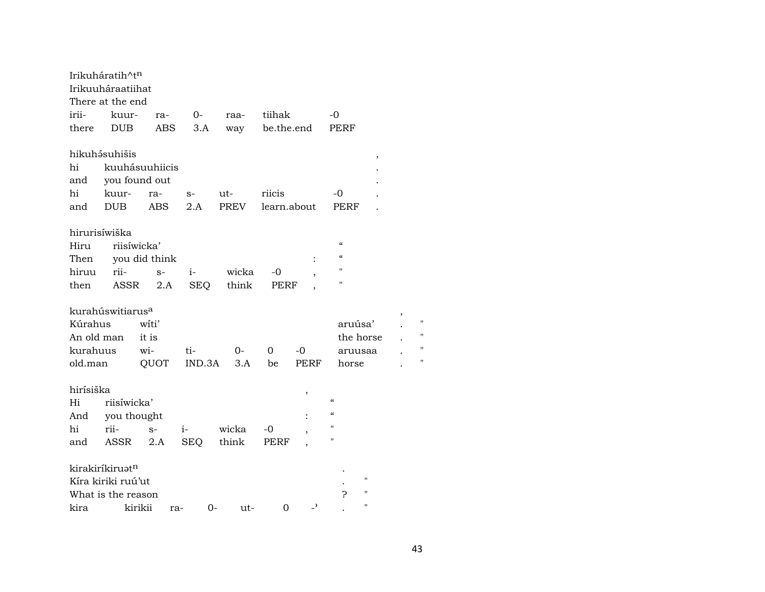|               | Irikuháratih^tn              |                |        |             |             |                |                          |        |    |
|---------------|------------------------------|----------------|--------|-------------|-------------|----------------|--------------------------|--------|----|
|               | Irikuuháraatiihat            |                |        |             |             |                |                          |        |    |
|               | There at the end             |                |        |             |             |                |                          |        |    |
| irii-         | kuur-                        | ra-            | $O-$   | raa-        | tiihak      |                | $-0$                     |        |    |
| there         | <b>DUB</b>                   | ABS            | 3.A    | way         | be.the.end  |                | PERF                     |        |    |
|               | hikuhásuhišis                |                |        |             |             |                |                          | $\, ,$ |    |
| hi            |                              | kuuhásuuhiicis |        |             |             |                |                          |        |    |
| and           |                              | you found out  |        |             |             |                |                          |        |    |
| hi            | kuur-                        | ra-            | $S-$   | ut-         | riicis      |                | -0                       |        |    |
| and           | <b>DUB</b>                   | <b>ABS</b>     | 2.A    | <b>PREV</b> | learn.about |                | <b>PERF</b>              |        |    |
| hirurisíwiška |                              |                |        |             |             |                |                          |        |    |
| Hiru          |                              | riisíwicka'    |        |             |             |                | $\epsilon\epsilon$       |        |    |
| Then          |                              | you did think  |        |             |             |                | $\epsilon$               |        |    |
| hiruu         | rii-                         | $S-$           | $i-$   | wicka       | $-0$        |                | 11                       |        |    |
| then          | ASSR                         | 2.A            | SEQ    | think       | PERF        |                | н                        |        |    |
|               | kurahúswitiarus <sup>a</sup> |                |        |             |             |                |                          |        |    |
| Kúrahus       |                              | witi'          |        |             |             |                | aruúsa'                  |        | П  |
| An old man    |                              | it is          |        |             |             |                | the horse                |        | 11 |
| kurahuus      |                              | wi-            | ti-    | $0-$        | 0           | -0             | aruusaa                  |        | 11 |
| old.man       |                              | QUOT           | IND.3A | 3.A         | be          | <b>PERF</b>    | horse                    |        | "  |
| hirísiška     |                              |                |        |             |             | $\, ,$         |                          |        |    |
| Hi            | riisíwicka'                  |                |        |             |             |                | $\epsilon$               |        |    |
| And           | you thought                  |                |        |             |             |                | $\mathcal{C}\mathcal{C}$ |        |    |
| hi            | rii-                         | $S-$           | $i-$   | wicka       | -0          |                | н                        |        |    |
| and           | ASSR                         | 2.A            | SEQ    | think       | PERF        |                | п                        |        |    |
|               | kirakiríkiruat <sup>n</sup>  |                |        |             |             |                |                          |        |    |
|               | Kíra kiriki ruú'ut           |                |        |             |             |                | н                        |        |    |
|               | What is the reason           |                |        |             |             |                | P<br>"                   |        |    |
| kira          |                              | kirikii<br>ra- | 0-     | ut-         | 0           | $\overline{ }$ | "                        |        |    |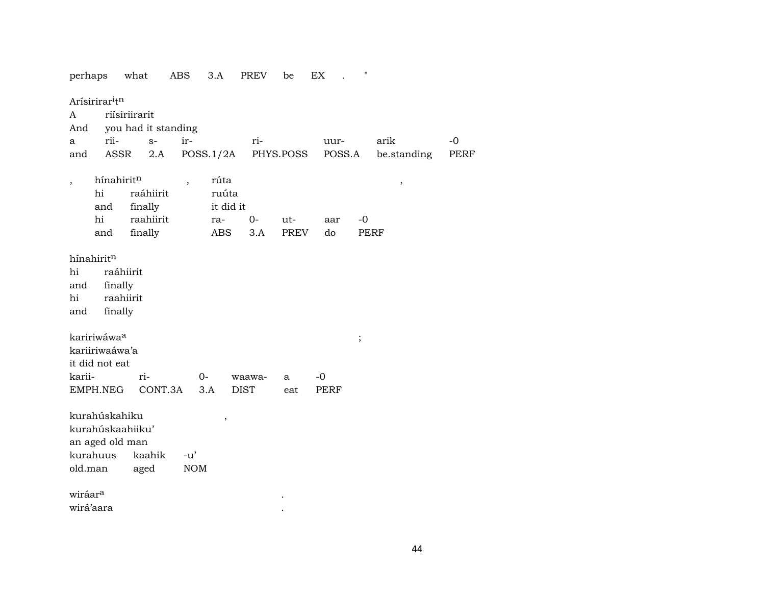| perhaps                                                                     | what                                         |                      | ABS                      | 3.A                     | PREV        | be        | EX          | .,          |             |      |
|-----------------------------------------------------------------------------|----------------------------------------------|----------------------|--------------------------|-------------------------|-------------|-----------|-------------|-------------|-------------|------|
| Arísirirar <sup>itn</sup><br>A<br>And                                       | riísiriirarit<br>you had it standing         |                      |                          |                         |             |           |             |             |             |      |
| a                                                                           | rii-                                         | $S-$                 | ir-                      |                         | ri-         |           | uur-        |             | arik        | $-0$ |
| and                                                                         | ASSR                                         | 2.A                  |                          | POSS.1/2A               |             | PHYS.POSS |             | POSS.A      | be.standing | PERF |
| $\overline{\phantom{a}}$<br>hi<br>and                                       | hínahiritn                                   | raáhiirit<br>finally | $\overline{\phantom{a}}$ | rúta<br>ruúta           | it did it   |           |             |             | $\, ,$      |      |
| hi                                                                          |                                              | raahiirit            |                          | ra-                     | $0 -$       | ut-       | aar         | $-0$        |             |      |
| and                                                                         |                                              | finally              |                          | <b>ABS</b>              | 3.A         | PREV      | do          | <b>PERF</b> |             |      |
| hi<br>and<br>hi<br>and<br>kaririwáwa <sup>a</sup><br>kariiriwaáwa'a         | raáhiirit<br>finally<br>raahiirit<br>finally |                      |                          |                         |             |           |             | $\vdots$    |             |      |
| it did not eat                                                              |                                              |                      |                          |                         |             |           |             |             |             |      |
| karii-                                                                      |                                              | ri-                  |                          | $0-$                    | waawa-      | a         | $-0$        |             |             |      |
| EMPH.NEG                                                                    |                                              | CONT.3A              |                          | 3.A                     | <b>DIST</b> | eat       | <b>PERF</b> |             |             |      |
| kurahúskahiku<br>kurahúskaahiiku'<br>an aged old man<br>kurahuus<br>old.man |                                              | kaahik<br>aged       | $-u'$<br>NOM             | $^\mathrm{^\mathrm{o}}$ |             |           |             |             |             |      |
| wiráar <sup>a</sup>                                                         |                                              |                      |                          |                         |             |           |             |             |             |      |
| wirá'aara                                                                   |                                              |                      |                          |                         |             |           |             |             |             |      |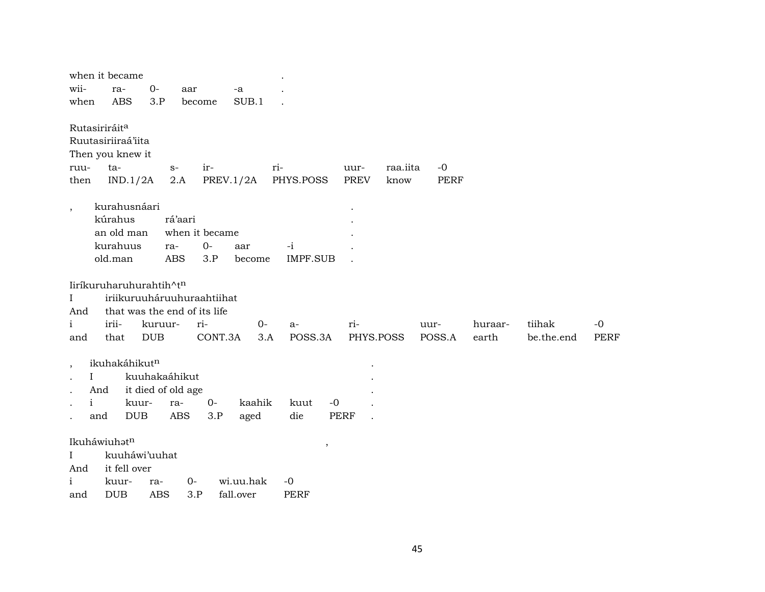|                          | when it became            |                                                            |                  |                        |                          |                     |                  |                     |         |            |             |
|--------------------------|---------------------------|------------------------------------------------------------|------------------|------------------------|--------------------------|---------------------|------------------|---------------------|---------|------------|-------------|
| wii-<br>when             | ra-<br><b>ABS</b>         | $0-$<br>3.P                                                | aar<br>become    | -a<br>SUB.1            |                          |                     |                  |                     |         |            |             |
|                          |                           |                                                            |                  |                        |                          |                     |                  |                     |         |            |             |
|                          | Rutasiriráit <sup>a</sup> |                                                            |                  |                        |                          |                     |                  |                     |         |            |             |
|                          | Ruutasiriiraá'iita        |                                                            |                  |                        |                          |                     |                  |                     |         |            |             |
|                          | Then you knew it          |                                                            |                  |                        |                          |                     |                  |                     |         |            |             |
| ruu-<br>then             | ta-<br>IND.1/2A           | $S-$<br>2.A                                                | ir-<br>PREV.1/2A |                        | ri-<br>PHYS.POSS         | uur-<br><b>PREV</b> | raa.iita<br>know | $-0$<br><b>PERF</b> |         |            |             |
|                          |                           |                                                            |                  |                        |                          |                     |                  |                     |         |            |             |
| $\overline{\phantom{a}}$ | kurahusnáari              |                                                            |                  |                        |                          |                     |                  |                     |         |            |             |
|                          | kúrahus                   | rá'aari                                                    |                  |                        |                          |                     |                  |                     |         |            |             |
|                          | an old man                |                                                            | when it became   |                        |                          |                     |                  |                     |         |            |             |
|                          | kurahuus                  | ra-                                                        | $O -$            | aar                    | $-i$                     |                     |                  |                     |         |            |             |
|                          | old.man                   | <b>ABS</b>                                                 | 3.P              | become                 | <b>IMPF.SUB</b>          |                     |                  |                     |         |            |             |
|                          |                           |                                                            |                  |                        |                          |                     |                  |                     |         |            |             |
|                          |                           | liríkuruharuhurahtih^tn                                    |                  |                        |                          |                     |                  |                     |         |            |             |
| $\mathbf{I}$<br>And      |                           | iriikuruuháruuhuraahtiihat<br>that was the end of its life |                  |                        |                          |                     |                  |                     |         |            |             |
| i                        | irii-                     | kuruur-                                                    | ri-              | $O -$                  | $a-$                     | ri-                 |                  | uur-                | huraar- | tiihak     | $-0$        |
| and                      | that                      | <b>DUB</b>                                                 | CONT.3A          | 3.A                    | POSS.3A                  | PHYS.POSS           |                  | POSS.A              | earth   | be.the.end | <b>PERF</b> |
|                          |                           |                                                            |                  |                        |                          |                     |                  |                     |         |            |             |
| $\overline{\phantom{a}}$ | ikuhakáhikut <sup>n</sup> |                                                            |                  |                        |                          |                     |                  |                     |         |            |             |
|                          | I                         | kuuhakaáhikut                                              |                  |                        |                          |                     |                  |                     |         |            |             |
|                          | And                       | it died of old age                                         |                  |                        |                          |                     |                  |                     |         |            |             |
|                          | $\mathbf{i}$              | kuur-<br>ra-                                               | $O -$            | kaahik                 | kuut<br>$-0$             |                     |                  |                     |         |            |             |
|                          | and                       | <b>DUB</b><br><b>ABS</b>                                   | 3.P              | aged                   | die                      | <b>PERF</b>         |                  |                     |         |            |             |
|                          |                           |                                                            |                  |                        |                          |                     |                  |                     |         |            |             |
|                          | Ikuháwiuhatn              |                                                            |                  |                        | $\overline{\phantom{a}}$ |                     |                  |                     |         |            |             |
| L                        |                           | kuuháwi'uuhat                                              |                  |                        |                          |                     |                  |                     |         |            |             |
| And                      | it fell over              |                                                            |                  |                        |                          |                     |                  |                     |         |            |             |
| i<br>and                 | kuur-<br><b>DUB</b>       | ra-<br><b>ABS</b>                                          | 0-<br>3.P        | wi.uu.hak<br>fall.over | $-0$<br><b>PERF</b>      |                     |                  |                     |         |            |             |
|                          |                           |                                                            |                  |                        |                          |                     |                  |                     |         |            |             |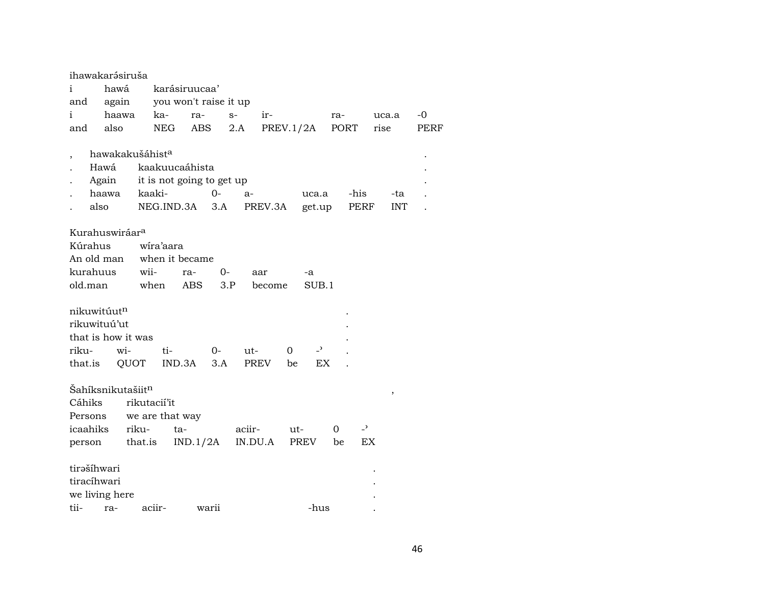| ihawakarásiruša               |       |                             |                           |       |         |           |          |                |      |                |       |            |             |  |
|-------------------------------|-------|-----------------------------|---------------------------|-------|---------|-----------|----------|----------------|------|----------------|-------|------------|-------------|--|
| i                             | hawá  |                             | karásiruucaa'             |       |         |           |          |                |      |                |       |            |             |  |
| and                           | again |                             | you won't raise it up     |       |         |           |          |                |      |                |       |            |             |  |
| i                             | haawa | ka-                         | ra-                       |       | $S-$    | ir-       |          |                | ra-  |                | uca.a |            | $-0$        |  |
| and                           | also  | NEG                         | ABS                       |       | 2.A     | PREV.1/2A |          |                | PORT |                | rise  |            | <b>PERF</b> |  |
|                               |       |                             |                           |       |         |           |          |                |      |                |       |            |             |  |
|                               |       | hawakakušáhist <sup>a</sup> |                           |       |         |           |          |                |      |                |       |            |             |  |
| Hawá                          |       |                             | kaakuucaáhista            |       |         |           |          |                |      |                |       |            |             |  |
|                               | Again |                             | it is not going to get up |       |         |           |          |                |      |                |       |            |             |  |
|                               | haawa | kaaki-                      |                           | $0-$  | a-      |           |          | uca.a          |      | -his           |       | -ta        |             |  |
| also                          |       | NEG.IND.3A                  |                           | 3.A   |         | PREV.3A   |          | get.up         |      | PERF           |       | <b>INT</b> |             |  |
|                               |       |                             |                           |       |         |           |          |                |      |                |       |            |             |  |
| Kurahuswiráar <sup>a</sup>    |       |                             |                           |       |         |           |          |                |      |                |       |            |             |  |
| Kúrahus                       |       | wíra'aara                   |                           |       |         |           |          |                |      |                |       |            |             |  |
| An old man                    |       |                             | when it became            |       |         |           |          |                |      |                |       |            |             |  |
| kurahuus                      |       | wii-                        | ra-                       | 0-    |         | aar       |          | -a             |      |                |       |            |             |  |
| old.man                       |       | when                        | <b>ABS</b>                | 3.P   |         | become    |          | SUB.1          |      |                |       |            |             |  |
|                               |       |                             |                           |       |         |           |          |                |      |                |       |            |             |  |
| nikuwitúutn                   |       |                             |                           |       |         |           |          |                |      |                |       |            |             |  |
| rikuwituú'ut                  |       |                             |                           |       |         |           |          |                |      |                |       |            |             |  |
| that is how it was            |       |                             |                           |       |         |           |          |                |      |                |       |            |             |  |
| riku-                         | wi-   | ti-                         |                           | $O -$ | ut-     |           | $\Omega$ | $\overline{a}$ |      |                |       |            |             |  |
| that.is                       |       | QUOT                        | IND.3A                    | 3.A   | PREV    |           | be       | EX             |      |                |       |            |             |  |
|                               |       |                             |                           |       |         |           |          |                |      |                |       |            |             |  |
| Šahíksnikutašiit <sup>n</sup> |       |                             |                           |       |         |           |          |                |      |                |       | ,          |             |  |
| Cáhiks                        |       | rikutacií'it                |                           |       |         |           |          |                |      |                |       |            |             |  |
| Persons                       |       | we are that way             |                           |       |         |           |          |                |      |                |       |            |             |  |
| icaahiks                      |       | riku-                       | ta-                       |       | aciir-  |           | ut-      |                | 0    | $\overline{z}$ |       |            |             |  |
| person                        |       | that.is                     | IND.1/2A                  |       | IN.DU.A |           |          | PREV           | be   | EX             |       |            |             |  |
|                               |       |                             |                           |       |         |           |          |                |      |                |       |            |             |  |
| tirəšíhwari                   |       |                             |                           |       |         |           |          |                |      |                |       |            |             |  |
| tiracíhwari                   |       |                             |                           |       |         |           |          |                |      |                |       |            |             |  |
| we living here                |       |                             |                           |       |         |           |          |                |      |                |       |            |             |  |
| tii-                          | ra-   | aciir-                      |                           | warii |         |           |          | -hus           |      |                |       |            |             |  |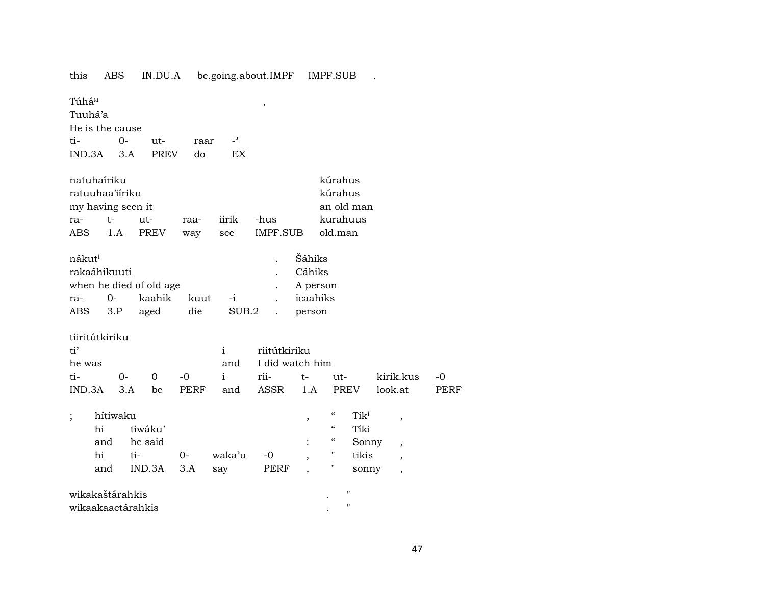this ABS IN.DU.A be.going.about.IMPF IMPF.SUB .

 $\overline{\phantom{a}}$ 

Túhá<sup>a</sup>

Tuuhá'a

He is the cause

ti- $0$ utraar

IND.3A 3.A PREV  $d$ o EX

| natuhaíriku       |            | kúrahus |      |       |          |          |
|-------------------|------------|---------|------|-------|----------|----------|
| ratuuhaa'iiriku   |            | kúrahus |      |       |          |          |
| my having seen it | an old man |         |      |       |          |          |
| ra-               | $+ -$      | $11t-$  | raa- | jirik | -hus     | kurahuus |
| ABS               | 1.A        | PREV    | way  | see   | IMPF.SUB | old.man  |

 $\overline{a}$ 

| nákut <sup>i</sup>      |              |        |            |        |  | Šáhiks   |  |  |  |  |
|-------------------------|--------------|--------|------------|--------|--|----------|--|--|--|--|
|                         | rakaáhikuuti |        |            |        |  |          |  |  |  |  |
| when he died of old age |              |        | . A person |        |  |          |  |  |  |  |
| ra-                     | $O-$         | kaahik | kuut       | $-i$   |  | icaahiks |  |  |  |  |
| ABS 3.P                 |              | aged   | die        | SUB.2. |  | person   |  |  |  |  |

tiiritútkiriku

| ti'    |  |  |  |  | i riitútkiriku |                     |  |                                              |      |  |  |  |
|--------|--|--|--|--|----------------|---------------------|--|----------------------------------------------|------|--|--|--|
| he was |  |  |  |  |                | and I did watch him |  |                                              |      |  |  |  |
|        |  |  |  |  |                |                     |  | ti- 0- 0 -0 i rii- t- ut- kirik.kus -0       |      |  |  |  |
|        |  |  |  |  |                |                     |  | IND.3A 3.A be PERF and ASSR 1.A PREV look.at | PERF |  |  |  |

| ٠ | hítiwaku |                |      | $\epsilon$ | Tik <sup>i</sup> |                |             |       |                          |
|---|----------|----------------|------|------------|------------------|----------------|-------------|-------|--------------------------|
|   | hi       | tiwáku'        |      |            |                  |                | $\epsilon$  | Tíki  |                          |
|   | and      | he said        |      |            |                  | $\ddot{\cdot}$ | $\alpha$    | Sonny | $\overline{\phantom{a}}$ |
|   | hi       | ti-            | $0-$ | waka'u     | $-0$             |                | "           | tikis |                          |
|   | and      | $IND.3A$ $3.A$ |      | say        | PERF             |                | $^{\prime}$ | sonny |                          |
|   |          |                |      |            |                  |                |             |       |                          |

| wikakaštárahkis   |  |
|-------------------|--|
| wikaakaactárahkis |  |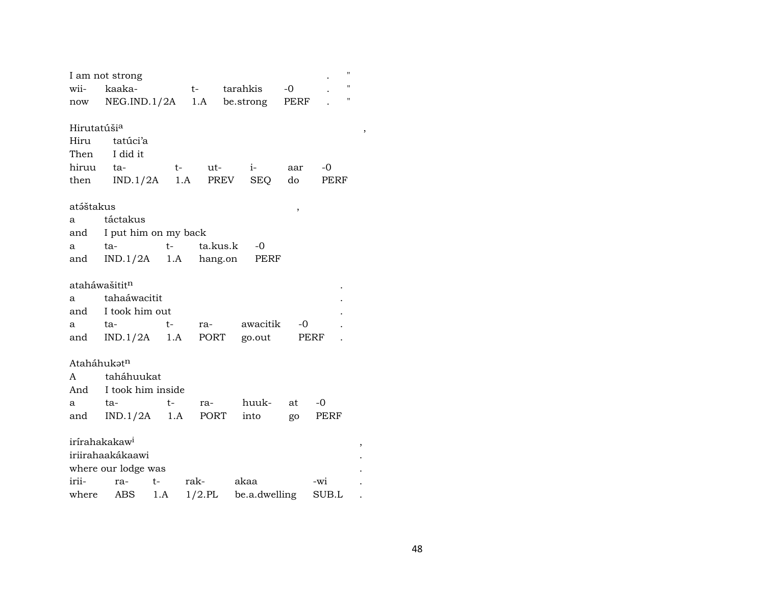|                           | I am not strong                     |      |           |               |      | $^{\prime}$        |
|---------------------------|-------------------------------------|------|-----------|---------------|------|--------------------|
| wii-                      | kaaka-                              |      |           | t- tarahkis   | $-0$ | $\pmb{\mathsf{H}}$ |
|                           | now NEG.IND.1/2A 1.A be.strong PERF |      |           |               |      | $\pmb{\mathsf{H}}$ |
|                           |                                     |      |           |               |      |                    |
| Hirutatúši <sup>a</sup>   |                                     |      |           |               |      |                    |
| Hiru                      | tatúci'a                            |      |           |               |      |                    |
| Then                      | I did it                            |      |           |               |      |                    |
| hiruu                     | ta-                                 | $t-$ |           | ut- i-        | aar  | -0                 |
|                           | then IND.1/2A 1.A PREV              |      |           | SEQ           | do   | PERF               |
|                           |                                     |      |           |               |      |                    |
| atáštakus                 |                                     |      |           |               | ,    |                    |
| a                         | táctakus                            |      |           |               |      |                    |
|                           | and I put him on my back            |      |           |               |      |                    |
| a                         | $t-$<br>ta-                         |      | ta.kus.k  | -0            |      |                    |
| and                       | IND.1/2A 1.A hang.on PERF           |      |           |               |      |                    |
|                           |                                     |      |           |               |      |                    |
| ataháwašitit <sup>n</sup> |                                     |      |           |               |      |                    |
| a                         | tahaáwacitit                        |      |           |               |      |                    |
| and                       | I took him out                      |      |           |               |      |                    |
| a                         | ta-                                 | t-   | ra-       | awacitik      | $-0$ |                    |
|                           | and IND.1/2A 1.A                    |      | PORT      | go.out        |      | PERF               |
|                           |                                     |      |           |               |      |                    |
| Ataháhukat <sup>n</sup>   |                                     |      |           |               |      |                    |
| A                         | taháhuukat                          |      |           |               |      |                    |
|                           | And I took him inside               |      |           |               |      |                    |
| a                         | ta-                                 | t-   | ra-       | huuk-         | at   | $-0$               |
| and                       | IND.1/2A                            |      | 1.A PORT  | into          | go   | PERF               |
|                           |                                     |      |           |               |      |                    |
| irírahakakaw <sup>i</sup> |                                     |      |           |               |      |                    |
|                           | iriirahaakákaawi                    |      |           |               |      |                    |
|                           | where our lodge was                 |      |           |               |      |                    |
| irii-                     | ra-                                 | $t-$ | rak-      | akaa          |      | -wi                |
| where                     | ABS                                 | 1.A  | $1/2$ .PL | be.a.dwelling |      | SUB.L              |

 $\,$  ,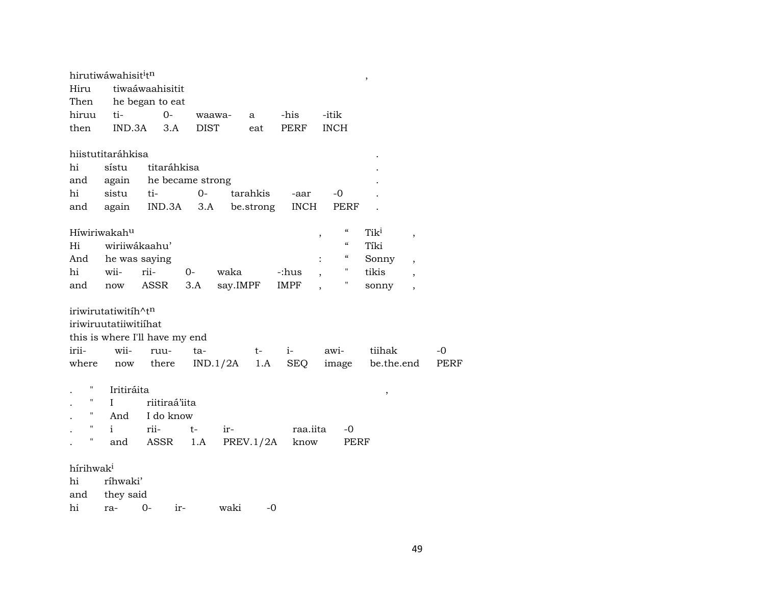|                       | hirutiwáwahisit <sup>i</sup> tn |                                |                |          |           |                |                          | $\, ,$           |                          |      |
|-----------------------|---------------------------------|--------------------------------|----------------|----------|-----------|----------------|--------------------------|------------------|--------------------------|------|
| Hiru                  |                                 | tiwaáwaahisitit                |                |          |           |                |                          |                  |                          |      |
| Then                  |                                 | he began to eat                |                |          |           |                |                          |                  |                          |      |
| hiruu                 | ti-                             | $0-$                           |                | waawa-   | a         | -his           | -itik                    |                  |                          |      |
| then                  | IND.3A                          | 3.A                            | <b>DIST</b>    |          | eat       | PERF           | <b>INCH</b>              |                  |                          |      |
|                       | hiistutitaráhkisa               |                                |                |          |           |                |                          |                  |                          |      |
| hi                    | sístu                           | titaráhkisa                    |                |          |           |                |                          |                  |                          |      |
| and                   | again                           | he became strong               |                |          |           |                |                          |                  |                          |      |
| hi                    | sistu                           | ti-                            | $0-$           |          | tarahkis  | -aar           | -0                       |                  |                          |      |
| and                   | again                           |                                | $IND.3A$ $3.A$ |          | be.strong | <b>INCH</b>    | PERF                     |                  |                          |      |
|                       | Híwiriwakahu                    |                                |                |          |           |                | $\mathcal{C}$<br>,       | Tik <sup>i</sup> | $^\mathrm{^\mathrm{o}}$  |      |
| Hi                    | wiriiwákaahu'                   |                                |                |          |           |                | $\mathcal{C}$            | Tíki             |                          |      |
| And                   | he was saying                   |                                |                |          |           |                | $\mathcal{C}\mathcal{C}$ | Sonny            | $\overline{\phantom{a}}$ |      |
| hi                    | wii-                            | rii-                           | $0-$           | waka     |           | -:hus          | 11                       | tikis            | $\overline{ }$           |      |
| and                   | now                             | ASSR                           | 3.A            | say.IMPF |           | IMPF           | 11                       | sonny            | $\overline{\phantom{a}}$ |      |
|                       | iriwirutatiwitih^tn             |                                |                |          |           |                |                          |                  |                          |      |
|                       | iriwiruutatiiwitiihat           |                                |                |          |           |                |                          |                  |                          |      |
|                       |                                 | this is where I'll have my end |                |          |           |                |                          |                  |                          |      |
| irii-                 | wii-                            | ruu-                           | ta-            |          | t-        | $i-$           | awi-                     | tiihak           |                          | $-0$ |
| where                 | now                             | there                          |                | IND.1/2A | 1.A       | SEQ            |                          | image be.the.end |                          | PERF |
| н                     | Iritiráita                      |                                |                |          |           |                |                          | ,                |                          |      |
| 11                    | L                               | riitiraá'iita                  |                |          |           |                |                          |                  |                          |      |
| 11                    | And                             | I do know                      |                |          |           |                |                          |                  |                          |      |
| $\pmb{\mathsf{H}}$    | i.                              | rii-                           | t-             | ir-      |           | raa.iita       | -0                       |                  |                          |      |
| 11                    | and                             | ASSR                           | 1.A            |          |           | PREV.1/2A know | PERF                     |                  |                          |      |
| hírihwak <sup>i</sup> |                                 |                                |                |          |           |                |                          |                  |                          |      |
| hi                    | ríhwaki'                        |                                |                |          |           |                |                          |                  |                          |      |
| and                   | they said                       |                                |                |          |           |                |                          |                  |                          |      |
| hi                    | ra-                             | $0-$                           | ir-            | waki     | $-0$      |                |                          |                  |                          |      |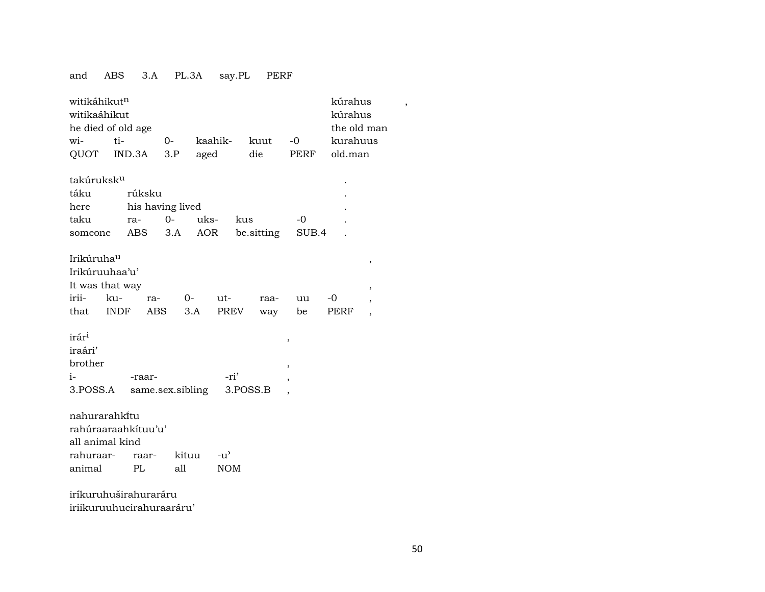### and ABS 3.A PL.3A say.PL PERF

|                        | witikáhikut <sup>n</sup><br>kúrahus<br>witikaáhikut<br>kúrahus<br>he died of old age<br>the old man |                  |               |            |            |                          |          |                          |  |  |  |  |
|------------------------|-----------------------------------------------------------------------------------------------------|------------------|---------------|------------|------------|--------------------------|----------|--------------------------|--|--|--|--|
| wi-                    | ti-                                                                                                 | $0-$             | kaahik-       |            | kuut       | $-0$                     | kurahuus |                          |  |  |  |  |
| QUOT                   | IND.3A                                                                                              | 3.P              | aged          |            | die        | PERF                     | old.man  |                          |  |  |  |  |
| takúruksk <sup>u</sup> |                                                                                                     |                  |               |            |            |                          |          |                          |  |  |  |  |
| táku                   | rúksku                                                                                              |                  |               |            |            |                          |          |                          |  |  |  |  |
| here                   |                                                                                                     | his having lived |               |            |            |                          |          |                          |  |  |  |  |
| taku                   | ra-                                                                                                 | $0-$             | uks-          | kus        |            | $-0$                     |          |                          |  |  |  |  |
| someone                | ABS                                                                                                 | 3.A              | AOR           |            | be.sitting | SUB.4                    |          |                          |  |  |  |  |
|                        |                                                                                                     |                  |               |            |            |                          |          |                          |  |  |  |  |
| Irikúruhau             |                                                                                                     |                  |               |            |            |                          |          | $\, ,$                   |  |  |  |  |
| Irikúruuhaa'u'         |                                                                                                     |                  |               |            |            |                          |          |                          |  |  |  |  |
| It was that way        |                                                                                                     |                  |               |            |            |                          |          | $\overline{\phantom{a}}$ |  |  |  |  |
| irii-                  | ku-<br>ra-                                                                                          |                  | $O-$<br>$ut-$ |            | raa-       | uu                       | -0       | ,                        |  |  |  |  |
| that                   | <b>INDF</b><br>ABS                                                                                  |                  | 3.A           | PREV       | way        | be                       | PERF     | $\overline{ }$           |  |  |  |  |
|                        |                                                                                                     |                  |               |            |            |                          |          |                          |  |  |  |  |
| irár <sup>i</sup>      |                                                                                                     |                  |               |            |            | $\,$                     |          |                          |  |  |  |  |
| iraári'                |                                                                                                     |                  |               |            |            |                          |          |                          |  |  |  |  |
| brother                |                                                                                                     |                  |               |            |            | $\overline{\phantom{a}}$ |          |                          |  |  |  |  |
| $i-$                   | -raar-                                                                                              |                  |               | -ri'       |            | ,                        |          |                          |  |  |  |  |
| 3.POSS.A               |                                                                                                     | same.sex.sibling |               |            | 3.POSS.B   |                          |          |                          |  |  |  |  |
|                        |                                                                                                     |                  |               |            |            |                          |          |                          |  |  |  |  |
| nahurarahkitu          |                                                                                                     |                  |               |            |            |                          |          |                          |  |  |  |  |
|                        | rahúraaraahkítuu'u'                                                                                 |                  |               |            |            |                          |          |                          |  |  |  |  |
| all animal kind        |                                                                                                     |                  |               |            |            |                          |          |                          |  |  |  |  |
| rahuraar-              | raar-                                                                                               | kituu            | $-u^{\prime}$ |            |            |                          |          |                          |  |  |  |  |
| animal                 | PL                                                                                                  | all              |               | <b>NOM</b> |            |                          |          |                          |  |  |  |  |
|                        | iríkuruhuširahuraráru                                                                               |                  |               |            |            |                          |          |                          |  |  |  |  |

iriikuruuhucirahuraaráru'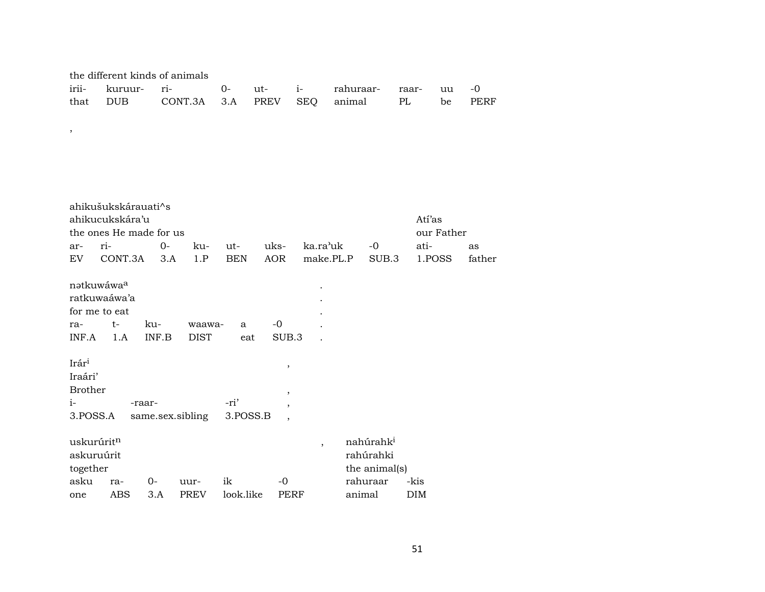| the different kinds of animals |  |  |  |  |                                                                               |  |  |  |  |  |  |
|--------------------------------|--|--|--|--|-------------------------------------------------------------------------------|--|--|--|--|--|--|
|                                |  |  |  |  | irii- kuruur- ri-        0-    ut-    i-       rahuraar-    raar-    uu    -0 |  |  |  |  |  |  |
|                                |  |  |  |  | that DUB CONT.3A 3.A PREV SEQ animal PL be PERF                               |  |  |  |  |  |  |

 $\overline{\phantom{a}}$ 

|                | ahikušukskárauati^s     |        |                  |            |                                  |                |               |            |        |  |
|----------------|-------------------------|--------|------------------|------------|----------------------------------|----------------|---------------|------------|--------|--|
|                | ahikucukskára'u         |        |                  |            |                                  |                |               | Atí'as     |        |  |
|                | the ones He made for us |        |                  |            |                                  |                |               | our Father |        |  |
| ar-            | ri-                     | $O -$  | ku-              | ut-        | uks-                             | ka.ra'uk       | -0            | ati-       | as     |  |
| EV.            | CONT.3A                 | 3.A    | 1.P              | <b>BEN</b> | <b>AOR</b>                       | make.PL.P      | SUB.3         | 1.POSS     | father |  |
|                | nətkuwáwa <sup>a</sup>  |        |                  |            |                                  |                |               |            |        |  |
|                | ratkuwaáwa'a            |        |                  |            |                                  |                |               |            |        |  |
|                | for me to eat           |        |                  |            |                                  |                |               |            |        |  |
| ra-            | t-                      | ku-    | waawa-           | a          | $-0$                             |                |               |            |        |  |
| INF.A          | 1.A                     | INF.B  | <b>DIST</b>      | eat        | SUB.3                            |                |               |            |        |  |
| Irári          |                         |        |                  |            | $\, ,$                           |                |               |            |        |  |
| Iraári'        |                         |        |                  |            |                                  |                |               |            |        |  |
| <b>Brother</b> |                         |        |                  |            |                                  |                |               |            |        |  |
| $i-$           |                         | -raar- |                  | -ri'       | $\overline{\phantom{a}}$         |                |               |            |        |  |
| 3.POSS.A       |                         |        | same.sex.sibling | 3.POSS.B   | $\overline{ }$<br>$\overline{ }$ |                |               |            |        |  |
|                | uskurúritn              |        |                  |            |                                  | $\overline{ }$ | nahúrahki     |            |        |  |
|                | askuruúrit              |        |                  |            |                                  |                | rahúrahki     |            |        |  |
| together       |                         |        |                  |            |                                  |                | the animal(s) |            |        |  |
| asku           | ra-                     | $O -$  | uur-             | ik         | -0                               |                | rahuraar      | -kis       |        |  |
| one            | ABS                     | 3.A    | <b>PREV</b>      | look.like  | PERF                             |                | animal        | DIM        |        |  |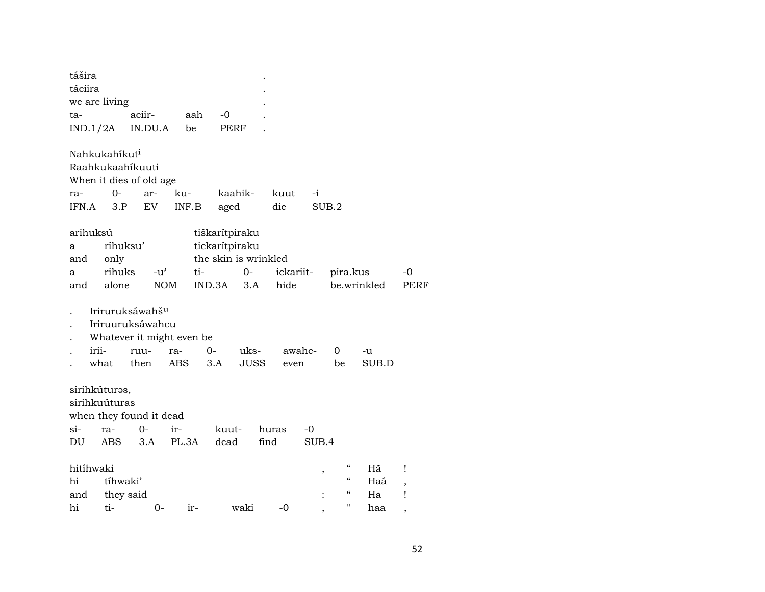| tášira<br>táciira |       |                           |                             |               |     |                      |             |       |           |       |       |            |             |           |
|-------------------|-------|---------------------------|-----------------------------|---------------|-----|----------------------|-------------|-------|-----------|-------|-------|------------|-------------|-----------|
|                   |       | we are living             |                             |               |     |                      |             |       |           |       |       |            |             |           |
|                   |       |                           | aciir-                      |               | aah | -0                   |             |       |           |       |       |            |             |           |
| ta-               |       |                           |                             |               |     |                      |             |       |           |       |       |            |             |           |
| IND.1/2A          |       |                           | IN.DU.A                     |               | be  | PERF                 |             |       |           |       |       |            |             |           |
|                   |       | Nahkukahíkut <sup>i</sup> |                             |               |     |                      |             |       |           |       |       |            |             |           |
|                   |       |                           | Raahkukaahíkuuti            |               |     |                      |             |       |           |       |       |            |             |           |
|                   |       |                           | When it dies of old age     |               |     |                      |             |       |           |       |       |            |             |           |
| ra-               |       | $0-$                      | ar-                         | ku-           |     |                      | kaahik-     |       | kuut      | $-i$  |       |            |             |           |
| IFN.A             |       | 3.P                       | EV                          | INF.B         |     | aged                 |             |       | die       |       | SUB.2 |            |             |           |
|                   |       |                           |                             |               |     |                      |             |       |           |       |       |            |             |           |
| arihuksú          |       |                           |                             |               |     | tiškarítpiraku       |             |       |           |       |       |            |             |           |
| а                 |       | ríhuksu'                  |                             |               |     | tickarítpiraku       |             |       |           |       |       |            |             |           |
| and               |       | only                      |                             |               |     | the skin is wrinkled |             |       |           |       |       |            |             |           |
| a                 |       | rihuks                    |                             | $-u^{\prime}$ | ti- |                      | $0-$        |       | ickariit- |       |       | pira.kus   |             | -0        |
| and               |       | alone                     |                             | <b>NOM</b>    |     | IND.3A               | 3.A         |       | hide      |       |       |            | be.wrinkled | PERF      |
|                   |       |                           | Iriruruksáwahš <sup>u</sup> |               |     |                      |             |       |           |       |       |            |             |           |
|                   |       |                           | Iriruuruksáwahcu            |               |     |                      |             |       |           |       |       |            |             |           |
|                   |       |                           | Whatever it might even be   |               |     |                      |             |       |           |       |       |            |             |           |
|                   | irii- |                           | ruu-                        | ra-           | 0-  |                      | uks-        |       | awahc-    |       | 0     |            | -u          |           |
|                   | what  |                           | then                        | ABS           |     | 3.A                  | <b>JUSS</b> |       | even      |       | be    |            | SUB.D       |           |
|                   |       |                           |                             |               |     |                      |             |       |           |       |       |            |             |           |
|                   |       | sirihkúturas,             |                             |               |     |                      |             |       |           |       |       |            |             |           |
|                   |       | sirihkuúturas             |                             |               |     |                      |             |       |           |       |       |            |             |           |
|                   |       |                           | when they found it dead     |               |     |                      |             |       |           |       |       |            |             |           |
| si-               |       | ra-                       | $0-$                        | ir-           |     | kuut-                |             | huras |           | -0    |       |            |             |           |
| DU                |       | ABS                       | 3.A                         | PL.3A         |     | dead                 |             | find  |           | SUB.4 |       |            |             |           |
|                   |       |                           |                             |               |     |                      |             |       |           |       |       |            |             |           |
| hitíhwaki         |       |                           |                             |               |     |                      |             |       |           |       |       | $\epsilon$ | Hã          | Ţ         |
| hi                |       | tíhwaki'                  |                             |               |     |                      |             |       |           |       |       | $\epsilon$ | Haá         |           |
| and               |       | they said                 |                             |               |     |                      |             |       |           |       |       | "          | Ha          | $\,$<br>Ţ |
| hi                |       | ti-                       |                             | 0-            | ir- |                      | waki        |       | -0        |       |       | "          | haa         |           |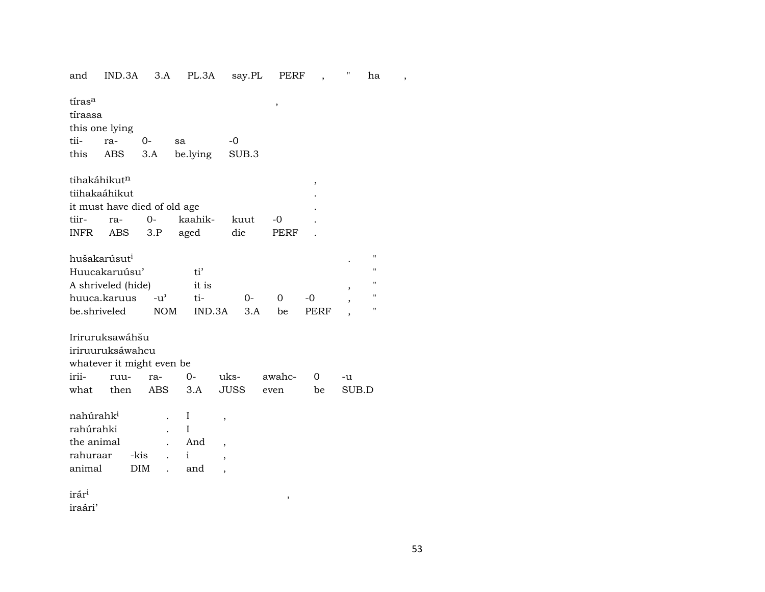and IND.3A 3.A PL.3A say.PL PERF, " ha,

| tiras <sup>a</sup><br>tíraasa<br>this one lying<br>tii-<br>this                                                                                                                                                                                                   | ra-<br>ABS                                                                       | 0-<br>3.A          | sa<br>be.lying            | -0<br>SUB.3                                                       | ,              |         |             |  |  |  |  |
|-------------------------------------------------------------------------------------------------------------------------------------------------------------------------------------------------------------------------------------------------------------------|----------------------------------------------------------------------------------|--------------------|---------------------------|-------------------------------------------------------------------|----------------|---------|-------------|--|--|--|--|
| tihakáhikut <sup>n</sup><br>tiihakaáhikut<br>tiir-<br><b>INFR</b>                                                                                                                                                                                                 | it must have died of old age<br>ra-<br>ABS                                       | $O -$<br>3.P       | kaahik-<br>aged           | kuut<br>die                                                       | $-0$<br>PERF   | $\,$    |             |  |  |  |  |
| hušakarúsut <sup>i</sup><br>11<br>Huucakaruúsu'<br>$^{\prime}$<br>ti'<br>П<br>A shriveled (hide)<br>it is<br>$\blacksquare$<br>huuca.karuus<br>$-u^{\prime}$<br>ti-<br>$0-$<br>$\Omega$<br>$-0$<br>"<br>be.shriveled<br><b>NOM</b><br>IND.3A<br>3.A<br>PERF<br>be |                                                                                  |                    |                           |                                                                   |                |         |             |  |  |  |  |
| irii-<br>what                                                                                                                                                                                                                                                     | Iriruruksawáhšu<br>iriruuruksáwahcu<br>whatever it might even be<br>ruu-<br>then | ra-<br>ABS         | $0-$<br>3.A               | uks-<br><b>JUSS</b>                                               | awahc-<br>even | 0<br>be | -u<br>SUB.D |  |  |  |  |
| nahúrahk <sup>i</sup><br>rahúrahki<br>the animal<br>rahuraar<br>animal                                                                                                                                                                                            |                                                                                  | -kis<br><b>DIM</b> | I<br>Ι<br>And<br>i<br>and | ,<br>$\overline{\phantom{a}}$<br>$\overline{ }$<br>$\overline{ }$ |                |         |             |  |  |  |  |
| irár <sup>i</sup>                                                                                                                                                                                                                                                 |                                                                                  |                    |                           |                                                                   | ,              |         |             |  |  |  |  |

iraári'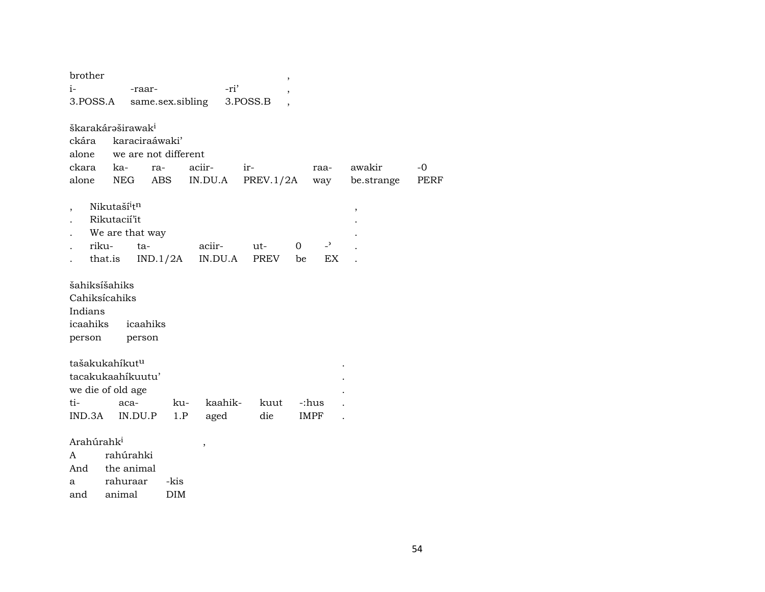| brother                    |                               |                      |                          | $\overline{\phantom{a}}$             |          |                  |                          |      |
|----------------------------|-------------------------------|----------------------|--------------------------|--------------------------------------|----------|------------------|--------------------------|------|
| $i-$                       | -raar-                        |                      | -ri'                     | ,                                    |          |                  |                          |      |
| 3.POSS.A                   |                               | same.sex.sibling     |                          | 3.POSS.B<br>$\overline{\phantom{a}}$ |          |                  |                          |      |
|                            |                               |                      |                          |                                      |          |                  |                          |      |
|                            | škarakárəširawak <sup>i</sup> |                      |                          |                                      |          |                  |                          |      |
| ckára                      | karaciraáwaki'                |                      |                          |                                      |          |                  |                          |      |
| alone                      |                               | we are not different |                          |                                      |          |                  |                          |      |
| ckara                      | ka-                           | ra-                  | aciir-                   | ir-                                  |          | raa-             | awakir                   | $-0$ |
| alone                      | NEG                           | ABS                  | IN.DU.A                  | PREV.1/2A                            |          | way              | be.strange               | PERF |
|                            |                               |                      |                          |                                      |          |                  |                          |      |
| $\overline{\phantom{a}}$   | Nikutaší <sup>i</sup> tn      |                      |                          |                                      |          |                  | $\overline{\phantom{a}}$ |      |
|                            | Rikutacií'it                  |                      |                          |                                      |          |                  |                          |      |
|                            | We are that way               |                      |                          |                                      |          |                  |                          |      |
| riku-                      | ta-                           |                      | aciir-                   | ut-                                  | $\Omega$ | $-$ <sup>2</sup> |                          |      |
|                            | that.is                       | IND.1/2A             | IN.DU.A                  | PREV                                 | be       | EX               |                          |      |
| šahiksíšahiks              |                               |                      |                          |                                      |          |                  |                          |      |
| Cahiksícahiks              |                               |                      |                          |                                      |          |                  |                          |      |
| Indians                    |                               |                      |                          |                                      |          |                  |                          |      |
| icaahiks                   | icaahiks                      |                      |                          |                                      |          |                  |                          |      |
| person                     | person                        |                      |                          |                                      |          |                  |                          |      |
|                            |                               |                      |                          |                                      |          |                  |                          |      |
| tašakukahíkut <sup>u</sup> |                               |                      |                          |                                      |          |                  |                          |      |
|                            | tacakukaahikuutu'             |                      |                          |                                      |          |                  |                          |      |
|                            | we die of old age             |                      |                          |                                      |          |                  |                          |      |
| ti-                        | aca-                          | ku-                  | kaahik-                  | kuut                                 | -:hus    |                  |                          |      |
|                            | IND.3A IN.DU.P                | 1.P                  | aged                     | die                                  | IMPF     |                  |                          |      |
|                            |                               |                      |                          |                                      |          |                  |                          |      |
| Arahúrahk <sup>i</sup>     |                               |                      | $\overline{\phantom{a}}$ |                                      |          |                  |                          |      |
| A                          | rahúrahki                     |                      |                          |                                      |          |                  |                          |      |

| $\mathsf{A}$ | ranuranki  |            |
|--------------|------------|------------|
| And          | the animal |            |
| a            | rahuraar   | -kis       |
| and          | animal     | <b>DIM</b> |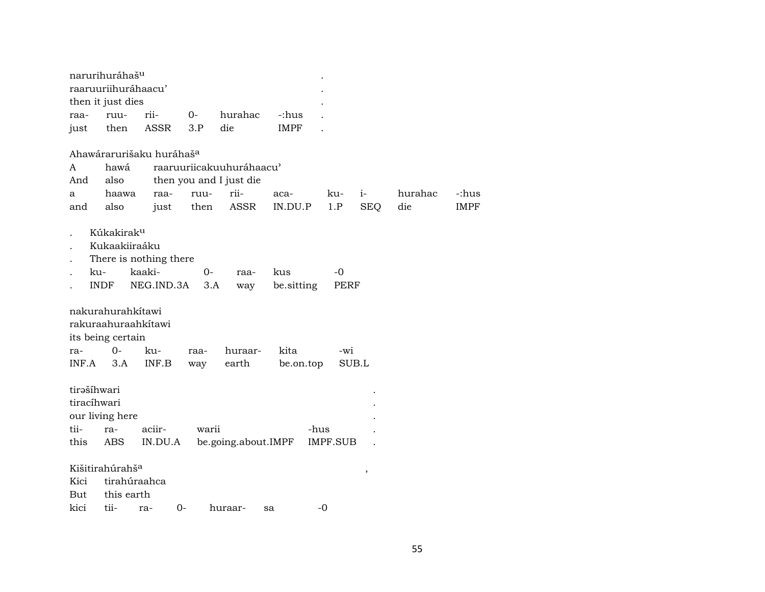| raaruuriihuráhaacu'<br>then it just dies<br>rii-<br>hurahac<br>0-<br>-:hus<br>ruu-<br>raa-<br><b>ASSR</b><br>3.P<br>die<br><b>IMPF</b><br>then<br>just<br>Ahawárarurišaku huráhaš <sup>a</sup><br>hawá<br>raaruuriicakuuhuráhaacu'<br>A<br>then you and I just die<br>And<br>also<br>rii-<br>hurahac<br>haawa<br>$i-$<br>-:hus<br>raa-<br>ruu-<br>aca-<br>ku-<br>a<br><b>ASSR</b><br>1.P<br><b>SEQ</b><br>die<br><b>IMPF</b><br>also<br>then<br>IN.DU.P<br>and<br>just<br>Kúkakirak <sup>u</sup><br>Kukaakiiraáku<br>There is nothing there<br>kaaki-<br>ku-<br>0-<br>kus<br>-0<br>raa-<br><b>INDF</b><br>NEG.IND.3A<br>3.A<br>be.sitting<br>PERF<br>way<br>nakurahurahkitawi<br>rakuraahuraahkítawi<br>its being certain<br>$0-$<br>kita<br>ku-<br>huraar-<br>$-wi$<br>ra-<br>raa-<br>INF.B<br>earth<br>SUB.L<br>INF.A<br>3.A<br>be.on.top<br>way<br>tirašíhwari<br>tiracíhwari<br>our living here<br>tii-<br>aciir-<br>warii<br>-hus<br>ra-<br>be.going.about.IMPF<br>this<br>ABS<br>IN.DU.A<br>IMPF.SUB<br>Kišitirahúrahš <sup>a</sup><br>$\, ,$<br>Kici<br>tirahúraahca<br>this earth<br>But |      | narurihuráhaš <sup>u</sup> |  |  |  |  |
|--------------------------------------------------------------------------------------------------------------------------------------------------------------------------------------------------------------------------------------------------------------------------------------------------------------------------------------------------------------------------------------------------------------------------------------------------------------------------------------------------------------------------------------------------------------------------------------------------------------------------------------------------------------------------------------------------------------------------------------------------------------------------------------------------------------------------------------------------------------------------------------------------------------------------------------------------------------------------------------------------------------------------------------------------------------------------------------------------|------|----------------------------|--|--|--|--|
|                                                                                                                                                                                                                                                                                                                                                                                                                                                                                                                                                                                                                                                                                                                                                                                                                                                                                                                                                                                                                                                                                                  |      |                            |  |  |  |  |
|                                                                                                                                                                                                                                                                                                                                                                                                                                                                                                                                                                                                                                                                                                                                                                                                                                                                                                                                                                                                                                                                                                  |      |                            |  |  |  |  |
|                                                                                                                                                                                                                                                                                                                                                                                                                                                                                                                                                                                                                                                                                                                                                                                                                                                                                                                                                                                                                                                                                                  |      |                            |  |  |  |  |
|                                                                                                                                                                                                                                                                                                                                                                                                                                                                                                                                                                                                                                                                                                                                                                                                                                                                                                                                                                                                                                                                                                  |      |                            |  |  |  |  |
|                                                                                                                                                                                                                                                                                                                                                                                                                                                                                                                                                                                                                                                                                                                                                                                                                                                                                                                                                                                                                                                                                                  |      |                            |  |  |  |  |
|                                                                                                                                                                                                                                                                                                                                                                                                                                                                                                                                                                                                                                                                                                                                                                                                                                                                                                                                                                                                                                                                                                  |      |                            |  |  |  |  |
|                                                                                                                                                                                                                                                                                                                                                                                                                                                                                                                                                                                                                                                                                                                                                                                                                                                                                                                                                                                                                                                                                                  |      |                            |  |  |  |  |
|                                                                                                                                                                                                                                                                                                                                                                                                                                                                                                                                                                                                                                                                                                                                                                                                                                                                                                                                                                                                                                                                                                  |      |                            |  |  |  |  |
|                                                                                                                                                                                                                                                                                                                                                                                                                                                                                                                                                                                                                                                                                                                                                                                                                                                                                                                                                                                                                                                                                                  |      |                            |  |  |  |  |
|                                                                                                                                                                                                                                                                                                                                                                                                                                                                                                                                                                                                                                                                                                                                                                                                                                                                                                                                                                                                                                                                                                  |      |                            |  |  |  |  |
|                                                                                                                                                                                                                                                                                                                                                                                                                                                                                                                                                                                                                                                                                                                                                                                                                                                                                                                                                                                                                                                                                                  |      |                            |  |  |  |  |
|                                                                                                                                                                                                                                                                                                                                                                                                                                                                                                                                                                                                                                                                                                                                                                                                                                                                                                                                                                                                                                                                                                  |      |                            |  |  |  |  |
|                                                                                                                                                                                                                                                                                                                                                                                                                                                                                                                                                                                                                                                                                                                                                                                                                                                                                                                                                                                                                                                                                                  |      |                            |  |  |  |  |
|                                                                                                                                                                                                                                                                                                                                                                                                                                                                                                                                                                                                                                                                                                                                                                                                                                                                                                                                                                                                                                                                                                  |      |                            |  |  |  |  |
|                                                                                                                                                                                                                                                                                                                                                                                                                                                                                                                                                                                                                                                                                                                                                                                                                                                                                                                                                                                                                                                                                                  |      |                            |  |  |  |  |
|                                                                                                                                                                                                                                                                                                                                                                                                                                                                                                                                                                                                                                                                                                                                                                                                                                                                                                                                                                                                                                                                                                  |      |                            |  |  |  |  |
|                                                                                                                                                                                                                                                                                                                                                                                                                                                                                                                                                                                                                                                                                                                                                                                                                                                                                                                                                                                                                                                                                                  |      |                            |  |  |  |  |
|                                                                                                                                                                                                                                                                                                                                                                                                                                                                                                                                                                                                                                                                                                                                                                                                                                                                                                                                                                                                                                                                                                  |      |                            |  |  |  |  |
| 0-<br>$-0$<br>huraar-<br>ra-<br>sa                                                                                                                                                                                                                                                                                                                                                                                                                                                                                                                                                                                                                                                                                                                                                                                                                                                                                                                                                                                                                                                               | kici | tii-                       |  |  |  |  |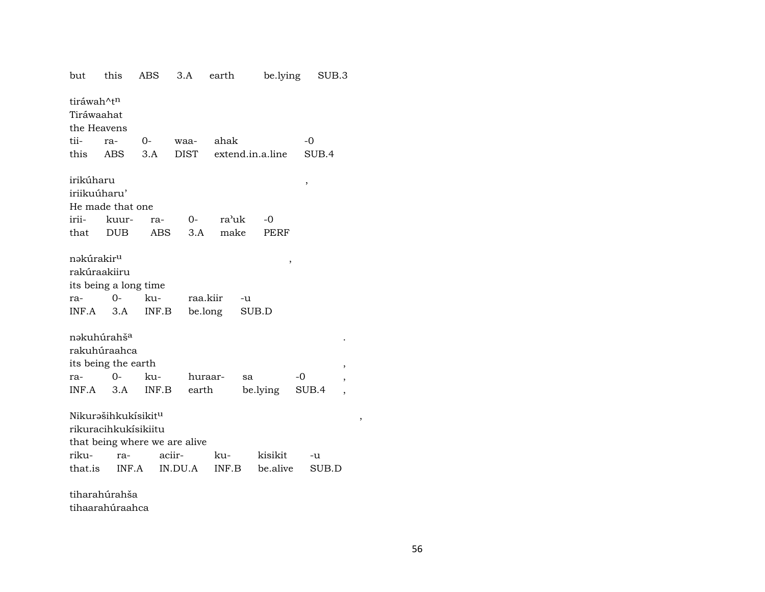| but                                                    | this                                                           | ABS                                     | 3.A                 | earth | be.lying         |       | SUB.3 |   |
|--------------------------------------------------------|----------------------------------------------------------------|-----------------------------------------|---------------------|-------|------------------|-------|-------|---|
| tiráwah^t <sup>n</sup><br>Tiráwaahat<br>the Heavens    |                                                                |                                         |                     |       |                  |       |       |   |
| tii-                                                   | ra-                                                            | 0-                                      | waa-                | ahak  |                  | $-0$  |       |   |
| this                                                   | ABS                                                            | 3.A                                     | <b>DIST</b>         |       | extend.in.a.line |       | SUB.4 |   |
| irikúharu                                              |                                                                |                                         |                     |       |                  | $\,$  |       |   |
| iriikuúharu'                                           |                                                                |                                         |                     |       |                  |       |       |   |
|                                                        | He made that one                                               |                                         |                     |       |                  |       |       |   |
| irii-                                                  | kuur-                                                          | ra-                                     | $O-$                | ra'uk | -0               |       |       |   |
| that                                                   | <b>DUB</b>                                                     | ABS.                                    | 3.A                 | make  | <b>PERF</b>      |       |       |   |
| nəkúrakir <sup>u</sup><br>rakúraakiiru<br>ra-<br>INF.A | its being a long time<br>$0-$<br>3.A                           | ku-<br>INF.B                            | raa.kiir<br>be.long |       | ,<br>-u<br>SUB.D |       |       |   |
|                                                        | nəkuhúrahš <sup>a</sup><br>rakuhúraahca                        |                                         |                     |       |                  |       |       |   |
|                                                        | its being the earth                                            |                                         |                     |       |                  |       | ,     |   |
| ra-                                                    | $O-$                                                           | ku-                                     | huraar-             |       | sa               | -0    | ,     |   |
| INF.A                                                  | 3.A                                                            | INF.B                                   | earth               |       | be.lying         | SUB.4 |       |   |
| riku-                                                  | Nikurašihkukísikit <sup>u</sup><br>rikuracihkukísikiitu<br>ra- | that being where we are alive<br>aciir- |                     | ku-   | kisikit          | -u    |       | , |
| that.is                                                | INF.A                                                          |                                         | IN.DU.A             | INF.B | be.alive         |       | SUB.D |   |
|                                                        | $\sim$<br>$\sim$                                               |                                         |                     |       |                  |       |       |   |

tiharahúrahša tihaarahúraahca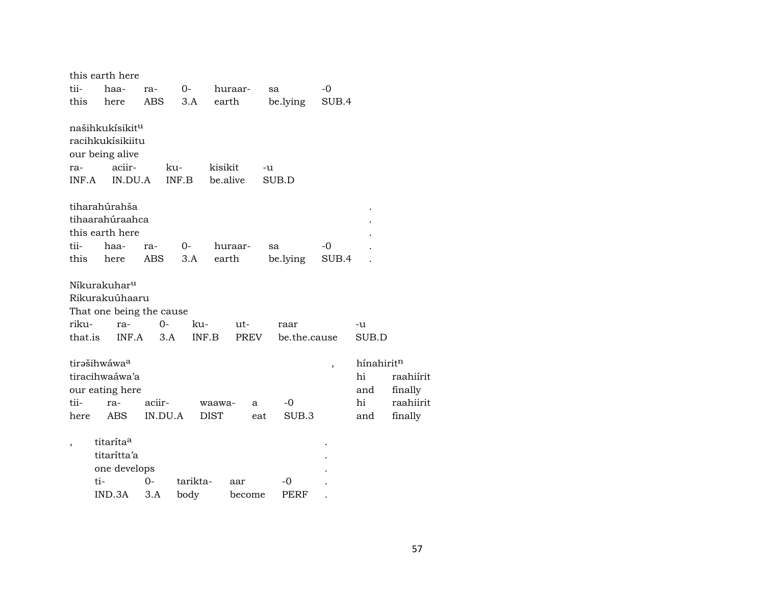|                                          |                       | this earth here                                                                         |        |              |                       |                     |          |              |       |                                      |                                              |
|------------------------------------------|-----------------------|-----------------------------------------------------------------------------------------|--------|--------------|-----------------------|---------------------|----------|--------------|-------|--------------------------------------|----------------------------------------------|
| tii-                                     |                       | haa-                                                                                    | ra-    | 0-           |                       | huraar-             | sa       |              | $-0$  |                                      |                                              |
| this                                     |                       | here                                                                                    | ABS    |              | 3.A                   | earth               |          | be.lying     | SUB.4 |                                      |                                              |
| ra-<br>INF.A                             |                       | našihkukísikit <sup>u</sup><br>racihkukísikiitu<br>our being alive<br>aciir-<br>IN.DU.A |        | ku-<br>INF.B |                       | kisikit<br>be.alive | -u       | SUB.D        |       |                                      |                                              |
|                                          |                       | tiharahúrahša                                                                           |        |              |                       |                     |          |              |       |                                      |                                              |
|                                          |                       | tihaarahúraahca                                                                         |        |              |                       |                     |          |              |       |                                      |                                              |
|                                          |                       | this earth here                                                                         |        |              |                       |                     |          |              |       |                                      |                                              |
| tii-                                     |                       | haa-                                                                                    | ra-    | 0-           |                       | huraar-             | sa       |              | $-0$  |                                      |                                              |
| this                                     |                       | here                                                                                    | ABS    |              | 3.A                   | earth               |          | be.lying     | SUB.4 |                                      |                                              |
|                                          |                       | Níkurakuhar <sup>u</sup><br>Rikurakuúhaaru<br>That one being the cause                  |        |              |                       |                     |          |              |       |                                      |                                              |
| riku-                                    |                       | ra-                                                                                     |        | 0-           | ku-                   | ut-                 |          | raar         |       | -u                                   |                                              |
| that.is                                  |                       | INF.A                                                                                   |        | 3.A          | INF.B                 | <b>PREV</b>         |          | be.the.cause |       | SUB.D                                |                                              |
| tirašihwáwa <sup>a</sup><br>tii-<br>here |                       | tiracihwaáwa'a<br>our eating here<br>ra-<br><b>ABS</b>                                  | aciir- | IN.DU.A      | waawa-<br><b>DIST</b> |                     | a<br>eat | -0<br>SUB.3  | ,     | hínahiritn<br>hi<br>and<br>hi<br>and | raahiírit<br>finally<br>raahiirit<br>finally |
|                                          | titaríta <sup>a</sup> |                                                                                         |        |              |                       |                     |          |              |       |                                      |                                              |
|                                          |                       | titarítta'a                                                                             |        |              |                       |                     |          |              |       |                                      |                                              |
|                                          |                       | one develops                                                                            |        |              |                       |                     |          |              |       |                                      |                                              |
|                                          | ti-                   |                                                                                         | 0-     |              | tarikta-              | aar                 |          | -0           |       |                                      |                                              |
|                                          | IND.3A                |                                                                                         | 3.A    |              | body                  | become              |          | PERF         |       |                                      |                                              |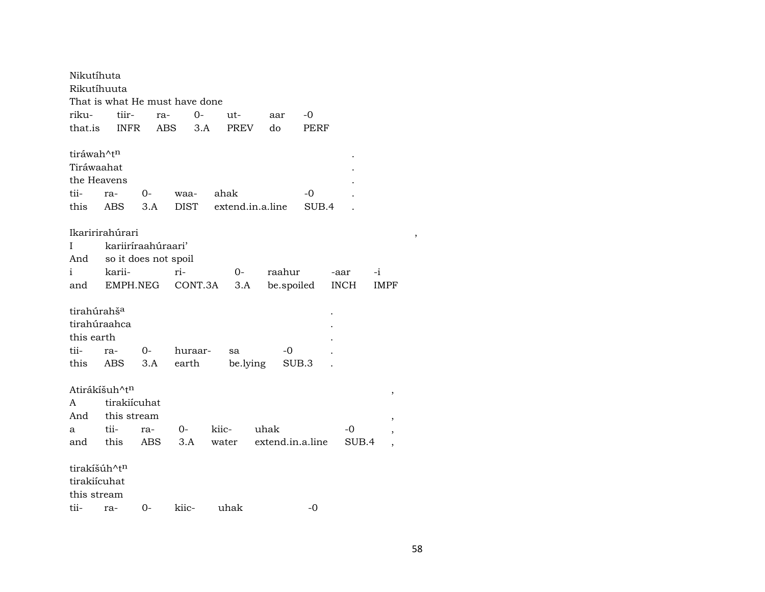| Nikutíhuta              |                                |            |             |         |                  |                  |       |       |                |
|-------------------------|--------------------------------|------------|-------------|---------|------------------|------------------|-------|-------|----------------|
| Rikutíhuuta             |                                |            |             |         |                  |                  |       |       |                |
|                         | That is what He must have done |            |             |         |                  |                  |       |       |                |
| riku-                   | tiir-                          | ra-        |             | $O -$   | ut-              | aar              | -0    |       |                |
| that.is                 | <b>INFR</b>                    | <b>ABS</b> |             | 3.A     | <b>PREV</b>      | do               | PERF  |       |                |
| tiráwah^t <sup>n</sup>  |                                |            |             |         |                  |                  |       |       |                |
| Tiráwaahat              |                                |            |             |         |                  |                  |       |       |                |
| the Heavens             |                                |            |             |         |                  |                  |       |       |                |
| tii-                    | ra-                            | $0-$       | waa-        | ahak    |                  |                  | -0    |       |                |
| this                    | ABS                            | 3.A        | <b>DIST</b> |         | extend.in.a.line |                  | SUB.4 |       |                |
|                         | Ikaririrahúrari                |            |             |         |                  |                  |       |       |                |
| I                       | kariiríraahúraari'             |            |             |         |                  |                  |       |       |                |
| And                     | so it does not spoil           |            |             |         |                  |                  |       |       |                |
| i                       | karii-                         |            | ri-         |         | 0-               | raahur           |       | -aar  | $-i$           |
| and                     | EMPH.NEG                       |            |             | CONT.3A | 3.A              | be.spoiled       |       | INCH  | IMPF           |
| tirahúrahš <sup>a</sup> |                                |            |             |         |                  |                  |       |       |                |
| tirahúraahca            |                                |            |             |         |                  |                  |       |       |                |
| this earth              |                                |            |             |         |                  |                  |       |       |                |
| tii-                    | ra-                            | $0-$       | huraar-     |         | sa               | -0               |       |       |                |
| this                    | ABS                            | 3.A        | earth       |         | be.lying         | SUB.3            |       |       |                |
| Atirákíšuh^tn           |                                |            |             |         |                  |                  |       |       | ,              |
| A                       | tirakiícuhat                   |            |             |         |                  |                  |       |       |                |
| And                     | this stream                    |            |             |         |                  |                  |       |       | $\, ,$         |
| a                       | tii-                           | ra-        | $O-$        | kiic-   |                  | uhak             |       | -0    | ,              |
| and                     | this                           | ABS        | 3.A         |         | water            | extend.in.a.line |       | SUB.4 | $\overline{ }$ |
| tirakíšúh^tn            |                                |            |             |         |                  |                  |       |       |                |
| tirakiícuhat            |                                |            |             |         |                  |                  |       |       |                |
| this stream             |                                |            |             |         |                  |                  |       |       |                |
| tii-                    | ra-                            | $0-$       | kiic-       |         | uhak             |                  | $-0$  |       |                |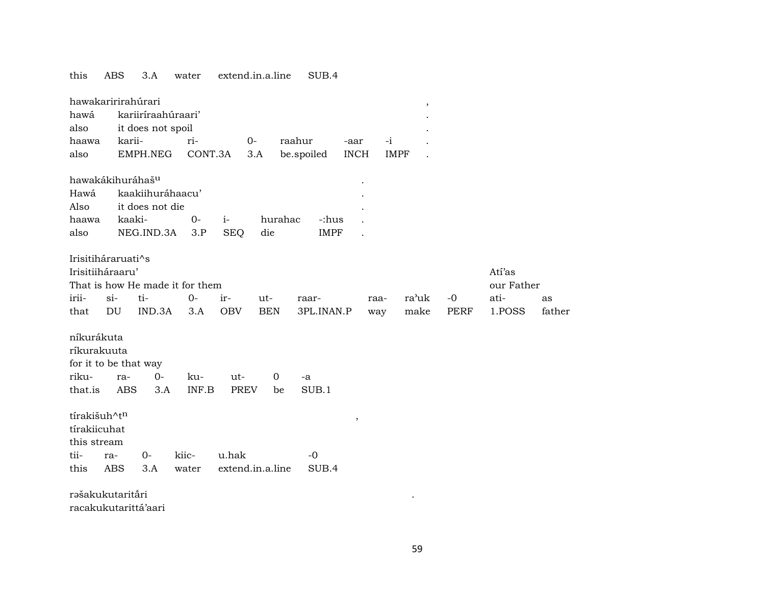this ABS 3.A water extend.in.a.line SUB.4

|              | hawakaririrahúrari    |                    |                                 |             |                  |                      |             |               | $\, ,$ |            |        |
|--------------|-----------------------|--------------------|---------------------------------|-------------|------------------|----------------------|-------------|---------------|--------|------------|--------|
| hawá         |                       | kariiríraahúraari' |                                 |             |                  |                      |             |               |        |            |        |
| also         |                       | it does not spoil  |                                 |             |                  |                      |             |               |        |            |        |
| haawa        | karii-                |                    | ri-                             |             | $0-$             | raahur               | -aar        | $-i$          |        |            |        |
| also         |                       | EMPH.NEG           | CONT.3A                         |             | 3.A              | be.spoiled           | <b>INCH</b> | <b>IMPF</b>   |        |            |        |
|              |                       |                    |                                 |             |                  |                      |             |               |        |            |        |
|              | hawakákihuráhašu      |                    |                                 |             |                  |                      |             |               |        |            |        |
| Hawá         |                       | kaakiihuráhaacu'   |                                 |             |                  |                      |             |               |        |            |        |
| Also         |                       | it does not die    |                                 |             |                  |                      |             |               |        |            |        |
| haawa        | kaaki-                |                    | $0-$                            | $i-$        |                  | hurahac              | -:hus       |               |        |            |        |
| also         |                       | NEG.IND.3A         | 3.P                             | <b>SEQ</b>  | die              |                      | <b>IMPF</b> |               |        |            |        |
|              |                       |                    |                                 |             |                  |                      |             |               |        |            |        |
|              | Irisitiháraruati^s    |                    |                                 |             |                  |                      |             |               |        |            |        |
|              | Irisitiiháraaru'      |                    |                                 |             |                  |                      |             |               |        | Atí'as     |        |
|              |                       |                    | That is how He made it for them |             |                  |                      |             |               |        | our Father |        |
| irii-        | $si-$                 | ti-                | $0-$                            | ir-         | ut-              | raar-                |             | ra'uk<br>raa- | $-0$   | ati-       | as     |
| that         | DU                    | IND.3A             | 3.A                             | <b>OBV</b>  | <b>BEN</b>       | 3PL.INAN.P           |             | make<br>way   | PERF   | 1.POSS     | father |
|              |                       |                    |                                 |             |                  |                      |             |               |        |            |        |
| níkurákuta   |                       |                    |                                 |             |                  |                      |             |               |        |            |        |
| ríkurakuuta  |                       |                    |                                 |             |                  |                      |             |               |        |            |        |
|              | for it to be that way |                    |                                 |             |                  |                      |             |               |        |            |        |
| riku-        | ra-                   | $0-$               | ku-                             | ut-         |                  | $\overline{0}$<br>-a |             |               |        |            |        |
| that.is      | <b>ABS</b>            | 3.A                | INF.B                           | <b>PREV</b> |                  | SUB.1<br>be          |             |               |        |            |        |
|              |                       |                    |                                 |             |                  |                      |             |               |        |            |        |
| tírakišuh^tn |                       |                    |                                 |             |                  |                      | $\, ,$      |               |        |            |        |
| tírakiicuhat |                       |                    |                                 |             |                  |                      |             |               |        |            |        |
| this stream  |                       |                    |                                 |             |                  |                      |             |               |        |            |        |
| tii-         | ra-                   | $0-$               | kiic-                           | u.hak       |                  | $-0$                 |             |               |        |            |        |
| this         | <b>ABS</b>            | 3.A                | water                           |             | extend.in.a.line | SUB.4                |             |               |        |            |        |
|              |                       |                    |                                 |             |                  |                      |             |               |        |            |        |
|              | rašakukutaritāri      |                    |                                 |             |                  |                      |             |               |        |            |        |
|              | racakukutarittá'aari  |                    |                                 |             |                  |                      |             |               |        |            |        |

59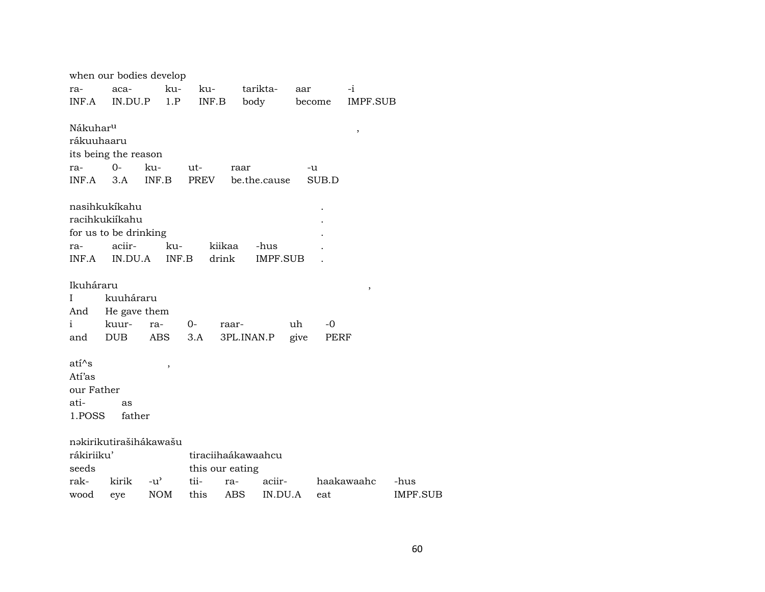|                      | when our bodies develop |               |                 |                    |              |                    |
|----------------------|-------------------------|---------------|-----------------|--------------------|--------------|--------------------|
| ra-                  | aca-                    | ku-           | ku-             | tarikta-           | aar          | -i                 |
| INF.A                | IN.DU.P                 | 1.P           | INF.B           | body               | become       | IMPF.SUB           |
|                      |                         |               |                 |                    |              |                    |
| Nákuhar <sup>u</sup> |                         |               |                 |                    |              | $\, ,$             |
| rákuuhaaru           |                         |               |                 |                    |              |                    |
|                      | its being the reason    |               |                 |                    |              |                    |
| ra-                  | $O -$                   | ku-           | ut-             | raar               | -u           |                    |
| INF.A                | 3.A                     | INF.B         | PREV            | be.the.cause       | SUB.D        |                    |
|                      |                         |               |                 |                    |              |                    |
|                      | nasihkukíkahu           |               |                 |                    |              |                    |
|                      | racihkukiíkahu          |               |                 |                    |              |                    |
|                      | for us to be drinking   |               |                 |                    |              |                    |
| ra-                  | aciir-                  | ku-           | kiikaa          | -hus               |              |                    |
| INF.A                | IN.DU.A                 | INF.B         | drink           | <b>IMPF.SUB</b>    |              |                    |
|                      |                         |               |                 |                    |              |                    |
| Ikuháraru            |                         |               |                 |                    |              | ,                  |
| I                    | kuuháraru               |               |                 |                    |              |                    |
| And                  | He gave them            |               |                 |                    |              |                    |
| $\mathbf{i}$         | kuur-                   | ra-           | $O-$<br>raar-   |                    | uh<br>$-0$   |                    |
| and                  | <b>DUB</b>              | ABS           | 3.A             | 3PL.INAN.P         | give<br>PERF |                    |
|                      |                         |               |                 |                    |              |                    |
| $ati^s$              |                         | $\, ,$        |                 |                    |              |                    |
| Atí'as               |                         |               |                 |                    |              |                    |
| our Father           |                         |               |                 |                    |              |                    |
| ati-                 | as                      |               |                 |                    |              |                    |
| 1.POSS               | father                  |               |                 |                    |              |                    |
|                      |                         |               |                 |                    |              |                    |
|                      | nakirikutirašihákawašu  |               |                 |                    |              |                    |
| rákiriiku'           |                         |               |                 | tiraciihaákawaahcu |              |                    |
| seeds                |                         |               | this our eating |                    |              |                    |
| rak-                 | kirik                   | $-u^{\prime}$ | tii-<br>ra-     | aciir-             |              | haakawaahc<br>-hus |
| wood                 | eye                     | <b>NOM</b>    | this            | ABS<br>IN.DU.A     | eat          | IMPF.SUB           |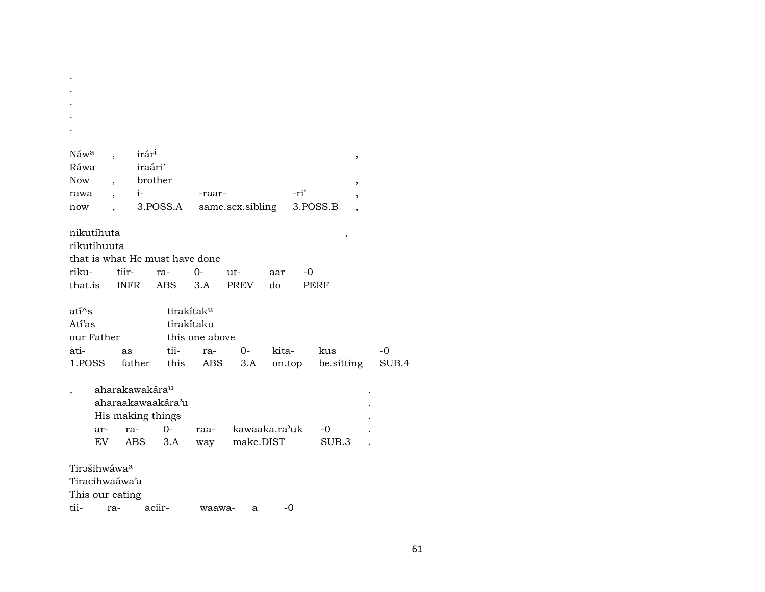| Náw <sup>a</sup><br>Ráwa<br><b>Now</b><br>rawa<br>now |                                |                            | irár <sup>i</sup><br>iraári'<br>brother<br>$i$ - $\sim$ | 3.POSS.A                                               | -raar-                                     | same.sex.sibling           |       | -ri' | 3.POSS.B                 | ,<br>,<br>, |               |
|-------------------------------------------------------|--------------------------------|----------------------------|---------------------------------------------------------|--------------------------------------------------------|--------------------------------------------|----------------------------|-------|------|--------------------------|-------------|---------------|
| nikutíhuta<br>rikutíhuuta                             |                                |                            |                                                         |                                                        |                                            |                            |       |      | $\, ,$                   |             |               |
|                                                       |                                |                            |                                                         | that is what He must have done                         |                                            |                            |       |      |                          |             |               |
| riku-                                                 |                                | tiir-                      |                                                         | ra-                                                    | $0-$                                       | ut-                        | aar   | -0   |                          |             |               |
|                                                       | that.is                        |                            | INFR                                                    | ABS                                                    | 3.A                                        | PREV                       | do    |      | PERF                     |             |               |
| $ati^s$<br>Atí'as<br>ati-                             | our Father<br>1.POSS           | as                         | father                                                  | tirakítak <sup>u</sup><br>tii-<br>this                 | tirakítaku<br>this one above<br>ra-<br>ABS | $O -$<br>3.A               | kita- |      | kus<br>on.top be.sitting |             | $-0$<br>SUB.4 |
|                                                       | ar-<br>EV.                     | aharakawakára <sup>u</sup> | $ra-$<br>ABS                                            | aharaakawaakára'u<br>His making things<br>$O -$<br>3.A | raa-<br>way                                | kawaaka.ra'uk<br>make.DIST |       |      | -0<br>SUB.3              |             |               |
| This our eating<br>tii- ra- aciir-                    | Tirašihwáwaa<br>Tiracihwaáwa'a |                            |                                                         |                                                        | waawa-                                     | a                          |       | -0   |                          |             |               |

 $\sim$  $\sim$  $\sim$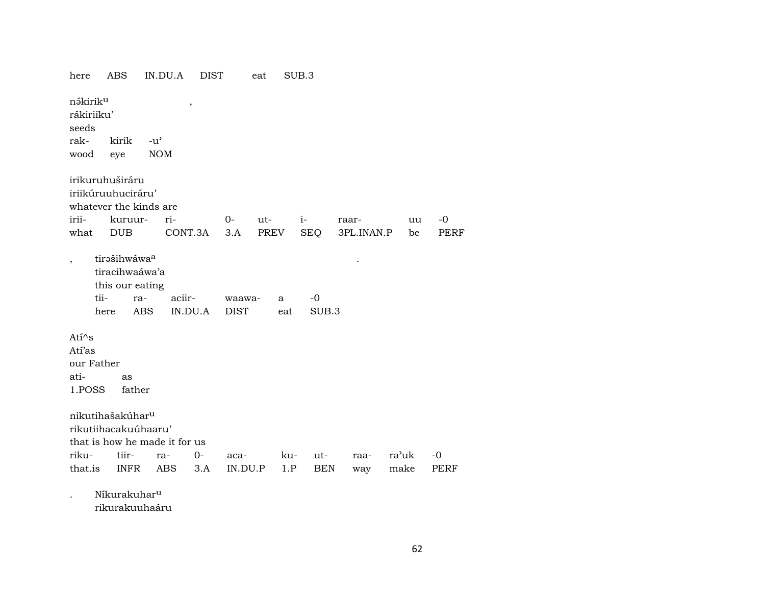| here                                        | <b>ABS</b>                                                               | IN.DU.A                       | <b>DIST</b> |                       | eat  |          | SUB.3         |       |            |       |    |             |
|---------------------------------------------|--------------------------------------------------------------------------|-------------------------------|-------------|-----------------------|------|----------|---------------|-------|------------|-------|----|-------------|
| nákirik <sup>u</sup><br>rákiriiku'<br>seeds |                                                                          |                               | $\, ,$      |                       |      |          |               |       |            |       |    |             |
| rak-                                        | kirik                                                                    | $-u^{\prime}$                 |             |                       |      |          |               |       |            |       |    |             |
| wood                                        | eye                                                                      | <b>NOM</b>                    |             |                       |      |          |               |       |            |       |    |             |
|                                             | irikuruhuširáru<br>iriikúruuhuciráru'<br>whatever the kinds are          |                               |             |                       |      |          |               |       |            |       |    |             |
| irii-                                       | kuruur-                                                                  | ri-                           |             | $0-$                  | ut-  |          | $i-$          | raar- |            |       | uu | $-0$        |
| what                                        | <b>DUB</b>                                                               |                               | CONT.3A     | 3.A                   | PREV |          | <b>SEQ</b>    |       | 3PL.INAN.P |       | be | <b>PERF</b> |
| $\overline{\phantom{a}}$                    | tirašihwáwaa<br>tiracihwaáwa'a<br>this our eating<br>tii-<br>ra-<br>here | aciir-<br><b>ABS</b>          | IN.DU.A     | waawa-<br><b>DIST</b> |      | a<br>eat | $-0$<br>SUB.3 |       |            |       |    |             |
| $Ati^s$                                     |                                                                          |                               |             |                       |      |          |               |       |            |       |    |             |
| Atí'as                                      |                                                                          |                               |             |                       |      |          |               |       |            |       |    |             |
| our Father                                  |                                                                          |                               |             |                       |      |          |               |       |            |       |    |             |
| ati-                                        | as                                                                       |                               |             |                       |      |          |               |       |            |       |    |             |
| 1.POSS                                      | father                                                                   |                               |             |                       |      |          |               |       |            |       |    |             |
|                                             | nikutihašakúhar <sup>u</sup><br>rikutiihacakuúhaaru'                     | that is how he made it for us |             |                       |      |          |               |       |            |       |    |             |
| riku-                                       | tiir-                                                                    | ra-                           | 0-          | aca-                  |      | ku-      | ut-           |       | raa-       | ra'uk |    | $-0$        |
| that.is                                     | <b>INFR</b>                                                              | ABS                           | 3.A         | IN.DU.P               |      | 1.P      | <b>BEN</b>    |       | way        | make  |    | PERF        |
|                                             | Níkurakuhar <sup>u</sup>                                                 |                               |             |                       |      |          |               |       |            |       |    |             |

rikurakuuhaáru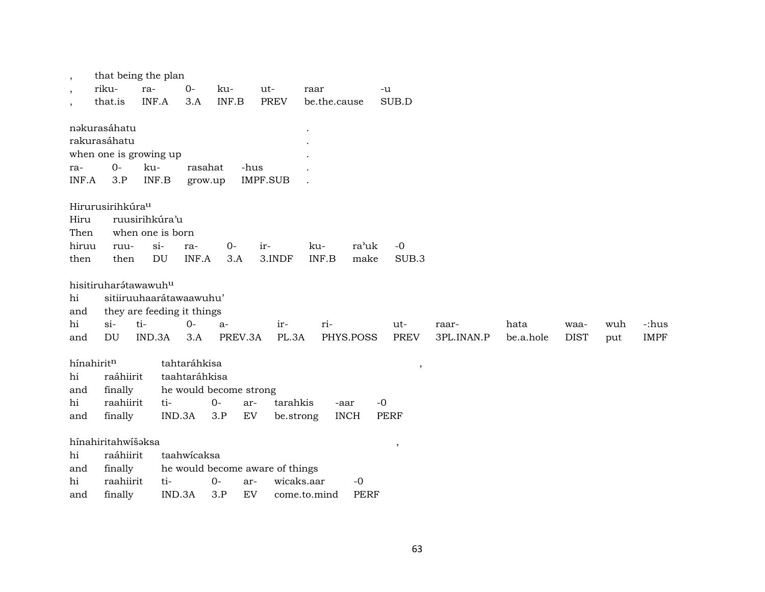| $\cdot$       | that being the plan          |                            |               |                        |                                 |                          |             |                          |            |           |             |     |             |
|---------------|------------------------------|----------------------------|---------------|------------------------|---------------------------------|--------------------------|-------------|--------------------------|------------|-----------|-------------|-----|-------------|
| $\cdot$       | riku-                        | ra-                        | $0-$          | ku-                    | ut-                             | raar                     | -u          |                          |            |           |             |     |             |
| $\cdot$       | that.is                      | INF.A                      | 3.A           | INF.B                  | <b>PREV</b>                     | be.the.cause             |             | SUB.D                    |            |           |             |     |             |
|               |                              |                            |               |                        |                                 |                          |             |                          |            |           |             |     |             |
|               | nəkurasáhatu                 |                            |               |                        |                                 |                          |             |                          |            |           |             |     |             |
|               | rakurasáhatu                 |                            |               |                        |                                 |                          |             |                          |            |           |             |     |             |
|               | when one is growing up       |                            |               |                        |                                 |                          |             |                          |            |           |             |     |             |
| ra-           | $O-$                         | ku-                        | rasahat       |                        | -hus                            |                          |             |                          |            |           |             |     |             |
| INF.A         | 3.P                          | INF.B                      | grow.up       |                        | <b>IMPF.SUB</b>                 |                          |             |                          |            |           |             |     |             |
|               |                              |                            |               |                        |                                 |                          |             |                          |            |           |             |     |             |
|               | Hirurusirihkúra <sup>u</sup> |                            |               |                        |                                 |                          |             |                          |            |           |             |     |             |
| Hiru          |                              | ruusirihkúra'u             |               |                        |                                 |                          |             |                          |            |           |             |     |             |
| Then<br>hiruu |                              | when one is born<br>$si$ - |               | $0-$                   | ir-                             | ku-                      | ra'uk       | $-0$                     |            |           |             |     |             |
| then          | ruu-<br>then                 | <b>DU</b>                  | ra-<br>INF.A  | 3.A                    | 3.INDF                          | INF.B                    | make        | SUB.3                    |            |           |             |     |             |
|               |                              |                            |               |                        |                                 |                          |             |                          |            |           |             |     |             |
|               | hisitiruharátawawuhu         |                            |               |                        |                                 |                          |             |                          |            |           |             |     |             |
| hi            |                              | sitiiruuhaarátawaawuhu'    |               |                        |                                 |                          |             |                          |            |           |             |     |             |
| and           |                              | they are feeding it things |               |                        |                                 |                          |             |                          |            |           |             |     |             |
| hi            | $si$ -                       | ti-                        | $0-$          | a-                     | ir-                             | ri-                      |             | ut-                      | raar-      | hata      | waa-        | wuh | -:hus       |
| and           | DU                           | IND.3A                     | 3.A           | PREV.3A                | PL.3A                           | PHYS.POSS                |             | <b>PREV</b>              | 3PL.INAN.P | be.a.hole | <b>DIST</b> | put | <b>IMPF</b> |
|               |                              |                            |               |                        |                                 |                          |             |                          |            |           |             |     |             |
| hínahiritn    |                              |                            | tahtaráhkisa  |                        |                                 |                          |             | $\overline{\phantom{a}}$ |            |           |             |     |             |
| hi            | raáhiirit                    |                            | taahtaráhkisa |                        |                                 |                          |             |                          |            |           |             |     |             |
| and           | finally                      |                            |               | he would become strong |                                 |                          |             |                          |            |           |             |     |             |
| hi            | raahiirit                    | ti-                        |               | $O -$                  | tarahkis<br>ar-                 | -aar                     | $-0$        |                          |            |           |             |     |             |
| and           | finally                      |                            | IND.3A        | 3.P                    | EV                              | <b>INCH</b><br>be.strong |             | <b>PERF</b>              |            |           |             |     |             |
|               |                              |                            |               |                        |                                 |                          |             |                          |            |           |             |     |             |
|               | hínahiritahwíšaksa           |                            |               |                        |                                 |                          |             | $\,$                     |            |           |             |     |             |
| hi            | raáhiirit                    |                            | taahwicaksa   |                        |                                 |                          |             |                          |            |           |             |     |             |
| and           | finally                      |                            |               |                        | he would become aware of things |                          |             |                          |            |           |             |     |             |
| hi            | raahiirit                    | ti-                        |               | $0-$                   | ar-                             | wicaks.aar               | $-0$        |                          |            |           |             |     |             |
| and           | finally                      |                            | IND.3A        | 3.P                    | EV                              | come.to.mind             | <b>PERF</b> |                          |            |           |             |     |             |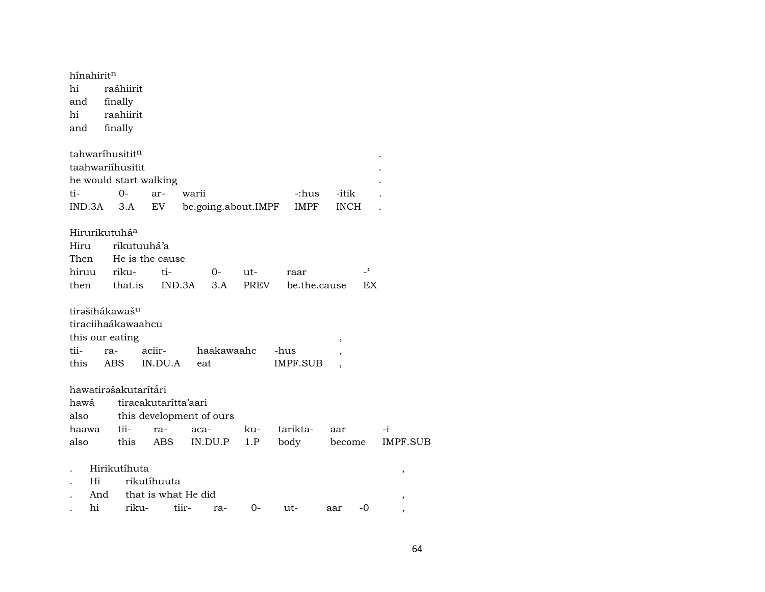| hínahirit <sup>n</sup><br>hi<br>and<br>hi<br>and | raáhiirit<br>finally<br>raahiirit<br>finally |                        |                          |      |              |                          |                 |
|--------------------------------------------------|----------------------------------------------|------------------------|--------------------------|------|--------------|--------------------------|-----------------|
|                                                  | tahwaríhusititn                              |                        |                          |      |              |                          |                 |
|                                                  | taahwariihusitit                             |                        |                          |      |              |                          |                 |
|                                                  |                                              | he would start walking |                          |      |              |                          |                 |
| ti-                                              | $0-$                                         | ar-                    | warii                    |      | -:hus        | -itik                    |                 |
| IND.3A                                           | 3.A                                          | EV                     | be.going.about.IMPF      |      | <b>IMPF</b>  | <b>INCH</b>              |                 |
|                                                  | Hirurikutuhá <sup>a</sup>                    |                        |                          |      |              |                          |                 |
| Hiru                                             |                                              | rikutuuhá'a            |                          |      |              |                          |                 |
| Then                                             |                                              | He is the cause        |                          |      |              |                          |                 |
| hiruu                                            | riku-                                        | ti-                    | $0-$                     | ut-  | raar         | $\overline{\phantom{0}}$ |                 |
| then                                             | that.is                                      |                        | IND.3A<br>3.A            | PREV | be.the.cause | EX                       |                 |
|                                                  | tirašihákawaš <sup>u</sup>                   |                        |                          |      |              |                          |                 |
|                                                  | tiraciihaákawaahcu                           |                        |                          |      |              |                          |                 |
|                                                  | this our eating                              |                        |                          |      |              | ,                        |                 |
| tii-                                             | ra-                                          | aciir-                 | haakawaahc               |      | -hus         |                          |                 |
| this                                             | ABS                                          | IN.DU.A                | eat                      |      | IMPF.SUB     |                          |                 |
|                                                  | hawatirəšakutarítåri                         |                        |                          |      |              |                          |                 |
| hawá                                             |                                              | tiracakutarítta'aari   |                          |      |              |                          |                 |
| also                                             |                                              |                        | this development of ours |      |              |                          |                 |
| haawa                                            | tii-                                         | ra-                    | aca-                     | ku-  | tarikta-     | aar                      | $-i$            |
| also                                             | this                                         | ABS                    | IN.DU.P                  | 1.P  | body         | become                   | <b>IMPF.SUB</b> |
|                                                  | Hirikutíhuta                                 |                        |                          |      |              |                          | ,               |
| Hi                                               |                                              | rikutíhuuta            |                          |      |              |                          |                 |
| And                                              |                                              | that is what He did    |                          |      |              |                          | $\,$            |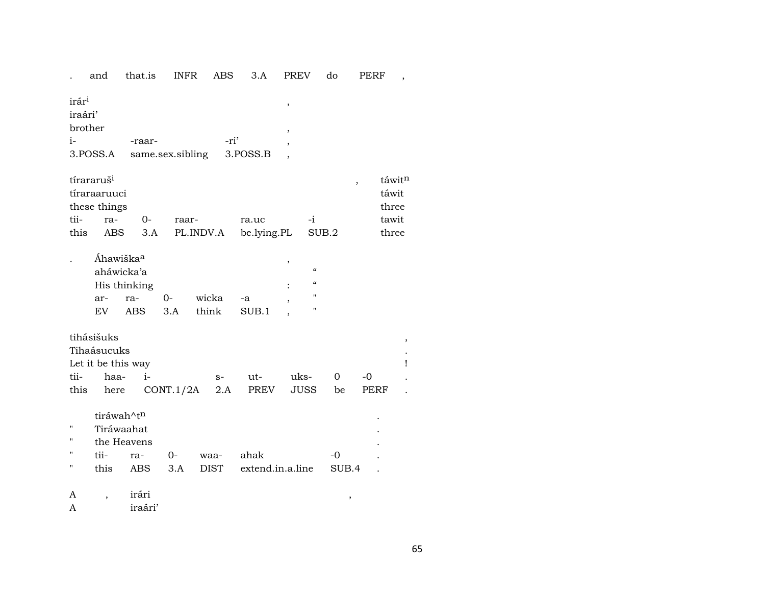|                                               | and                                                                  | that.is                           | <b>INFR</b>        | <b>ABS</b>          | 3.A                      | <b>PREV</b>         | do                                                  | PERF       |                                            |
|-----------------------------------------------|----------------------------------------------------------------------|-----------------------------------|--------------------|---------------------|--------------------------|---------------------|-----------------------------------------------------|------------|--------------------------------------------|
| irár <sup>i</sup><br>iraári'<br>brother<br>i- | 3.POSS.A                                                             | -raar-                            | same.sex.sibling   | -ri'                | 3.POSS.B                 | ,<br>$\overline{ }$ |                                                     |            |                                            |
| tii-<br>this                                  | tírararuš <sup>i</sup><br>tíraraaruuci<br>these things<br>ra-<br>ABS | $0-$<br>3.A                       | raar-<br>PL.INDV.A |                     | ra.uc<br>be.lying.PL     |                     | -i<br>SUB.2                                         |            | táwitn<br>táwit<br>three<br>tawit<br>three |
|                                               | Áhawiška <sup>a</sup><br>aháwicka'a<br>ar-<br>EV                     | His thinking<br>ra-<br><b>ABS</b> | $0-$<br>3.A        | wicka<br>think      | -a<br>SUB.1              | ,                   | $\epsilon\epsilon$<br>$\epsilon\epsilon$<br>11<br>н |            |                                            |
| tii-<br>this                                  | tihásišuks<br>Tihaásucuks<br>Let it be this way<br>haa-<br>here      | $i-$                              | CONT.1/2A          | $S-$<br>2.A         | ut-<br>PREV              | uks-<br><b>JUSS</b> | 0<br>be                                             | -0<br>PERF | $\,$<br>Ţ                                  |
| П<br>п<br>п<br>Н                              | tiráwah^tn<br>Tiráwaahat<br>tii-<br>this                             | the Heavens<br>ra-<br><b>ABS</b>  | $0-$<br>3.A        | waa-<br><b>DIST</b> | ahak<br>extend.in.a.line |                     | -0                                                  | SUB.4      |                                            |
| A<br>A                                        | $\overline{ }$                                                       | irári<br>iraári'                  |                    |                     |                          |                     |                                                     | ,          |                                            |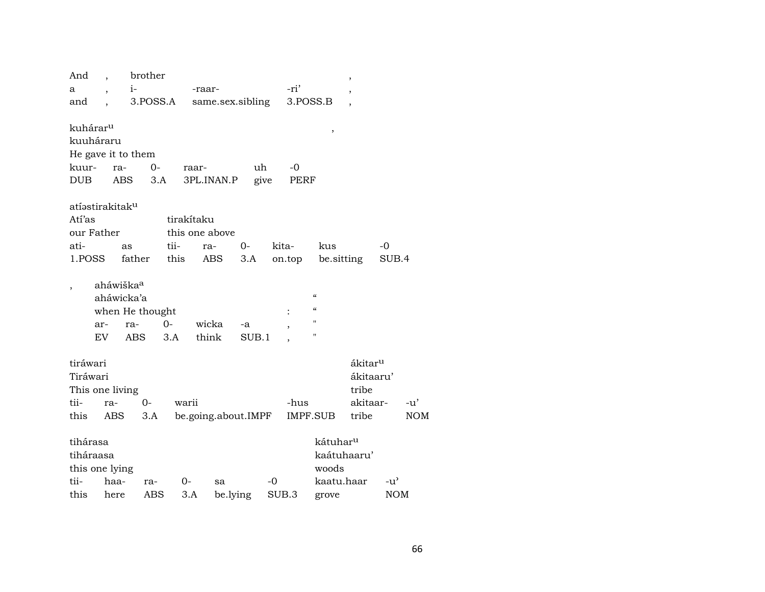| And                         | $\cdot$ | brother               |          |                     |       |        |          |                          | $\, ,$              |            |            |
|-----------------------------|---------|-----------------------|----------|---------------------|-------|--------|----------|--------------------------|---------------------|------------|------------|
| а                           |         | $i-$                  |          | -raar-              |       |        | -ri'     |                          | ,                   |            |            |
| and                         |         |                       | 3.POSS.A | same.sex.sibling    |       |        | 3.POSS.B |                          |                     |            |            |
|                             |         |                       |          |                     |       |        |          |                          |                     |            |            |
| kuhárar <sup>u</sup>        |         |                       |          |                     |       |        |          | $\,$                     |                     |            |            |
| kuuháraru                   |         |                       |          |                     |       |        |          |                          |                     |            |            |
|                             |         | He gave it to them    |          |                     |       |        |          |                          |                     |            |            |
| kuur-                       | ra-     |                       | $0-$     | raar-               | uh    |        | -0       |                          |                     |            |            |
| <b>DUB</b>                  |         | <b>ABS</b>            | 3.A      | 3PL.INAN.P          | give  |        | PERF     |                          |                     |            |            |
|                             |         |                       |          |                     |       |        |          |                          |                     |            |            |
| atíəstirakitak <sup>u</sup> |         |                       |          |                     |       |        |          |                          |                     |            |            |
| Atí'as                      |         |                       |          | tirakítaku          |       |        |          |                          |                     |            |            |
| our Father                  |         |                       |          | this one above      |       |        |          |                          |                     |            |            |
| ati-                        |         | as                    | tii-     | ra-                 | $0-$  | kita-  |          | kus                      |                     | -0         |            |
| 1.POSS                      |         | father                | this     | ABS                 | 3.A   | on.top |          | be sitting               |                     | SUB.4      |            |
|                             |         |                       |          |                     |       |        |          |                          |                     |            |            |
|                             |         | aháwiška <sup>a</sup> |          |                     |       |        |          | $\pmb{\zeta}\pmb{\zeta}$ |                     |            |            |
|                             |         | aháwicka'a            |          |                     |       |        |          | $\pmb{\zeta}\pmb{\zeta}$ |                     |            |            |
|                             |         | when He thought       |          |                     |       |        |          | $\mathbf{H}$             |                     |            |            |
|                             | ar-     | ra-                   | $0-$     | wicka               | -a    |        |          | п                        |                     |            |            |
|                             | EV.     | ABS                   | 3.A      | think               | SUB.1 |        |          |                          |                     |            |            |
| tiráwari                    |         |                       |          |                     |       |        |          |                          | ákitar <sup>u</sup> |            |            |
| Tiráwari                    |         |                       |          |                     |       |        |          |                          | ákitaaru'           |            |            |
| This one living             |         |                       |          |                     |       |        |          |                          | tribe               |            |            |
| tii-                        | ra-     | $O -$                 | warii    |                     |       |        | -hus     |                          | akitaar-            |            | $-u'$      |
| this                        |         | 3.A                   |          | be.going.about.IMPF |       |        |          | IMPF.SUB                 | tribe               |            | <b>NOM</b> |
|                             | ABS     |                       |          |                     |       |        |          |                          |                     |            |            |
| tihárasa                    |         |                       |          |                     |       |        |          | kátuhar <sup>u</sup>     |                     |            |            |
| tiháraasa                   |         |                       |          |                     |       |        |          | kaátuhaaru'              |                     |            |            |
| this one lying              |         |                       |          |                     |       |        |          | woods                    |                     |            |            |
| tii-                        | haa-    | ra-                   | 0-       | sa                  |       | $-0$   |          | kaatu.haar               |                     | -u'        |            |
| this                        | here    | ABS                   | 3.A      | be.lying            |       | SUB.3  |          | grove                    |                     | <b>NOM</b> |            |
|                             |         |                       |          |                     |       |        |          |                          |                     |            |            |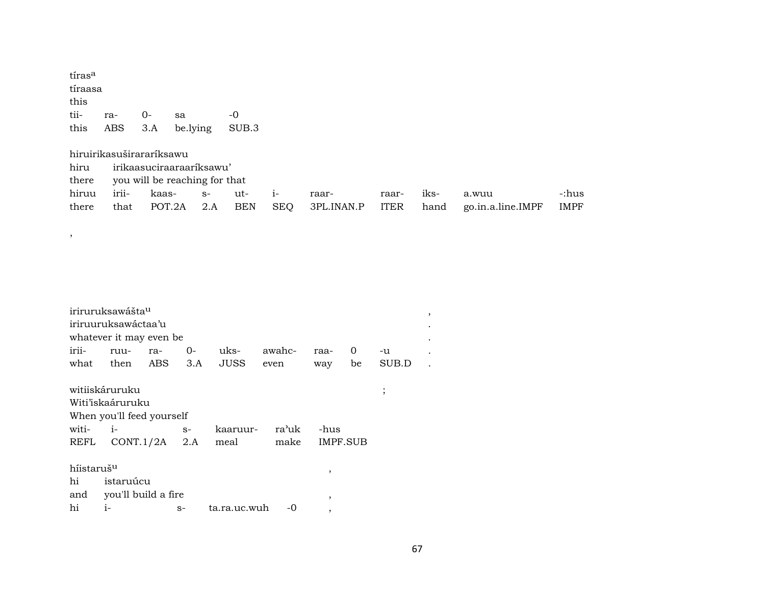| tíras <sup>a</sup><br>tíraasa<br>this |     |                          |                                                           |       |
|---------------------------------------|-----|--------------------------|-----------------------------------------------------------|-------|
| tii-                                  | ra- | 0-                       | sa                                                        | -0    |
| this                                  | ABS | 3.A                      | be.lying                                                  | SUB.3 |
| hiru<br>there                         |     | hiruirikasuširararíksawu | irikaasuciraaraariksawu'<br>you will be reaching for that |       |

|  | hiruu irii- kaas- s- ut- i- raar- |  |  | raar- iks- a.wuu |                                                                           | -:hus |
|--|-----------------------------------|--|--|------------------|---------------------------------------------------------------------------|-------|
|  |                                   |  |  |                  | there that POT.2A 2.A BEN SEQ 3PL.INAN.P ITER hand go.in.a.line.IMPF IMPF |       |

|                        | iriruruksawášta <sup>u</sup> |     |      |              |        |                |    |         |
|------------------------|------------------------------|-----|------|--------------|--------|----------------|----|---------|
|                        | iriruuruksawáctaa'u          |     |      |              |        |                |    |         |
|                        | whatever it may even be      |     |      |              |        |                |    |         |
| irii-                  | ruu-                         | ra- | $O-$ | uks-         | awahc- | raa-           | 0  | -u      |
|                        | what then ABS                |     | 3.A  | JUSS         | even   | way            | be | SUB.D   |
|                        | witiiskáruruku               |     |      |              |        |                |    | $\cdot$ |
|                        | Witi'iskaáruruku             |     |      |              |        |                |    |         |
|                        | When you'll feed yourself    |     |      |              |        |                |    |         |
| witi-                  | $i-$                         |     | $S-$ | kaaruur-     | ra'uk  | -hus           |    |         |
| REFL                   | $CONT.1/2A$ 2.A              |     |      | meal         | make   | IMPF.SUB       |    |         |
| híistaruš <sup>u</sup> |                              |     |      |              |        | $\overline{ }$ |    |         |
| hi                     | istaruúcu                    |     |      |              |        |                |    |         |
|                        | and you'll build a fire      |     |      |              |        | ,              |    |         |
| hi                     | $i-$                         |     | $S-$ | ta.ra.uc.wuh | -0     |                |    |         |

 $\overline{\phantom{a}}$ 

 $\cdot$ 

 $\ddot{\phantom{a}}$  $\bullet$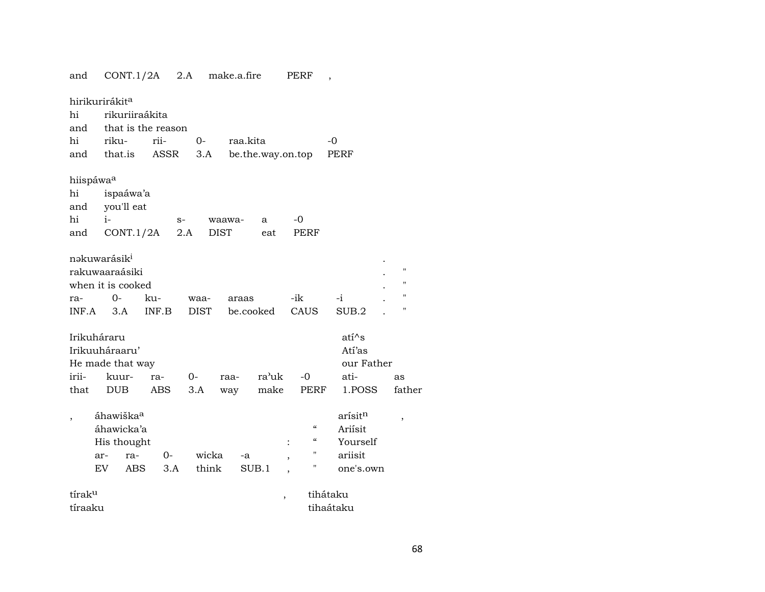| and                                             | CONT.1/2A                                                                      |                                    | 2.A                 | make.a.fire           |                   | PERF                                                                       | $\overline{\phantom{a}}$                               |                                              |
|-------------------------------------------------|--------------------------------------------------------------------------------|------------------------------------|---------------------|-----------------------|-------------------|----------------------------------------------------------------------------|--------------------------------------------------------|----------------------------------------------|
| hi<br>and<br>hi<br>and                          | hirikurirákita<br>rikuriiraákita<br>riku-<br>that.is                           | that is the reason<br>rii-<br>ASSR | $O -$<br>3.A        | raa.kita              | be.the.way.on.top |                                                                            | -0<br>PERF                                             |                                              |
| hiispáwa <sup>a</sup><br>hi<br>and<br>hi<br>and | ispaáwa'a<br>you'll eat<br>$i-$<br>CONT.1/2A                                   |                                    | $S-$<br>2.A         | waawa-<br><b>DIST</b> | a<br>eat          | -0<br>PERF                                                                 |                                                        |                                              |
| ra-<br>INF.A                                    | nəkuwarásik <sup>i</sup><br>rakuwaaraásiki<br>when it is cooked<br>$0-$<br>3.A | ku-<br>INF.B                       | waa-<br><b>DIST</b> | araas                 | be.cooked         | -ik<br>CAUS                                                                | $-i$<br>SUB.2                                          | п<br>$\pmb{\mathsf{H}}$<br>п<br>$\mathbf{H}$ |
| Irikuháraru<br>irii-<br>that                    | Irikuuháraaru'<br>He made that way<br>kuur-<br><b>DUB</b>                      | ra-<br>ABS                         | $0-$<br>3.A         | raa-<br>way           | ra'uk<br>make     | $-0$<br>PERF                                                               | atí^s<br>Atí'as<br>our Father<br>ati-<br>1.POSS        | as<br>father                                 |
|                                                 | áhawiška <sup>a</sup><br>áhawicka'a<br>His thought<br>ar-<br>ra-<br>EV<br>ABS  | $O -$<br>3.A                       | wicka<br>think      | -a                    | SUB.1             | $\mathcal{C}$<br>$\boldsymbol{\varsigma}\boldsymbol{\varsigma}$<br>11<br>П | arísitn<br>Ariísit<br>Yourself<br>ariisit<br>one's.own | $\, ,$                                       |
| tírak <sup>u</sup><br>tíraaku                   |                                                                                |                                    |                     |                       |                   |                                                                            | tihátaku<br>tihaátaku                                  |                                              |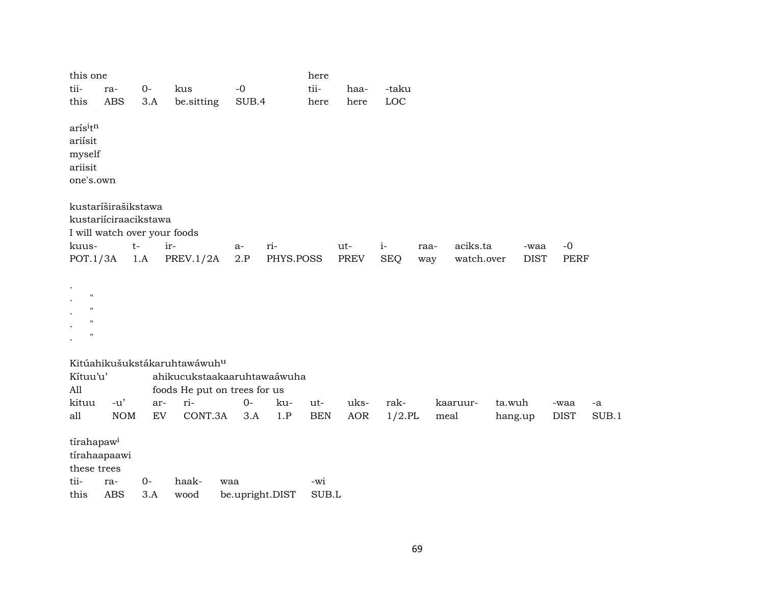| this one                |                       |              |                                          |     |               |                 | here         |              |              |      |            |             |             |       |
|-------------------------|-----------------------|--------------|------------------------------------------|-----|---------------|-----------------|--------------|--------------|--------------|------|------------|-------------|-------------|-------|
| tii-<br>this            | ra-<br><b>ABS</b>     | $O -$<br>3.A | kus<br>be.sitting                        |     | $-0$<br>SUB.4 |                 | tii-<br>here | haa-<br>here | -taku<br>LOC |      |            |             |             |       |
|                         |                       |              |                                          |     |               |                 |              |              |              |      |            |             |             |       |
| arísitn                 |                       |              |                                          |     |               |                 |              |              |              |      |            |             |             |       |
| ariísit                 |                       |              |                                          |     |               |                 |              |              |              |      |            |             |             |       |
| myself<br>ariisit       |                       |              |                                          |     |               |                 |              |              |              |      |            |             |             |       |
| one's.own               |                       |              |                                          |     |               |                 |              |              |              |      |            |             |             |       |
|                         |                       |              |                                          |     |               |                 |              |              |              |      |            |             |             |       |
|                         | kustaríširašikstawa   |              |                                          |     |               |                 |              |              |              |      |            |             |             |       |
|                         | kustariíciraacikstawa |              |                                          |     |               |                 |              |              |              |      |            |             |             |       |
|                         |                       |              | I will watch over your foods             |     |               |                 |              |              |              |      |            |             |             |       |
| kuus-                   |                       | $t-$         | ir-                                      |     | a-            | ri-             |              | ut-          | $i-$         | raa- | aciks.ta   | -waa        | $-0$        |       |
| POT.1/3A                |                       | 1.A          | PREV. $1/2A$                             |     | 2.P           | PHYS.POSS       |              | PREV         | <b>SEQ</b>   | way  | watch.over | <b>DIST</b> | <b>PERF</b> |       |
|                         |                       |              |                                          |     |               |                 |              |              |              |      |            |             |             |       |
| $\cdot$<br>$\mathbf{H}$ |                       |              |                                          |     |               |                 |              |              |              |      |            |             |             |       |
| $^{\prime}$             |                       |              |                                          |     |               |                 |              |              |              |      |            |             |             |       |
| $\blacksquare$          |                       |              |                                          |     |               |                 |              |              |              |      |            |             |             |       |
| $\mathbf{H}$            |                       |              |                                          |     |               |                 |              |              |              |      |            |             |             |       |
|                         |                       |              | Kitúahikušukstákaruhtawáwuh <sup>u</sup> |     |               |                 |              |              |              |      |            |             |             |       |
| Kítuu'u'                |                       |              | ahikucukstaakaaruhtawaáwuha              |     |               |                 |              |              |              |      |            |             |             |       |
| All                     |                       |              | foods He put on trees for us             |     |               |                 |              |              |              |      |            |             |             |       |
| kituu                   | $-u'$                 | ar-          | ri-                                      |     | $0-$          | ku-             | ut-          | uks-         | rak-         |      | kaaruur-   | ta.wuh      | -waa        | -a    |
| all                     | <b>NOM</b>            | ${\rm EV}$   | CONT.3A                                  |     | 3.A           | 1.P             | <b>BEN</b>   | AOR          | $1/2$ .PL    | meal |            | hang.up     | <b>DIST</b> | SUB.1 |
| tírahapaw <sup>i</sup>  |                       |              |                                          |     |               |                 |              |              |              |      |            |             |             |       |
|                         | tírahaapaawi          |              |                                          |     |               |                 |              |              |              |      |            |             |             |       |
| these trees             |                       |              |                                          |     |               |                 |              |              |              |      |            |             |             |       |
| tii-                    | ra-                   | $O -$        | haak-                                    | waa |               |                 | -wi          |              |              |      |            |             |             |       |
| this                    | <b>ABS</b>            | 3.A          | wood                                     |     |               | be.upright.DIST | SUB.L        |              |              |      |            |             |             |       |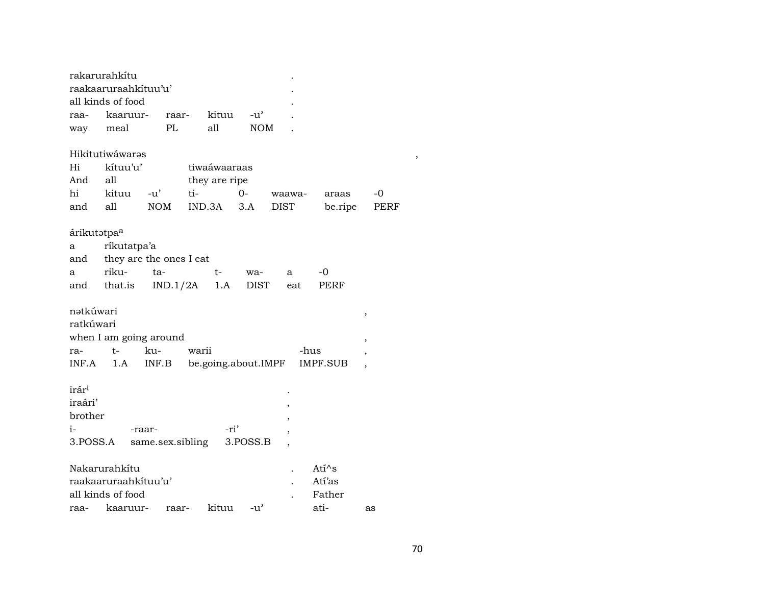|     | rakarurahkítu        |        |     |               |                    |      |        |
|-----|----------------------|--------|-----|---------------|--------------------|------|--------|
|     | raakaaruraahkituu'u' |        |     |               |                    |      | ۰      |
|     | all kinds of food    |        |     |               |                    |      | ۰      |
|     | raa- kaaruur-        | raar-  |     | kituu         | $-11$ <sup>2</sup> |      |        |
| way | meal                 | - PL   |     | all           | <b>NOM</b>         |      |        |
|     |                      |        |     |               |                    |      |        |
|     | Hikitutiwáwaras      |        |     |               |                    |      |        |
| Hi  | kítuu'u'             |        |     | tiwaáwaaraas  |                    |      |        |
| And | all                  |        |     | they are ripe |                    |      |        |
| hi  | kituu                | $-11'$ | ti- |               | $()$ -             |      | waawa- |
| and | all                  | NOM    |     | IND.3A        | 3.A                | DIST |        |

### árikutətpa $^{\rm a}$

| a ríkutatpa'a |                                   |      |       |       |
|---------------|-----------------------------------|------|-------|-------|
|               | and they are the ones I eat       |      |       |       |
| a riku- ta-   | and the contract of the           | $t-$ | wa- a | $-()$ |
|               | and that.is IND.1/2A 1.A DIST eat |      |       | PERF  |

### nətkúwari

| nətkuwarı |      |                        |                              |      |  |
|-----------|------|------------------------|------------------------------|------|--|
| ratkúwari |      |                        |                              |      |  |
|           |      | when I am going around |                              |      |  |
| ra-       | $t-$ | ku-                    | warii                        | -hus |  |
|           |      | $INF.A$ $1.A$ $INF.B$  | be.going.about.IMPF IMPF.SUB |      |  |

 $\mathcal{A}$ 

### $\mathrm{ir\acute{a}r^{i}}$

| iraári' |                                      |      |  |
|---------|--------------------------------------|------|--|
| brother |                                      |      |  |
| $i-$    | -raar-                               | -ri' |  |
|         | 3. POSS.A same.sex.sibling 3. POSS.B |      |  |

| Nakarurahkitu             | Ati $\wedge$ s |       |        |    |
|---------------------------|----------------|-------|--------|----|
| raakaaruraahkituu'u'      | Atí'as         |       |        |    |
| all kinds of food         |                |       | Father |    |
| raa- kaaruur- raar- kituu |                | $-11$ | ati-   | as |

 $\,$  ,  $\,$ 

araas

be.ripe

 $-0$ 

PERF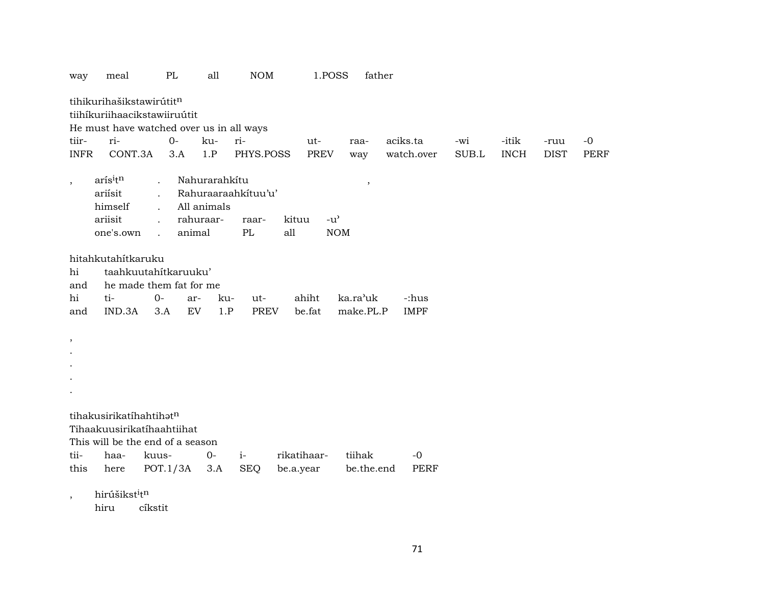| way                                      | meal                                                     | PL                      | all                 | NOM         |             | 1.POSS                            | father     |             |       |             |             |      |
|------------------------------------------|----------------------------------------------------------|-------------------------|---------------------|-------------|-------------|-----------------------------------|------------|-------------|-------|-------------|-------------|------|
|                                          | tihikurihašikstawirútitn<br>tiihíkuriihaacikstawiiruútit |                         |                     |             |             |                                   |            |             |       |             |             |      |
| He must have watched over us in all ways |                                                          |                         |                     |             |             |                                   |            |             |       |             |             |      |
| tiir-                                    | ri-                                                      | $O-$                    | ku-                 | ri-         |             | ut-                               | raa-       | aciks.ta    | -wi   | -itik       | -ruu        | $-0$ |
| <b>INFR</b>                              | CONT.3A                                                  | 3.A                     | 1.P                 | PHYS.POSS   |             | <b>PREV</b>                       | way        | watch.over  | SUB.L | <b>INCH</b> | <b>DIST</b> | PERF |
|                                          | arísitn                                                  |                         | Nahurarahkítu       |             |             |                                   |            |             |       |             |             |      |
| $\cdot$                                  | ariísit                                                  |                         | Rahuraaraahkituu'u' |             |             |                                   | $\,$       |             |       |             |             |      |
|                                          | himself                                                  |                         | All animals         |             |             |                                   |            |             |       |             |             |      |
|                                          | ariisit                                                  | $\ddot{\phantom{a}}$    | rahuraar-           | raar-       | kituu       | $-u$ <sup><math>\sim</math></sup> |            |             |       |             |             |      |
|                                          | one's.own                                                | $\ddot{\phantom{a}}$    | animal              | PL          | all         | <b>NOM</b>                        |            |             |       |             |             |      |
|                                          |                                                          |                         |                     |             |             |                                   |            |             |       |             |             |      |
|                                          | hitahkutahítkaruku                                       |                         |                     |             |             |                                   |            |             |       |             |             |      |
| hi                                       |                                                          | taahkuutahitkaruuku'    |                     |             |             |                                   |            |             |       |             |             |      |
| and                                      |                                                          | he made them fat for me |                     |             |             |                                   |            |             |       |             |             |      |
| hi                                       | ti-                                                      | $O-$                    | ar-<br>ku-          | ut-         |             | ahiht                             | ka.ra'uk   | -:hus       |       |             |             |      |
| and                                      | IND.3A                                                   | 3.A                     | 1.P<br>EV           | <b>PREV</b> |             | be.fat                            | make.PL.P  | <b>IMPF</b> |       |             |             |      |
|                                          |                                                          |                         |                     |             |             |                                   |            |             |       |             |             |      |
| $^\mathrm{^\mathrm{o}}$                  |                                                          |                         |                     |             |             |                                   |            |             |       |             |             |      |
|                                          |                                                          |                         |                     |             |             |                                   |            |             |       |             |             |      |
|                                          |                                                          |                         |                     |             |             |                                   |            |             |       |             |             |      |
|                                          |                                                          |                         |                     |             |             |                                   |            |             |       |             |             |      |
|                                          |                                                          |                         |                     |             |             |                                   |            |             |       |             |             |      |
|                                          | tihakusirikatíhahtihatn                                  |                         |                     |             |             |                                   |            |             |       |             |             |      |
|                                          | Tihaakuusirikatihaahtiihat                               |                         |                     |             |             |                                   |            |             |       |             |             |      |
|                                          | This will be the end of a season                         |                         |                     |             |             |                                   |            |             |       |             |             |      |
| tii-                                     | haa-                                                     | kuus-                   | $O -$               | $i-$        | rikatihaar- |                                   | tiihak     | $-0$        |       |             |             |      |
| this                                     | here                                                     | POT.1/3A                | 3.A                 | <b>SEQ</b>  | be.a.year   |                                   | be.the.end | PERF        |       |             |             |      |
|                                          |                                                          |                         |                     |             |             |                                   |            |             |       |             |             |      |
|                                          | hirúšikst <sup>i</sup> tn                                |                         |                     |             |             |                                   |            |             |       |             |             |      |
|                                          | $\sim$ $\sim$                                            |                         |                     |             |             |                                   |            |             |       |             |             |      |

hiru cíkstit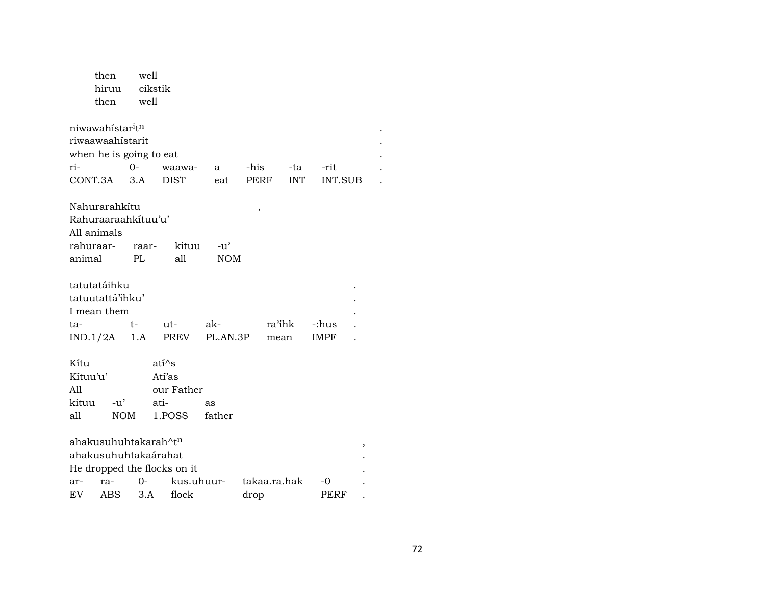|          | then                                     | well       |                             |               |      |              |                |   |
|----------|------------------------------------------|------------|-----------------------------|---------------|------|--------------|----------------|---|
|          | hiruu                                    |            | cikstik                     |               |      |              |                |   |
|          | then                                     | well       |                             |               |      |              |                |   |
|          | niwawahistar <sup>i</sup> t <sup>n</sup> |            |                             |               |      |              |                |   |
|          | riwaawaahistarit                         |            |                             |               |      |              |                |   |
|          | when he is going to eat                  |            |                             |               |      |              |                |   |
| ri-      |                                          | $0-$       | waawa-                      | a             | -his | -ta          | -rit           |   |
|          | CONT.3A                                  | 3.A        | <b>DIST</b>                 | eat           | PERF | <b>INT</b>   | <b>INT.SUB</b> |   |
|          | Nahurarahkítu                            |            |                             |               | ,    |              |                |   |
|          | Rahuraaraahkituu'u'                      |            |                             |               |      |              |                |   |
|          | All animals                              |            |                             |               |      |              |                |   |
|          | rahuraar-                                | raar-      | kituu                       | $-u^{\prime}$ |      |              |                |   |
| animal   |                                          | PL         | all                         | <b>NOM</b>    |      |              |                |   |
|          | tatutatáihku                             |            |                             |               |      |              |                |   |
|          | tatuutattá'ihku'                         |            |                             |               |      |              |                |   |
|          | I mean them                              |            |                             |               |      |              |                |   |
| ta-      |                                          | t-         | ut-                         | ak-           |      | ra'ihk       | -:hus          |   |
|          | IND.1/2A                                 | 1.A        | PREV                        | PL.AN.3P      |      | mean         | IMPF           |   |
| Kítu     |                                          |            | $ati^s$                     |               |      |              |                |   |
| Kítuu'u' |                                          |            | Atí'as                      |               |      |              |                |   |
| A11      |                                          |            | our Father                  |               |      |              |                |   |
| kituu    | -u'                                      |            | ati-                        | as            |      |              |                |   |
| all      |                                          | <b>NOM</b> | 1.POSS                      | father        |      |              |                |   |
|          |                                          |            | ahakusuhuhtakarah^tn        |               |      |              |                | , |
|          |                                          |            | ahakusuhuhtakaárahat        |               |      |              |                |   |
|          |                                          |            | He dropped the flocks on it |               |      |              |                |   |
| ar-      | ra-                                      | 0-         |                             | kus.uhuur-    |      | takaa.ra.hak | -0             |   |
| EV       | ABS                                      | 3.A        | flock                       |               | drop |              | PERF           |   |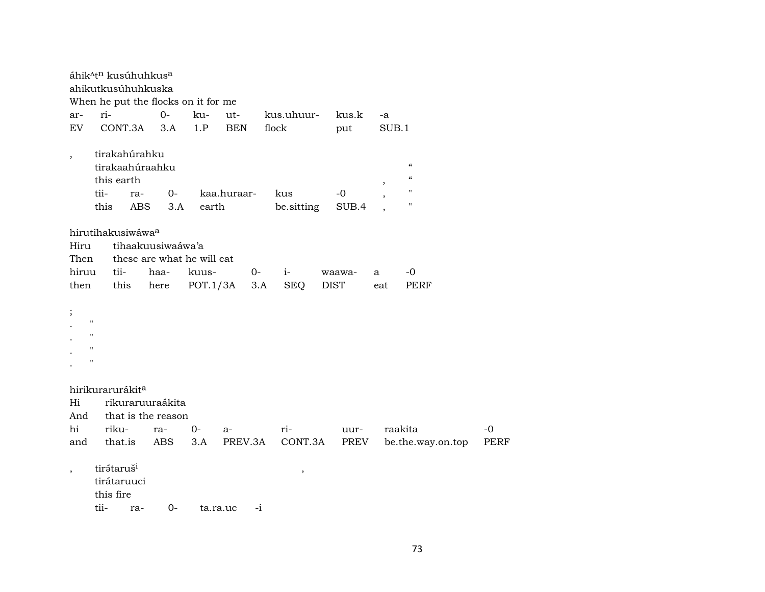|                          |                        |                   | áhik <sup>atn</sup> kusúhuhkus <sup>a</sup><br>ahikutkusúhuhkuska |          |             |      |               |             |        |         |                                        |             |
|--------------------------|------------------------|-------------------|-------------------------------------------------------------------|----------|-------------|------|---------------|-------------|--------|---------|----------------------------------------|-------------|
|                          |                        |                   | When he put the flocks on it for me                               |          |             |      |               |             |        |         |                                        |             |
| ar-                      | ri-                    |                   | $O -$                                                             | ku-      | ut-         |      | kus.uhuur-    |             | kus.k  | -a      |                                        |             |
| EV                       |                        | CONT.3A           | 3.A                                                               | 1.P      | <b>BEN</b>  |      | flock         |             | put    | SUB.1   |                                        |             |
| $\overline{\phantom{a}}$ |                        | tirakahúrahku     |                                                                   |          |             |      |               |             |        |         |                                        |             |
|                          |                        |                   | tirakaahúraahku                                                   |          |             |      |               |             |        |         | $\mathcal{C}$                          |             |
|                          |                        | this earth        |                                                                   |          |             |      |               |             |        | ,       | $\boldsymbol{\zeta}\boldsymbol{\zeta}$ |             |
|                          | tii-                   | ra-               | $0-$                                                              |          | kaa.huraar- |      | kus           |             | $-0$   |         | $\pmb{\mathsf{H}}$                     |             |
|                          | this                   | <b>ABS</b>        | 3.A                                                               | earth    |             |      | be.sitting    |             | SUB.4  |         | $\pmb{\mathsf{H}}$                     |             |
|                          |                        | hirutihakusiwáwaa |                                                                   |          |             |      |               |             |        |         |                                        |             |
| Hiru                     |                        |                   | tihaakuusiwaáwa'a                                                 |          |             |      |               |             |        |         |                                        |             |
| Then                     |                        |                   | these are what he will eat                                        |          |             |      |               |             |        |         |                                        |             |
| hiruu                    |                        | tii-              | haa-                                                              | kuus-    |             | $0-$ | $i-$          |             | waawa- | a       | -0                                     |             |
| then                     |                        | this              | here                                                              | POT.1/3A |             | 3.A  | <b>SEQ</b>    | <b>DIST</b> |        | eat     | PERF                                   |             |
| $\vdots$                 |                        |                   |                                                                   |          |             |      |               |             |        |         |                                        |             |
| $\blacksquare$           |                        |                   |                                                                   |          |             |      |               |             |        |         |                                        |             |
| $\mathbf H$              |                        |                   |                                                                   |          |             |      |               |             |        |         |                                        |             |
| $\mathbf{H}$             |                        |                   |                                                                   |          |             |      |               |             |        |         |                                        |             |
| $\blacksquare$           |                        |                   |                                                                   |          |             |      |               |             |        |         |                                        |             |
|                          |                        | hirikurarurákita  |                                                                   |          |             |      |               |             |        |         |                                        |             |
| Hi                       |                        |                   | rikuraruuraákita                                                  |          |             |      |               |             |        |         |                                        |             |
| And                      |                        |                   | that is the reason                                                |          |             |      |               |             |        |         |                                        |             |
| hi                       | riku-                  |                   | ra-                                                               | $0-$     | $a-$        |      | $ri-$         |             | uur-   | raakita |                                        | $-0$        |
| and                      |                        | that.is           | ABS                                                               | 3.A      | PREV.3A     |      | CONT.3A       |             | PREV   |         | be.the.way.on.top                      | <b>PERF</b> |
| $\overline{\phantom{a}}$ | tirátaruš <sup>i</sup> |                   |                                                                   |          |             |      | $^\mathrm{,}$ |             |        |         |                                        |             |
|                          |                        | tirátaruuci       |                                                                   |          |             |      |               |             |        |         |                                        |             |
|                          | this fire              |                   |                                                                   |          |             |      |               |             |        |         |                                        |             |
|                          | tii-                   | ra-               | $0-$                                                              |          | ta.ra.uc    | $-i$ |               |             |        |         |                                        |             |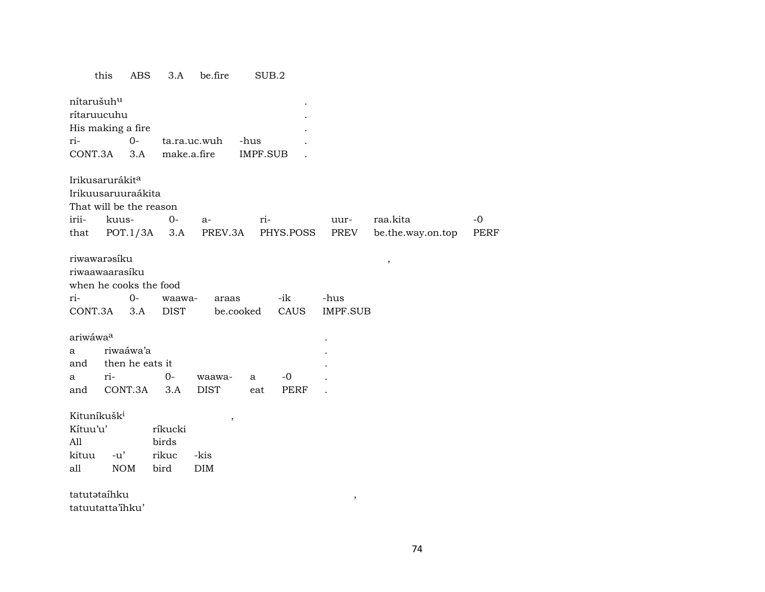## ABS 3.A be.fire  $SUB.2$ this

| nítarušuh <sup>u</sup>  |                             |             |              |           |           |                         |                   |      |
|-------------------------|-----------------------------|-------------|--------------|-----------|-----------|-------------------------|-------------------|------|
| rítaruucuhu             |                             |             |              |           |           |                         |                   |      |
|                         | His making a fire           |             |              |           |           |                         |                   |      |
| ri-                     | $0-$                        |             | ta.ra.uc.wuh | -hus      |           |                         |                   |      |
| CONT.3A                 | 3.A                         |             | make.a.fire  | IMPF.SUB  |           |                         |                   |      |
|                         |                             |             |              |           |           |                         |                   |      |
|                         | Irikusarurákit <sup>a</sup> |             |              |           |           |                         |                   |      |
|                         | Irikuusaruuraákita          |             |              |           |           |                         |                   |      |
|                         | That will be the reason     |             |              |           |           |                         |                   |      |
| irii-                   | kuus-                       | $O -$       | $a-$         | ri-       |           | uur-                    | raa.kita          | $-0$ |
| that                    | POT.1/3A                    | 3.A         | PREV.3A      |           | PHYS.POSS | PREV                    | be.the.way.on.top | PERF |
|                         |                             |             |              |           |           |                         |                   |      |
| riwawarəsíku            |                             |             |              |           |           |                         | $\, ,$            |      |
|                         | riwaawaarasíku              |             |              |           |           |                         |                   |      |
|                         | when he cooks the food      |             |              |           |           |                         |                   |      |
| ri-                     | $0-$                        | waawa-      | araas        |           | -ik       | -hus                    |                   |      |
| CONT.3A                 | 3.A                         | <b>DIST</b> |              | be.cooked | CAUS      | <b>IMPF.SUB</b>         |                   |      |
| ariwáwaa                |                             |             |              |           |           |                         |                   |      |
| a                       | riwaáwa'a                   |             |              |           |           |                         |                   |      |
| and                     | then he eats it             |             |              |           |           |                         |                   |      |
| a                       | ri-                         | $0-$        | waawa-       | a         | $-0$      |                         |                   |      |
| and                     | CONT.3A                     | 3.A         | <b>DIST</b>  | eat       | PERF      |                         |                   |      |
|                         |                             |             |              |           |           |                         |                   |      |
| Kituníkušk <sup>i</sup> |                             |             |              |           |           |                         |                   |      |
| Kítuu'u'                |                             | ríkucki     | $\, ,$       |           |           |                         |                   |      |
| All                     |                             | birds       |              |           |           |                         |                   |      |
| kituu                   | $-u'$                       | rikuc       | -kis         |           |           |                         |                   |      |
| all                     | <b>NOM</b>                  | bird        | DIM          |           |           |                         |                   |      |
|                         |                             |             |              |           |           |                         |                   |      |
| tatutataíhku            |                             |             |              |           |           | $^\mathrm{^\mathrm{o}}$ |                   |      |
|                         | tatuutatta'ihku'            |             |              |           |           |                         |                   |      |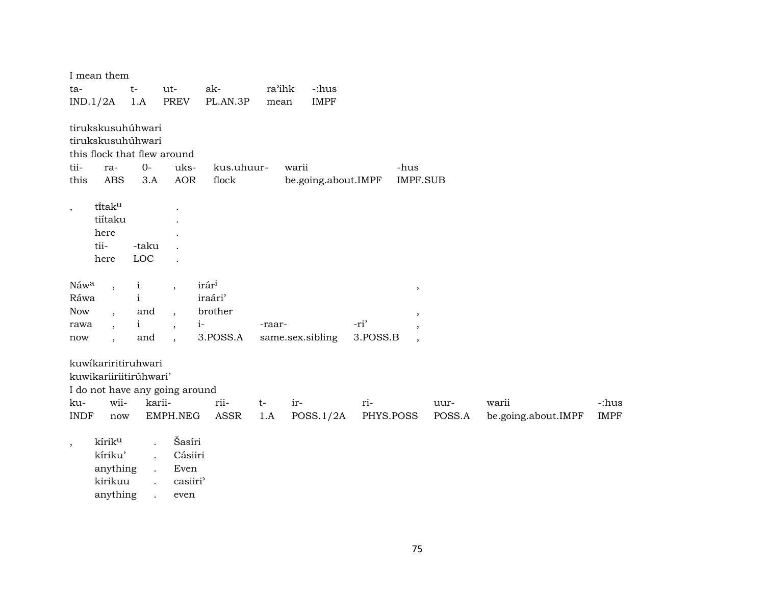|                                           | I mean them                                                                  |                                                            |                                                                                                    |                                                             |                            |                     |                  |                                                                 |                |                              |                      |
|-------------------------------------------|------------------------------------------------------------------------------|------------------------------------------------------------|----------------------------------------------------------------------------------------------------|-------------------------------------------------------------|----------------------------|---------------------|------------------|-----------------------------------------------------------------|----------------|------------------------------|----------------------|
| ta-                                       |                                                                              | $t-$                                                       | ut-                                                                                                | ak-                                                         | ra'ihk                     | -:hus               |                  |                                                                 |                |                              |                      |
|                                           | IND.1/2A                                                                     | 1.A                                                        | PREV                                                                                               | PL.AN.3P                                                    | mean                       | <b>IMPF</b>         |                  |                                                                 |                |                              |                      |
| tii-<br>this                              | tirukskusuhúhwari<br>tirukskusuhúhwari<br>ra-<br><b>ABS</b>                  | $O -$<br>3.A                                               | this flock that flew around<br>uks-<br><b>AOR</b>                                                  | kus.uhuur-<br>flock                                         | warii                      | be.going.about.IMPF |                  | -hus<br><b>IMPF.SUB</b>                                         |                |                              |                      |
| $\, ,$                                    | titaku<br>tiítaku<br>here<br>tii-<br>here                                    | -taku<br>LOC                                               |                                                                                                    |                                                             |                            |                     |                  |                                                                 |                |                              |                      |
| Náwa<br>Ráwa<br><b>Now</b><br>rawa<br>now | $\overline{\phantom{a}}$<br>$\overline{\phantom{a}}$<br>$\ddot{\phantom{1}}$ | $\mathbf{i}$<br>$\mathbf{i}$<br>and<br>$\mathbf{i}$<br>and | $\overline{ }$<br>$\overline{\phantom{a}}$<br>$\overline{\phantom{a}}$<br>$\overline{\phantom{a}}$ | irár <sup>i</sup><br>iraári'<br>brother<br>$i-$<br>3.POSS.A | -raar-<br>same.sex.sibling |                     | -ri'<br>3.POSS.B | $\, ,$<br>$\cdot$<br>$\overline{\phantom{a}}$<br>$\overline{ }$ |                |                              |                      |
| ku-<br><b>INDF</b>                        | kuwikariritiruhwari<br>kuwikariiriitirúhwari'<br>wii-<br>now                 | karii-                                                     | I do not have any going around<br>EMPH.NEG                                                         | rii-<br>ASSR                                                | $t-$<br>ir-<br>1.A         | POSS.1/2A           | ri-<br>PHYS.POSS |                                                                 | uur-<br>POSS.A | warii<br>be.going.about.IMPF | -:hus<br><b>IMPF</b> |
| $\, ,$                                    | kírik <sup>u</sup><br>kíriku'<br>anything                                    |                                                            | Šasíri<br>Cásiiri<br>Even                                                                          |                                                             |                            |                     |                  |                                                                 |                |                              |                      |

kirikuu . casiiri<sup>y</sup>

anything . even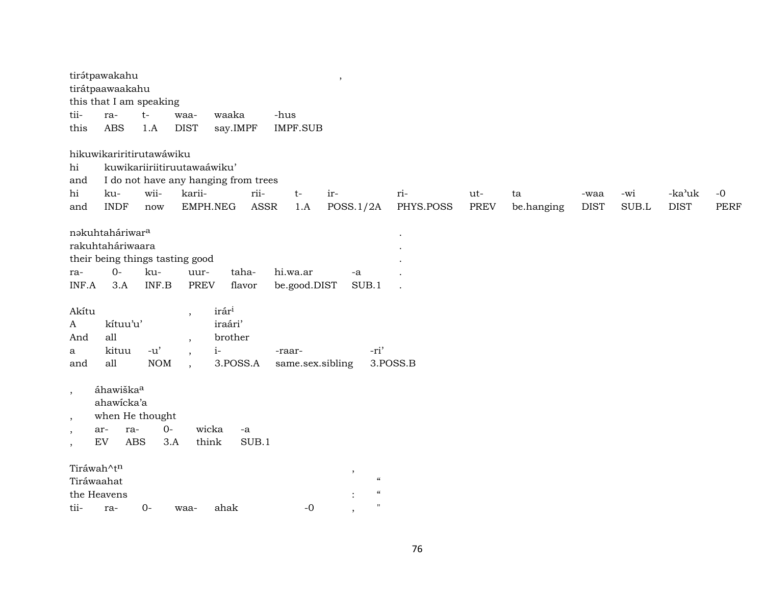|                          | tirátpawakahu<br>tirátpaawaakahu<br>this that I am speaking |            |                             |                                      |       |                  | $\cdot$                  |                    |           |             |            |             |       |             |             |
|--------------------------|-------------------------------------------------------------|------------|-----------------------------|--------------------------------------|-------|------------------|--------------------------|--------------------|-----------|-------------|------------|-------------|-------|-------------|-------------|
| tii-                     | ra-                                                         | $t-$       | waa-                        | waaka                                |       | -hus             |                          |                    |           |             |            |             |       |             |             |
| this                     | <b>ABS</b>                                                  | 1.A        | <b>DIST</b>                 | say.IMPF                             |       | <b>IMPF.SUB</b>  |                          |                    |           |             |            |             |       |             |             |
|                          | hikuwikariritirutawáwiku                                    |            |                             |                                      |       |                  |                          |                    |           |             |            |             |       |             |             |
| hi                       |                                                             |            | kuwikariiriitiruutawaáwiku' |                                      |       |                  |                          |                    |           |             |            |             |       |             |             |
| and                      |                                                             |            |                             | I do not have any hanging from trees |       |                  |                          |                    |           |             |            |             |       |             |             |
| hi                       | ku-                                                         | wii-       | karii-                      |                                      | rii-  | $t-$             | ir-                      |                    | ri-       | ut-         | ta         | -waa        | -wi   | -ka'uk      | $-0$        |
| and                      | <b>INDF</b>                                                 | now        |                             | EMPH.NEG                             | ASSR  | 1.A              | POSS.1/2A                |                    | PHYS.POSS | <b>PREV</b> | be.hanging | <b>DIST</b> | SUB.L | <b>DIST</b> | <b>PERF</b> |
|                          | nakuhtaháriwar <sup>a</sup>                                 |            |                             |                                      |       |                  |                          |                    |           |             |            |             |       |             |             |
|                          | rakuhtaháriwaara                                            |            |                             |                                      |       |                  |                          |                    |           |             |            |             |       |             |             |
|                          | their being things tasting good                             |            |                             |                                      |       |                  |                          |                    |           |             |            |             |       |             |             |
| ra-                      | $0-$                                                        | ku-        | uur-                        | taha-                                |       | hi.wa.ar         | -a                       |                    |           |             |            |             |       |             |             |
| INF.A                    | 3.A                                                         | INF.B      | <b>PREV</b>                 | flavor                               |       | be.good.DIST     |                          | SUB.1              |           |             |            |             |       |             |             |
| Akítu                    |                                                             |            | $\overline{\phantom{a}}$    | irári                                |       |                  |                          |                    |           |             |            |             |       |             |             |
| A                        | kítuu'u'                                                    |            |                             | iraári'                              |       |                  |                          |                    |           |             |            |             |       |             |             |
| And                      | all                                                         |            | $\cdot$                     | brother                              |       |                  |                          |                    |           |             |            |             |       |             |             |
| a                        | kituu                                                       | $-u'$      | $\cdot$                     | $i-$                                 |       | -raar-           |                          | -ri'               |           |             |            |             |       |             |             |
| and                      | all                                                         | <b>NOM</b> |                             | 3.POSS.A                             |       | same.sex.sibling |                          |                    | 3.POSS.B  |             |            |             |       |             |             |
| $\overline{\phantom{a}}$ | áhawiška <sup>a</sup><br>ahawicka'a                         |            |                             |                                      |       |                  |                          |                    |           |             |            |             |       |             |             |
| $\cdot$                  | when He thought                                             |            |                             |                                      |       |                  |                          |                    |           |             |            |             |       |             |             |
| $\overline{\phantom{a}}$ | ra-<br>ar-                                                  | $0-$       |                             | wicka<br>$-a$                        |       |                  |                          |                    |           |             |            |             |       |             |             |
| $\cdot$                  | <b>ABS</b><br><b>EV</b>                                     |            | 3.A                         | think                                | SUB.1 |                  |                          |                    |           |             |            |             |       |             |             |
| Tiráwah^tn               |                                                             |            |                             |                                      |       |                  | $\overline{\phantom{a}}$ |                    |           |             |            |             |       |             |             |
| Tiráwaahat               |                                                             |            |                             |                                      |       |                  |                          | $\epsilon\epsilon$ |           |             |            |             |       |             |             |
| the Heavens              |                                                             |            |                             |                                      |       |                  |                          | $\zeta\zeta$       |           |             |            |             |       |             |             |
| tii-                     | ra-                                                         | $O -$      | waa-                        | ahak                                 |       | $-0$             | $\cdot$                  | $^{\prime\prime}$  |           |             |            |             |       |             |             |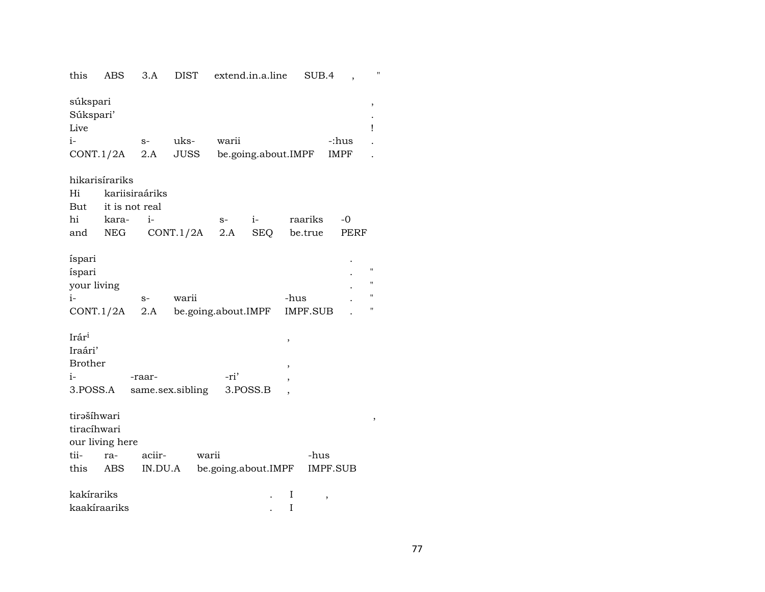| this                          | ABS             | 3.A     | DIST                |       | extend.in.a.line    | SUB.4               |          | $\pmb{\mathsf{H}}$ |
|-------------------------------|-----------------|---------|---------------------|-------|---------------------|---------------------|----------|--------------------|
| súkspari<br>Súkspari'<br>Live |                 |         |                     |       |                     |                     |          | ,<br>Ţ             |
| $i-$                          |                 | $S-$    | uks-                | warii |                     |                     | -:hus    |                    |
|                               | CONT.1/2A       | 2.A     | JUSS                |       |                     | be.going.about.IMPF | IMPF     |                    |
|                               | hikarisírariks  |         |                     |       |                     |                     |          |                    |
| Hi                            | kariisiraáriks  |         |                     |       |                     |                     |          |                    |
| But                           | it is not real  |         |                     |       |                     |                     |          |                    |
| hi                            | kara-           | $i-$    |                     | $S-$  | $i-$                | raariks             | $-0$     |                    |
| and                           | NEG             |         | CONT.1/2A           | 2.A   | SEQ                 | be.true             | PERF     |                    |
| íspari                        |                 |         |                     |       |                     |                     |          |                    |
| íspari                        |                 |         |                     |       |                     |                     |          | "                  |
| your living                   |                 |         |                     |       |                     |                     |          | н                  |
| $i-$                          |                 | $S-$    | warii               |       |                     | -hus                |          | $\pmb{\mathsf{H}}$ |
|                               | CONT.1/2A       | 2.A     | be.going.about.IMPF |       |                     | IMPF.SUB            |          | "                  |
| Irár <sup>i</sup>             |                 |         |                     |       |                     | ,                   |          |                    |
| Iraári'                       |                 |         |                     |       |                     |                     |          |                    |
| <b>Brother</b>                |                 |         |                     |       |                     |                     |          |                    |
| $i-$                          |                 | -raar-  |                     | -ri'  |                     |                     |          |                    |
| 3.POSS.A                      |                 |         | same.sex.sibling    |       | 3.POSS.B            |                     |          |                    |
| tirašíhwari                   |                 |         |                     |       |                     |                     |          | $\,$               |
| tiracíhwari                   |                 |         |                     |       |                     |                     |          |                    |
|                               | our living here |         |                     |       |                     |                     |          |                    |
| tii-                          | ra-             | aciir-  | warii               |       |                     | -hus                |          |                    |
| this                          | ABS             | IN.DU.A |                     |       | be.going.about.IMPF |                     | IMPF.SUB |                    |
| kakírariks                    |                 |         |                     |       |                     | I                   | ,        |                    |
| kaakíraariks                  |                 |         |                     |       |                     | I                   |          |                    |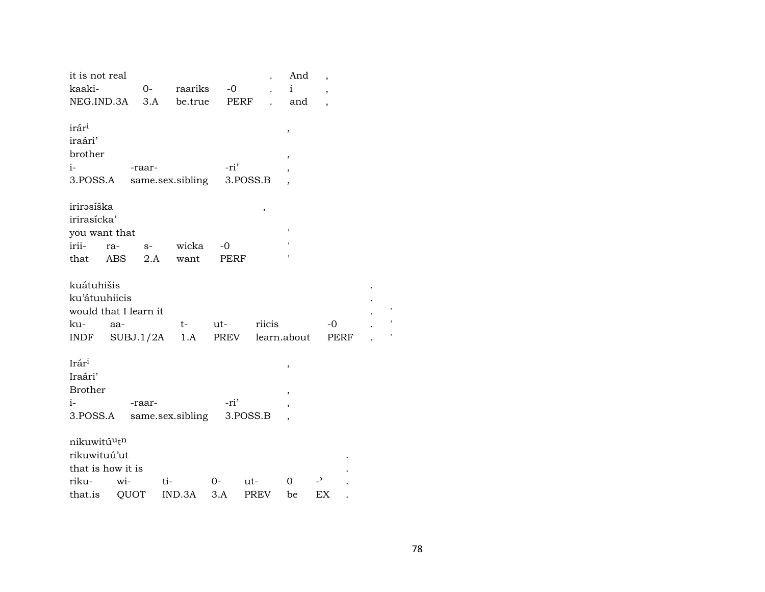| it is not real<br>kaaki-<br>NEG.IND.3A  |           | 0-<br>3.A | raariks<br>be.true        | $-0$<br>PERF |          | And<br>$\mathbf{i}$<br>and | ,<br>$\overline{ }$<br>$\overline{\phantom{a}}$ |      |
|-----------------------------------------|-----------|-----------|---------------------------|--------------|----------|----------------------------|-------------------------------------------------|------|
| irár <sup>i</sup><br>iraári'<br>brother |           |           |                           |              |          | ,                          |                                                 |      |
| i-                                      |           | -raar-    |                           | -ri'         |          | $\overline{\phantom{a}}$   |                                                 |      |
| 3.POSS.A                                |           |           | same.sex.sibling          |              | 3.POSS.B | ,                          |                                                 |      |
|                                         |           |           |                           |              |          |                            |                                                 |      |
| irirəsíška                              |           |           |                           |              | $\,$     |                            |                                                 |      |
| irirasícka'                             |           |           |                           |              |          |                            |                                                 |      |
| you want that                           |           |           |                           |              |          |                            |                                                 |      |
| irii-                                   | ra-       | $S-$      | wicka                     | -0           |          |                            |                                                 |      |
| that                                    | ABS       | 2.A       | want                      | PERF         |          |                            |                                                 |      |
|                                         |           |           |                           |              |          |                            |                                                 |      |
| kuátuhišis                              |           |           |                           |              |          |                            |                                                 |      |
| ku'átuuhiicis                           |           |           |                           |              |          |                            |                                                 |      |
| would that I learn it                   |           |           |                           |              |          |                            |                                                 |      |
| ku-                                     | aa-       |           | t-                        | ut-          | riicis   |                            | -0                                              |      |
| INDF                                    | SUBJ.1/2A |           | 1.A                       | PREV         |          | learn.about                |                                                 | PERF |
|                                         |           |           |                           |              |          |                            |                                                 |      |
| Irári                                   |           |           |                           |              |          | ,                          |                                                 |      |
| Iraári'                                 |           |           |                           |              |          |                            |                                                 |      |
| <b>Brother</b>                          |           |           |                           |              |          | ,                          |                                                 |      |
| $i-$                                    |           | -raar-    |                           | -ri'         |          | ,                          |                                                 |      |
| 3.POSS.A                                |           |           | same.sex.sibling 3.POSS.B |              |          |                            |                                                 |      |
|                                         |           |           |                           |              |          |                            |                                                 |      |
| nikuwitú <sup>u</sup> t <sup>n</sup>    |           |           |                           |              |          |                            |                                                 |      |
| rikuwituú'ut                            |           |           |                           |              |          |                            |                                                 |      |
| that is how it is                       |           |           |                           |              |          |                            |                                                 |      |
| riku-                                   | wi-       | ti-       |                           | 0-           | ut-      | 0                          | د_                                              |      |
| that.is                                 | QUOT      |           | IND.3A                    | 3.A          | PREV     | be                         | EX                                              |      |

 $\ddot{\phantom{a}}$ 

 $\ddot{\phantom{a}}$ 

 $\ddot{\phantom{a}}$ 

 $\mathbf{I}$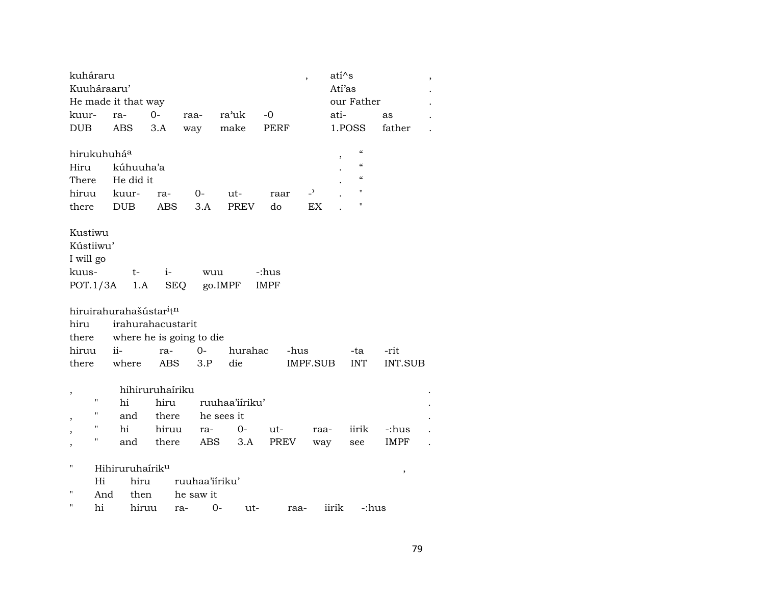| kuháraru                |                |                                     |                 |                          |                |             | $\overline{\phantom{a}}$ | $ati^s$ |                                        |             | , |
|-------------------------|----------------|-------------------------------------|-----------------|--------------------------|----------------|-------------|--------------------------|---------|----------------------------------------|-------------|---|
| Kuuháraaru'             |                |                                     |                 |                          |                |             |                          | Atí'as  |                                        |             |   |
|                         |                | He made it that way                 |                 |                          |                |             |                          |         | our Father                             |             |   |
| kuur-                   |                | ra-                                 | $O -$           | raa-                     | ra'uk          | $-0$        |                          | ati-    |                                        | as          |   |
| <b>DUB</b>              |                | ABS                                 | 3.A             | way                      | make           | PERF        |                          | 1.POSS  |                                        | father      |   |
| hirukuhuhá <sup>a</sup> |                |                                     |                 |                          |                |             |                          |         | $\boldsymbol{\zeta}\boldsymbol{\zeta}$ |             |   |
| Hiru                    |                | kúhuuha'a                           |                 |                          |                |             |                          |         | $\epsilon\epsilon$                     |             |   |
| There                   |                | He did it                           |                 |                          |                |             |                          |         | $\epsilon\epsilon$                     |             |   |
| hiruu                   |                | kuur-                               | ra-             | $0-$                     | ut-            | raar        | $\overline{\phantom{a}}$ |         | Ħ                                      |             |   |
| there                   |                | <b>DUB</b>                          | <b>ABS</b>      | 3.A                      | <b>PREV</b>    | do          | EX                       |         | 11                                     |             |   |
| Kustiwu                 |                |                                     |                 |                          |                |             |                          |         |                                        |             |   |
| Kústiiwu'               |                |                                     |                 |                          |                |             |                          |         |                                        |             |   |
| I will go               |                |                                     |                 |                          |                |             |                          |         |                                        |             |   |
| kuus-                   |                | t-                                  | $i-$            | wuu                      |                | -:hus       |                          |         |                                        |             |   |
| POT.1/3A                |                | 1.A                                 |                 | SEQ                      | go.IMPF        | <b>IMPF</b> |                          |         |                                        |             |   |
|                         |                |                                     |                 |                          |                |             |                          |         |                                        |             |   |
|                         |                | hiruirahurahašústar <sup>i</sup> tn |                 |                          |                |             |                          |         |                                        |             |   |
| hiru                    |                | irahurahacustarit                   |                 |                          |                |             |                          |         |                                        |             |   |
| there                   |                |                                     |                 | where he is going to die |                |             |                          |         |                                        |             |   |
| hiruu                   |                | $ii-$                               | ra-             | $0-$                     | hurahac        |             | -hus                     |         | -ta                                    | -rit        |   |
| there                   |                | where                               | <b>ABS</b>      | 3.P                      | die            |             | IMPF.SUB                 |         | <b>INT</b>                             | INT.SUB     |   |
|                         |                |                                     |                 |                          |                |             |                          |         |                                        |             |   |
| ,                       |                |                                     | hihiruruhaíriku |                          |                |             |                          |         |                                        |             |   |
|                         | $\blacksquare$ | hi                                  | hiru            |                          | ruuhaa'iiriku' |             |                          |         |                                        |             |   |
| ,                       |                | and                                 | there           |                          | he sees it     |             |                          |         |                                        |             |   |
|                         | "              | hi                                  | hiruu           | ra-                      | $0-$           | ut-         | raa-                     |         | iirik                                  | -:hus       |   |
| ,                       | "              | and                                 | there           | ABS                      | 3.A            | PREV        | way                      |         | see                                    | <b>IMPF</b> |   |
| 11                      |                | Hihiruruhaírik <sup>u</sup>         |                 |                          |                |             |                          |         |                                        | $\, ,$      |   |
|                         | Hi             | hiru                                |                 | ruuhaa'iiriku'           |                |             |                          |         |                                        |             |   |
| 11                      | And            | then                                |                 | he saw it                |                |             |                          |         |                                        |             |   |
| $\pmb{\mathsf{H}}$      | hi             | hiruu                               |                 | ra-                      | $0-$<br>ut-    |             | raa-                     | iirik   | -:hus                                  |             |   |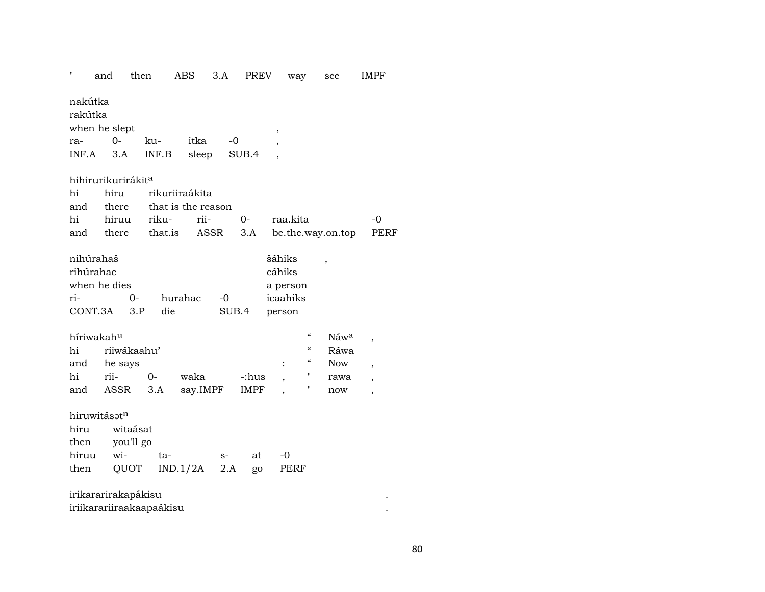## $\theta_{\rm eff}$ 3.A PREV way **IMPF** and then ABS see

nakútka

rakútka when he slept  $-0$  $0$ rakuitka  $INF.A$  3.A  $INF.B$  $SUB.4$ , sleep

## hihirurikurirákit<sup>a</sup>

|  |                                                        | $-()$                                                                                 |
|--|--------------------------------------------------------|---------------------------------------------------------------------------------------|
|  |                                                        |                                                                                       |
|  | hi hiru rikuriiraákita<br>and there that is the reason | hi hiruu riku- rii-  0- raa.kita<br>and there that is ASSR 3.A be the way on top PERF |

 $\,$ 

 $\overline{\phantom{a}}$ 

| nihúrahaš            |      |         |        | šáhiks   |  |
|----------------------|------|---------|--------|----------|--|
| rihúrahac            |      |         | cáhiks |          |  |
| when he dies         |      |         |        | a person |  |
| ri-                  | $O-$ | hurahac | -0     | icaahiks |  |
| $CONT.3A \qquad 3.P$ |      | die     | SUB.4  | person   |  |

| híriwakah <sup>u</sup> |             |    | Náw <sup>a</sup> |       |   |      |            |  |
|------------------------|-------------|----|------------------|-------|---|------|------------|--|
| hi                     | riiwákaahu' |    |                  |       | " | Ráwa |            |  |
| and                    | he says     |    |                  |       |   |      | <b>Now</b> |  |
| hi                     | rii-        | ∩– | waka             | -:hus |   |      | rawa       |  |
| and                    | ASSR 3.A    |    | say.IMPF         | IMPF  |   |      | now        |  |

hiruwitásətn

| hiru witaásat  |                                  |      |       |  |
|----------------|----------------------------------|------|-------|--|
| then you'll go |                                  |      |       |  |
| hiruu wi- ta-  |                                  | $S-$ | at -0 |  |
|                | then $QUOT$ IND.1/2A 2.A go PERF |      |       |  |

| irikararirakapákisu      |  |
|--------------------------|--|
| iriikarariiraakaapaákisu |  |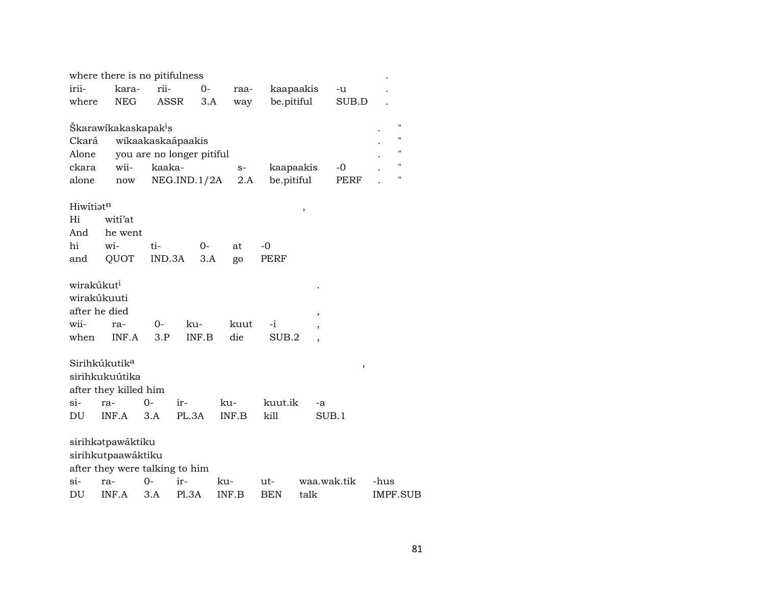|                        | where there is no pitifulness    |        |                           |       |            |             |       |                         |
|------------------------|----------------------------------|--------|---------------------------|-------|------------|-------------|-------|-------------------------|
| irii-                  | kara-                            | rii-   | $O -$                     | raa-  |            | kaapaakis   | -u    |                         |
| where                  | <b>NEG</b>                       | ASSR   | 3.A                       | way   | be.pitiful |             | SUB.D |                         |
|                        |                                  |        |                           |       |            |             |       |                         |
|                        | Škarawikakaskapak <sup>i</sup> s |        |                           |       |            |             |       | "<br>$\pmb{\mathsf{H}}$ |
| Ckará                  |                                  |        | wikaakaskaápaakis         |       |            |             |       | $\pmb{\mathsf{H}}$      |
| Alone                  |                                  | kaaka- | you are no longer pitiful |       |            |             |       | $\pmb{\mathsf{H}}$      |
| ckara                  | wii-                             |        |                           | $S-$  | kaapaakis  |             | $-0$  | $\pmb{\mathsf{H}}$      |
| alone                  | now                              |        | NEG.IND.1/2A              | 2.A   | be.pitiful |             | PERF  |                         |
| Hiwitiatn              |                                  |        |                           |       |            | ,           |       |                         |
| Hi                     | witi'at                          |        |                           |       |            |             |       |                         |
| And                    | he went                          |        |                           |       |            |             |       |                         |
| hi                     | wi-                              | ti-    | 0-                        | at    | $-0$       |             |       |                         |
| and                    | QUOT                             | IND.3A | 3.A                       | go    | PERF       |             |       |                         |
|                        |                                  |        |                           |       |            |             |       |                         |
| wirakúkut <sup>i</sup> |                                  |        |                           |       |            |             |       |                         |
|                        | wirakúkuuti                      |        |                           |       |            |             |       |                         |
|                        | after he died                    |        |                           |       |            | ,           |       |                         |
| wii-                   | ra-                              | 0-     | ku-                       | kuut  | -i         |             |       |                         |
| when                   | INF.A                            | 3.P    | INF.B                     | die   | SUB.2      |             |       |                         |
|                        |                                  |        |                           |       |            |             |       |                         |
|                        | Sirihkúkutik <sup>a</sup>        |        |                           |       |            |             | $\,$  |                         |
|                        | sirihkukuútika                   |        |                           |       |            |             |       |                         |
|                        | after they killed him            |        |                           |       |            |             |       |                         |
| $si-$                  | ra-                              | 0-     | ir-                       | ku-   | kuut.ik    | -a          |       |                         |
| DU                     | INF.A                            | 3.A    | PL.3A                     | INF.B | kill       | SUB.1       |       |                         |
|                        | sirihkətpawáktiku                |        |                           |       |            |             |       |                         |
|                        | sirihkutpaawáktiku               |        |                           |       |            |             |       |                         |
|                        | after they were talking to him   |        |                           |       |            |             |       |                         |
| $\sin$                 | ra-                              | $O -$  | ir-                       | ku-   | ut-        | waa.wak.tik |       | -hus                    |
| DU                     | INF.A                            | 3.A    | P1.3A                     | INF.B | <b>BEN</b> | talk        |       | <b>IMPF.SUB</b>         |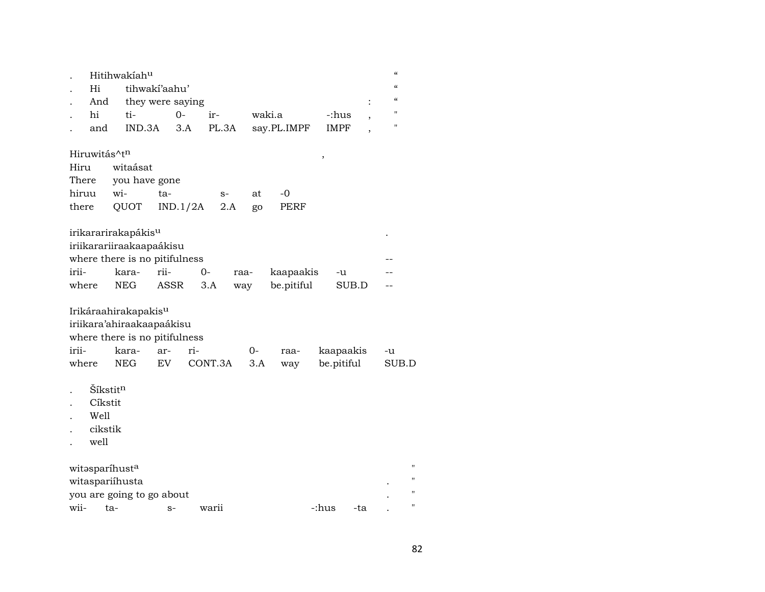|       |                          | Hitihwakiahu                    |                  |          |         |      |        |             |       |             |     | $\mathcal{C}$                          |       |
|-------|--------------------------|---------------------------------|------------------|----------|---------|------|--------|-------------|-------|-------------|-----|----------------------------------------|-------|
|       | Hi                       |                                 | tihwakí'aahu'    |          |         |      |        |             |       |             |     | $\epsilon\epsilon$                     |       |
|       | And                      |                                 | they were saying |          |         |      |        |             |       |             |     | $\boldsymbol{\zeta}\boldsymbol{\zeta}$ |       |
|       | hi                       | ti-                             |                  | $0-$     | ir-     |      | waki.a |             |       | -:hus       |     | $^{\prime\prime}$                      |       |
|       | and                      | IND.3A                          |                  | 3.A      | PL.3A   |      |        | say.PL.IMPF |       | <b>IMPF</b> |     | 11                                     |       |
|       | Hiruwitás^t <sup>n</sup> |                                 |                  |          |         |      |        |             | ,     |             |     |                                        |       |
| Hiru  |                          | witaásat                        |                  |          |         |      |        |             |       |             |     |                                        |       |
| There |                          | you have gone                   |                  |          |         |      |        |             |       |             |     |                                        |       |
| hiruu |                          | wi-                             | ta-              |          | $S-$    |      | at     | $-0$        |       |             |     |                                        |       |
| there |                          | QUOT                            |                  | IND.1/2A |         | 2.A  | go     | <b>PERF</b> |       |             |     |                                        |       |
|       |                          | irikararirakapákis <sup>u</sup> |                  |          |         |      |        |             |       |             |     |                                        |       |
|       |                          | iriikarariiraakaapaákisu        |                  |          |         |      |        |             |       |             |     |                                        |       |
|       |                          | where there is no pitifulness   |                  |          |         |      |        |             |       |             |     |                                        |       |
| irii- |                          | kara-                           | rii-             |          | $O -$   | raa- |        | kaapaakis   |       | -u          |     |                                        |       |
| where |                          | <b>NEG</b>                      | <b>ASSR</b>      |          | 3.A     | way  |        | be.pitiful  |       | SUB.D       |     |                                        |       |
|       |                          | Irikáraahirakapakisu            |                  |          |         |      |        |             |       |             |     |                                        |       |
|       |                          | iriikara'ahiraakaapaákisu       |                  |          |         |      |        |             |       |             |     |                                        |       |
|       |                          | where there is no pitifulness   |                  |          |         |      |        |             |       |             |     |                                        |       |
| irii- |                          | kara-                           | ar-              | ri-      |         |      | $0-$   | raa-        |       | kaapaakis   |     | -u                                     |       |
| where |                          | <b>NEG</b>                      | EV.              |          | CONT.3A |      | 3.A    | way         |       | be.pitiful  |     |                                        | SUB.D |
|       |                          |                                 |                  |          |         |      |        |             |       |             |     |                                        |       |
|       | Šíkstit <sup>n</sup>     |                                 |                  |          |         |      |        |             |       |             |     |                                        |       |
|       | Cíkstit                  |                                 |                  |          |         |      |        |             |       |             |     |                                        |       |
|       | Well                     |                                 |                  |          |         |      |        |             |       |             |     |                                        |       |
|       | cikstik                  |                                 |                  |          |         |      |        |             |       |             |     |                                        |       |
|       | well                     |                                 |                  |          |         |      |        |             |       |             |     |                                        |       |
|       |                          | witasparíhusta                  |                  |          |         |      |        |             |       |             |     |                                        |       |
|       |                          | witaspariíhusta                 |                  |          |         |      |        |             |       |             |     |                                        |       |
|       |                          | you are going to go about       |                  |          |         |      |        |             |       |             |     |                                        | П     |
| wii-  |                          | ta-                             | $S-$             |          | warii   |      |        |             | -:hus |             | -ta |                                        | п     |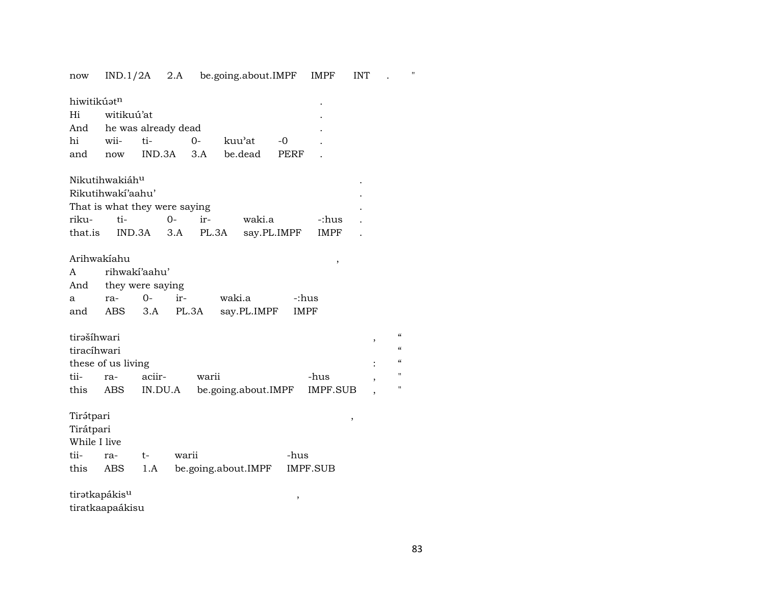now IND.1/2A 2.A be.going.about.IMPF IMPF INT . "

| hiwitikúatn<br>Hi<br>And                               | witikuú'at<br>he was already dead               |                   |                                             |                       |             |                           |                               |                                                   |
|--------------------------------------------------------|-------------------------------------------------|-------------------|---------------------------------------------|-----------------------|-------------|---------------------------|-------------------------------|---------------------------------------------------|
| hi                                                     | wii-                                            | ti-               | $0 -$                                       | kuu'at                | -0          |                           |                               |                                                   |
| and                                                    | now                                             | IND.3A            | 3.A                                         | be.dead               | PERF        |                           |                               |                                                   |
| riku-<br>that.is                                       | Nikutihwakiáhu<br>Rikutihwakí'aahu'<br>ti-      | $0-$<br>IND.3A    | That is what they were saying<br>ir-<br>3.A | waki.a<br>PL.3A       | say.PL.IMPF | -:hus<br>IMPF             |                               |                                                   |
| Arihwakíahu<br>A<br>And<br>a<br>and                    | rihwaki'aahu'<br>they were saying<br>ra-<br>ABS | $0 -$<br>3.A      | ir-<br>PL.3A                                | waki.a<br>say.PL.IMPF |             | ,<br>-:hus<br><b>IMPF</b> |                               |                                                   |
| tirašíhwari<br>tiracíhwari<br>tii-<br>this             | these of us living<br>ra-<br><b>ABS</b>         | aciir-<br>IN.DU.A | warii                                       | be.going.about.IMPF   |             | -hus<br><b>IMPF.SUB</b>   | ,<br>$\overline{\phantom{a}}$ | $\epsilon$<br>$\epsilon$<br>$\epsilon$<br>Ħ<br>11 |
| Tirátpari<br>Tirátpari<br>While I live<br>tii-<br>this | ra-<br>ABS                                      | $t-$<br>1.A       | warii                                       | be.going.about.IMPF   | -hus        | ,<br>IMPF.SUB             |                               |                                                   |
| tiratkapákis <sup>u</sup>                              |                                                 |                   |                                             |                       | ,           |                           |                               |                                                   |
|                                                        | tiratkaapaákisu                                 |                   |                                             |                       |             |                           |                               |                                                   |

83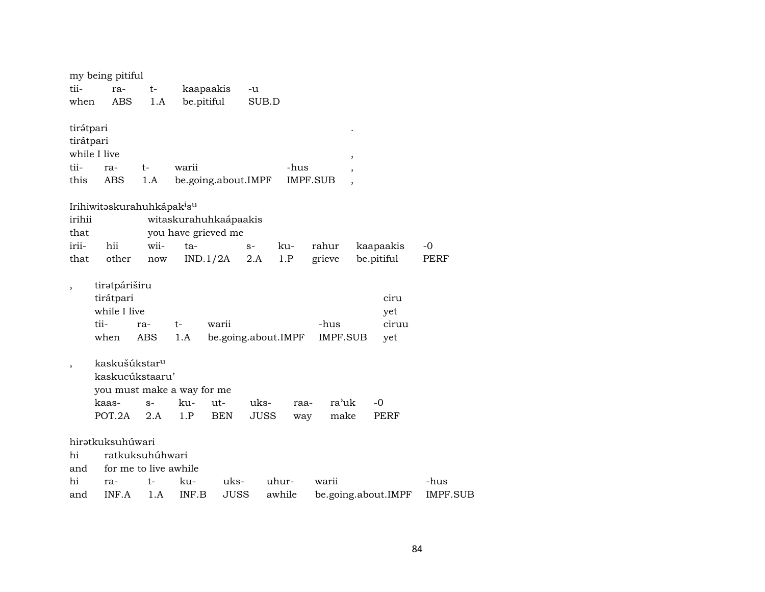|                          | my being pitiful                                   |                       |                       |                     |             |        |                 |               |                     |                 |  |
|--------------------------|----------------------------------------------------|-----------------------|-----------------------|---------------------|-------------|--------|-----------------|---------------|---------------------|-----------------|--|
| tii-                     | ra-                                                | t-                    | kaapaakis             |                     | -u          |        |                 |               |                     |                 |  |
| when                     | ABS                                                | 1.A                   | be.pitiful            |                     | SUB.D       |        |                 |               |                     |                 |  |
|                          |                                                    |                       |                       |                     |             |        |                 |               |                     |                 |  |
| tirátpari                |                                                    |                       |                       |                     |             |        |                 |               |                     |                 |  |
| tirátpari                |                                                    |                       |                       |                     |             |        |                 |               |                     |                 |  |
|                          | while I live                                       |                       |                       |                     |             |        |                 | $^\mathrm{,}$ |                     |                 |  |
| tii-                     | ra-                                                | t-                    | warii                 |                     |             | -hus   |                 |               |                     |                 |  |
| this                     | ABS                                                | 1.A                   | be.going.about.IMPF   |                     |             |        | <b>IMPF.SUB</b> |               |                     |                 |  |
|                          | Irihiwitəskurahuhkápak <sup>i</sup> s <sup>u</sup> |                       |                       |                     |             |        |                 |               |                     |                 |  |
| irihii                   |                                                    |                       | witaskurahuhkaápaakis |                     |             |        |                 |               |                     |                 |  |
| that                     |                                                    |                       | you have grieved me   |                     |             |        |                 |               |                     |                 |  |
| irii-                    | hii                                                | wii-                  | $ta-$                 |                     | $S-$        | ku-    | rahur           |               | kaapaakis           | -0              |  |
| that                     | other                                              | now                   |                       | IND.1/2A            | 2.A         | 1.P    | grieve          |               | be.pitiful          | PERF            |  |
|                          |                                                    |                       |                       |                     |             |        |                 |               |                     |                 |  |
| $\overline{\phantom{a}}$ | tiratpáriširu                                      |                       |                       |                     |             |        |                 |               |                     |                 |  |
|                          | tirátpari                                          |                       |                       |                     |             |        |                 |               | ciru                |                 |  |
|                          | while I live                                       |                       |                       |                     |             |        |                 |               | yet                 |                 |  |
|                          | tii-                                               | ra-                   | t-                    | warii               |             |        | -hus            |               | ciruu               |                 |  |
|                          | when                                               | <b>ABS</b>            | 1.A                   | be.going.about.IMPF |             |        |                 | IMPF.SUB      | yet                 |                 |  |
|                          | kaskušúkstar <sup>u</sup>                          |                       |                       |                     |             |        |                 |               |                     |                 |  |
| $\, ,$                   | kaskucúkstaaru'                                    |                       |                       |                     |             |        |                 |               |                     |                 |  |
|                          | you must make a way for me                         |                       |                       |                     |             |        |                 |               |                     |                 |  |
|                          | kaas-                                              | $S-$                  | ku-                   | ut-                 | uks-        | raa-   |                 | ra'uk         | $-0$                |                 |  |
|                          | POT.2A                                             | 2.A                   | 1.P                   | <b>BEN</b>          | <b>JUSS</b> | way    |                 | make          | PERF                |                 |  |
|                          |                                                    |                       |                       |                     |             |        |                 |               |                     |                 |  |
|                          | hiratkuksuhúwari                                   |                       |                       |                     |             |        |                 |               |                     |                 |  |
| hi                       |                                                    | ratkuksuhúhwari       |                       |                     |             |        |                 |               |                     |                 |  |
| and                      |                                                    | for me to live awhile |                       |                     |             |        |                 |               |                     |                 |  |
| hi                       | ra-                                                | t-                    | ku-                   | uks-                |             | uhur-  | warii           |               |                     | -hus            |  |
| and                      | INF.A                                              | 1.A                   | INF.B                 | <b>JUSS</b>         |             | awhile |                 |               | be.going.about.IMPF | <b>IMPF.SUB</b> |  |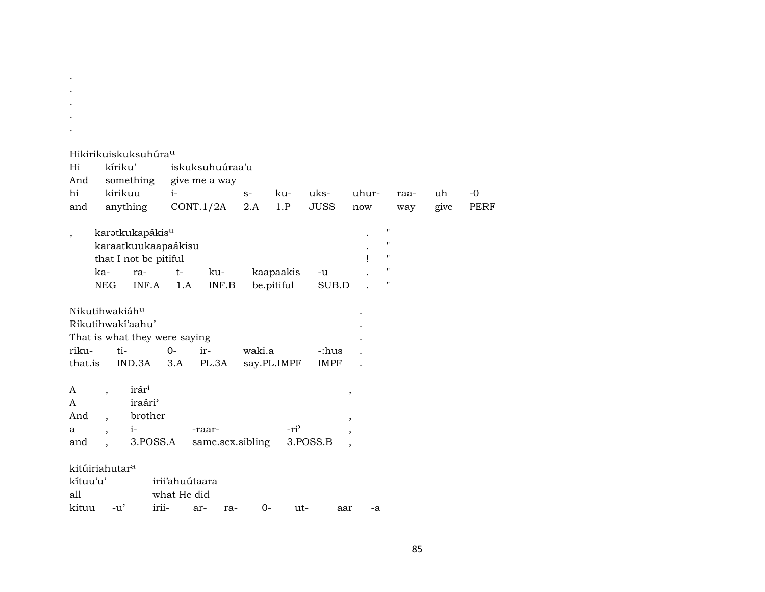|                            |                          | Hikirikuiskuksuhúra <sup>u</sup> |                |                  |        |                  |             |                          |                    |      |             |
|----------------------------|--------------------------|----------------------------------|----------------|------------------|--------|------------------|-------------|--------------------------|--------------------|------|-------------|
| Hi                         | kíriku'                  |                                  |                | iskuksuhuúraa'u  |        |                  |             |                          |                    |      |             |
| And                        |                          | something                        |                | give me a way    |        |                  |             |                          |                    |      |             |
| hi                         | kirikuu                  |                                  | $i-$           |                  | $S-$   | ku-              | uks-        | uhur-                    | raa-               | uh   | $-0$        |
| and                        |                          | anything                         |                | CONT.1/2A        | 2.A    | 1.P              | <b>JUSS</b> | now                      | way                | give | <b>PERF</b> |
| $^\mathrm{,}$              |                          | karatkukapákis <sup>u</sup>      |                |                  |        |                  |             |                          | $\pmb{\mathsf{H}}$ |      |             |
|                            |                          | karaatkuukaapaákisu              |                |                  |        |                  |             |                          | $\pmb{\mathsf{H}}$ |      |             |
|                            |                          | that I not be pitiful            |                |                  |        |                  |             | ı                        | $\pmb{\mathsf{H}}$ |      |             |
|                            | ka-                      | ra-                              | $t-$           | ku-              |        | kaapaakis        | -u          |                          | $\pmb{\mathsf{H}}$ |      |             |
|                            | <b>NEG</b>               | INF.A                            | 1.A            | INF.B            |        | be.pitiful       | SUB.D       |                          | 11                 |      |             |
| Nikutihwakiáhu             |                          |                                  |                |                  |        |                  |             |                          |                    |      |             |
|                            |                          | Rikutihwakí'aahu'                |                |                  |        |                  |             |                          |                    |      |             |
|                            |                          | That is what they were saying    |                |                  |        |                  |             |                          |                    |      |             |
| riku-                      | ti-                      |                                  | $O -$          | ir-              | waki.a |                  | -:hus       |                          |                    |      |             |
| that.is                    |                          | IND.3A                           | 3.A            | PL.3A            |        | say.PL.IMPF      | <b>IMPF</b> |                          |                    |      |             |
| A                          | $\overline{ }$           | irár <sup>i</sup>                |                |                  |        |                  |             | $\, ,$                   |                    |      |             |
| A                          |                          | iraári <sup></sup>               |                |                  |        |                  |             |                          |                    |      |             |
| And                        |                          | brother                          |                |                  |        |                  |             | $\, ,$                   |                    |      |             |
| a                          | $\overline{\phantom{a}}$ | $i-$                             |                | -raar-           |        | -ri <sup>3</sup> |             | $\overline{\phantom{a}}$ |                    |      |             |
| and                        | $\ddot{\phantom{0}}$     | 3.POSS.A                         |                | same.sex.sibling |        |                  | 3.POSS.B    | $\overline{ }$           |                    |      |             |
| kitúiriahutar <sup>a</sup> |                          |                                  |                |                  |        |                  |             |                          |                    |      |             |
| kítuu'u'                   |                          |                                  | irii'ahuútaara |                  |        |                  |             |                          |                    |      |             |
| all                        |                          |                                  | what He did    |                  |        |                  |             |                          |                    |      |             |
| kituu                      | $-u'$                    | irii-                            |                | ar-<br>ra-       | $0-$   | ut-              | aar         | -a                       |                    |      |             |

 $\sim 10^{-1}$  $\sim$  $\sim 10^{-11}$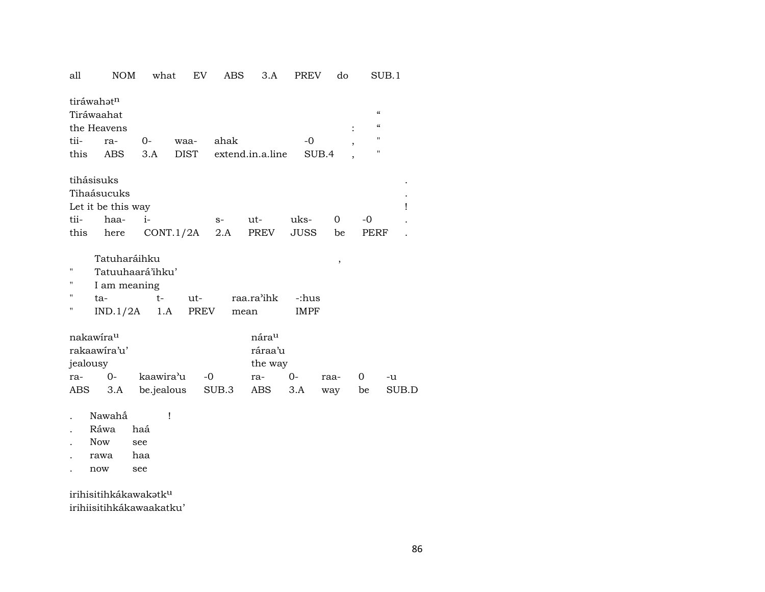| all<br><b>NOM</b><br>what<br>EV<br><b>PREV</b><br>do<br>ABS<br>3.A | SUB.1                                            |
|--------------------------------------------------------------------|--------------------------------------------------|
| tiráwahatn<br>Tiráwaahat<br>the Heavens                            | $\epsilon\epsilon$<br>$\boldsymbol{\mathcal{C}}$ |
| tii-<br>ahak<br>$-0$                                               | $\pmb{\mathsf{H}}$                               |
| 0-<br>waa-<br>ra-<br><b>DIST</b>                                   | $\pmb{\mathsf{H}}$                               |
| this<br>3.A<br>extend.in.a.line<br>SUB.4<br>ABS                    |                                                  |
| tihásisuks                                                         |                                                  |
| Tihaásucuks                                                        |                                                  |
| Let it be this way                                                 | Ţ                                                |
| tii-<br>haa-<br>$i-$<br>uks-<br>ut-<br>0<br>$-0$<br>$S-$           |                                                  |
| this<br>CONT.1/2A<br>PREV<br><b>JUSS</b><br>here<br>2.A<br>be      | <b>PERF</b>                                      |
|                                                                    |                                                  |
| Tatuharáihku<br>$\,$                                               |                                                  |
| п<br>Tatuuhaará'ihku'                                              |                                                  |
| н<br>I am meaning                                                  |                                                  |
| п<br>raa.ra'ihk<br>$t-$<br>ut-<br>c:hus:-<br>ta-                   |                                                  |
| п<br>IND.1/2A<br>1.A<br>PREV<br><b>IMPF</b><br>mean                |                                                  |
|                                                                    |                                                  |
| nárau<br>nakawirau                                                 |                                                  |
| rakaawira'u'<br>ráraa'u                                            |                                                  |
| jealousy<br>the way                                                |                                                  |
| $0-$<br>kaawira'u<br>$-0$<br>$0-$<br>0<br>ra-<br>ra-<br>raa-       | -u                                               |
| 3.A<br>be.jealous<br>SUB.3<br>3.A<br>ABS<br>ABS<br>be<br>way       | SUB.D                                            |
|                                                                    |                                                  |
| Nawahắ<br>Ţ                                                        |                                                  |
| Ráwa<br>haá                                                        |                                                  |
| <b>Now</b><br>see                                                  |                                                  |
| haa<br>rawa                                                        |                                                  |

 $\sec$  $\operatorname{now}$  $\sim$ 

irihisitihkákawakatk<sup>u</sup> irihiisitihkákawaakatku'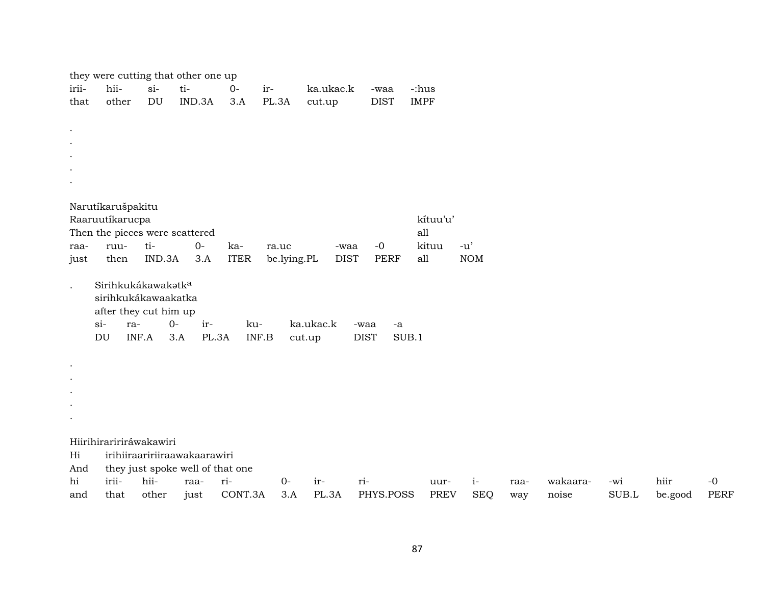|                      |                                |           | they were cutting that other one up |             |             |           |                     |             |            |      |          |       |         |             |
|----------------------|--------------------------------|-----------|-------------------------------------|-------------|-------------|-----------|---------------------|-------------|------------|------|----------|-------|---------|-------------|
| irii-                | hii-                           | $si-$     | ti-                                 | $O -$       | ir-         | ka.ukac.k | -waa                | -:hus       |            |      |          |       |         |             |
| that                 | other                          | <b>DU</b> | IND.3A                              | 3.A         | PL.3A       | cut.up    | <b>DIST</b>         | <b>IMPF</b> |            |      |          |       |         |             |
|                      |                                |           |                                     |             |             |           |                     |             |            |      |          |       |         |             |
| $\bullet$            |                                |           |                                     |             |             |           |                     |             |            |      |          |       |         |             |
|                      |                                |           |                                     |             |             |           |                     |             |            |      |          |       |         |             |
|                      |                                |           |                                     |             |             |           |                     |             |            |      |          |       |         |             |
|                      |                                |           |                                     |             |             |           |                     |             |            |      |          |       |         |             |
|                      |                                |           |                                     |             |             |           |                     |             |            |      |          |       |         |             |
|                      | Narutíkarušpakitu              |           |                                     |             |             |           |                     |             |            |      |          |       |         |             |
|                      | Raaruutíkarucpa                |           |                                     |             |             |           |                     | kítuu'u'    |            |      |          |       |         |             |
|                      | Then the pieces were scattered |           |                                     |             |             |           |                     | all         |            |      |          |       |         |             |
| raa-                 | ruu-                           | ti-       | $O -$                               | ka-         | ra.uc       |           | $-0$<br>-waa        | kituu       | $-u'$      |      |          |       |         |             |
| just                 | then                           | IND.3A    | 3.A                                 | <b>ITER</b> | be.lying.PL |           | <b>DIST</b><br>PERF | all         | <b>NOM</b> |      |          |       |         |             |
|                      |                                |           |                                     |             |             |           |                     |             |            |      |          |       |         |             |
| $\ddot{\phantom{a}}$ | Sirihkukákawakatka             |           |                                     |             |             |           |                     |             |            |      |          |       |         |             |
|                      | sirihkukákawaakatka            |           |                                     |             |             |           |                     |             |            |      |          |       |         |             |
|                      | after they cut him up          |           |                                     |             |             |           |                     |             |            |      |          |       |         |             |
|                      | $si-$<br>ra-                   |           | $0-$<br>ir-                         | ku-         |             | ka.ukac.k | -waa<br>$-a$        |             |            |      |          |       |         |             |
|                      | DU                             | INF.A     | 3.A<br>PL.3A                        |             | INF.B       | cut.up    | <b>DIST</b>         | SUB.1       |            |      |          |       |         |             |
|                      |                                |           |                                     |             |             |           |                     |             |            |      |          |       |         |             |
| $\bullet$            |                                |           |                                     |             |             |           |                     |             |            |      |          |       |         |             |
|                      |                                |           |                                     |             |             |           |                     |             |            |      |          |       |         |             |
|                      |                                |           |                                     |             |             |           |                     |             |            |      |          |       |         |             |
|                      |                                |           |                                     |             |             |           |                     |             |            |      |          |       |         |             |
|                      |                                |           |                                     |             |             |           |                     |             |            |      |          |       |         |             |
|                      | Hiirihiraririráwakawiri        |           |                                     |             |             |           |                     |             |            |      |          |       |         |             |
| Hi                   |                                |           | irihiiraaririiraawakaarawiri        |             |             |           |                     |             |            |      |          |       |         |             |
| And                  |                                |           | they just spoke well of that one    |             |             |           |                     |             |            |      |          |       |         |             |
| hi                   | irii-                          | hii-      | raa-                                | ri-         | $0-$        | ir-       | ri-                 | uur-        | $i-$       | raa- | wakaara- | -wi   | hiir    | $-0$        |
| and                  | that                           | other     | just                                | CONT.3A     | 3.A         | PL.3A     | PHYS.POSS           | <b>PREV</b> | <b>SEQ</b> | way  | noise    | SUB.L | be.good | <b>PERF</b> |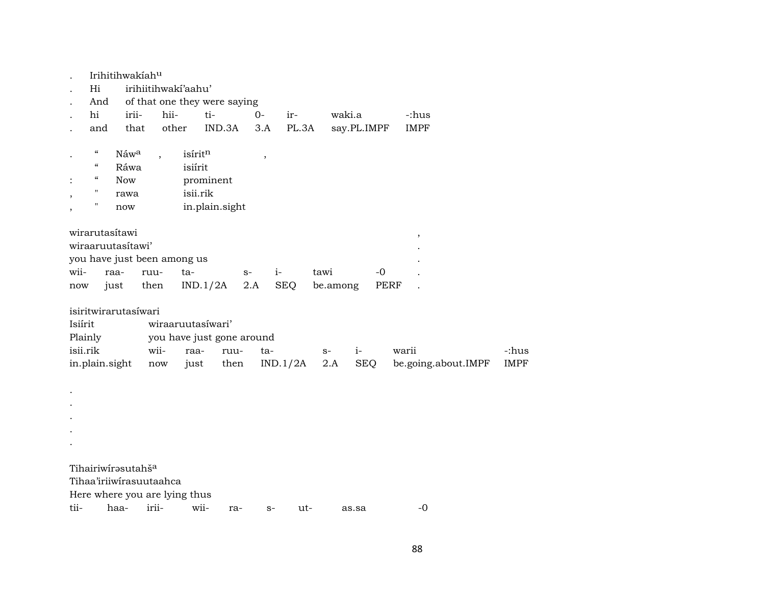|          |                            | Irihitihwakiahu                |                         |                               |                |        |            |          |             |                          |             |
|----------|----------------------------|--------------------------------|-------------------------|-------------------------------|----------------|--------|------------|----------|-------------|--------------------------|-------------|
|          | Hi                         |                                |                         | irihiitihwakí'aahu'           |                |        |            |          |             |                          |             |
|          | And                        |                                |                         | of that one they were saying  |                |        |            |          |             |                          |             |
|          | hi                         | irii-                          | hii-                    | ti-                           |                | $0 -$  | ir-        |          | waki.a      | -:hus                    |             |
|          | and                        | that                           | other                   |                               | IND.3A         | 3.A    | PL.3A      |          | say.PL.IMPF | <b>IMPF</b>              |             |
|          |                            |                                |                         |                               |                |        |            |          |             |                          |             |
| $\cdot$  | $\epsilon\epsilon$         | Náwa                           |                         | isíritn                       |                | $\, ,$ |            |          |             |                          |             |
|          | $\boldsymbol{\mathcal{C}}$ | Ráwa                           |                         | isiírit                       |                |        |            |          |             |                          |             |
|          | "                          | <b>Now</b>                     |                         | prominent                     |                |        |            |          |             |                          |             |
|          | $\mathbf H$                | rawa                           |                         | isii.rik                      |                |        |            |          |             |                          |             |
| ,        | н.                         | now                            |                         |                               | in.plain.sight |        |            |          |             |                          |             |
|          |                            |                                |                         |                               |                |        |            |          |             |                          |             |
|          | wirarutasítawi             |                                |                         |                               |                |        |            |          |             | $\overline{\phantom{a}}$ |             |
|          |                            | wiraaruutasítawi'              |                         |                               |                |        |            |          |             |                          |             |
|          |                            |                                |                         | you have just been among us   |                |        |            |          |             |                          |             |
| wii-     |                            | raa-                           | ruu-                    | ta-                           | $S-$           |        | $i-$       | tawi     |             | -0                       |             |
| now      |                            | just                           | then                    | IND.1/2A                      |                | 2.A    | <b>SEQ</b> | be.among |             | PERF                     |             |
|          |                            |                                |                         |                               |                |        |            |          |             |                          |             |
|          |                            | isiritwirarutasíwari           |                         |                               |                |        |            |          |             |                          |             |
| Isiírit  |                            |                                |                         | wiraaruutasíwari'             |                |        |            |          |             |                          |             |
| Plainly  |                            |                                |                         | you have just gone around     |                |        |            |          |             |                          |             |
| isii.rik |                            |                                | wii-                    | raa-                          | ruu-           | ta-    |            | $S-$     | $i-$        | warii                    | -:hus       |
|          | in.plain.sight             |                                | now                     | just                          | then           |        | IND.1/2A   | 2.A      | <b>SEQ</b>  | be.going.about.IMPF      | <b>IMPF</b> |
|          |                            |                                |                         |                               |                |        |            |          |             |                          |             |
|          |                            |                                |                         |                               |                |        |            |          |             |                          |             |
|          |                            |                                |                         |                               |                |        |            |          |             |                          |             |
|          |                            |                                |                         |                               |                |        |            |          |             |                          |             |
|          |                            |                                |                         |                               |                |        |            |          |             |                          |             |
|          |                            |                                |                         |                               |                |        |            |          |             |                          |             |
|          |                            |                                |                         |                               |                |        |            |          |             |                          |             |
|          |                            | Tihairiwirasutahš <sup>a</sup> |                         |                               |                |        |            |          |             |                          |             |
|          |                            |                                |                         |                               |                |        |            |          |             |                          |             |
|          |                            |                                | Tihaa'iriiwirasuutaahca |                               |                |        |            |          |             |                          |             |
|          |                            |                                |                         | Here where you are lying thus |                |        |            |          |             |                          |             |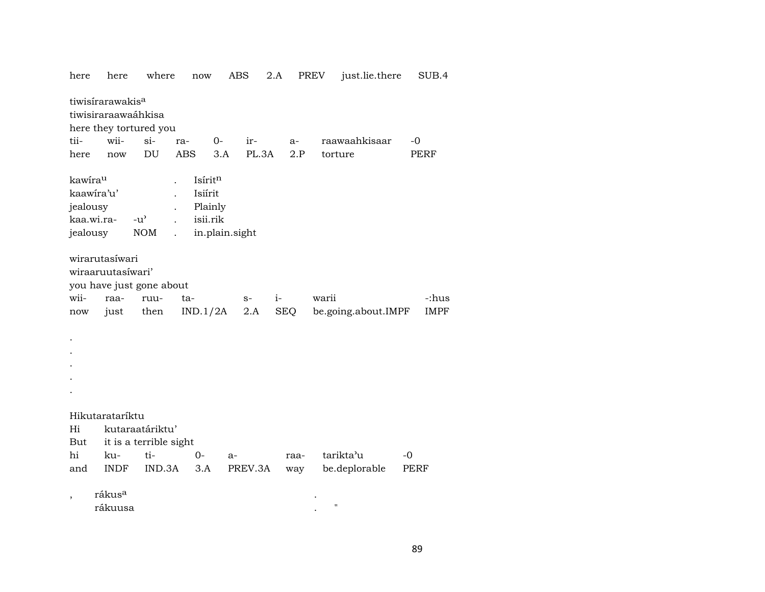| here                            | here                                                | where                       | $\operatorname{now}$                      | ABS            | 2.A          | <b>PREV</b>        | just.lie.there      | SUB.4       |
|---------------------------------|-----------------------------------------------------|-----------------------------|-------------------------------------------|----------------|--------------|--------------------|---------------------|-------------|
|                                 | tiwisirarawakis <sup>a</sup><br>tiwisiraraawaáhkisa |                             |                                           |                |              |                    |                     |             |
|                                 | here they tortured you                              |                             |                                           |                |              |                    |                     |             |
| tii-                            | wii-                                                | $si-$                       | $0-$<br>ra-                               | ir-            | a-           | raawaahkisaar      |                     | $-0$        |
| here                            | now                                                 | DU                          | <b>ABS</b>                                | 3.A            | PL.3A<br>2.P | torture            |                     | <b>PERF</b> |
| kawirau<br>jealousy<br>jealousy | kaawira'u'<br>kaa.wi.ra-                            | $-u^{\prime}$<br><b>NOM</b> | Isíritn<br>Isiírit<br>Plainly<br>isii.rik | in.plain.sight |              |                    |                     |             |
|                                 | wirarutasíwari<br>wiraaruutasíwari'                 |                             |                                           |                |              |                    |                     |             |
|                                 | you have just gone about                            |                             |                                           |                |              |                    |                     |             |
| wii-                            | raa-                                                | ruu-                        | ta-                                       | $S-$           | $i-$         | warii              |                     | -:hus       |
| now                             | just                                                | then                        | IND.1/2A                                  | 2.A            | SEQ          |                    | be.going.about.IMPF | <b>IMPF</b> |
|                                 |                                                     |                             |                                           |                |              |                    |                     |             |
|                                 | Hikutarataríktu                                     |                             |                                           |                |              |                    |                     |             |
| Hi                              |                                                     | kutaraatáriktu'             |                                           |                |              |                    |                     |             |
| But                             |                                                     | it is a terrible sight      |                                           |                |              |                    |                     |             |
| hi                              | ku-                                                 | ti-                         | 0-                                        | $a-$           | raa-         | tarikta'u          | $-0$                |             |
| and                             | <b>INDF</b>                                         | IND.3A                      | 3.A                                       | PREV.3A        | way          | be.deplorable      |                     | PERF        |
|                                 | rákus <sup>a</sup><br>rákuusa                       |                             |                                           |                |              | $\pmb{\mathsf{H}}$ |                     |             |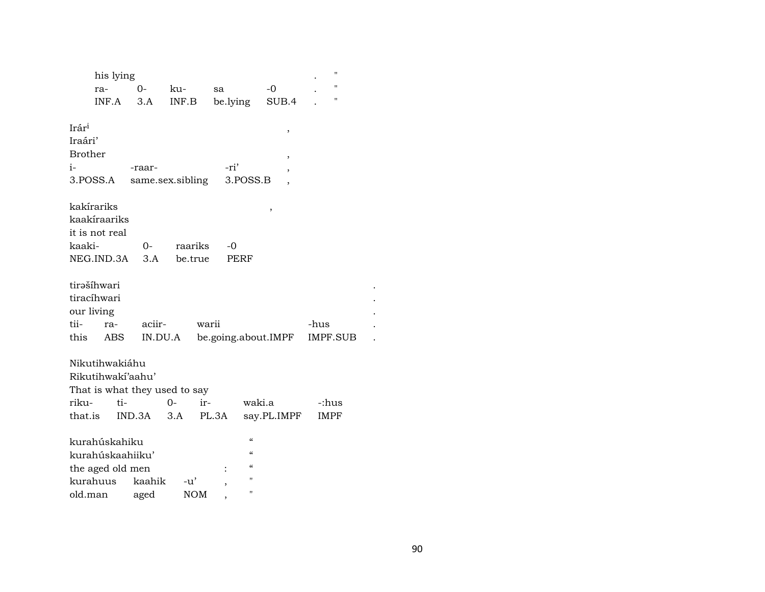|                   | his lying         |                               |                           |             |                                        | $\blacksquare$ |
|-------------------|-------------------|-------------------------------|---------------------------|-------------|----------------------------------------|----------------|
|                   | ra-               | 0-                            | ku-                       | sa          | $-0$                                   | $^{\prime}$    |
|                   | INF.A             | 3.A                           | $\textsf{INF}.\textsf{B}$ | be.lying    | SUB.4                                  | $\blacksquare$ |
|                   |                   |                               |                           |             |                                        |                |
| Irár <sup>i</sup> |                   |                               |                           |             | ,                                      |                |
| Iraári'           |                   |                               |                           |             |                                        |                |
| <b>Brother</b>    |                   |                               |                           |             | ,                                      |                |
| i-                |                   | -raar-                        |                           | -ri'        | ,                                      |                |
|                   | 3.POSS.A          | same.sex.sibling              |                           |             | 3.POSS.B                               |                |
|                   |                   |                               |                           |             |                                        |                |
|                   | kakírariks        |                               |                           |             | ,                                      |                |
|                   | kaakíraariks      |                               |                           |             |                                        |                |
|                   | it is not real    |                               |                           |             |                                        |                |
| kaaki-            |                   | 0-                            | raariks                   | -0          |                                        |                |
|                   | NEG.IND.3A        | 3.A                           | be.true                   | <b>PERF</b> |                                        |                |
|                   | tirašíhwari       |                               |                           |             |                                        |                |
|                   | tiracíhwari       |                               |                           |             |                                        |                |
|                   |                   |                               |                           |             |                                        |                |
|                   | our living        |                               |                           |             |                                        |                |
| tii-              | ra-               | aciir-                        |                           | warii       |                                        | -hus           |
| this              | ABS               | IN.DU.A                       |                           |             | be.going.about.IMPF                    | IMPF.SUB       |
|                   | Nikutihwakiáhu    |                               |                           |             |                                        |                |
|                   | Rikutihwakí'aahu' |                               |                           |             |                                        |                |
|                   |                   | That is what they used to say |                           |             |                                        |                |
| riku-             | ti-               |                               | $O -$                     | ir-         | waki.a                                 | -:hus          |
| that.is           |                   | IND.3A                        | 3.A                       | PL.3A       | say.PL.IMPF                            | <b>IMPF</b>    |
|                   |                   |                               |                           |             |                                        |                |
|                   | kurahúskahiku     |                               |                           |             | $\boldsymbol{\zeta}\boldsymbol{\zeta}$ |                |
|                   | kurahúskaahiiku'  |                               |                           |             | $\epsilon$                             |                |
|                   | the aged old men  |                               |                           |             | $\epsilon$                             |                |
|                   | kurahuus          | kaahik                        | -u'                       |             | п                                      |                |
| old.man           |                   | aged                          | <b>NOM</b>                |             | п                                      |                |

 $\ddot{\phantom{a}}$ 

 $\cdot$  $\cdot$ 

 $\ddot{\phantom{a}}$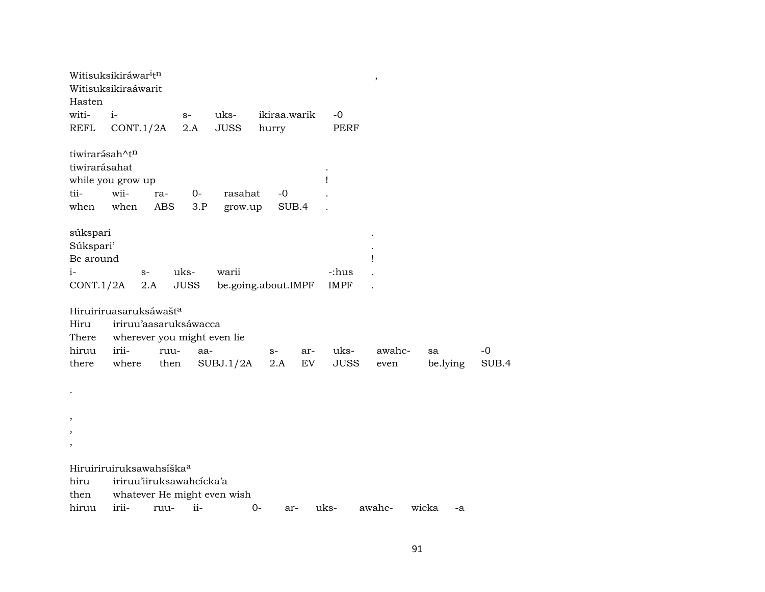| Hasten                   | Witisuksikiráwar <sup>i</sup> t <sup>n</sup><br>Witisuksikiraáwarit |            |             |                             |                     |     |             | $^\mathrm{,}$ |             |       |
|--------------------------|---------------------------------------------------------------------|------------|-------------|-----------------------------|---------------------|-----|-------------|---------------|-------------|-------|
| witi-                    | $i-$                                                                |            | $S-$        | uks-                        | ikiraa.warik        |     | -0          |               |             |       |
| <b>REFL</b>              | CONT.1/2A                                                           |            | 2.A         | <b>JUSS</b>                 | hurry               |     | <b>PERF</b> |               |             |       |
| tiwirarásah^tn           |                                                                     |            |             |                             |                     |     |             |               |             |       |
| tiwirarásahat            |                                                                     |            |             |                             |                     |     |             |               |             |       |
|                          | while you grow up                                                   |            |             |                             |                     |     | Ţ           |               |             |       |
| tii-                     | wii-                                                                | ra-        | $0-$        | rasahat                     | $-0$                |     |             |               |             |       |
| when                     | when                                                                | <b>ABS</b> | 3.P         | grow.up                     | SUB.4               |     |             |               |             |       |
| súkspari                 |                                                                     |            |             |                             |                     |     |             |               |             |       |
| Súkspari'                |                                                                     |            |             |                             |                     |     |             |               |             |       |
| Be around                |                                                                     |            |             |                             |                     |     |             | Ţ             |             |       |
| $i-$                     | $S-$                                                                |            | uks-        | warii                       |                     |     | -:hus       |               |             |       |
| CONT.1/2A                | 2.A                                                                 |            | <b>JUSS</b> |                             | be.going.about.IMPF |     | <b>IMPF</b> |               |             |       |
|                          | Hiruiriruasaruksáwašt <sup>a</sup>                                  |            |             |                             |                     |     |             |               |             |       |
| Hiru                     | iriruu'aasaruksáwacca                                               |            |             |                             |                     |     |             |               |             |       |
| There                    | wherever you might even lie                                         |            |             |                             |                     |     |             |               |             |       |
| hiruu                    | irii-                                                               | ruu-       | aa-         |                             | $S-$                | ar- | uks-        | awahc-        | sa          | $-0$  |
| there                    | where                                                               | then       |             | SUBJ.1/2A                   | 2.A                 | EV  | <b>JUSS</b> | even          | be.lying    | SUB.4 |
|                          |                                                                     |            |             |                             |                     |     |             |               |             |       |
|                          |                                                                     |            |             |                             |                     |     |             |               |             |       |
|                          |                                                                     |            |             |                             |                     |     |             |               |             |       |
| $\, ,$<br>$\, ,$         |                                                                     |            |             |                             |                     |     |             |               |             |       |
| $\overline{\phantom{a}}$ |                                                                     |            |             |                             |                     |     |             |               |             |       |
|                          |                                                                     |            |             |                             |                     |     |             |               |             |       |
|                          | Hiruiriruiruksawahsíška <sup>a</sup>                                |            |             |                             |                     |     |             |               |             |       |
| hiru                     | iriruu'iiruksawahcícka'a                                            |            |             |                             |                     |     |             |               |             |       |
| then                     |                                                                     |            |             | whatever He might even wish |                     |     |             |               |             |       |
| hiruu                    | irii-                                                               | ruu-       | $ii-$       |                             | 0-<br>ar-           |     | uks-        | awahc-        | wicka<br>-a |       |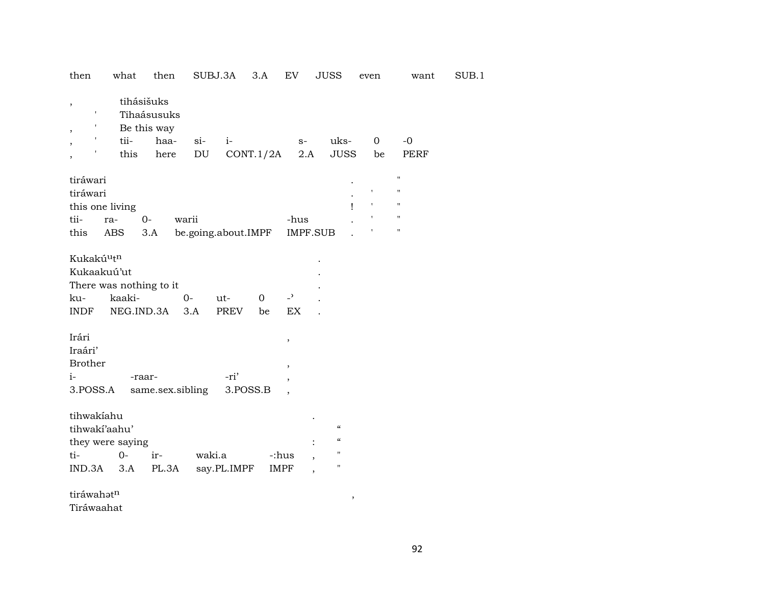| then                                                    | what                                            | then                                                     | SUBJ.3A                           | 3.A       | EV                                                                                         | JUSS                                                           | even              | want                  | SUB.1 |
|---------------------------------------------------------|-------------------------------------------------|----------------------------------------------------------|-----------------------------------|-----------|--------------------------------------------------------------------------------------------|----------------------------------------------------------------|-------------------|-----------------------|-------|
| $\, ,$<br>$\overline{\phantom{a}}$                      | tii-<br>this                                    | tihásišuks<br>Tihaásusuks<br>Be this way<br>haa-<br>here | $si$ -<br>$i-$<br>DU              | CONT.1/2A | $S-$<br>2.A                                                                                | uks-<br><b>JUSS</b>                                            | $\mathbf 0$<br>be | $-0$<br><b>PERF</b>   |       |
| tiráwari<br>tiráwari<br>this one living<br>tii-<br>this | ra-<br>ABS                                      | $0-$<br>3.A                                              | warii<br>be.going.about.IMPF      |           | -hus<br>IMPF.SUB                                                                           |                                                                |                   | Ħ<br>н<br>Н<br>п<br>Н |       |
| Kukakúutn<br>Kukaakuú'ut<br>ku-<br><b>INDF</b>          | There was nothing to it<br>kaaki-<br>NEG.IND.3A |                                                          | $0-$<br>ut-<br>3.A<br><b>PREV</b> | 0<br>be   | $\overline{\phantom{0}}$<br>EX                                                             |                                                                |                   |                       |       |
| Irári<br>Iraári'<br><b>Brother</b><br>$i-$<br>3.POSS.A  |                                                 | -raar-<br>same.sex.sibling                               | -ri'                              | 3.POSS.B  | $\, ,$<br>$\overline{\phantom{a}}$<br>$\overline{\phantom{a}}$<br>$\overline{\phantom{a}}$ |                                                                |                   |                       |       |
| tihwakiahu<br>tihwakí'aahu'<br>ti-<br>IND.3A            | they were saying<br>$0 -$<br>3.A                | ir-<br>PL.3A                                             | waki.a<br>say.PL.IMPF             |           | -:hus<br>$\overline{\phantom{a}}$<br><b>IMPF</b>                                           | $\epsilon$<br>$\boldsymbol{\zeta}\boldsymbol{\zeta}$<br>П<br>" |                   |                       |       |

 $\text{tráwahət}^{\text{n}}$  ,

Tiráwaahat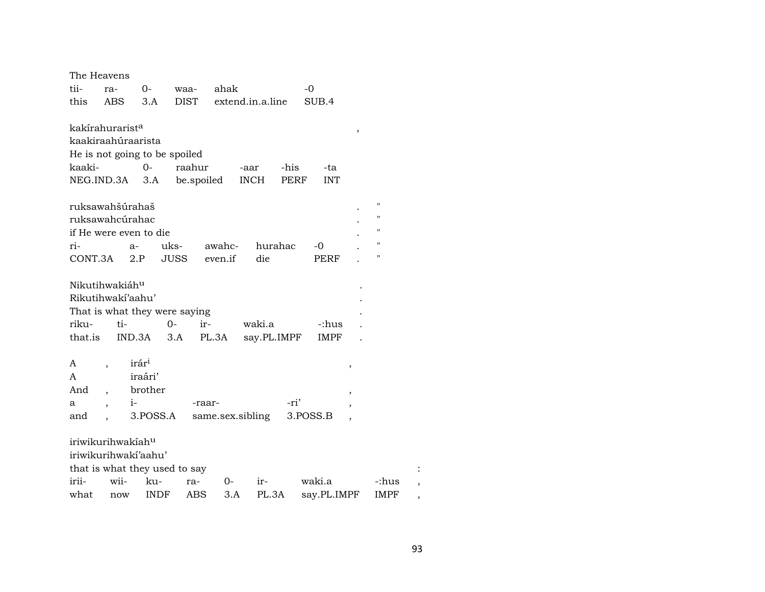| The Heavens                 |                          |                               |              |                  |                  |                    |   |       |  |
|-----------------------------|--------------------------|-------------------------------|--------------|------------------|------------------|--------------------|---|-------|--|
| tii-                        | ra-                      | $0-$                          | waa-         | ahak             |                  | $-0$               |   |       |  |
| this                        | ABS                      | 3.A                           | DIST         |                  | extend.in.a.line | SUB.4              |   |       |  |
|                             |                          |                               |              |                  |                  |                    |   |       |  |
| kakírahurarist <sup>a</sup> |                          |                               |              |                  |                  |                    | , |       |  |
| kaakiraahúraarista          |                          |                               |              |                  |                  |                    |   |       |  |
|                             |                          | He is not going to be spoiled |              |                  |                  |                    |   |       |  |
| kaaki-                      |                          | $O -$                         | raahur       | -aar             | -his             | -ta                |   |       |  |
| NEG.IND.3A 3.A              |                          |                               | be.spoiled   |                  | <b>INCH</b>      | <b>INT</b><br>PERF |   |       |  |
|                             |                          |                               |              |                  |                  |                    |   |       |  |
| ruksawahšúrahaš             |                          |                               |              |                  |                  |                    |   | п     |  |
| ruksawahcúrahac             |                          |                               |              |                  |                  |                    |   | н     |  |
|                             |                          | if He were even to die        |              |                  |                  |                    |   | н     |  |
| ri-                         |                          | $a-$                          | uks-         | awahc-           | hurahac          | -0                 |   | п     |  |
| CONT.3A                     |                          | 2.P                           | <b>JUSS</b>  | even.if          | die              | <b>PERF</b>        |   | П     |  |
|                             |                          |                               |              |                  |                  |                    |   |       |  |
| Nikutihwakiáh <sup>u</sup>  |                          |                               |              |                  |                  |                    |   |       |  |
| Rikutihwakí'aahu'           |                          |                               |              |                  |                  |                    |   |       |  |
|                             |                          | That is what they were saying |              |                  |                  |                    |   |       |  |
| riku-                       | ti-                      |                               | $0 -$<br>ir- |                  | waki.a           | -:hus              |   |       |  |
| that.is                     |                          | IND.3A                        | 3.A<br>PL.3A |                  | say.PL.IMPF      | <b>IMPF</b>        |   |       |  |
| A                           |                          | irár <sup>i</sup>             |              |                  |                  |                    |   |       |  |
| A                           | $\overline{\phantom{a}}$ | iraári'                       |              |                  |                  |                    | , |       |  |
| And                         |                          | brother                       |              |                  |                  |                    |   |       |  |
|                             |                          |                               |              |                  | -ri'             |                    |   |       |  |
| а                           | $\overline{\phantom{a}}$ | $i-$                          | -raar-       |                  |                  |                    |   |       |  |
| and                         |                          | 3.POSS.A                      |              | same.sex.sibling |                  | 3.POSS.B           |   |       |  |
| iriwikurihwakiahu           |                          |                               |              |                  |                  |                    |   |       |  |
|                             |                          | iriwikurihwaki'aahu'          |              |                  |                  |                    |   |       |  |
|                             |                          | that is what they used to say |              |                  |                  |                    |   |       |  |
| irii-                       | wii-                     | ku-                           | ra-          | $0-$             | $ir-$            | waki.a             |   | -:hus |  |
| what                        | now                      | INDF                          | ABS          | 3.A              | PL.3A            | say.PL.IMPF        |   | IMPF  |  |
|                             |                          |                               |              |                  |                  |                    |   |       |  |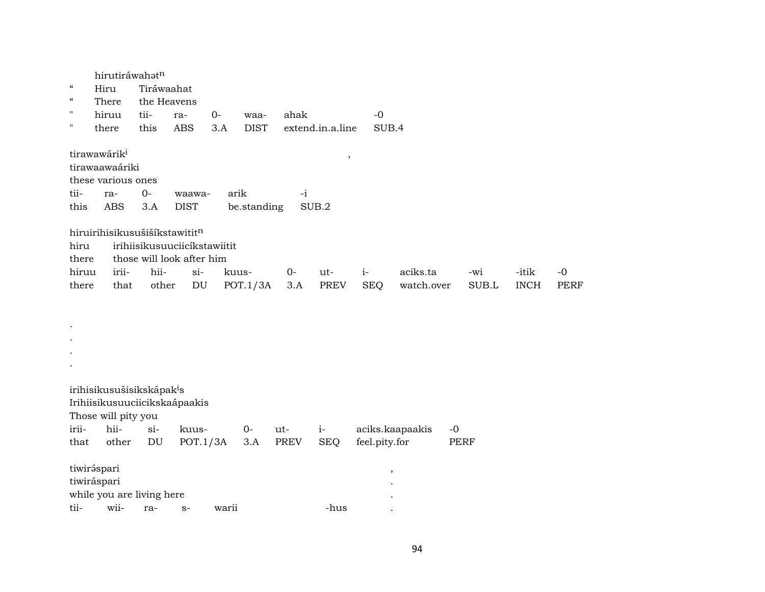hirutiráwahatn " Hiru Tiráwaahat " There the Heavens " hiruu tii- ra- 0- waa- ahak -0 " there this ABS 3.A DIST extend.in.a.line SUB.4  ${\bf tr} {\bf a} {\bf w} {\bf a} {\bf v} {\bf a} {\bf i} {\bf k}^{\rm i} \tag{3}$ tirawaawaáriki these various ones tii- ra- 0- waawa- arik -i this ABS 3.A DIST be.standing SUB.2 hiruirihisikusušiší $k$ stawitit $<sup>n</sup>$ </sup> hiru irihiisikusuuciicíkstawiitit there those will look after him hiruu irii- hii- si- kuus- 0- ut- i- aciks.ta -wi -itik -0 there that other DU POT.1/3A 3.A PREV SEQ watch.over SUB.L INCH PERF

. irihisikusušisikskápak<sup>i</sup>s Irihiisikusuuciicikskaápaakis Those will pity you irii- hii- si- kuus- 0- ut- i- aciks.kaapaakis -0 that other DU POT.1/3A 3.A PREV SEQ feel.pity.for PERF tiwir¿spari , tiwiráspari . while you are living here tii- wii- ra- s- warii -hus .

. . .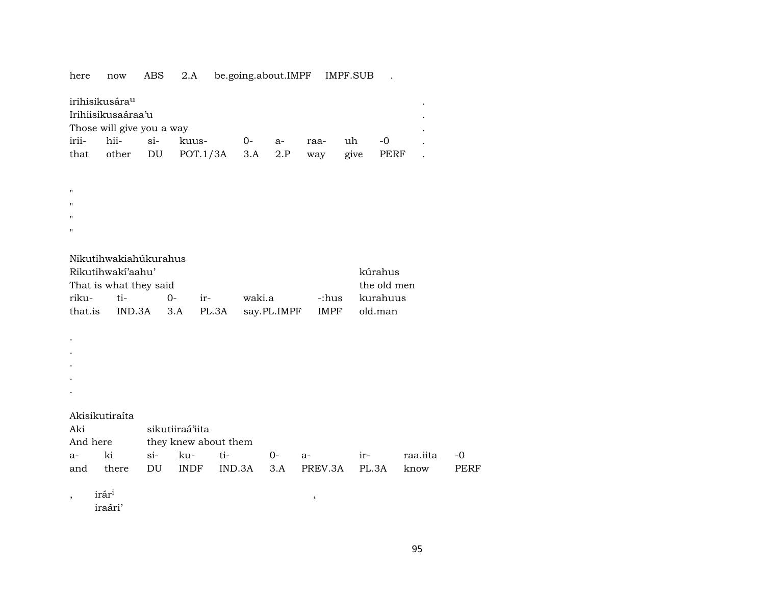here now ABS 2.A be.going.about.IMPF IMPF.SUB .

|                                 | irihisikusára <sup>u</sup> |  |                           |         |  |      |      |           | $\bullet$ |  |  |  |
|---------------------------------|----------------------------|--|---------------------------|---------|--|------|------|-----------|-----------|--|--|--|
| Irihiisikusaáraa'u<br>$\bullet$ |                            |  |                           |         |  |      |      |           |           |  |  |  |
|                                 | Those will give you a way  |  |                           |         |  |      |      |           |           |  |  |  |
|                                 | irii- hii- si- kuus-       |  |                           | $0-$ a- |  | raa- | uh   | $ \Omega$ |           |  |  |  |
| that                            |                            |  | other DU POT.1/3A 3.A 2.P |         |  | way  | give | PERF      |           |  |  |  |
|                                 |                            |  |                           |         |  |      |      |           |           |  |  |  |

"  $^{\prime\prime}$ 

"

 $\boldsymbol{\mathsf{H}}$ 

| Nikutihwakiahúkurahus |  |
|-----------------------|--|
|-----------------------|--|

| Rikutihwaki'aahu'      | kúrahus     |       |                                                   |  |                |
|------------------------|-------------|-------|---------------------------------------------------|--|----------------|
| That is what they said | the old men |       |                                                   |  |                |
|                        |             | $ir-$ | waki.a                                            |  | -:hus kurahuus |
|                        |             |       | that.is IND.3A 3.A PL.3A say.PL.IMPF IMPF old.man |  |                |

. . . .

.

Akisikutiraíta

sikutiiraá'iita

| And here |  |                     |     | they knew about them |  |             |  |
|----------|--|---------------------|-----|----------------------|--|-------------|--|
| a-       |  | $\operatorname{si}$ | ku- |                      |  | raa.jita -0 |  |

|  |  |  | and there DU INDF IND.3A 3.A PREV.3A PL.3A know PERF |  |  |
|--|--|--|------------------------------------------------------|--|--|
|  |  |  |                                                      |  |  |

 $,\qquad$  irár $^{1}$ 

iraári'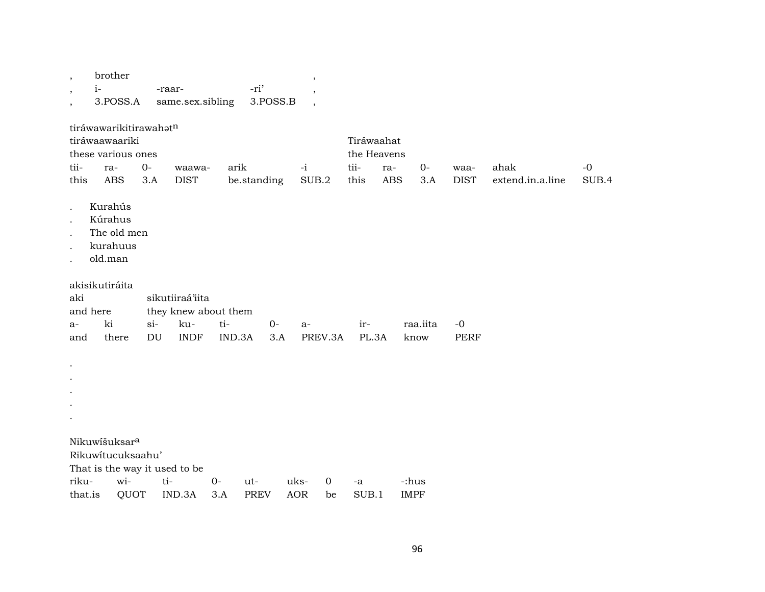| $\,$<br>$\, ,$<br>$\, ,$                                | brother<br>$i-$<br>3.POSS.A                                                         |             | -raar-<br>same.sex.sibling |        | -ri'<br>3.POSS.B |               |             |                                           |                                      |              |                     |                          |               |
|---------------------------------------------------------|-------------------------------------------------------------------------------------|-------------|----------------------------|--------|------------------|---------------|-------------|-------------------------------------------|--------------------------------------|--------------|---------------------|--------------------------|---------------|
| tii-<br>this                                            | tiráwawarikitirawahatn<br>tiráwaawaariki<br>these various ones<br>ra-<br><b>ABS</b> | $0-$<br>3.A | waawa-<br><b>DIST</b>      | arik   | be.standing      | $-i$<br>SUB.2 |             | Tiráwaahat<br>the Heavens<br>tii-<br>this | ra-<br>$\mathbf A\mathbf B\mathbf S$ | $O -$<br>3.A | waa-<br><b>DIST</b> | ahak<br>extend.in.a.line | $-0$<br>SUB.4 |
| $\bullet$<br>$\cdot$<br>$\cdot$<br>$\ddot{\phantom{0}}$ | Kurahús<br>Kúrahus<br>The old men<br>kurahuus<br>old.man                            |             |                            |        |                  |               |             |                                           |                                      |              |                     |                          |               |
| aki                                                     | akisikutiráita                                                                      |             | sikutiiraá'iita            |        |                  |               |             |                                           |                                      |              |                     |                          |               |
|                                                         | and here                                                                            |             | they knew about them       |        |                  |               |             |                                           |                                      |              |                     |                          |               |
| $a-$                                                    | ki                                                                                  | $si-$       | ku-                        | ti-    | $0-$             | a-            |             | ir-                                       |                                      | raa.iita     | $-0$                |                          |               |
| and                                                     | there                                                                               | DU          | <b>INDF</b>                | IND.3A | 3.A              | PREV.3A       |             | PL.3A                                     |                                      | know         | <b>PERF</b>         |                          |               |
| $\cdot$                                                 |                                                                                     |             |                            |        |                  |               |             |                                           |                                      |              |                     |                          |               |
|                                                         | Nikuwíšuksar <sup>a</sup>                                                           |             |                            |        |                  |               |             |                                           |                                      |              |                     |                          |               |
|                                                         | Rikuwitucuksaahu'                                                                   |             |                            |        |                  |               |             |                                           |                                      |              |                     |                          |               |
|                                                         | That is the way it used to be                                                       |             |                            |        |                  |               |             |                                           |                                      |              |                     |                          |               |
| riku-                                                   | wi-                                                                                 | ti-         |                            | $0-$   | ut-              | uks-          | $\mathbf 0$ | -a                                        |                                      | -:hus        |                     |                          |               |
| that.is                                                 | QUOT                                                                                |             | IND.3A                     | 3.A    | <b>PREV</b>      | <b>AOR</b>    | be          | SUB.1                                     |                                      | <b>IMPF</b>  |                     |                          |               |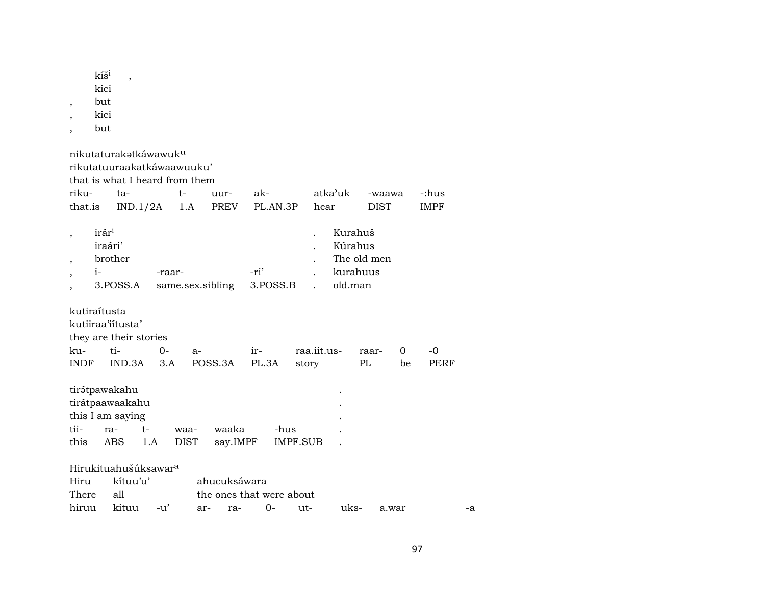| $\overline{\phantom{a}}$                                                                           | kíš <sup>i</sup><br>kici<br>but<br>kici<br>but  | $\overline{\phantom{a}}$                                     |             |                                                              |                                          |                  |                         |                      |                               |                         |         |                      |    |
|----------------------------------------------------------------------------------------------------|-------------------------------------------------|--------------------------------------------------------------|-------------|--------------------------------------------------------------|------------------------------------------|------------------|-------------------------|----------------------|-------------------------------|-------------------------|---------|----------------------|----|
|                                                                                                    |                                                 | nikutaturakatkáwawuku                                        |             | rikutatuuraakatkáwaawuuku'<br>that is what I heard from them |                                          |                  |                         |                      |                               |                         |         |                      |    |
| riku-<br>that.is                                                                                   |                                                 | ta-<br>IND.1/2A                                              |             | t-<br>1.A                                                    | uur-<br>PREV                             | ak-              | PL.AN.3P                | hear                 | atka'uk                       | -waawa<br><b>DIST</b>   |         | -:hus<br><b>IMPF</b> |    |
|                                                                                                    |                                                 |                                                              |             |                                                              |                                          |                  |                         |                      |                               |                         |         |                      |    |
| $\overline{\phantom{a}}$<br>$\overline{\phantom{a}}$<br>$\overline{\phantom{a}}$<br>$\overline{ }$ | irár <sup>i</sup><br>iraári'<br>brother<br>$i-$ | 3.POSS.A                                                     | -raar-      |                                                              | same.sex.sibling                         | -ri'<br>3.POSS.B |                         |                      | Kurahuš<br>Kúrahus<br>old.man | The old men<br>kurahuus |         |                      |    |
| kutiraítusta                                                                                       |                                                 | kutiiraa'iitusta'<br>they are their stories                  |             |                                                              |                                          |                  |                         |                      |                               |                         |         |                      |    |
| ku-<br><b>INDF</b>                                                                                 |                                                 | ti-<br>IND.3A                                                | $0-$<br>3.A | a-                                                           | POSS.3A                                  | ir-<br>PL.3A     |                         | raa.iit.us-<br>story |                               | raar-<br>$\rm PL$       | 0<br>be | -0<br>PERF           |    |
| tii-<br>this                                                                                       | ra-                                             | tirátpawakahu<br>tirátpaawaakahu<br>this I am saying<br>ABS  | $t-$<br>1.A | waa-<br><b>DIST</b>                                          | waaka<br>say.IMPF                        |                  | -hus<br><b>IMPF.SUB</b> |                      |                               |                         |         |                      |    |
| Hiru<br>There<br>hiruu                                                                             |                                                 | Hirukituahušúksawar <sup>a</sup><br>kítuu'u'<br>all<br>kituu | $-u'$       |                                                              | ahucuksáwara<br>the ones that were about | $0-$             |                         |                      | uks-                          |                         |         |                      |    |
|                                                                                                    |                                                 |                                                              |             | ar-                                                          | ra-                                      |                  |                         | ut-                  |                               |                         | a.war   |                      | -a |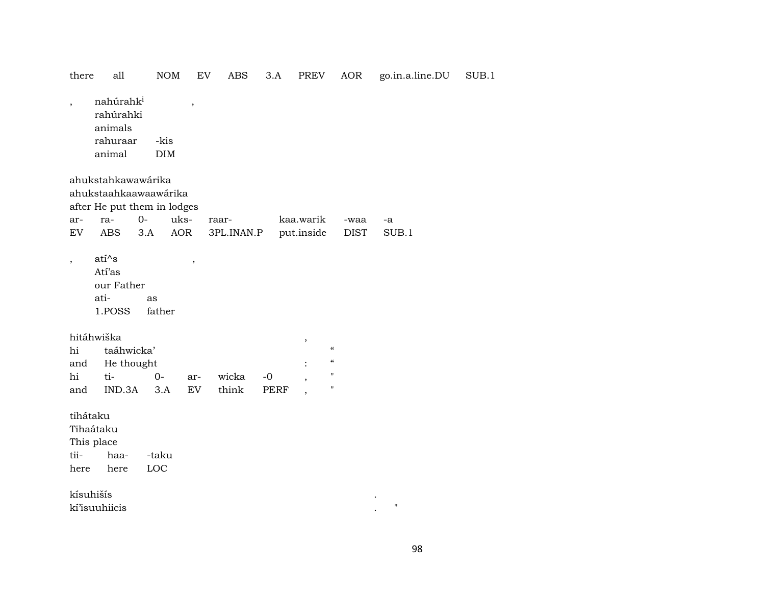| there                                               | all                                                                                             | <b>NOM</b>                  | EV               | ABS                 | 3.A          | PREV                    | AOR                                                                                                        | go.in.a.line.DU    | SUB.1 |
|-----------------------------------------------------|-------------------------------------------------------------------------------------------------|-----------------------------|------------------|---------------------|--------------|-------------------------|------------------------------------------------------------------------------------------------------------|--------------------|-------|
| $\overline{\phantom{a}}$                            | nahúrahk <sup>i</sup><br>rahúrahki<br>animals<br>rahuraar<br>animal                             | -kis<br>$\rm{DIM}$          | $\, ,$           |                     |              |                         |                                                                                                            |                    |       |
| ar-<br>EV                                           | ahukstahkawawárika<br>ahukstaahkaawaawárika<br>after He put them in lodges<br>ra-<br><b>ABS</b> | $O -$<br>uks-<br>3.A<br>AOR |                  | raar-<br>3PL.INAN.P |              | kaa.warik<br>put.inside | -waa<br><b>DIST</b>                                                                                        | -a<br>SUB.1        |       |
| $\overline{\phantom{a}}$                            | $ati^s$<br>Atí'as<br>our Father<br>ati-<br>1.POSS                                               | as<br>father                | $\, ,$           |                     |              |                         |                                                                                                            |                    |       |
| hi<br>and<br>hi<br>and                              | hitáhwiška<br>taáhwicka'<br>He thought<br>ti-<br>IND.3A                                         | $O -$<br>3.A                | ar-<br><b>EV</b> | wicka<br>think      | $-0$<br>PERF | $^\mathrm{^\mathrm{o}}$ | $\boldsymbol{\mathcal{C}}$<br>$\boldsymbol{\zeta}\boldsymbol{\zeta}$<br>$\mathbf{H}$<br>$\pmb{\mathsf{H}}$ |                    |       |
| tihátaku<br>Tihaátaku<br>This place<br>tii-<br>here | haa-<br>here                                                                                    | -taku<br>LOC                |                  |                     |              |                         |                                                                                                            |                    |       |
| kísuhišís                                           | kí'isuuhiicis                                                                                   |                             |                  |                     |              |                         |                                                                                                            | $\pmb{\mathsf{H}}$ |       |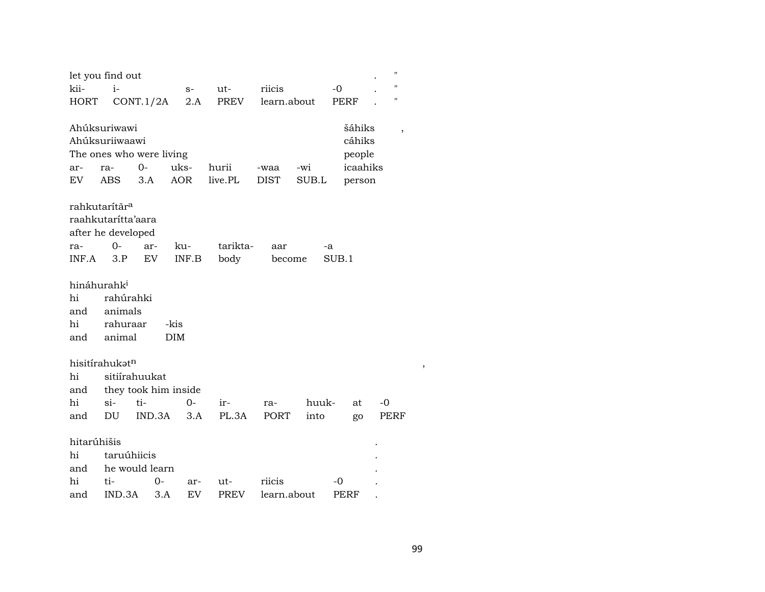|                                                   | let you find out                                    |                                         |                    |                  |                     |              |                                                  | П    |
|---------------------------------------------------|-----------------------------------------------------|-----------------------------------------|--------------------|------------------|---------------------|--------------|--------------------------------------------------|------|
| kii-                                              | $i-$                                                |                                         | $S-$               | ut-              | riicis              |              | -0                                               | п    |
| <b>HORT</b>                                       |                                                     | CONT.1/2A                               | 2.A                | PREV             | learn.about         |              | PERF                                             | п    |
| ar-<br>EV                                         | Ahúksuriwawi<br>Ahúksuriiwaawi<br>ra-<br><b>ABS</b> | The ones who were living<br>$0-$<br>3.A | uks-<br><b>AOR</b> | hurii<br>live.PL | -waa<br><b>DIST</b> | -wi<br>SUB.L | šáhiks<br>cáhiks<br>people<br>icaahiks<br>person |      |
|                                                   | rahkutarítār <sup>a</sup>                           |                                         |                    |                  |                     |              |                                                  |      |
|                                                   | raahkutarítta'aara                                  |                                         |                    |                  |                     |              |                                                  |      |
|                                                   | after he developed                                  |                                         |                    |                  |                     |              |                                                  |      |
| ra-                                               | $0 -$                                               | ar-                                     | ku-                | tarikta-         | aar                 | -a           |                                                  |      |
| INF.A                                             | 3.P                                                 | EV                                      | INF.B              | body             | become              |              | SUB.1                                            |      |
| hináhurahk <sup>i</sup><br>hi<br>and<br>hi<br>and | rahúrahki<br>animals<br>rahuraar<br>animal          |                                         | -kis<br><b>DIM</b> |                  |                     |              |                                                  |      |
|                                                   | hisitírahukat <sup>n</sup>                          |                                         |                    |                  |                     |              |                                                  |      |
| hi                                                |                                                     | sitiírahuukat                           |                    |                  |                     |              |                                                  |      |
| and                                               |                                                     | they took him inside                    |                    |                  |                     |              |                                                  |      |
| hi                                                | $si-$                                               | ti-                                     | $0-$               | ir-              | ra-                 | huuk-        | at                                               | $-0$ |
| and                                               | DU                                                  | IND.3A                                  | 3.A                | PL.3A            | PORT                | into         | go                                               | PERF |
| hitarúhišis<br>hi<br>and                          | taruúhiicis                                         | he would learn                          |                    |                  |                     |              |                                                  |      |
| hi                                                | ti-                                                 | $0-$                                    | ar-                | ut-              | riicis              |              | -0                                               |      |
| and                                               | IND.3A                                              | 3.A                                     | EV                 | <b>PREV</b>      | learn.about         |              | <b>PERF</b>                                      |      |

 $\overline{\phantom{a}}$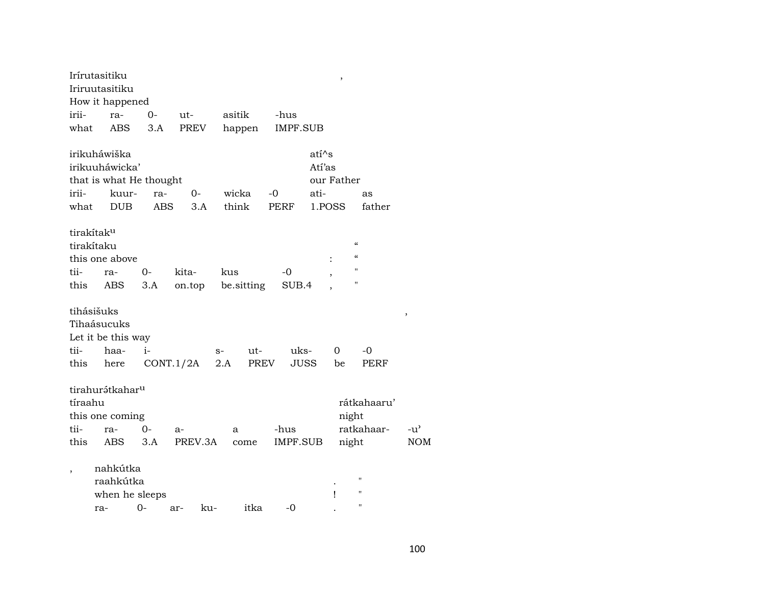|                          | Irírutasitiku               |            |           |      |             |             |         | ,                        |                          |               |
|--------------------------|-----------------------------|------------|-----------|------|-------------|-------------|---------|--------------------------|--------------------------|---------------|
|                          | Iriruutasitiku              |            |           |      |             |             |         |                          |                          |               |
|                          | How it happened             |            |           |      |             |             |         |                          |                          |               |
| irii-                    | ra-                         | $0-$       | ut-       |      | asitik      | -hus        |         |                          |                          |               |
| what                     | ABS                         | 3.A        | PREV      |      | happen      | IMPF.SUB    |         |                          |                          |               |
|                          | irikuháwiška                |            |           |      |             |             | $ati^s$ |                          |                          |               |
|                          | irikuuháwicka'              |            |           |      |             |             | Atí'as  |                          |                          |               |
|                          | that is what He thought     |            |           |      |             |             |         | our Father               |                          |               |
| irii-                    | kuur-                       | ra-        | 0-        |      | wicka       | $-0$        | ati-    |                          | as                       |               |
| what                     | <b>DUB</b>                  | <b>ABS</b> | 3.A       |      | think       | <b>PERF</b> | 1.POSS  |                          | father                   |               |
|                          | tirakítak <sup>u</sup>      |            |           |      |             |             |         |                          |                          |               |
|                          | tirakítaku                  |            |           |      |             |             |         |                          | $\pmb{\zeta}\pmb{\zeta}$ |               |
|                          | this one above              |            |           |      |             |             |         |                          | $\pmb{\zeta}\pmb{\zeta}$ |               |
| tii-                     | ra-                         | $0-$       | kita-     | kus  |             | -0          |         | $\overline{\phantom{a}}$ | $\pmb{\mathsf{H}}$       |               |
| this                     | ABS                         | 3.A        | on.top    |      | be sitting  | SUB.4       |         |                          | П                        |               |
|                          | tihásišuks                  |            |           |      |             |             |         |                          |                          | ,             |
|                          | Tihaásucuks                 |            |           |      |             |             |         |                          |                          |               |
|                          | Let it be this way          |            |           |      |             |             |         |                          |                          |               |
| tii-                     | haa-                        | $i-$       |           | $S-$ | ut-         | uks-        |         | 0                        | -0                       |               |
| this                     | here                        |            | CONT.1/2A | 2.A  | <b>PREV</b> |             | JUSS    | be                       | PERF                     |               |
|                          | tirahurátkahar <sup>u</sup> |            |           |      |             |             |         |                          |                          |               |
| tíraahu                  |                             |            |           |      |             |             |         |                          | rátkahaaru'              |               |
|                          | this one coming             |            |           |      |             |             |         | night                    |                          |               |
| tii-                     | ra-                         | $0-$       | $a-$      | a    |             | -hus        |         |                          | ratkahaar-               | $-u^{\prime}$ |
| this                     | <b>ABS</b>                  | 3.A        | PREV.3A   |      | come        | IMPF.SUB    |         | night                    |                          | <b>NOM</b>    |
| $\overline{\phantom{a}}$ | nahkútka                    |            |           |      |             |             |         |                          |                          |               |
|                          | raahkútka                   |            |           |      |             |             |         |                          | "                        |               |
|                          | when he sleeps              |            |           |      |             |             |         | ı                        | $\blacksquare$           |               |
|                          | ra-                         | $0-$       | ar-       | ku-  | itka        | $-0$        |         |                          | $\blacksquare$           |               |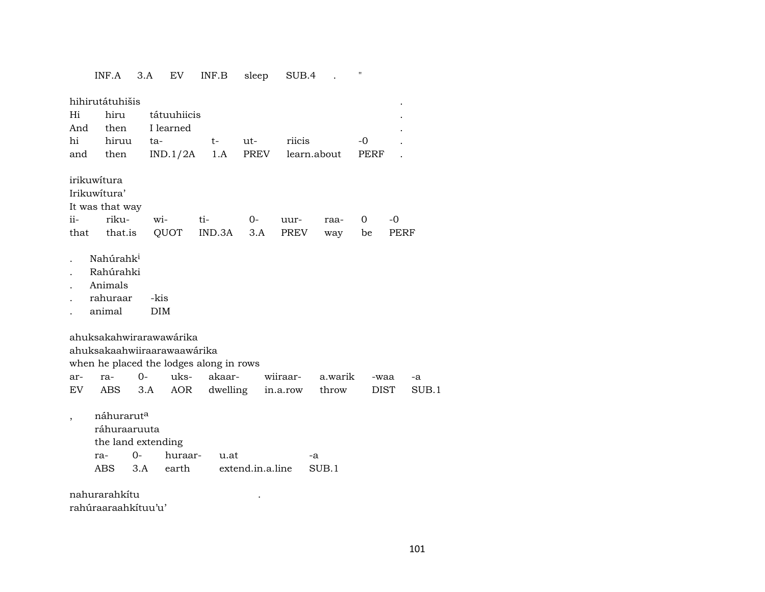INF.A 3.A EV INF.B sleep SUB.4 . "

| Hi<br>And<br>hi<br>and | hihirutátuhišis<br>hiru<br>then<br>hiruu<br>then                                                  | ta-                | tátuuhiicis<br>I learned<br>IND.1/2A |     | $t-$<br>1.A              | ut-<br>PREV |          | riicis<br>learn.about |    |         | $-0$<br>PERF |      |      |       |
|------------------------|---------------------------------------------------------------------------------------------------|--------------------|--------------------------------------|-----|--------------------------|-------------|----------|-----------------------|----|---------|--------------|------|------|-------|
|                        | irikuwítura                                                                                       |                    |                                      |     |                          |             |          |                       |    |         |              |      |      |       |
|                        | Irikuwitura'                                                                                      |                    |                                      |     |                          |             |          |                       |    |         |              |      |      |       |
|                        | It was that way                                                                                   |                    |                                      |     |                          |             |          |                       |    |         |              |      |      |       |
| ii-                    | riku-                                                                                             | wi-                |                                      | ti- |                          | $0-$        |          | uur-                  |    | raa-    | 0            |      | $-0$ |       |
| that                   | that.is                                                                                           |                    | QUOT                                 |     | IND.3A                   | 3.A         |          | PREV                  |    | way     | be           |      | PERF |       |
|                        | Nahúrahk <sup>i</sup><br>Rahúrahki<br>Animals<br>rahuraar<br>animal                               | -kis<br><b>DIM</b> |                                      |     |                          |             |          |                       |    |         |              |      |      |       |
|                        | ahuksakahwirarawawárika<br>ahuksakaahwiiraarawaawárika<br>when he placed the lodges along in rows |                    |                                      |     |                          |             |          |                       |    |         |              |      |      |       |
| ar-                    | ra-                                                                                               | $O -$              | uks-                                 |     | akaar-                   |             | wiiraar- |                       |    | a.warik |              | -waa |      | -a    |
| EV                     | ABS                                                                                               | 3.A                | <b>AOR</b>                           |     | dwelling                 |             |          | in.a.row              |    | throw   |              | DIST |      | SUB.1 |
| $\overline{ }$         | náhurarut <sup>a</sup><br>ráhuraaruuta<br>the land extending<br>ra-<br>ABS                        | 0-<br>3.A          | huraar-<br>earth                     |     | u.at<br>extend.in.a.line |             |          |                       | -a | SUB.1   |              |      |      |       |
|                        | nahurarahkítu                                                                                     |                    |                                      |     |                          |             |          |                       |    |         |              |      |      |       |
|                        | rahúraaraahkítuu'u'                                                                               |                    |                                      |     |                          |             |          |                       |    |         |              |      |      |       |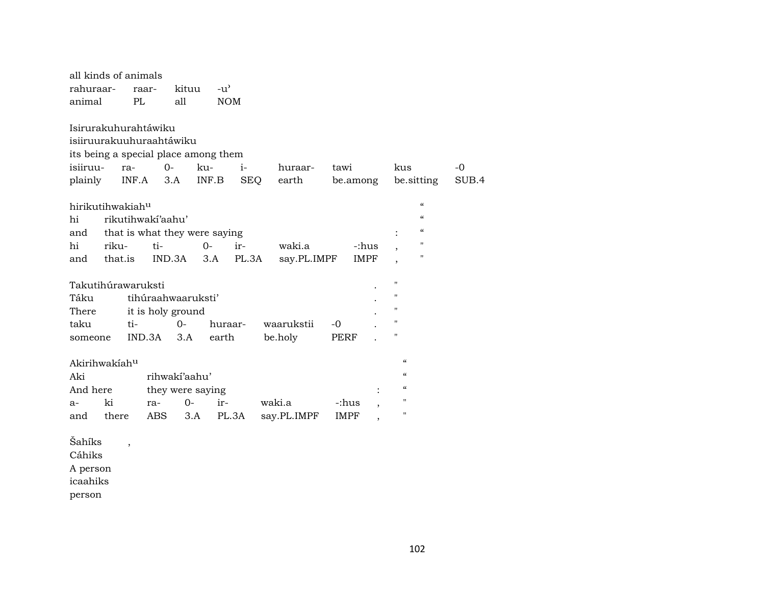| all kinds of animals                 |                               |                  |                             |              |             |                                        |       |
|--------------------------------------|-------------------------------|------------------|-----------------------------|--------------|-------------|----------------------------------------|-------|
| rahuraar-<br>animal                  | raar-<br>PL                   | kituu<br>all     | $-u^{\prime}$<br><b>NOM</b> |              |             |                                        |       |
|                                      |                               |                  |                             |              |             |                                        |       |
| Isirurakuhurahtáwiku                 |                               |                  |                             |              |             |                                        |       |
| isiiruurakuuhuraahtáwiku             |                               |                  |                             |              |             |                                        |       |
| its being a special place among them |                               |                  |                             |              |             |                                        |       |
| isiiruu-                             | ra-                           | $0-$<br>ku-      | $i-$                        | huraar-      | tawi        | kus                                    | $-0$  |
| plainly                              | INF.A                         | 3.A              | INF.B                       | SEQ<br>earth | be.among    | be sitting                             | SUB.4 |
| hirikutihwakiah <sup>u</sup>         |                               |                  |                             |              |             | $\alpha$                               |       |
| hi                                   | rikutihwaki'aahu'             |                  |                             |              |             | $\epsilon$                             |       |
| and                                  | that is what they were saying |                  |                             |              |             | $\epsilon$                             |       |
| hi<br>riku-                          | ti-                           | $0-$             | ir-                         | waki.a       | -:hus       | п                                      |       |
| and that.is                          |                               | $IND.3A$ $3.A$   | PL.3A                       | say.PL.IMPF  | IMPF        | п                                      |       |
|                                      |                               |                  |                             |              |             |                                        |       |
| Takutihúrawaruksti                   |                               |                  |                             |              |             | п                                      |       |
| Táku                                 | tihúraahwaaruksti'            |                  |                             |              |             | $\pmb{\mathsf{H}}$                     |       |
| There                                | it is holy ground             |                  |                             |              |             | п                                      |       |
| taku                                 | ti-                           | $0-$             | huraar-                     | waarukstii   | $-0$        | н                                      |       |
| someone                              | IND.3A                        | 3.A              | earth                       | be.holy      | <b>PERF</b> | Н                                      |       |
|                                      |                               |                  |                             |              |             |                                        |       |
| Akirihwakíah <sup>u</sup>            |                               |                  |                             |              |             | $\boldsymbol{\mathcal{C}}$             |       |
| Aki                                  |                               | rihwaki'aahu'    |                             |              |             | $\mathcal{C}$                          |       |
| And here                             |                               | they were saying |                             |              |             | $\boldsymbol{\zeta}\boldsymbol{\zeta}$ |       |
| ki<br>a-                             | ra-                           | $0-$             | ir-                         | waki.a       | -:hus       | $\pmb{\mathsf{H}}$                     |       |
| there<br>and                         | ABS                           | 3.A              | PL.3A                       | say.PL.IMPF  | IMPF        | $\blacksquare$                         |       |
| Šahíks                               |                               |                  |                             |              |             |                                        |       |
| ~ * * * * *                          | $\overline{\phantom{a}}$      |                  |                             |              |             |                                        |       |

Cáhiks A person

icaahiks

person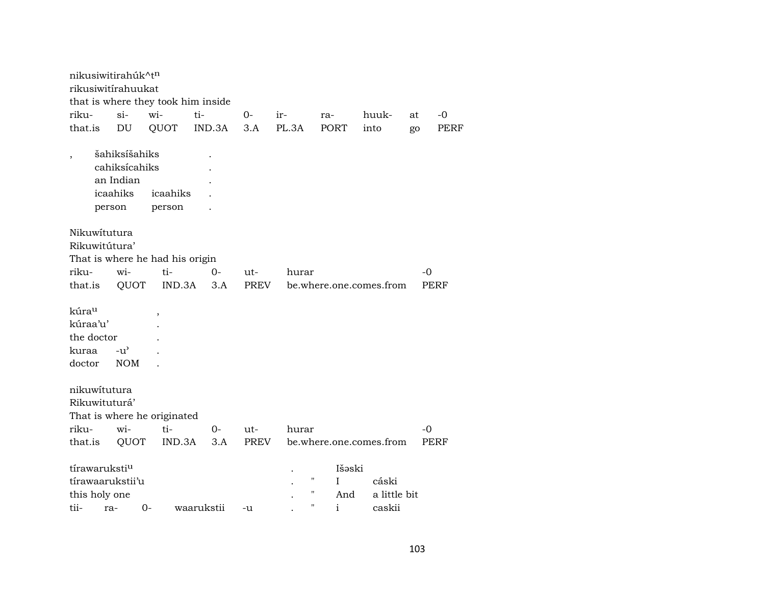|                                                    |        | nikusiwitirahúk^tn                                      |                                              |             |             |              |                                    |                                 |      |      |
|----------------------------------------------------|--------|---------------------------------------------------------|----------------------------------------------|-------------|-------------|--------------|------------------------------------|---------------------------------|------|------|
|                                                    |        | rikusiwitirahuukat                                      |                                              |             |             |              |                                    |                                 |      |      |
|                                                    |        |                                                         | that is where they took him inside           |             |             |              |                                    |                                 |      |      |
| riku-                                              |        | $si-$                                                   | wi-                                          | ti-         | $0-$        | ir-          | ra-                                | huuk-                           | at   | $-0$ |
| that.is                                            |        | DU                                                      | QUOT                                         | IND.3A      | 3.A         | PL.3A        | <b>PORT</b>                        | into                            | go   | PERF |
| $\overline{\phantom{a}}$                           | person | šahiksíšahiks<br>cahiksícahiks<br>an Indian<br>icaahiks | icaahiks<br>person                           |             |             |              |                                    |                                 |      |      |
| Nikuwitutura<br>Rikuwitútura'                      |        |                                                         | That is where he had his origin              |             |             |              |                                    |                                 |      |      |
| riku-                                              |        | wi-                                                     | ti-                                          | 0-          | ut-         | hurar        |                                    |                                 | $-0$ |      |
| that.is                                            |        | QUOT                                                    | IND.3A                                       | 3.A         | PREV        |              |                                    | be.where.one.comes.from         |      | PERF |
| kúrau<br>kúraa'u'<br>the doctor<br>kuraa<br>doctor |        | -u'<br><b>NOM</b>                                       |                                              |             |             |              |                                    |                                 |      |      |
| nikuwitutura<br>Rikuwituturá'<br>riku-<br>that.is  |        | wi-<br>QUOT                                             | That is where he originated<br>ti-<br>IND.3A | $0-$<br>3.A | ut-<br>PREV | hurar        |                                    | be.where.one.comes.from         | $-0$ | PERF |
| tírawaruksti <sup>u</sup><br>this holy one<br>tii- | ra-    | tírawaarukstii'u                                        | $0-$                                         | waarukstii  | -u          | "<br>Ħ<br>11 | Išəski<br>I<br>And<br>$\mathbf{i}$ | cáski<br>a little bit<br>caskii |      |      |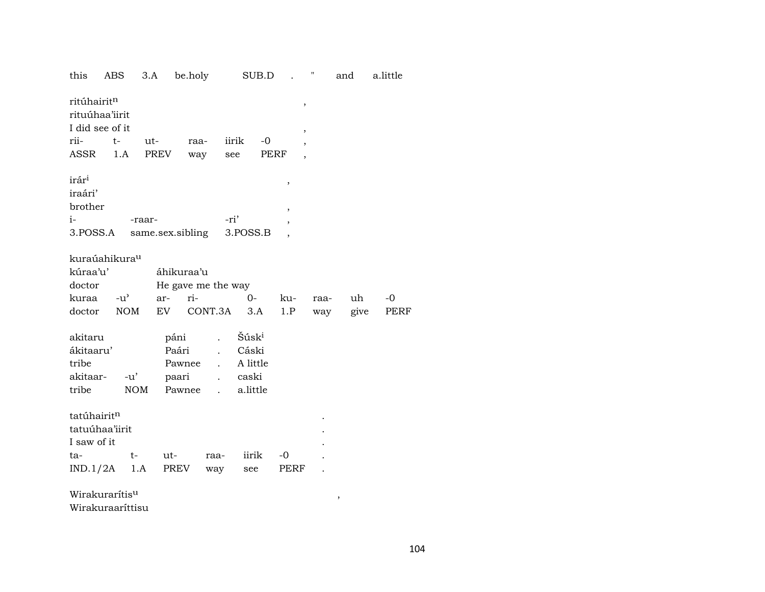| this                                                         | ABS  |        | 3.A              | be.holy    |                    |                   | SUB.D |                | $\mathbf{u}$ | and  | a.little |
|--------------------------------------------------------------|------|--------|------------------|------------|--------------------|-------------------|-------|----------------|--------------|------|----------|
| ritúhairit <sup>n</sup><br>rituúhaa'iirit<br>I did see of it |      |        |                  |            |                    |                   |       | $\,$<br>$\, ,$ |              |      |          |
| rii-                                                         | $t-$ |        | ut-              | raa-       |                    | iirik             | $-0$  | ,              |              |      |          |
| ASSR                                                         |      | 1.A    | PREV             |            | way                | see               | PERF  |                |              |      |          |
|                                                              |      |        |                  |            |                    |                   |       |                |              |      |          |
| irár <sup>i</sup>                                            |      |        |                  |            |                    |                   |       | $\, ,$         |              |      |          |
| iraári'                                                      |      |        |                  |            |                    |                   |       |                |              |      |          |
| brother                                                      |      |        |                  |            |                    |                   |       |                |              |      |          |
| $i-$                                                         |      |        | -raar-           |            |                    | -ri'              |       | ,              |              |      |          |
| 3.POSS.A                                                     |      |        | same.sex.sibling |            |                    | 3.POSS.B          |       |                |              |      |          |
|                                                              |      |        |                  |            |                    |                   |       |                |              |      |          |
| kuraúahikura <sup>u</sup>                                    |      |        |                  |            |                    |                   |       |                |              |      |          |
| kúraa'u'                                                     |      |        |                  | áhikuraa'u |                    |                   |       |                |              |      |          |
| doctor                                                       |      |        |                  |            | He gave me the way |                   |       |                |              |      |          |
| kuraa                                                        |      | $-u^2$ | ar-              | ri-        |                    | $O -$             |       | ku-            | raa-         | uh   | $-0$     |
| doctor                                                       |      | NOM    |                  |            | EV CONT.3A 3.A     |                   |       | 1.P            | way          | give | PERF     |
|                                                              |      |        |                  |            |                    |                   |       |                |              |      |          |
| akitaru                                                      |      |        |                  | páni       |                    | Šúsk <sup>i</sup> |       |                |              |      |          |
| ákitaaru'                                                    |      |        |                  | Paári      | $\mathbf{r}$       | Cáski             |       |                |              |      |          |
| tribe                                                        |      |        |                  | Pawnee     | $\mathbf{L}$       | A little          |       |                |              |      |          |
| akitaar-                                                     |      | -u'    |                  | paari      |                    | caski             |       |                |              |      |          |
| tribe                                                        |      | NOM    |                  | Pawnee     | $\mathbf{L}$       | a.little          |       |                |              |      |          |
|                                                              |      |        |                  |            |                    |                   |       |                |              |      |          |
| tatúhairitn                                                  |      |        |                  |            |                    |                   |       |                |              |      |          |
| tatuúhaa'iirit                                               |      |        |                  |            |                    |                   |       |                |              |      |          |
| I saw of it                                                  |      |        |                  |            |                    |                   |       |                |              |      |          |
| ta-                                                          |      | $t-$   | ut-              |            | raa-               | iirik             |       | $-0$           |              |      |          |
| $IND.1/2A$ 1.A                                               |      |        |                  | PREV       | way                | see               |       | PERF           |              |      |          |
|                                                              |      |        |                  |            |                    |                   |       |                |              |      |          |
| Wirakurarítis <sup>u</sup>                                   |      |        |                  |            |                    |                   |       |                |              | ,    |          |

Wirakuraaríttisu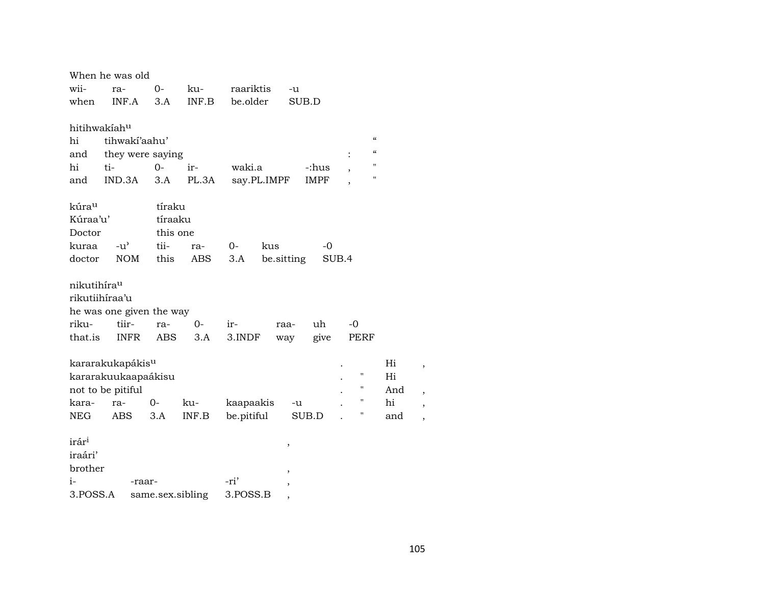|                         | When he was old              |                  |       |             |            |             |                                        |     |   |
|-------------------------|------------------------------|------------------|-------|-------------|------------|-------------|----------------------------------------|-----|---|
| wii-                    | ra-                          | $0-$             | ku-   | raariktis   | -u         |             |                                        |     |   |
| when                    | INF.A                        | 3.A              | INF.B | be.older    |            | SUB.D       |                                        |     |   |
| hitihwakiahu            |                              |                  |       |             |            |             |                                        |     |   |
| hi                      | tihwaki'aahu'                |                  |       |             |            |             | $\boldsymbol{\zeta}\boldsymbol{\zeta}$ |     |   |
| and                     | they were saying             |                  |       |             |            |             | $\boldsymbol{\zeta}\boldsymbol{\zeta}$ |     |   |
| hi                      | ti-                          | $0 -$            | ir-   | waki.a      |            | -:hus       | 11                                     |     |   |
| and                     | IND.3A                       | 3.A              | PL.3A | say.PL.IMPF |            | <b>IMPF</b> | 11                                     |     |   |
| kúra <sup>u</sup>       |                              | tíraku           |       |             |            |             |                                        |     |   |
| Kúraa'u'                |                              | tíraaku          |       |             |            |             |                                        |     |   |
| Doctor                  |                              | this one         |       |             |            |             |                                        |     |   |
| kuraa                   | $-u^{\prime}$                | tii-             | ra-   | $0-$        | kus        | $-0$        |                                        |     |   |
| doctor                  | NOM                          | this             | ABS   | 3.A         | be sitting |             | SUB.4                                  |     |   |
| nikutihíra <sup>u</sup> |                              |                  |       |             |            |             |                                        |     |   |
| rikutiihíraa'u          |                              |                  |       |             |            |             |                                        |     |   |
|                         | he was one given the way     |                  |       |             |            |             |                                        |     |   |
| riku-                   | tiir-                        | ra-              | $0-$  | ir-         | raa-       | uh          | $-0$                                   |     |   |
| that.is                 | INFR                         | ABS              | 3.A   | 3.INDF      | way        | give        | PERF                                   |     |   |
|                         | kararakukapákis <sup>u</sup> |                  |       |             |            |             |                                        | Hi  | , |
|                         | kararakuukaapaákisu          |                  |       |             |            |             | $\pmb{\mathsf{H}}$                     | Hi  |   |
|                         | not to be pitiful            |                  |       |             |            |             | 11                                     | And | , |
| kara-                   | ra-                          | $0-$             | ku-   | kaapaakis   | -u         |             | $\pmb{\mathsf{H}}$                     | hi  |   |
| NEG                     | ABS                          | 3.A              | INF.B | be.pitiful  |            | SUB.D       | Η                                      | and |   |
| irár <sup>i</sup>       |                              |                  |       |             | ,          |             |                                        |     |   |
| iraári'                 |                              |                  |       |             |            |             |                                        |     |   |
| brother                 |                              |                  |       |             |            |             |                                        |     |   |
| $i-$                    | -raar-                       |                  |       | -ri'        |            |             |                                        |     |   |
| 3.POSS.A                |                              | same.sex.sibling |       | 3.POSS.B    |            |             |                                        |     |   |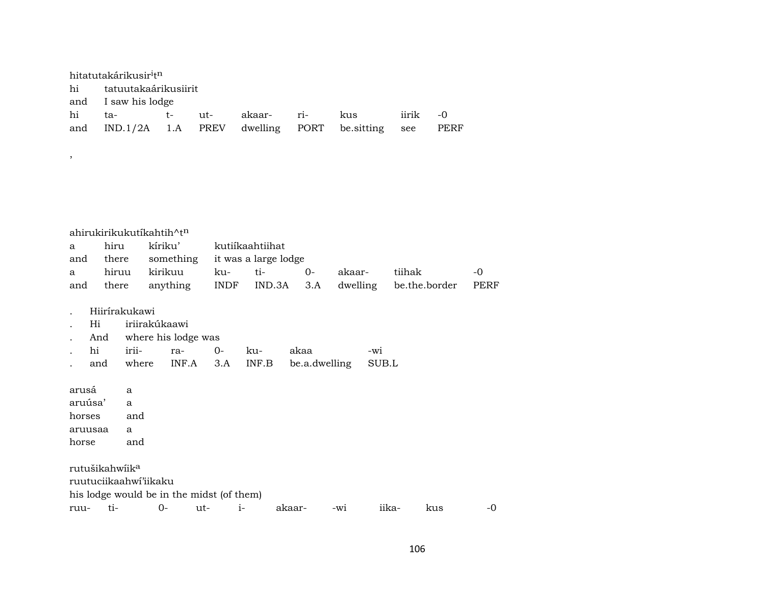| hitatutakárikusir <sup>i</sup> t <sup>n</sup> |  |  |  |  |                                                         |          |  |  |  |  |
|-----------------------------------------------|--|--|--|--|---------------------------------------------------------|----------|--|--|--|--|
| hi tatuutakaárikusiirit                       |  |  |  |  |                                                         |          |  |  |  |  |
| and I saw his lodge                           |  |  |  |  |                                                         |          |  |  |  |  |
| hi ta-  t- ut- akaar- ri- kus                 |  |  |  |  |                                                         | iirik -0 |  |  |  |  |
|                                               |  |  |  |  | and IND.1/2A 1.A PREV dwelling PORT be sitting see PERF |          |  |  |  |  |

|     | ahirukirikukutíkahtih^t <sup>n</sup> |         |                                |                         |       |        |                                                 |      |  |  |  |  |
|-----|--------------------------------------|---------|--------------------------------|-------------------------|-------|--------|-------------------------------------------------|------|--|--|--|--|
| a — | hiru                                 |         |                                | kíriku' kutiíkaahtiihat |       |        |                                                 |      |  |  |  |  |
| and | there                                |         | something it was a large lodge |                         |       |        |                                                 |      |  |  |  |  |
| a   | hiruu                                | kirikuu | ku-                            | ti-                     | $O -$ | akaar- | tiihak                                          | $-0$ |  |  |  |  |
| and | there                                |         |                                |                         |       |        | anything INDF IND.3A 3.A dwelling be.the.border | PERF |  |  |  |  |

. Hiirírakukawi

,

- . Hi iriirakúkaawi
- . And where his lodge was

|  |  |  | . hi irii-  ra-  0- ku-  akaa                 | -wi |
|--|--|--|-----------------------------------------------|-----|
|  |  |  | and where INF.A 3.A INF.B be.a.dwelling SUB.L |     |

arusá a aruúsa' a horses and aruusaa a horse and rutušikahwíik $^a$ ruutuciikaahwí'iikaku his lodge would be in the midst (of them) ruu- ti- 0- ut- i- akaar- -wi iika- kus -0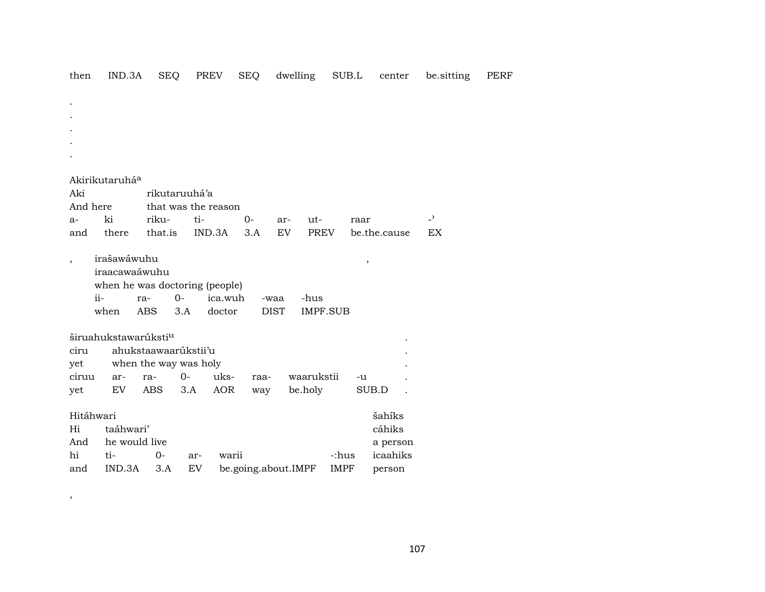| then                       | IND.3A                                  | <b>SEQ</b>            | <b>PREV</b>                |            | <b>SEQ</b>          | dwelling                        | SUB.L       |                      | center   | be.sitting     | <b>PERF</b> |
|----------------------------|-----------------------------------------|-----------------------|----------------------------|------------|---------------------|---------------------------------|-------------|----------------------|----------|----------------|-------------|
|                            |                                         |                       |                            |            |                     |                                 |             |                      |          |                |             |
| $\bullet$                  |                                         |                       |                            |            |                     |                                 |             |                      |          |                |             |
|                            |                                         |                       |                            |            |                     |                                 |             |                      |          |                |             |
|                            |                                         |                       |                            |            |                     |                                 |             |                      |          |                |             |
|                            |                                         |                       |                            |            |                     |                                 |             |                      |          |                |             |
|                            |                                         |                       |                            |            |                     |                                 |             |                      |          |                |             |
| Akirikutaruhá <sup>a</sup> |                                         |                       |                            |            |                     |                                 |             |                      |          |                |             |
| Aki                        |                                         |                       | rikutaruuhá'a              |            |                     |                                 |             |                      |          |                |             |
| And here                   | ki                                      | riku-                 | that was the reason<br>ti- |            | $O -$               |                                 |             |                      |          | $\overline{a}$ |             |
| a-<br>and                  | there                                   | that.is               | IND.3A                     |            | 3.A                 | ut-<br>ar-<br><b>PREV</b><br>EV |             | raar<br>be.the.cause |          | EX             |             |
|                            |                                         |                       |                            |            |                     |                                 |             |                      |          |                |             |
| $\overline{\phantom{a}}$   | irašawáwuhu<br>$\overline{\phantom{a}}$ |                       |                            |            |                     |                                 |             |                      |          |                |             |
|                            | iraacawaáwuhu                           |                       |                            |            |                     |                                 |             |                      |          |                |             |
|                            | when he was doctoring (people)          |                       |                            |            |                     |                                 |             |                      |          |                |             |
|                            | $ii -$                                  | ra-                   | $0-$                       | ica.wuh    | -waa                | -hus                            |             |                      |          |                |             |
|                            | when                                    | <b>ABS</b>            | 3.A                        | doctor     | <b>DIST</b>         | <b>IMPF.SUB</b>                 |             |                      |          |                |             |
|                            | širuahukstawarúksti <sup>u</sup>        |                       |                            |            |                     |                                 |             |                      |          |                |             |
| ciru                       |                                         | ahukstaawaarúkstii'u  |                            |            |                     |                                 |             |                      |          |                |             |
| yet                        |                                         | when the way was holy |                            |            |                     |                                 |             |                      |          |                |             |
| ciruu                      | ar-                                     | ra-                   | $0-$                       | uks-       | raa-                | waarukstii                      |             | $-u$                 |          |                |             |
| yet                        | EV                                      | <b>ABS</b>            | 3.A                        | <b>AOR</b> | way                 | be.holy                         |             | SUB.D                |          |                |             |
| Hitáhwari                  |                                         |                       |                            |            |                     |                                 |             |                      | šahíks   |                |             |
| Hi                         | taáhwari'                               |                       |                            |            |                     |                                 |             |                      | cáhiks   |                |             |
| And                        | he would live                           |                       |                            |            |                     |                                 |             |                      | a person |                |             |
| hi                         | ti-                                     | $0-$                  | ar-                        | warii      |                     |                                 | -:hus       |                      | icaahiks |                |             |
| and                        | IND.3A                                  | 3.A                   | EV                         |            | be.going.about.IMPF |                                 | <b>IMPF</b> |                      | person   |                |             |

,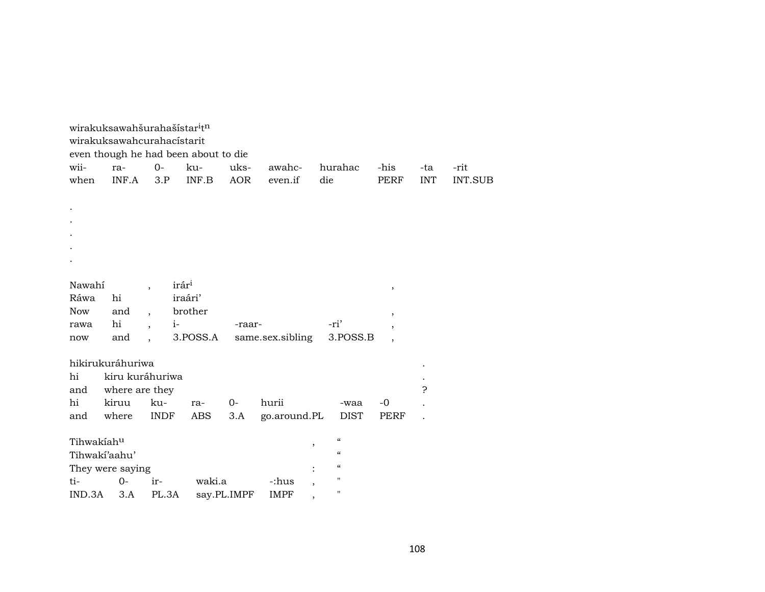|                  |                | wirakuksawahšurahašístar <sup>i</sup> tn |          |             |                  |                                                |                          |              |                |
|------------------|----------------|------------------------------------------|----------|-------------|------------------|------------------------------------------------|--------------------------|--------------|----------------|
|                  |                | wirakuksawahcurahacístarit               |          |             |                  |                                                |                          |              |                |
|                  |                | even though he had been about to die     |          |             |                  |                                                |                          |              |                |
| wii-             | ra-            | $0-$                                     | ku-      | uks-        | awahc-           | hurahac                                        | -his                     | -ta          | -rit           |
| when             | INF.A          | 3.P                                      | INF.B    | <b>AOR</b>  | even.if          | die                                            | PERF                     | <b>INT</b>   | <b>INT.SUB</b> |
|                  |                |                                          |          |             |                  |                                                |                          |              |                |
|                  |                |                                          |          |             |                  |                                                |                          |              |                |
|                  |                |                                          |          |             |                  |                                                |                          |              |                |
|                  |                |                                          |          |             |                  |                                                |                          |              |                |
|                  |                |                                          |          |             |                  |                                                |                          |              |                |
|                  |                |                                          |          |             |                  |                                                |                          |              |                |
| Nawahí           |                | irár <sup>i</sup>                        |          |             |                  |                                                |                          |              |                |
| Ráwa             | hi             | $\ddot{\phantom{0}}$                     | iraári'  |             |                  |                                                | $\, ,$                   |              |                |
| Now              | and            | $\ddot{\phantom{0}}$                     | brother  |             |                  |                                                |                          |              |                |
| rawa             | hi             | $i-$<br>$\overline{\phantom{a}}$         |          | -raar-      |                  | -ri'                                           | $\overline{\phantom{a}}$ |              |                |
| now              | and            |                                          | 3.POSS.A |             | same.sex.sibling |                                                | $\cdot$<br>3.POSS.B      |              |                |
|                  |                |                                          |          |             |                  |                                                |                          |              |                |
| hikirukuráhuriwa |                |                                          |          |             |                  |                                                |                          |              |                |
| hi               |                | kiru kuráhuriwa                          |          |             |                  |                                                |                          |              |                |
| and              | where are they |                                          |          |             |                  |                                                |                          | <sub>5</sub> |                |
| hi               | kiruu          | ku-                                      | ra-      | $O-$        | hurii            |                                                | $-0$<br>-waa             |              |                |
| and              | where          | <b>INDF</b>                              | ABS      | 3.A         | go.around.PL     |                                                | DIST<br>PERF             |              |                |
|                  |                |                                          |          |             |                  |                                                |                          |              |                |
| Tihwakiahu       |                |                                          |          |             |                  | $\mathcal{C}$<br>,                             |                          |              |                |
| Tihwaki'aahu'    |                |                                          |          |             |                  | $\epsilon\epsilon$<br>$\pmb{\zeta}\pmb{\zeta}$ |                          |              |                |
| They were saying |                |                                          |          |             |                  | "                                              |                          |              |                |
| ti-              | $0-$           | ir-                                      | waki.a   |             | -:hus            | 11                                             |                          |              |                |
| IND.3A           | 3.A            | PL.3A                                    |          | say.PL.IMPF | IMPF             | $\overline{\phantom{a}}$                       |                          |              |                |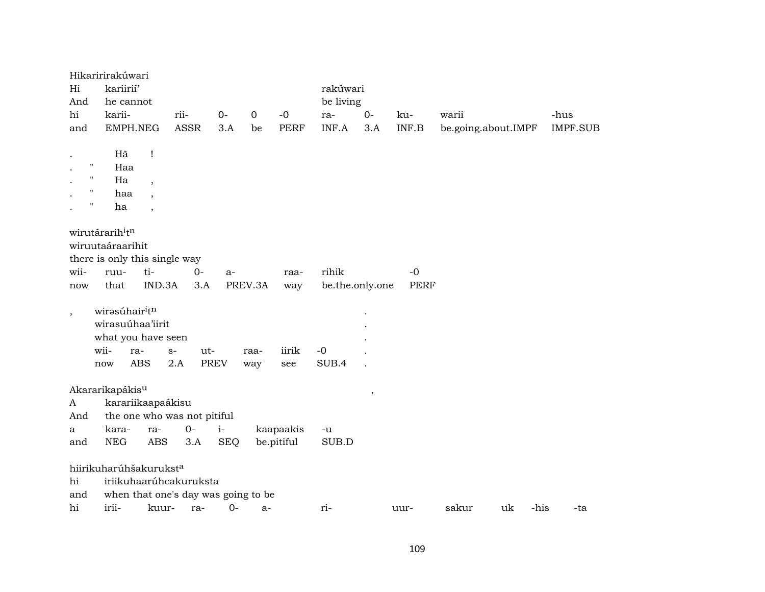|                    | Hikaririrakúwari                             |                          |             |             |             |             |                 |        |       |                     |      |          |
|--------------------|----------------------------------------------|--------------------------|-------------|-------------|-------------|-------------|-----------------|--------|-------|---------------------|------|----------|
| Hi                 | kariirií'                                    |                          |             |             |             |             | rakúwari        |        |       |                     |      |          |
| And                | he cannot                                    |                          |             |             |             |             | be living       |        |       |                     |      |          |
| hi                 | karii-                                       |                          | rii-        | $0-$        | $\mathbf 0$ | $-0$        | ra-             | $0-$   | ku-   | warii               |      | -hus     |
| and                | EMPH.NEG                                     |                          | <b>ASSR</b> | 3.A         | be          | <b>PERF</b> | INF.A           | 3.A    | INF.B | be.going.about.IMPF |      | IMPF.SUB |
|                    |                                              |                          |             |             |             |             |                 |        |       |                     |      |          |
|                    | Hã                                           | Ţ                        |             |             |             |             |                 |        |       |                     |      |          |
| $\pmb{\mathsf{H}}$ | Haa                                          |                          |             |             |             |             |                 |        |       |                     |      |          |
| $\pmb{\mathsf{H}}$ | Ha                                           | $\overline{\phantom{a}}$ |             |             |             |             |                 |        |       |                     |      |          |
| $\pmb{\mathsf{H}}$ | haa                                          |                          |             |             |             |             |                 |        |       |                     |      |          |
| $\pmb{\mathsf{H}}$ | ha                                           | $\overline{\phantom{a}}$ |             |             |             |             |                 |        |       |                     |      |          |
|                    |                                              |                          |             |             |             |             |                 |        |       |                     |      |          |
|                    | wirutárarih <sup>i</sup> tn                  |                          |             |             |             |             |                 |        |       |                     |      |          |
|                    | wiruutaáraarihit                             |                          |             |             |             |             |                 |        |       |                     |      |          |
|                    | there is only this single way                |                          |             |             |             |             |                 |        |       |                     |      |          |
| wii-               | ruu-                                         | ti-                      | $0-$        | a-          |             | raa-        | rihik           |        | $-0$  |                     |      |          |
| now                | that                                         | IND.3A                   | 3.A         |             | PREV.3A     | way         | be.the.only.one |        | PERF  |                     |      |          |
|                    |                                              |                          |             |             |             |             |                 |        |       |                     |      |          |
| $\, ,$             | wirəsúhair <sup>i</sup> t <sup>n</sup>       |                          |             |             |             |             |                 |        |       |                     |      |          |
|                    | wirasuúhaa'iirit                             |                          |             |             |             |             |                 |        |       |                     |      |          |
|                    | what you have seen                           |                          |             |             |             |             |                 |        |       |                     |      |          |
|                    | wii-<br>ra-                                  | $S-$                     | ut-         |             | raa-        | iirik       | $-0$            |        |       |                     |      |          |
|                    | ABS<br>now                                   | 2.A                      |             | <b>PREV</b> | way         | see         | SUB.4           |        |       |                     |      |          |
|                    |                                              |                          |             |             |             |             |                 |        |       |                     |      |          |
|                    | Akararikapákis <sup>u</sup>                  |                          |             |             |             |             |                 | $\, ,$ |       |                     |      |          |
| A                  | karariikaapaákisu                            |                          |             |             |             |             |                 |        |       |                     |      |          |
| And                | the one who was not pitiful                  |                          |             |             |             |             |                 |        |       |                     |      |          |
| a                  | kara-                                        | ra-                      | $0-$        | $i-$        |             | kaapaakis   | -u              |        |       |                     |      |          |
| and                | <b>NEG</b>                                   | <b>ABS</b>               | 3.A         | <b>SEQ</b>  |             | be.pitiful  | SUB.D           |        |       |                     |      |          |
|                    | hiirikuharúhšakurukst <sup>a</sup>           |                          |             |             |             |             |                 |        |       |                     |      |          |
| hi                 | iriikuhaarúhcakuruksta                       |                          |             |             |             |             |                 |        |       |                     |      |          |
|                    |                                              |                          |             |             |             |             |                 |        |       |                     |      |          |
| and<br>hi          | when that one's day was going to be<br>irii- | kuur-                    | ra-         | $O -$       | $a-$        |             | ri-             |        | uur-  | sakur<br>uk         | -his | -ta      |
|                    |                                              |                          |             |             |             |             |                 |        |       |                     |      |          |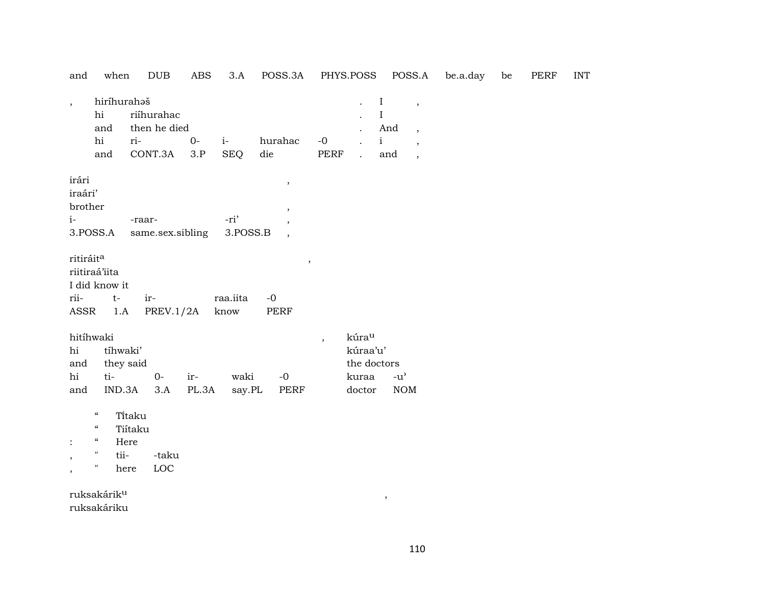| and                                                                  | when                                                                                                                                     | $_{\rm DUB}$                                                                                         | ABS            | 3.A                          | POSS.3A                                          |                          | PHYS.POSS                                                       |                                                      | POSS.A                                                                                                       | be.a.day | be | <b>PERF</b> | <b>INT</b> |
|----------------------------------------------------------------------|------------------------------------------------------------------------------------------------------------------------------------------|------------------------------------------------------------------------------------------------------|----------------|------------------------------|--------------------------------------------------|--------------------------|-----------------------------------------------------------------|------------------------------------------------------|--------------------------------------------------------------------------------------------------------------|----------|----|-------------|------------|
| $\cdot$                                                              | hiríhurahaš<br>hi<br>and<br>hi<br>and                                                                                                    | riíhurahac<br>then he died<br>ri-<br>CONT.3A                                                         | $O -$<br>3.P   | $i-$<br><b>SEQ</b>           | hurahac<br>die                                   | $-0$<br>PERF             | $\ddot{\phantom{a}}$                                            | $\mathbf I$<br>$\rm I$<br>And<br>$\mathbf{i}$<br>and | $\overline{\phantom{a}}$<br>$\overline{\phantom{a}}$<br>$\overline{\phantom{a}}$<br>$\overline{\phantom{a}}$ |          |    |             |            |
| irári<br>iraári'<br>brother<br>$i-$<br>ritiráit <sup>a</sup><br>rii- | 3.POSS.A<br>riitiraá'iita<br>I did know it<br>$t-$                                                                                       | -raar-<br>same.sex.sibling<br>ir-                                                                    |                | -ri'<br>3.POSS.B<br>raa.iita | $\,$<br>$\overline{\phantom{a}}$<br>$\,$<br>$-0$ |                          |                                                                 |                                                      |                                                                                                              |          |    |             |            |
| ASSR<br>hi<br>and<br>hi<br>and<br>,<br>$\overline{ }$                | 1.A<br>hitíhwaki<br>tíhwaki'<br>ti-<br>$\epsilon\epsilon$<br>$\epsilon\epsilon$<br>$\epsilon\epsilon$<br>$\pmb{\mathsf{H}}$<br>tii-<br>" | PREV.1/2A<br>they said<br>$0-$<br>IND.3A<br>3.A<br>Titaku<br>Tiítaku<br>Here<br>-taku<br>LOC<br>here | $ir-$<br>PL.3A | know<br>waki<br>say.PL       | PERF<br>$-0$<br>PERF                             | $\overline{\phantom{a}}$ | kúra <sup>u</sup><br>kúraa'u'<br>the doctors<br>kuraa<br>doctor | $-u$ <sup><math>\prime</math></sup><br><b>NOM</b>    |                                                                                                              |          |    |             |            |

ruksakárik<sup>u</sup> ruksakáriku

 $\overline{\phantom{a}}$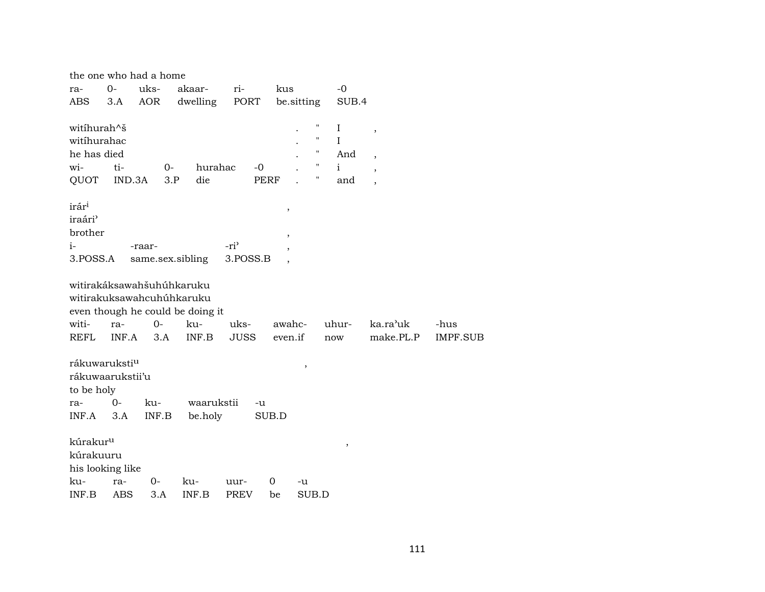|                           |                  | the one who had a home |                                  |                  |                          |                    |              |                          |          |
|---------------------------|------------------|------------------------|----------------------------------|------------------|--------------------------|--------------------|--------------|--------------------------|----------|
| ra-                       | $O-$             | uks-                   | akaar-                           | ri-              | kus                      |                    | $-0$         |                          |          |
| <b>ABS</b>                | 3.A              | AOR                    | dwelling                         | PORT             |                          | be.sitting         | SUB.4        |                          |          |
|                           |                  |                        |                                  |                  |                          |                    |              |                          |          |
| witíhurah^š               |                  |                        |                                  |                  |                          | 11                 | $\bf{I}$     | $\, ,$                   |          |
| witíhurahac               |                  |                        |                                  |                  |                          |                    | $\mathbf{I}$ |                          |          |
| he has died               |                  |                        |                                  |                  |                          | $\mathbf{H}$       | And          | $\overline{\phantom{a}}$ |          |
| wi-                       | ti-              |                        | $0-$                             | hurahac<br>$-0$  |                          | $\pmb{\mathsf{H}}$ | $\mathbf{i}$ | $\overline{\phantom{a}}$ |          |
| QUOT                      | IND.3A           |                        | die<br>3.P                       |                  | <b>PERF</b>              | 11                 | and          | $\overline{\phantom{a}}$ |          |
| irár <sup>i</sup>         |                  |                        |                                  |                  |                          |                    |              |                          |          |
| iraári <sup>3</sup>       |                  |                        |                                  |                  | $^\mathrm{^{^\circ}}$    |                    |              |                          |          |
| brother                   |                  |                        |                                  |                  |                          |                    |              |                          |          |
|                           |                  |                        |                                  |                  | $\overline{\phantom{a}}$ |                    |              |                          |          |
| $i-$                      |                  | -raar-                 |                                  | -ri <sup>3</sup> |                          |                    |              |                          |          |
| 3.POSS.A                  |                  |                        | same.sex.sibling                 | 3.POSS.B         |                          |                    |              |                          |          |
|                           |                  |                        | witirakáksawahšuhúhkaruku        |                  |                          |                    |              |                          |          |
|                           |                  |                        | witirakuksawahcuhúhkaruku        |                  |                          |                    |              |                          |          |
|                           |                  |                        | even though he could be doing it |                  |                          |                    |              |                          |          |
|                           |                  | $O -$                  |                                  |                  |                          |                    |              |                          |          |
| witi-                     | ra-              |                        | ku-                              | uks-             |                          | awahc-             | uhur-        | ka.ra'uk                 | -hus     |
| REFL                      | INF.A            | 3.A                    | INF.B                            | <b>JUSS</b>      | even.if                  |                    | now          | make.PL.P                | IMPF.SUB |
| rákuwaruksti <sup>u</sup> |                  |                        |                                  |                  |                          | $\, ,$             |              |                          |          |
|                           | rákuwaarukstii'u |                        |                                  |                  |                          |                    |              |                          |          |
| to be holy                |                  |                        |                                  |                  |                          |                    |              |                          |          |
| ra-                       | 0-               | ku-                    | waarukstii                       |                  | -u                       |                    |              |                          |          |
| INF.A                     | 3.A              | INF.B                  | be.holy                          |                  | SUB.D                    |                    |              |                          |          |
|                           |                  |                        |                                  |                  |                          |                    |              |                          |          |
| kúrakur <sup>u</sup>      |                  |                        |                                  |                  |                          |                    | $\,$         |                          |          |
| kúrakuuru                 |                  |                        |                                  |                  |                          |                    |              |                          |          |
|                           | his looking like |                        |                                  |                  |                          |                    |              |                          |          |
| ku-                       | ra-              | $0 -$                  | ku-                              | uur-             | 0                        | -u                 |              |                          |          |
| INF.B                     | ABS              | 3.A                    | INF.B                            | <b>PREV</b>      | be                       | SUB.D              |              |                          |          |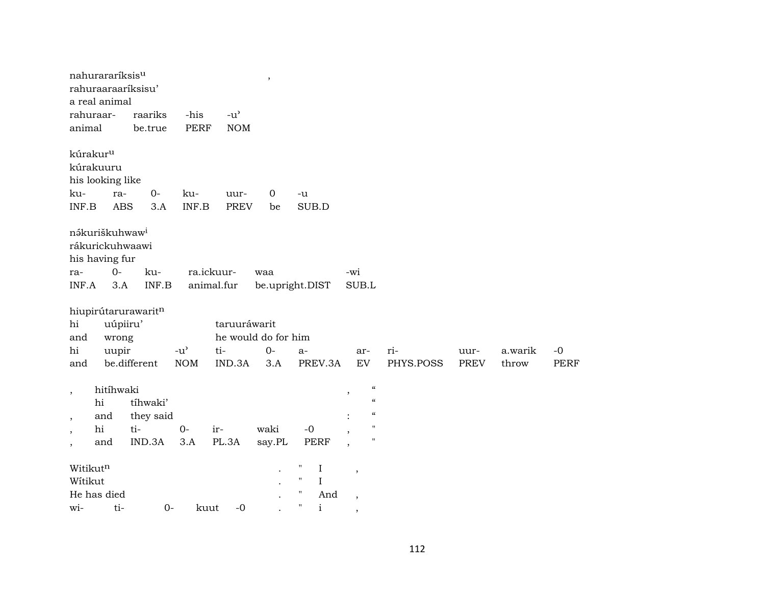| rahuraar-                            | nahurararíksis <sup>u</sup><br>rahuraaraaríksisu'<br>a real animal             | raariks             | -his          | $-u$ <sup><math>\prime</math></sup> | $^\mathrm{,}$                |                                                                           |                                                                                                                |           |             |         |             |
|--------------------------------------|--------------------------------------------------------------------------------|---------------------|---------------|-------------------------------------|------------------------------|---------------------------------------------------------------------------|----------------------------------------------------------------------------------------------------------------|-----------|-------------|---------|-------------|
| animal                               |                                                                                | be.true             | <b>PERF</b>   | <b>NOM</b>                          |                              |                                                                           |                                                                                                                |           |             |         |             |
| kúrakur <sup>u</sup><br>ku-<br>INF.B | kúrakuuru<br>his looking like<br>ra-<br><b>ABS</b>                             | $0-$<br>3.A         | ku-<br>INF.B  | uur-<br><b>PREV</b>                 | $\mathbf 0$<br>be            | -u<br>SUB.D                                                               |                                                                                                                |           |             |         |             |
| ra-<br>INF.A                         | nákuriškuhwaw <sup>i</sup><br>rákurickuhwaawi<br>his having fur<br>$0-$<br>3.A | ku-<br>INF.B        |               | ra.ickuur-<br>animal.fur            | waa                          | be.upright.DIST                                                           | -wi<br>SUB.L                                                                                                   |           |             |         |             |
| hi<br>and<br>hi                      | uúpiiru'<br>wrong<br>uupir                                                     | hiupirútarurawaritn | $-u^{\prime}$ | taruuráwarit<br>ti-                 | he would do for him<br>$O -$ | $a-$                                                                      | ar-                                                                                                            | ri-       | uur-        | a.warik | $-0$        |
| and                                  |                                                                                | be.different        | <b>NOM</b>    | IND.3A                              | 3.A                          | PREV.3A                                                                   | <b>EV</b>                                                                                                      | PHYS.POSS | <b>PREV</b> | throw   | <b>PERF</b> |
| $\overline{\phantom{a}}$             | hitíhwaki<br>hi                                                                | tíhwaki'            |               |                                     |                              |                                                                           | $\mathcal{C}\mathcal{C}$<br>$\overline{\phantom{a}}$<br>$\pmb{\zeta}\pmb{\zeta}$<br>$\boldsymbol{\mathcal{C}}$ |           |             |         |             |
| $\, ,$<br>$\cdot$                    | and<br>hi                                                                      | they said<br>ti-    | $0-$          | ir-                                 | waki                         | $-0$                                                                      | $\pmb{\mathsf{H}}$<br>$\overline{\phantom{a}}$                                                                 |           |             |         |             |
| $\overline{\phantom{a}}$             | and                                                                            | IND.3A              | 3.A           | PL.3A                               | say.PL                       | <b>PERF</b>                                                               | 11                                                                                                             |           |             |         |             |
| Witikutn<br>Witikut<br>wi-           | He has died<br>ti-                                                             | $0-$                | kuut          | $-0$                                |                              | 11<br>$\bf{I}$<br>11<br>$\bf{I}$<br>п<br>And<br>$\blacksquare$<br>$\rm i$ | $\,$                                                                                                           |           |             |         |             |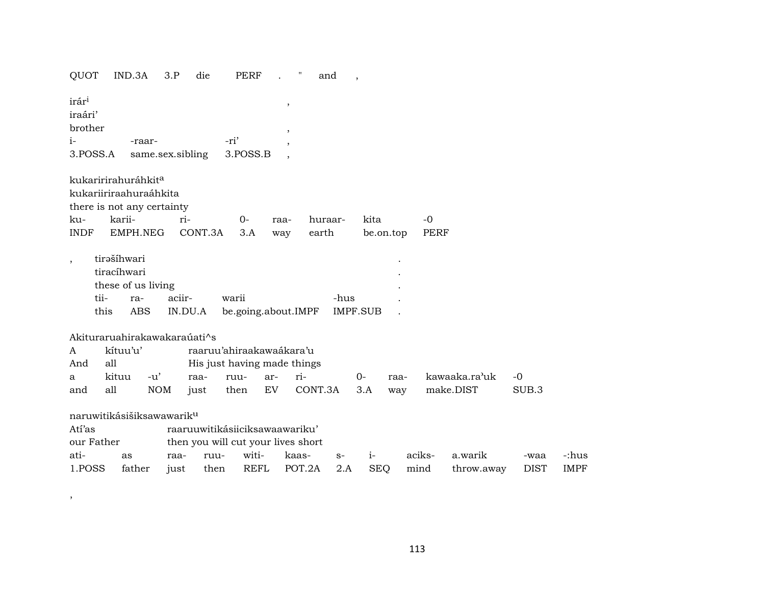| QUOT                                            |            | IND.3A                                                    | 3.P              | die     | <b>PERF</b>                        |                          | and     |      |                 |           |             |               |             |             |
|-------------------------------------------------|------------|-----------------------------------------------------------|------------------|---------|------------------------------------|--------------------------|---------|------|-----------------|-----------|-------------|---------------|-------------|-------------|
| irár <sup>i</sup><br>iraári'<br>brother<br>$i-$ | 3.POSS.A   | -raar-                                                    | same.sex.sibling |         | -ri'<br>3.POSS.B                   | $\,$<br>$\,$             |         |      |                 |           |             |               |             |             |
|                                                 |            | kukaririrahuráhkit <sup>a</sup><br>kukariiriraahuraáhkita |                  |         |                                    | $\overline{\phantom{a}}$ |         |      |                 |           |             |               |             |             |
|                                                 |            | there is not any certainty                                |                  |         |                                    |                          |         |      |                 |           |             |               |             |             |
| ku-<br><b>INDF</b>                              |            | karii-                                                    | ri-              | CONT.3A | $0 -$                              | raa-                     | huraar- |      | kita            |           | $-0$        |               |             |             |
|                                                 |            | EMPH.NEG                                                  |                  |         | 3.A                                | way                      | earth   |      |                 | be.on.top | <b>PERF</b> |               |             |             |
|                                                 |            | tirašíhwari<br>tiracíhwari<br>these of us living          |                  |         |                                    |                          |         |      |                 |           |             |               |             |             |
|                                                 | tii-       | ra-                                                       | aciir-           |         | warii                              |                          |         | -hus |                 |           |             |               |             |             |
|                                                 | this       | <b>ABS</b>                                                |                  | IN.DU.A | be.going.about.IMPF                |                          |         |      | <b>IMPF.SUB</b> |           |             |               |             |             |
|                                                 |            | Akituraruahirakawakaraúati^s                              |                  |         |                                    |                          |         |      |                 |           |             |               |             |             |
| A                                               |            | kítuu'u'                                                  |                  |         | raaruu'ahiraakawaákara'u           |                          |         |      |                 |           |             |               |             |             |
| And                                             | all        |                                                           |                  |         | His just having made things        |                          |         |      |                 |           |             |               |             |             |
| a                                               |            | kituu<br>$-u'$                                            |                  | raa-    | ruu-                               | ar-                      | ri-     |      | $O -$           | raa-      |             | kawaaka.ra'uk | $-0$        |             |
| and                                             | all        |                                                           | <b>NOM</b>       |         | then                               | EV                       | CONT.3A |      | 3.A             |           |             | make.DIST     | SUB.3       |             |
|                                                 |            |                                                           |                  | just    |                                    |                          |         |      |                 | way       |             |               |             |             |
|                                                 |            | naruwitikásišiksawawarik <sup>u</sup>                     |                  |         |                                    |                          |         |      |                 |           |             |               |             |             |
| Atí'as                                          |            |                                                           |                  |         | raaruuwitikásiiciksawaawariku'     |                          |         |      |                 |           |             |               |             |             |
|                                                 | our Father |                                                           |                  |         | then you will cut your lives short |                          |         |      |                 |           |             |               |             |             |
| ati-                                            |            | as                                                        | raa-             | ruu-    | witi-                              |                          | kaas-   | $S-$ | $i-$            |           | aciks-      | a.warik       | -waa        | -:hus       |
| 1.POSS                                          |            | father                                                    | just             | then    | <b>REFL</b>                        |                          | POT.2A  | 2.A  | <b>SEQ</b>      |           | mind        | throw.away    | <b>DIST</b> | <b>IMPF</b> |
|                                                 |            |                                                           |                  |         |                                    |                          |         |      |                 |           |             |               |             |             |

 $\overline{\phantom{a}}$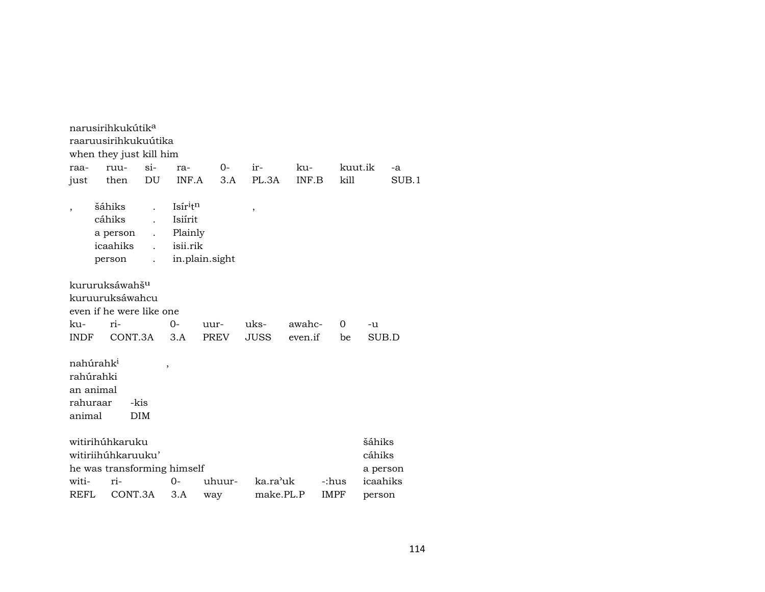|                                              | narusirihkukútik <sup>a</sup>                                               |                    |                                                       |                |             |         |             |                                          |
|----------------------------------------------|-----------------------------------------------------------------------------|--------------------|-------------------------------------------------------|----------------|-------------|---------|-------------|------------------------------------------|
|                                              | raaruusirihkukuútika                                                        |                    |                                                       |                |             |         |             |                                          |
|                                              | when they just kill him                                                     |                    |                                                       |                |             |         |             |                                          |
| raa-                                         | ruu-                                                                        | $\sin$             | ra-                                                   | $0-$           | ir-         | ku-     |             | kuut.ik<br>-a                            |
| just                                         | then                                                                        | DU                 | INF.A                                                 | 3.A            | PL.3A       | INF.B   | kill        | SUB.1                                    |
|                                              | šáhiks<br>cáhiks<br>a person<br>icaahiks<br>person                          | $\overline{a}$     | Isir <sup>itn</sup><br>Isiírit<br>Plainly<br>isii.rik | in.plain.sight | ,           |         |             |                                          |
|                                              | kururuksáwahš <sup>u</sup><br>kuruuruksáwahcu<br>even if he were like one   |                    |                                                       |                |             |         |             |                                          |
| ku-                                          | ri-                                                                         |                    | $0-$                                                  | uur-           | uks-        | awahc-  | $\Omega$    | $-11$                                    |
| <b>INDF</b>                                  | CONT.3A                                                                     |                    | 3.A                                                   | PREV           | <b>JUSS</b> | even.if | be          | SUB.D                                    |
| rahúrahki<br>an animal<br>rahuraar<br>animal | nahúrahk <sup>i</sup>                                                       | -kis<br><b>DIM</b> | ,                                                     |                |             |         |             |                                          |
| witi-                                        | witirihúhkaruku<br>witiriihúhkaruuku'<br>he was transforming himself<br>ri- |                    | $O -$                                                 | uhuur-         | ka.ra'uk    |         | -:hus       | šáhiks<br>cáhiks<br>a person<br>icaahiks |
| REFL                                         | CONT.3A                                                                     |                    | 3.A                                                   | way            | make.PL.P   |         | <b>IMPF</b> | person                                   |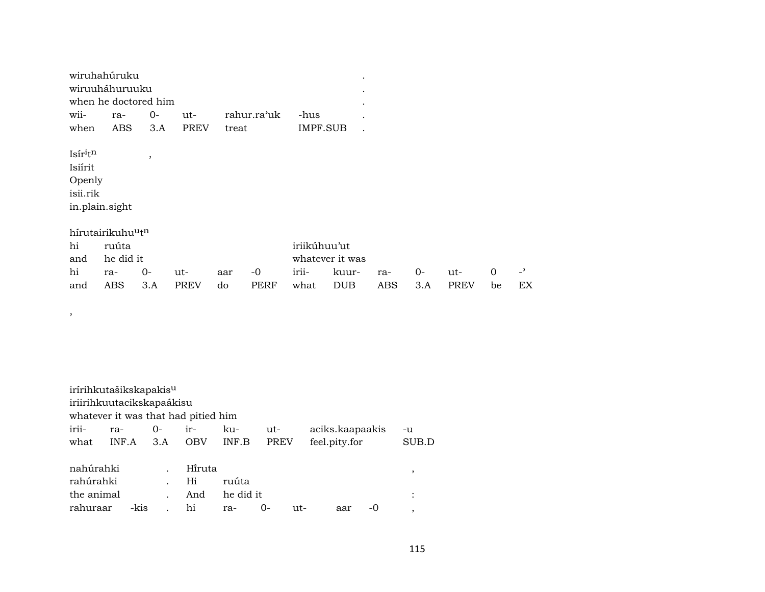| wiruhahuruku         |              |  |  |                                  |          |  |  |  |  |  |
|----------------------|--------------|--|--|----------------------------------|----------|--|--|--|--|--|
| wiruuháhuruuku       |              |  |  |                                  |          |  |  |  |  |  |
| when he doctored him |              |  |  |                                  |          |  |  |  |  |  |
|                      |              |  |  | wii- ra- 0- ut- rahur.ra'uk -hus |          |  |  |  |  |  |
| when                 | ABS 3.A PREV |  |  | treat                            | IMPF SUB |  |  |  |  |  |
|                      |              |  |  |                                  |          |  |  |  |  |  |

 $\mathsf{Isir}^{\text{it}}$ Isiírit Openly isii.rik in.plain.sight

 $\, ,$ 

|    | hírutairikuhu <sup>u</sup> t <sup>n</sup> |  |
|----|-------------------------------------------|--|
| hi | ่ muuta                                   |  |

 $\,$ 

| hi  | ruúta         |                 |      | iriikúhuu'ut    |                               |  |  |  |                               |    |  |  |
|-----|---------------|-----------------|------|-----------------|-------------------------------|--|--|--|-------------------------------|----|--|--|
|     | and he did it |                 |      | whatever it was |                               |  |  |  |                               |    |  |  |
|     | hi ra- 0- ut- |                 |      |                 | aar -0 irii- kuur- ra- 0- ut- |  |  |  | $\overline{0}$ $\overline{z}$ |    |  |  |
| and |               | ABS 3.A PREV do | PERF |                 | what DUB ABS 3.A PREV be      |  |  |  |                               | EX |  |  |

irírihkutašikskapakis<sup>u</sup> iriirihkuutacikskapaákisu whatever it was that had pitied him iriira- $0$ irkuutaciks.kaapaakis  $-u$ what INF.A  $3.A$  $INF.B$ feel.pity.for  $\rm SUB.D$ OBV PREV nahúrahki Hi̇̃ruta  $\ddot{\phantom{a}}$ rahúrahki  $Hi$ ruúta  $\ddot{\phantom{a}}$ 

| . And he did it<br>the animal      |  |  |  |  |  |  |  |
|------------------------------------|--|--|--|--|--|--|--|
| rahuraar -kis . hi  ra- 0- ut- aar |  |  |  |  |  |  |  |

 $\,$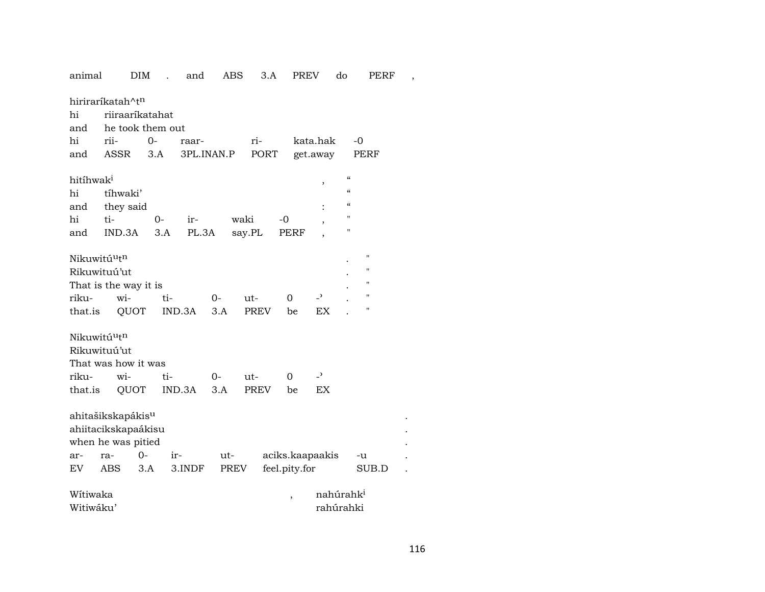| <b>DIM</b><br>3.A<br><b>PREV</b><br>do<br>animal<br>and<br>ABS<br>PERF<br>$\overline{a}$ |  |
|------------------------------------------------------------------------------------------|--|
| hiriraríkatah^t <sup>n</sup>                                                             |  |
| hi<br>riiraaríkatahat                                                                    |  |
| he took them out<br>and                                                                  |  |
| hi<br>rii-<br>kata.hak<br>0-<br>ri-<br>-0<br>raar-                                       |  |
| ASSR<br>3.A<br>3PL.INAN.P<br>PORT<br>get.away<br>PERF<br>and                             |  |
|                                                                                          |  |
| $\epsilon$<br>hitihwak <sup>i</sup><br>$\, ,$                                            |  |
| $\boldsymbol{\zeta}\boldsymbol{\zeta}$<br>hi<br>tíhwaki'                                 |  |
| $\epsilon$<br>they said<br>and                                                           |  |
| $^{\prime}$<br>hi<br>ti-<br>$0-$<br>waki<br>-0<br>ir-                                    |  |
| П<br>3.A<br>PL.3A<br>say.PL<br>IND.3A<br>PERF<br>and                                     |  |
|                                                                                          |  |
| 11<br>Nikuwitú <sup>u</sup> t <sup>n</sup>                                               |  |
| 11<br>Rikuwituú'ut                                                                       |  |
| 11<br>That is the way it is                                                              |  |
| 11<br>$\overline{\phantom{a}}$<br>riku-<br>wi-<br>$\Omega$<br>ti-<br>$0-$<br>ut-         |  |
| 11<br>PREV<br>that.is<br>QUOT<br>IND.3A<br>3.A<br>EX<br>be                               |  |
|                                                                                          |  |
| Nikuwitú <sup>u</sup> t <sup>n</sup>                                                     |  |
| Rikuwituú'ut                                                                             |  |
| That was how it was                                                                      |  |
| $\overline{\phantom{0}}$<br>riku-<br>wi-<br>ti-<br>0-<br>0<br>ut-                        |  |
| QUOT<br>IND.3A<br>3.A<br><b>PREV</b><br><b>EX</b><br>that.is<br>be                       |  |
|                                                                                          |  |
| ahitašikskapákis <sup>u</sup>                                                            |  |
| ahiitacikskapaákisu                                                                      |  |
| when he was pitied                                                                       |  |
| $0-$<br>aciks.kaapaakis<br>ra-<br>ir-<br>ut-<br>ar-<br>-u                                |  |
| feel.pity.for<br>EV<br>ABS<br>3.A<br>3.INDF<br>PREV<br>SUB.D                             |  |
| Wítiwaka<br>nahúrahk <sup>i</sup>                                                        |  |
| $\,$<br>Witiwáku'<br>rahúrahki                                                           |  |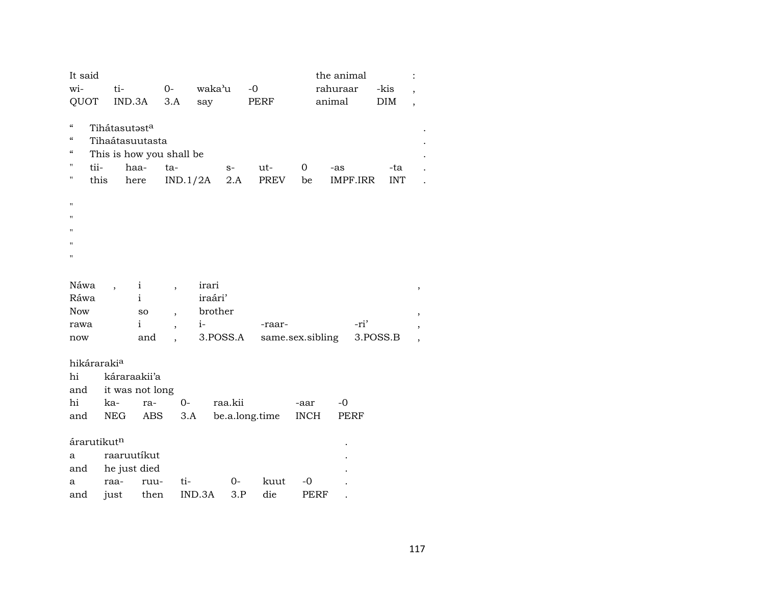| It said<br>wi-<br>QUOT                                                                                   | ti-<br>IND.3A                            |                                          | $O-$<br>3.A                   | waka'u<br>say               | $-0$<br>PERF   | the animal<br>rahuraar<br>animal |          | -kis<br><b>DIM</b> | $\ddot{\cdot}$<br>$\overline{\phantom{a}}$<br>$\overline{\phantom{a}}$ |
|----------------------------------------------------------------------------------------------------------|------------------------------------------|------------------------------------------|-------------------------------|-----------------------------|----------------|----------------------------------|----------|--------------------|------------------------------------------------------------------------|
| $\mathcal{C}\mathcal{C}$<br>$\boldsymbol{\mathcal{C}}$<br>$\epsilon\epsilon$<br>н<br>tii-<br>н<br>п<br>п | Tihátasutasta<br>Tihaátasuutasta<br>this | This is how you shall be<br>haa-<br>here | ta-<br>IND.1/2A               | $S-$<br>2.A                 | $ut-$<br>PREV  | 0<br>-as<br>be                   | IMPF.IRR | -ta<br><b>INT</b>  |                                                                        |
| Ħ<br>Ħ                                                                                                   |                                          |                                          |                               |                             |                |                                  |          |                    |                                                                        |
| Н                                                                                                        |                                          |                                          |                               |                             |                |                                  |          |                    |                                                                        |
| Náwa<br>Ráwa<br><b>Now</b>                                                                               |                                          | $\mathbf{i}$<br>$\mathbf{i}$<br>SO       | $\overline{\phantom{a}}$      | irari<br>iraári'<br>brother |                |                                  |          |                    | $^\mathrm{^\mathrm{o}}$                                                |
| rawa<br>now                                                                                              |                                          | $\mathbf{i}$<br>and                      | $\overline{\phantom{a}}$<br>, | $i-$<br>3.POSS.A            | -raar-         | same.sex.sibling                 | -ri'     | 3.POSS.B           | $^\mathrm{\textdegree}$<br>$^\mathrm{^{^\circ}}$                       |
| hikáraraki <sup>a</sup><br>hi<br>and<br>hi                                                               | káraraakii'a<br>ka-                      | it was not long<br>ra-                   | $0-$                          | raa.kii                     |                | $-0$<br>-aar                     |          |                    |                                                                        |
| and                                                                                                      | NEG                                      | ABS                                      | 3.A                           |                             | be.a.long.time | <b>INCH</b>                      | PERF     |                    |                                                                        |
| árarutikut <sup>n</sup><br>a<br>and<br>a                                                                 | raaruutíkut<br>he just died<br>raa-      | ruu-                                     | ti-                           | $0-$                        | kuut           | $-0$                             |          |                    |                                                                        |
| and                                                                                                      | just                                     | then                                     | IND.3A                        | 3.P                         | die            | <b>PERF</b>                      |          |                    |                                                                        |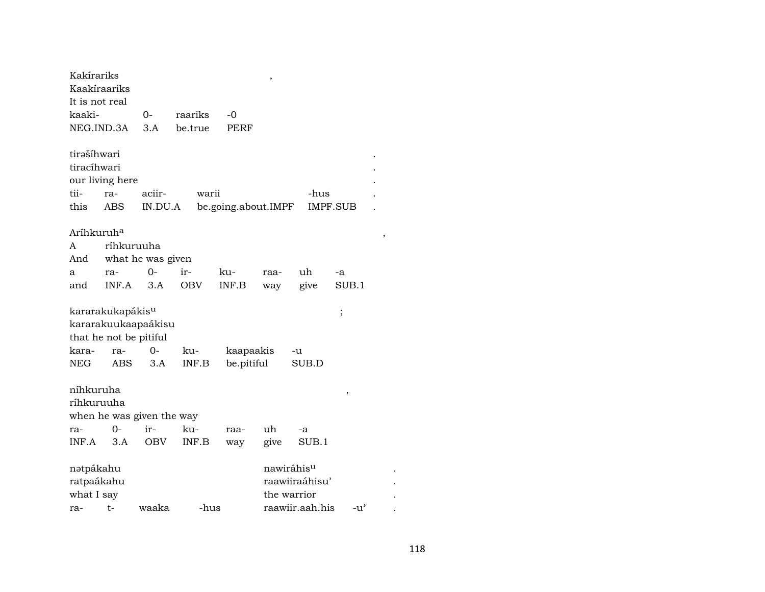| Kakírariks<br>Kaakíraariks |                              |                           |            |                     | ,                      |                 |                                   |  |
|----------------------------|------------------------------|---------------------------|------------|---------------------|------------------------|-----------------|-----------------------------------|--|
| It is not real             |                              |                           |            |                     |                        |                 |                                   |  |
| kaaki-                     |                              | 0-                        | raariks    | -0                  |                        |                 |                                   |  |
| NEG.IND.3A                 |                              | 3.A                       | be.true    | PERF                |                        |                 |                                   |  |
|                            |                              |                           |            |                     |                        |                 |                                   |  |
| tirašíhwari                |                              |                           |            |                     |                        |                 |                                   |  |
| tiracíhwari                |                              |                           |            |                     |                        |                 |                                   |  |
|                            | our living here              |                           |            |                     |                        |                 |                                   |  |
| tii-                       | ra-                          | aciir-                    | warii      |                     |                        | -hus            |                                   |  |
| this                       | <b>ABS</b>                   | IN.DU.A                   |            | be.going.about.IMPF |                        |                 | IMPF.SUB                          |  |
| Aríhkuruh <sup>a</sup>     |                              |                           |            |                     |                        |                 |                                   |  |
| A                          | ríhkuruuha                   |                           |            |                     |                        |                 |                                   |  |
| And                        |                              | what he was given         |            |                     |                        |                 |                                   |  |
| a                          | ra-                          | $0-$                      | ir-        | ku-                 | raa-                   | uh              | -a                                |  |
| and                        | INF.A                        | 3.A                       | <b>OBV</b> | INF.B               | way                    | give            | SUB.1                             |  |
|                            | kararakukapákis <sup>u</sup> |                           |            |                     |                        |                 | ;                                 |  |
|                            |                              | kararakuukaapaákisu       |            |                     |                        |                 |                                   |  |
|                            | that he not be pitiful       |                           |            |                     |                        |                 |                                   |  |
| kara-                      | ra-                          | 0-                        | ku-        | kaapaakis           |                        | -u              |                                   |  |
| NEG                        | ABS.                         | 3.A                       | INF.B      | be.pitiful          |                        | SUB.D           |                                   |  |
| níhkuruha                  |                              |                           |            |                     |                        |                 | ,                                 |  |
| ríhkuruuha                 |                              |                           |            |                     |                        |                 |                                   |  |
|                            |                              | when he was given the way |            |                     |                        |                 |                                   |  |
| ra-                        | $0-$                         | ir-                       | ku-        | raa-                | uh                     | -a              |                                   |  |
| INF.A                      | 3.A                          | OBV                       | INF.B      | way                 | give                   | SUB.1           |                                   |  |
| nətpákahu                  |                              |                           |            |                     | nawiráhis <sup>u</sup> |                 |                                   |  |
| ratpaákahu                 |                              |                           |            |                     |                        | raawiiraáhisu'  |                                   |  |
| what I say                 |                              |                           |            |                     | the warrior            |                 |                                   |  |
| ra-                        | $t -$                        | waaka                     | -hus       |                     |                        | raawiir.aah.his | $-u$ <sup><math>\sim</math></sup> |  |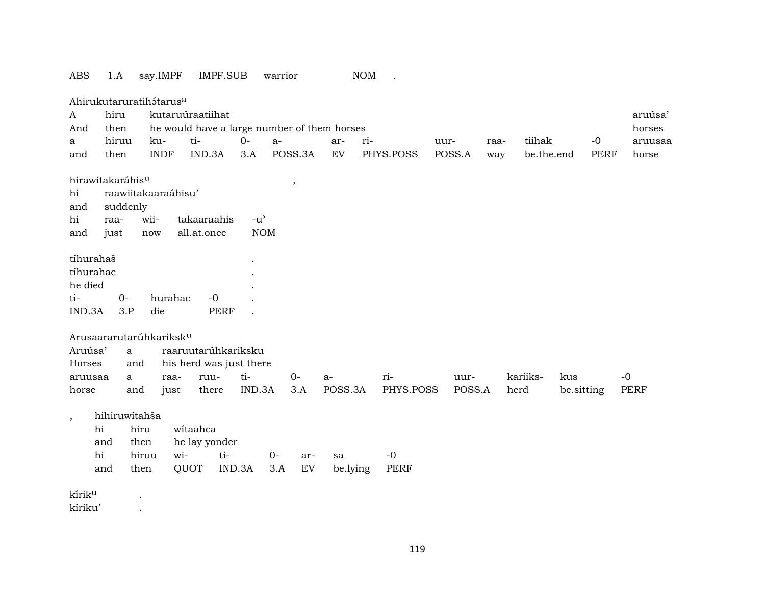|                    | Ahirukutaruratihátarus <sup>a</sup> |             |                         |             |               |      |         |                                             |     |             |        |        |      |            |            |             |             |
|--------------------|-------------------------------------|-------------|-------------------------|-------------|---------------|------|---------|---------------------------------------------|-----|-------------|--------|--------|------|------------|------------|-------------|-------------|
| A                  | hiru                                |             | kutaruúraatiihat        |             |               |      |         |                                             |     |             |        |        |      |            |            |             | aruúsa'     |
| And                | then                                |             |                         |             |               |      |         | he would have a large number of them horses |     |             |        |        |      |            |            |             | horses      |
| a                  | hiruu                               | ku-         | ti-                     |             | $O -$         | $a-$ |         | ar-                                         | ri- |             | uur-   |        | raa- | tiihak     |            | $-0$        | aruusaa     |
| and                | then                                | <b>INDF</b> |                         | IND.3A      | 3.A           |      | POSS.3A | EV                                          |     | PHYS.POSS   | POSS.A |        | way  | be.the.end |            | <b>PERF</b> | horse       |
|                    | hirawitakaráhis <sup>u</sup>        |             |                         |             |               |      |         |                                             |     |             |        |        |      |            |            |             |             |
| hi                 | raawiitakaaraáhisu'                 |             |                         |             |               |      | $\cdot$ |                                             |     |             |        |        |      |            |            |             |             |
| and                | suddenly                            |             |                         |             |               |      |         |                                             |     |             |        |        |      |            |            |             |             |
| hi                 | raa-                                | wii-        | takaaraahis             |             | $-u^{\prime}$ |      |         |                                             |     |             |        |        |      |            |            |             |             |
| and                | just                                | now         | all.at.once             |             | <b>NOM</b>    |      |         |                                             |     |             |        |        |      |            |            |             |             |
|                    |                                     |             |                         |             |               |      |         |                                             |     |             |        |        |      |            |            |             |             |
| tíhurahaš          |                                     |             |                         |             |               |      |         |                                             |     |             |        |        |      |            |            |             |             |
| tíhurahac          |                                     |             |                         |             |               |      |         |                                             |     |             |        |        |      |            |            |             |             |
| he died            |                                     |             |                         |             |               |      |         |                                             |     |             |        |        |      |            |            |             |             |
| ti-                | $0-$                                |             | hurahac                 | $-0$        |               |      |         |                                             |     |             |        |        |      |            |            |             |             |
| IND.3A             | 3.P                                 | die         |                         | <b>PERF</b> |               |      |         |                                             |     |             |        |        |      |            |            |             |             |
|                    |                                     |             |                         |             |               |      |         |                                             |     |             |        |        |      |            |            |             |             |
|                    | Arusaararutarúhkariksk <sup>u</sup> |             |                         |             |               |      |         |                                             |     |             |        |        |      |            |            |             |             |
| Aruúsa'            | a                                   |             | raaruutarúhkariksku     |             |               |      |         |                                             |     |             |        |        |      |            |            |             |             |
| Horses             | and                                 |             | his herd was just there |             |               |      |         |                                             |     |             |        |        |      |            |            |             |             |
| aruusaa            | $\mathbf{a}$                        |             | raa-                    | ruu-        | ti-           |      | $0-$    | a-                                          |     | ri-         |        | uur-   |      | kariiks-   | kus        |             | $-0$        |
| horse              | and                                 |             | just                    | there       | IND.3A        |      | 3.A     | POSS.3A                                     |     | PHYS.POSS   |        | POSS.A |      | herd       | be.sitting |             | <b>PERF</b> |
|                    | hihiruwitahša                       |             |                         |             |               |      |         |                                             |     |             |        |        |      |            |            |             |             |
| $\cdot$            | hi                                  | hiru        | witaahca                |             |               |      |         |                                             |     |             |        |        |      |            |            |             |             |
|                    | and                                 | then        | he lay yonder           |             |               |      |         |                                             |     |             |        |        |      |            |            |             |             |
|                    | hi                                  | hiruu       | wi-                     | ti-         |               | $0-$ | ar-     | sa                                          |     | $-0$        |        |        |      |            |            |             |             |
|                    | and                                 | then        | QUOT                    |             | IND.3A        | 3.A  | EV      | be.lying                                    |     | <b>PERF</b> |        |        |      |            |            |             |             |
|                    |                                     |             |                         |             |               |      |         |                                             |     |             |        |        |      |            |            |             |             |
| kírik <sup>u</sup> |                                     |             |                         |             |               |      |         |                                             |     |             |        |        |      |            |            |             |             |
| kíriku'            |                                     | $\bullet$   |                         |             |               |      |         |                                             |     |             |        |        |      |            |            |             |             |

ABS 1.A say.IMPF IMPF.SUB warrior NOM .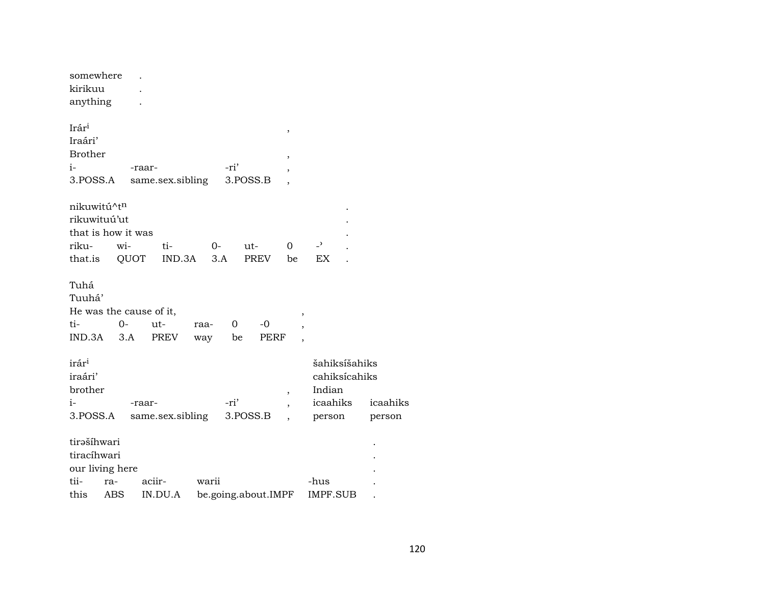| somewhere               |     |        |                  |       |      |          |                     |                          |                |                |          |  |
|-------------------------|-----|--------|------------------|-------|------|----------|---------------------|--------------------------|----------------|----------------|----------|--|
| kirikuu                 |     |        |                  |       |      |          |                     |                          |                |                |          |  |
| anything                |     |        |                  |       |      |          |                     |                          |                |                |          |  |
| Irár <sup>i</sup>       |     |        |                  |       |      |          |                     |                          |                |                |          |  |
|                         |     |        |                  |       |      |          |                     | ,                        |                |                |          |  |
| Iraári'                 |     |        |                  |       |      |          |                     |                          |                |                |          |  |
| <b>Brother</b>          |     |        |                  |       |      |          |                     | ,                        |                |                |          |  |
| $i-$                    |     | -raar- |                  |       | -ri' |          |                     | ,                        |                |                |          |  |
| 3.POSS.A                |     |        | same.sex.sibling |       |      | 3.POSS.B |                     | $\overline{ }$           |                |                |          |  |
| nikuwitú^tn             |     |        |                  |       |      |          |                     |                          |                |                |          |  |
| rikuwituú'ut            |     |        |                  |       |      |          |                     |                          |                |                |          |  |
| that is how it was      |     |        |                  |       |      |          |                     |                          |                |                |          |  |
|                         |     |        |                  |       |      |          |                     |                          |                | $\overline{a}$ |          |  |
| riku-                   |     | wi-    | ti-              | $0-$  |      | $ut-$    |                     | $\Omega$                 |                |                |          |  |
| that.is                 |     | QUOT   | IND.3A           |       | 3.A  |          | PREV                | be                       |                | EX             |          |  |
| Tuhá                    |     |        |                  |       |      |          |                     |                          |                |                |          |  |
|                         |     |        |                  |       |      |          |                     |                          |                |                |          |  |
| Tuuhá'                  |     |        |                  |       |      |          |                     |                          |                |                |          |  |
| He was the cause of it, |     |        |                  |       |      |          |                     |                          | ,              |                |          |  |
| ti-                     |     | 0-     | ut-              | raa-  | 0    |          | -0                  |                          | $\overline{ }$ |                |          |  |
| IND.3A                  |     | 3.A    | PREV             | way   | be   |          | PERF                |                          | $\cdot$        |                |          |  |
|                         |     |        |                  |       |      |          |                     |                          |                |                |          |  |
| irár <sup>i</sup>       |     |        |                  |       |      |          |                     |                          |                | šahiksíšahiks  |          |  |
| iraári'                 |     |        |                  |       |      |          |                     |                          |                | cahiksícahiks  |          |  |
| brother                 |     |        |                  |       |      |          |                     | $\overline{\phantom{a}}$ |                | Indian         |          |  |
| $i-$                    |     | -raar- |                  |       | -ri' |          |                     |                          |                | icaahiks       | icaahiks |  |
| 3.POSS.A                |     |        | same.sex.sibling |       |      | 3.POSS.B |                     |                          |                | person         | person   |  |
| tirašíhwari             |     |        |                  |       |      |          |                     |                          |                |                |          |  |
| tiracíhwari             |     |        |                  |       |      |          |                     |                          |                |                |          |  |
| our living here         |     |        |                  |       |      |          |                     |                          |                |                |          |  |
| tii-                    | ra- |        | aciir-           | warii |      |          |                     |                          |                | -hus           |          |  |
| this                    |     |        |                  |       |      |          |                     |                          |                |                |          |  |
|                         | ABS |        | IN.DU.A          |       |      |          | be.going.about.IMPF |                          |                | IMPF.SUB       |          |  |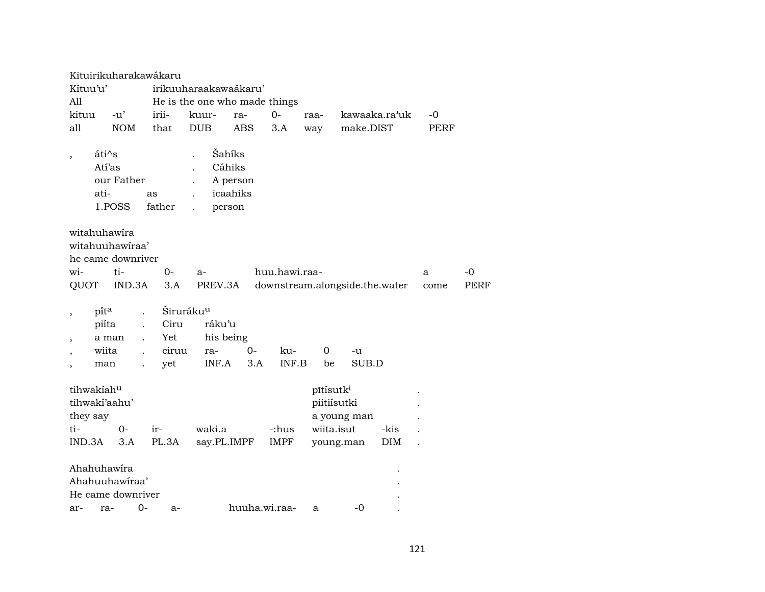|                          | Kituirikuharakawákaru |                       |                               |      |                                |            |             |               |      |             |
|--------------------------|-----------------------|-----------------------|-------------------------------|------|--------------------------------|------------|-------------|---------------|------|-------------|
| Kítuu'u'                 |                       |                       | irikuuharaakawaákaru'         |      |                                |            |             |               |      |             |
| All                      |                       |                       | He is the one who made things |      |                                |            |             |               |      |             |
| kituu                    | $-u'$                 | irii-                 | kuur-                         | ra-  | $O -$                          | raa-       |             | kawaaka.ra'uk | -0   |             |
| all                      | <b>NOM</b>            | that                  | <b>DUB</b>                    | ABS  | 3.A                            | way        | make.DIST   |               | PERF |             |
|                          |                       |                       |                               |      |                                |            |             |               |      |             |
| $\overline{\phantom{a}}$ | áti^s                 |                       | Šahíks                        |      |                                |            |             |               |      |             |
|                          | Atí'as                |                       | Cáhiks                        |      |                                |            |             |               |      |             |
|                          | our Father            |                       | A person                      |      |                                |            |             |               |      |             |
|                          | ati-                  | as                    | icaahiks                      |      |                                |            |             |               |      |             |
|                          | 1.POSS                | father                | person                        |      |                                |            |             |               |      |             |
|                          |                       |                       |                               |      |                                |            |             |               |      |             |
| witahuhawira             |                       |                       |                               |      |                                |            |             |               |      |             |
|                          | witahuuhawiraa'       |                       |                               |      |                                |            |             |               |      |             |
|                          | he came downriver     |                       |                               |      |                                |            |             |               |      |             |
| wi-                      | ti-                   | $0-$                  | $a-$                          |      | huu.hawi.raa-                  |            |             |               | a    | $-0$        |
| QUOT                     | IND.3A                | 3.A                   | PREV.3A                       |      | downstream.alongside.the.water |            |             |               | come | <b>PERF</b> |
|                          |                       |                       |                               |      |                                |            |             |               |      |             |
| $\cdot$                  | $p$ ita               | Širuráku <sup>u</sup> |                               |      |                                |            |             |               |      |             |
|                          | piíta                 | Ciru                  | ráku'u                        |      |                                |            |             |               |      |             |
| $\,$                     | a man                 | Yet                   | his being                     |      |                                |            |             |               |      |             |
|                          | wiita                 | ciruu                 | ra-                           | $0-$ | ku-                            | 0          | -u          |               |      |             |
| $\overline{\phantom{a}}$ | man                   | yet                   | INF.A                         | 3.A  | INF.B                          | be         | SUB.D       |               |      |             |
|                          |                       |                       |                               |      |                                |            |             |               |      |             |
| tihwakiahu               |                       |                       |                               |      |                                | pītisutki  |             |               |      |             |
| tihwakí'aahu'            |                       |                       |                               |      |                                |            | piitiísutki |               |      |             |
| they say                 |                       |                       |                               |      |                                |            | a young man |               |      |             |
| ti-                      | 0-                    | ir-                   | waki.a                        |      | -:hus                          | wiita.isut |             | -kis          |      |             |
| IND.3A                   | 3.A                   | PL.3A                 | say.PL.IMPF                   |      | <b>IMPF</b>                    |            | young.man   | <b>DIM</b>    |      |             |
|                          |                       |                       |                               |      |                                |            |             |               |      |             |
| Ahahuhawira              |                       |                       |                               |      |                                |            |             |               |      |             |
|                          | Ahahuuhawiraa'        |                       |                               |      |                                |            |             |               |      |             |
|                          | He came downriver     |                       |                               |      |                                |            |             |               |      |             |
| ar-                      | $O -$<br>ra-          | $a-$                  |                               |      | huuha.wi.raa-                  | a          | $-0$        |               |      |             |
|                          |                       |                       |                               |      |                                |            |             |               |      |             |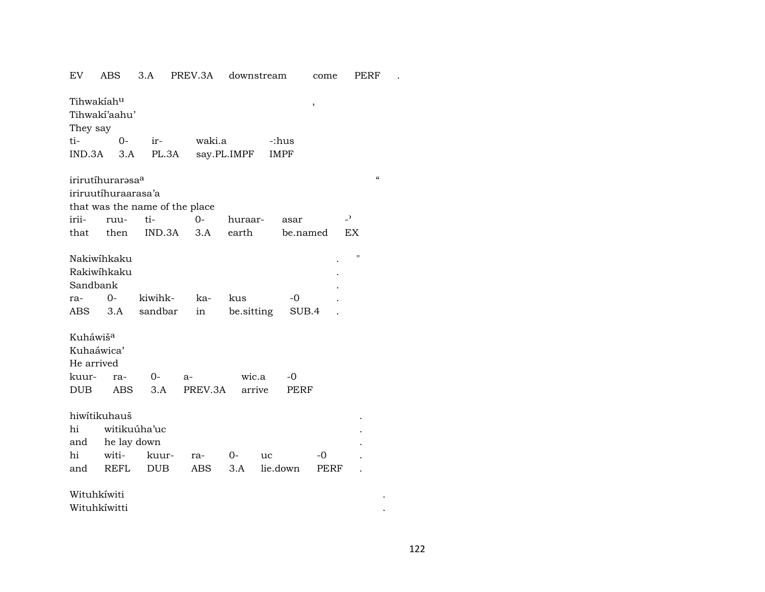| EV                     | <b>ABS</b>          | 3.A                            | PREV.3A | downstream  |             | come     | PERF                     |  |
|------------------------|---------------------|--------------------------------|---------|-------------|-------------|----------|--------------------------|--|
| Tihwakiahu<br>They say | Tihwaki'aahu'       |                                |         |             |             | ,        |                          |  |
| ti-                    | $O -$               | ir-                            | waki.a  |             | -:hus       |          |                          |  |
| IND.3A                 | 3.A                 | PL.3A                          |         | say.PL.IMPF | <b>IMPF</b> |          |                          |  |
|                        | irirutíhurarasaa    |                                |         |             |             |          | $\epsilon$               |  |
|                        | iriruutíhuraarasa'a |                                |         |             |             |          |                          |  |
|                        |                     | that was the name of the place |         |             |             |          |                          |  |
| irii-                  | ruu-                | ti-                            | $O -$   | huraar-     | asar        |          | $\overline{\phantom{0}}$ |  |
| that                   | then                | IND.3A                         | 3.A     | earth       |             | be.named | EX                       |  |
|                        | Nakiwíhkaku         |                                |         |             |             |          | П                        |  |
|                        | Rakiwihkaku         |                                |         |             |             |          |                          |  |
| Sandbank               |                     |                                |         |             |             |          |                          |  |
| ra-                    | $O -$               | kiwihk-                        | ka-     | kus         | -0          |          |                          |  |
| ABS                    | 3.A                 | sandbar                        | in      | be.sitting  |             | SUB.4    |                          |  |
| Kuháwiš <sup>a</sup>   |                     |                                |         |             |             |          |                          |  |
| Kuhaáwica'             |                     |                                |         |             |             |          |                          |  |
| He arrived             |                     |                                |         |             |             |          |                          |  |
| kuur-                  | ra-                 | $0-$                           | $a-$    | wic.a       | -0          |          |                          |  |
| <b>DUB</b>             | ABS                 | 3.A                            | PREV.3A | arrive      | PERF        |          |                          |  |
|                        |                     |                                |         |             |             |          |                          |  |
|                        | hiwitikuhauš        |                                |         |             |             |          |                          |  |
| hi                     |                     | witikuúha'uc                   |         |             |             |          |                          |  |
| and                    | he lay down         |                                |         |             |             |          |                          |  |
| hi                     | witi-               | kuur-                          | ra-     | $0-$        | uc          | $-0$     |                          |  |
| and                    | <b>REFL</b>         | <b>DUB</b>                     | ABS     | 3.A         | lie.down    | PERF     |                          |  |
| Wituhkíwiti            |                     |                                |         |             |             |          |                          |  |
|                        | Wituhkíwitti        |                                |         |             |             |          |                          |  |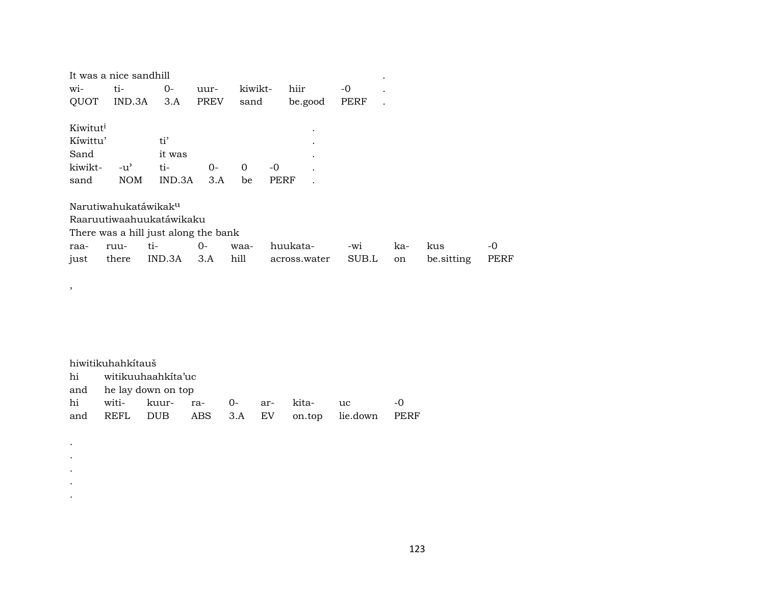|                      | It was a nice sandhill           |                                      |             |         |      |                      |       |     |            |      |
|----------------------|----------------------------------|--------------------------------------|-------------|---------|------|----------------------|-------|-----|------------|------|
| $W1-$                | ti-                              | 0-                                   | uur-        | kiwikt- |      | hiir                 | -0    |     |            |      |
| QUOT                 | IND.3A                           | 3.A                                  | <b>PREV</b> | sand    |      | be.good              | PERF  |     |            |      |
| Kiwitut <sup>i</sup> |                                  |                                      |             |         |      | $\bullet$            |       |     |            |      |
| Kíwittu'             |                                  | ti'                                  |             |         |      |                      |       |     |            |      |
| Sand                 |                                  | it was                               |             |         |      | $\bullet$            |       |     |            |      |
| kiwikt-              | $-u^{\prime}$                    | ti-                                  | $O -$       | 0       | -0   | $\ddot{\phantom{0}}$ |       |     |            |      |
| sand                 | <b>NOM</b>                       | IND.3A                               | 3.A         | be      | PERF | $\ddot{\phantom{0}}$ |       |     |            |      |
|                      | Narutiwahukatáwikak <sup>u</sup> |                                      |             |         |      |                      |       |     |            |      |
|                      |                                  | Raaruutiwaahuukatáwikaku             |             |         |      |                      |       |     |            |      |
|                      |                                  | There was a hill just along the bank |             |         |      |                      |       |     |            |      |
| raa-                 | ruu-                             | ti-                                  | 0-          | waa-    |      | huukata-             | -wi   | ka- | kus        | -0   |
| just                 | there                            | IND.3A                               | 3.A         | hill    |      | across.water         | SUB.L | on  | be.sitting | PERF |

| hiwitikuhahkitauš                            |                                 |  |  |  |  |                 |      |  |  |  |
|----------------------------------------------|---------------------------------|--|--|--|--|-----------------|------|--|--|--|
| hi witikuuhaahkita'uc                        |                                 |  |  |  |  |                 |      |  |  |  |
|                                              | and he lay down on top          |  |  |  |  |                 |      |  |  |  |
|                                              | hi witi- kuur- ra- 0- ar- kita- |  |  |  |  | $\overline{11}$ | $-0$ |  |  |  |
| and REFL DUB ABS 3.A EV on.top lie.down PERF |                                 |  |  |  |  |                 |      |  |  |  |

,

. . . . .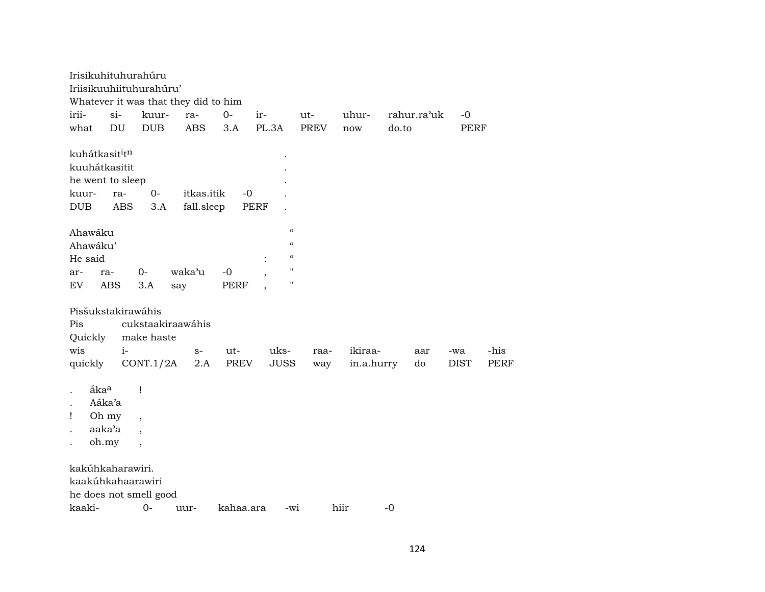| Irisikuhituhurahúru                    |            |                          |                                      |           |                                        |             |            |             |             |             |
|----------------------------------------|------------|--------------------------|--------------------------------------|-----------|----------------------------------------|-------------|------------|-------------|-------------|-------------|
| Iriisikuuhiituhurahúru'                |            |                          |                                      |           |                                        |             |            |             |             |             |
|                                        |            |                          | Whatever it was that they did to him |           |                                        |             |            |             |             |             |
| irii-                                  | $si-$      | kuur-                    | ra-                                  | $0 -$     | ir-                                    | ut-         | uhur-      | rahur.ra'uk | $-0$        |             |
| what                                   | DU         | <b>DUB</b>               | <b>ABS</b>                           | 3.A       | PL.3A                                  | <b>PREV</b> | now        | do.to       | PERF        |             |
| kuhátkasit <sup>i</sup> t <sup>n</sup> |            |                          |                                      |           |                                        |             |            |             |             |             |
| kuuhátkasitit                          |            |                          |                                      |           |                                        |             |            |             |             |             |
| he went to sleep                       |            |                          |                                      |           |                                        |             |            |             |             |             |
| kuur-                                  | ra-        | $0-$                     | itkas.itik                           | $-0$      |                                        |             |            |             |             |             |
| DUB                                    | <b>ABS</b> | 3.A                      | fall.sleep                           |           | <b>PERF</b>                            |             |            |             |             |             |
| Ahawáku                                |            |                          |                                      |           | $\epsilon$                             |             |            |             |             |             |
| Ahawáku'                               |            |                          |                                      |           | $\mathcal{C}$                          |             |            |             |             |             |
| He said                                |            |                          |                                      |           | $\boldsymbol{\zeta}\boldsymbol{\zeta}$ |             |            |             |             |             |
| ar-                                    | ra-        | $0-$                     | waka'u                               | $-0$      | $\pmb{\mathsf{H}}$                     |             |            |             |             |             |
| EV                                     | <b>ABS</b> | 3.A                      | say                                  | PERF      | $\pmb{\mathsf{H}}$                     |             |            |             |             |             |
| Pisšukstakirawáhis                     |            |                          |                                      |           |                                        |             |            |             |             |             |
| Pis                                    |            |                          | cukstaakiraawáhis                    |           |                                        |             |            |             |             |             |
| Quickly                                |            | make haste               |                                      |           |                                        |             |            |             |             |             |
| wis                                    | $i-$       |                          | $S-$                                 | ut-       | uks-                                   | raa-        | ikiraa-    | aar         | -wa         | -his        |
| quickly                                |            | CONT.1/2A                | 2.A                                  | PREV      | <b>JUSS</b>                            | way         | in.a.hurry | do          | <b>DIST</b> | <b>PERF</b> |
| åka <sup>a</sup>                       |            | Ţ                        |                                      |           |                                        |             |            |             |             |             |
| $\ddot{\phantom{0}}$                   | Aáka'a     |                          |                                      |           |                                        |             |            |             |             |             |
| Ţ                                      | Oh my      | $\overline{\phantom{a}}$ |                                      |           |                                        |             |            |             |             |             |
| aaka'a                                 |            | $\overline{\phantom{a}}$ |                                      |           |                                        |             |            |             |             |             |
| oh.my                                  |            | $\overline{\phantom{a}}$ |                                      |           |                                        |             |            |             |             |             |
| kakúhkaharawiri.                       |            |                          |                                      |           |                                        |             |            |             |             |             |
| kaakúhkahaarawiri                      |            |                          |                                      |           |                                        |             |            |             |             |             |
| he does not smell good                 |            |                          |                                      |           |                                        |             |            |             |             |             |
| kaaki-                                 |            | $0-$                     | uur-                                 | kahaa.ara | -wi                                    |             | hiir       | $-0$        |             |             |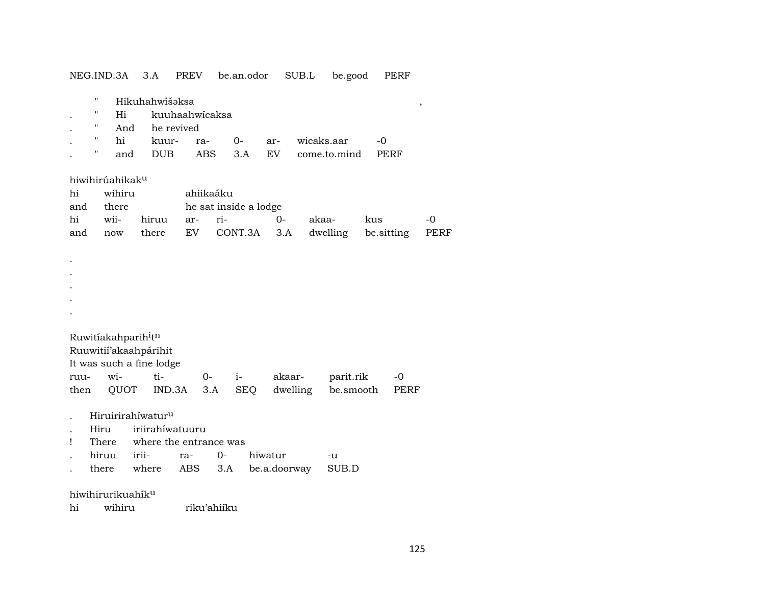|      |                    | NEG.IND.3A                                  | 3.A                      | <b>PREV</b>    |             | be.an.odor            |         | SUB.L        |            | be.good      |             | PERF                    |             |
|------|--------------------|---------------------------------------------|--------------------------|----------------|-------------|-----------------------|---------|--------------|------------|--------------|-------------|-------------------------|-------------|
|      | П                  |                                             | Hikuhahwíšəksa           |                |             |                       |         |              |            |              |             |                         |             |
|      | н                  | Hi                                          |                          | kuuhaahwicaksa |             |                       |         |              |            |              |             | $^\mathrm{^\mathrm{o}}$ |             |
|      | $\pmb{\mathsf{H}}$ | And                                         |                          | he revived     |             |                       |         |              |            |              |             |                         |             |
|      |                    |                                             |                          |                |             |                       |         |              |            |              |             |                         |             |
|      | Ħ                  | hi                                          | kuur-                    | ra-            |             | $0-$                  | ar-     |              | wicaks.aar |              | -0          |                         |             |
|      |                    | and                                         | <b>DUB</b>               |                | ABS         | 3.A                   | EV      |              |            | come.to.mind | <b>PERF</b> |                         |             |
|      |                    | hiwihirúahikak <sup>u</sup>                 |                          |                |             |                       |         |              |            |              |             |                         |             |
| hi   |                    | wihiru                                      |                          |                | ahiikaáku   |                       |         |              |            |              |             |                         |             |
| and  |                    | there                                       |                          |                |             | he sat inside a lodge |         |              |            |              |             |                         |             |
| hi   |                    | wii-                                        | hiruu                    | ar-            | ri-         |                       | 0-      |              | akaa-      |              | kus         |                         | -0          |
| and  |                    | now                                         | there                    | EV             |             | CONT.3A               |         | 3.A          | dwelling   |              | be.sitting  |                         | <b>PERF</b> |
|      |                    |                                             |                          |                |             |                       |         |              |            |              |             |                         |             |
|      |                    |                                             |                          |                |             |                       |         |              |            |              |             |                         |             |
|      |                    |                                             |                          |                |             |                       |         |              |            |              |             |                         |             |
|      |                    |                                             |                          |                |             |                       |         |              |            |              |             |                         |             |
|      |                    |                                             |                          |                |             |                       |         |              |            |              |             |                         |             |
|      |                    |                                             |                          |                |             |                       |         |              |            |              |             |                         |             |
|      |                    |                                             |                          |                |             |                       |         |              |            |              |             |                         |             |
|      |                    | Ruwitiakahparih <sup>i</sup> t <sup>n</sup> |                          |                |             |                       |         |              |            |              |             |                         |             |
|      |                    |                                             | Ruuwitií'akaahpárihit    |                |             |                       |         |              |            |              |             |                         |             |
|      |                    |                                             | It was such a fine lodge |                |             |                       |         |              |            |              |             |                         |             |
|      |                    |                                             |                          |                |             |                       |         |              |            |              |             |                         |             |
| ruu- |                    | wi-                                         | ti-                      |                | $0-$        | $i-$                  |         | akaar-       |            | parit.rik    |             | -0                      |             |
| then |                    | QUOT                                        | IND.3A                   |                | 3.A         | <b>SEQ</b>            |         | dwelling     |            | be.smooth    |             | PERF                    |             |
|      |                    |                                             | Hiruirirahíwaturu        |                |             |                       |         |              |            |              |             |                         |             |
|      | Hiru               |                                             | iriirahíwatuuru          |                |             |                       |         |              |            |              |             |                         |             |
| Ţ    |                    | There                                       | where the entrance was   |                |             |                       |         |              |            |              |             |                         |             |
|      |                    | hiruu                                       | irii-                    | ra-            | $0-$        |                       | hiwatur |              |            | -u           |             |                         |             |
|      |                    | there                                       | where                    | ABS            | 3.A         |                       |         | be.a.doorway |            | SUB.D        |             |                         |             |
|      |                    |                                             |                          |                |             |                       |         |              |            |              |             |                         |             |
|      |                    | hiwihirurikuahík <sup>u</sup>               |                          |                |             |                       |         |              |            |              |             |                         |             |
| hi   |                    | wihiru                                      |                          |                | riku'ahiíku |                       |         |              |            |              |             |                         |             |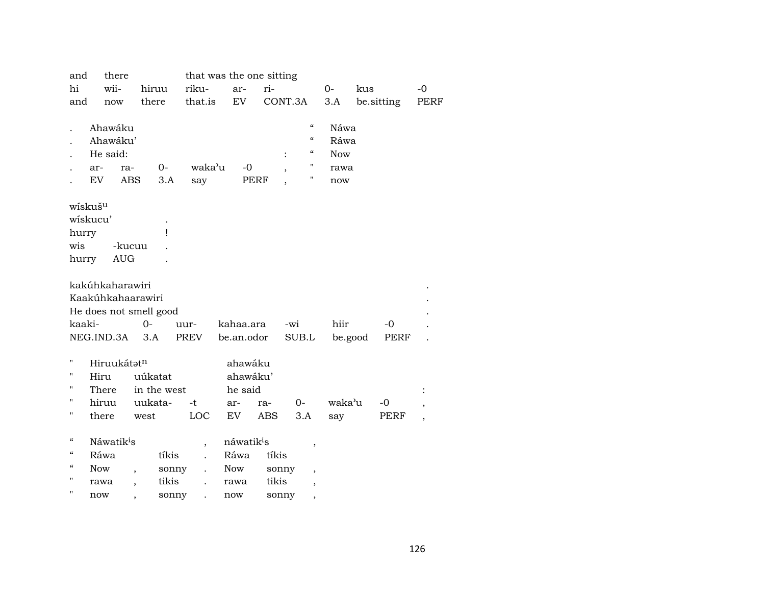| and        | there                       |                          |                               | that was the one sitting |             |                                      |                          |            |                          |
|------------|-----------------------------|--------------------------|-------------------------------|--------------------------|-------------|--------------------------------------|--------------------------|------------|--------------------------|
| hi         | wii-                        | hiruu                    | riku-                         | ar-                      | ri-         |                                      | $0-$                     | kus        | $-0$                     |
| and        | now                         | there                    | that.is                       | EV                       |             | CONT.3A                              | 3.A                      | be.sitting | PERF                     |
|            |                             |                          |                               |                          |             |                                      |                          |            |                          |
|            | Ahawáku                     |                          |                               |                          |             | $\pmb{\zeta}\pmb{\zeta}$             | Náwa                     |            |                          |
|            | Ahawáku'                    |                          |                               |                          |             | $\mathcal{C}$                        | Ráwa                     |            |                          |
|            | He said:                    |                          |                               |                          |             | $\epsilon\epsilon$<br>$\ddot{\cdot}$ | <b>Now</b>               |            |                          |
|            | ar-                         | $0-$<br>ra-              | waka'u                        | $-0$                     |             | $\pmb{\mathsf{H}}$                   | rawa                     |            |                          |
|            | EV                          | <b>ABS</b>               | 3.A<br>say                    |                          | <b>PERF</b> | $\pmb{\mathsf{H}}$                   | now                      |            |                          |
|            |                             |                          |                               |                          |             |                                      |                          |            |                          |
|            | wískuš <sup>u</sup>         |                          |                               |                          |             |                                      |                          |            |                          |
|            | wiskucu'                    |                          |                               |                          |             |                                      |                          |            |                          |
| hurry      |                             |                          | ı                             |                          |             |                                      |                          |            |                          |
| wis        |                             | -kucuu                   |                               |                          |             |                                      |                          |            |                          |
| hurry      | $\mathop{\rm AUG}\nolimits$ |                          |                               |                          |             |                                      |                          |            |                          |
|            |                             |                          |                               |                          |             |                                      |                          |            |                          |
|            | kakúhkaharawiri             |                          |                               |                          |             |                                      |                          |            |                          |
|            | Kaakúhkahaarawiri           |                          |                               |                          |             |                                      |                          |            |                          |
|            | He does not smell good      |                          |                               |                          |             |                                      |                          |            |                          |
| kaaki-     |                             | $O -$                    | uur-                          | kahaa.ara                |             | -wi                                  | hiir                     | $-0$       |                          |
|            | NEG.IND.3A                  | 3.A                      | PREV                          | be.an.odor               |             | SUB.L                                | be.good                  | PERF       |                          |
|            |                             |                          |                               |                          |             |                                      |                          |            |                          |
| Н          | Hiruukátatn                 |                          |                               | ahawáku                  |             |                                      |                          |            |                          |
| П          | Hiru                        | uúkatat                  |                               | ahawáku'                 |             |                                      |                          |            |                          |
| П          | There                       | in the west              |                               | he said                  |             |                                      |                          |            |                          |
| н          | hiruu                       | uukata-                  | $-t$                          | ar-                      | ra-         | $0 -$                                | waka'u                   | -0         | ,                        |
| П          | there                       | west                     | LOC                           | EV                       | ABS         | 3.A                                  | say                      | PERF       | $\overline{\phantom{a}}$ |
|            |                             |                          |                               |                          |             |                                      |                          |            |                          |
| "          | Náwatik <sup>i</sup> s      |                          | $\overline{\phantom{a}}$      | náwatik <sup>i</sup> s   |             |                                      | $\overline{\phantom{a}}$ |            |                          |
| "          | Ráwa                        |                          | tíkis                         | Ráwa                     | tíkis       |                                      |                          |            |                          |
| $\epsilon$ | <b>Now</b>                  | $\overline{\phantom{a}}$ | sonny<br>$\ddot{\phantom{0}}$ | Now                      |             | sonny                                |                          |            |                          |
| Н          | rawa                        | $\overline{\phantom{a}}$ | tikis                         | rawa                     | tikis       |                                      | $\overline{\phantom{a}}$ |            |                          |
| Н          | now                         |                          | sonny                         | now                      |             | sonny                                |                          |            |                          |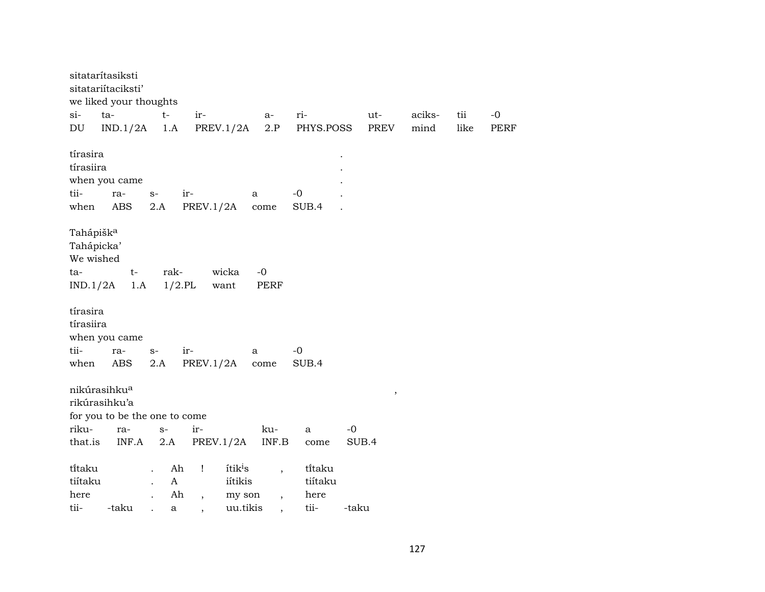| sitatarítasiksti                                                    | sitatariítaciksti'<br>we liked your thoughts |                                                  |                                                                                        |                                                                  |                                   |       |        |      |             |
|---------------------------------------------------------------------|----------------------------------------------|--------------------------------------------------|----------------------------------------------------------------------------------------|------------------------------------------------------------------|-----------------------------------|-------|--------|------|-------------|
| $si-$                                                               | ta-                                          | $t-$                                             | ir-                                                                                    | $a-$                                                             | ri-                               | ut-   | aciks- | tii  | $-0$        |
| $\mathop{\rm DU}\nolimits$                                          | IND.1/2A                                     | 1.A                                              | PREV.1/2A                                                                              | 2.P                                                              | PHYS.POSS                         | PREV  | mind   | like | <b>PERF</b> |
| tírasira<br>tírasiira<br>tii-<br>when                               | when you came<br>ra-<br>ABS                  | $S-$<br>2.A                                      | ir-<br>PREV.1/2A                                                                       | a<br>come                                                        | $-0$<br>SUB.4                     |       |        |      |             |
| Tahápišk <sup>a</sup><br>Tahápicka'<br>We wished<br>ta-<br>IND.1/2A | $t-$<br>1.A                                  | rak-                                             | wicka<br>$1/2$ .PL<br>want                                                             | $-0$<br><b>PERF</b>                                              |                                   |       |        |      |             |
| tírasira<br>tírasiira                                               | when you came                                |                                                  |                                                                                        |                                                                  |                                   |       |        |      |             |
| tii-                                                                | ra-                                          | $S-$                                             | ir-                                                                                    | a                                                                | $-0$                              |       |        |      |             |
| when                                                                | ABS                                          | 2.A                                              | PREV.1/2A                                                                              | $_{\rm{come}}$                                                   | SUB.4                             |       |        |      |             |
| nikúrasihku <sup>a</sup><br>rikúrasihku'a<br>riku-                  | for you to be the one to come<br>ra-         | $S-$                                             | ir-                                                                                    | ku-                                                              | a                                 | $-0$  | $\, ,$ |      |             |
| that.is                                                             | INF.A                                        | 2.A                                              | PREV.1/2A                                                                              | $\textsf{INF}.\textsf{B}$                                        | come                              | SUB.4 |        |      |             |
| ti̇̃taku<br>tiítaku<br>here<br>tii-                                 | -taku                                        | $\mathbf{A}$<br>$\ddot{\phantom{a}}$<br>$\rm{a}$ | Ah<br>itik <sup>i</sup> s<br>$\mathbf{I}$<br>iítikis<br>Ah<br>my son<br>$\overline{ }$ | $\overline{\phantom{a}}$<br>$\overline{\phantom{a}}$<br>uu.tikis | titaku<br>tiítaku<br>here<br>tii- | -taku |        |      |             |
|                                                                     |                                              |                                                  |                                                                                        |                                                                  |                                   |       |        |      |             |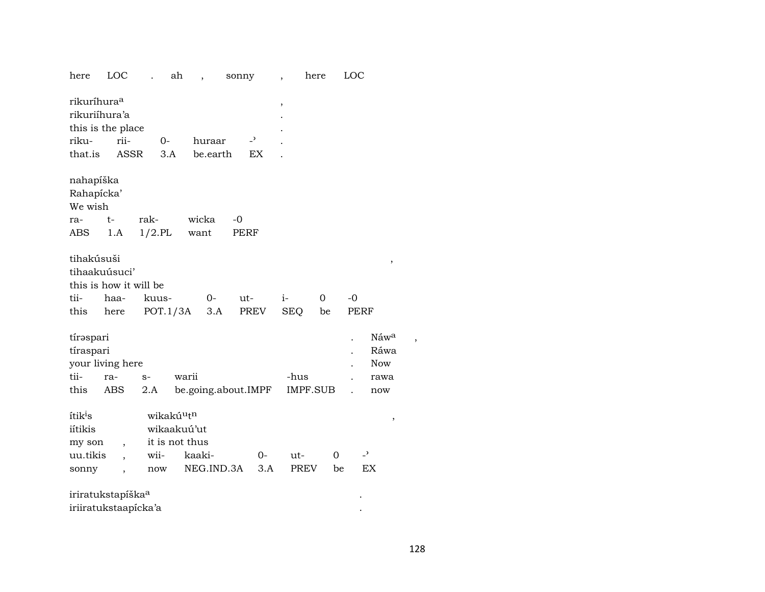| LOC<br>here                                                                                                           | ah                                                        |                              | sonny                                 | here<br>$\overline{\phantom{a}}$ |                    | LOC                                            |  |
|-----------------------------------------------------------------------------------------------------------------------|-----------------------------------------------------------|------------------------------|---------------------------------------|----------------------------------|--------------------|------------------------------------------------|--|
| rikuríhura <sup>a</sup><br>rikuriíhura'a<br>this is the place<br>riku-<br>rii-<br>that.is<br>ASSR                     | 0-<br>3.A                                                 | huraar<br>be earth           | $\overline{\phantom{0}}$<br><b>EX</b> | $\,$                             |                    |                                                |  |
| nahapíška<br>Rahapícka'<br>We wish<br>$t-$<br>ra-<br><b>ABS</b><br>1.A                                                | rak-<br>$1/2.$ PL                                         | wicka<br>want                | $-0$<br><b>PERF</b>                   |                                  |                    |                                                |  |
| tihakúsuši<br>tihaakuúsuci'<br>this is how it will be<br>tii-<br>haa-<br>this<br>here                                 | kuus-<br>POT.1/3A                                         | $O -$<br>3.A                 | ut-<br>PREV                           | $i-$<br><b>SEQ</b>               | $\Omega$<br>be     | $\, ,$<br>$-0$<br><b>PERF</b>                  |  |
| tíraspari<br>tíraspari<br>your living here<br>tii-<br>ra-<br>this<br>ABS                                              | $S-$<br>2.A                                               | warii<br>be.going.about.IMPF |                                       | -hus<br>IMPF.SUB                 |                    | Náw <sup>a</sup><br>Ráwa<br>Now<br>rawa<br>now |  |
| ítik <sup>i</sup> s<br>iítikis<br>my son<br>$\overline{\phantom{a}}$<br>uu.tikis<br>$\overline{\phantom{a}}$<br>sonny | wikakúutn<br>wikaakuú'ut<br>it is not thus<br>wii-<br>now | kaaki-<br>NEG.IND.3A         | $0-$<br>3.A                           | ut-<br><b>PREV</b>               | $\mathbf{O}$<br>be | $\,$<br>$\overline{\phantom{0}}$<br>EX         |  |
| iriratukstapíška <sup>a</sup><br>iriiratukstaapícka'a                                                                 |                                                           |                              |                                       |                                  |                    |                                                |  |

 $\overline{\phantom{a}}$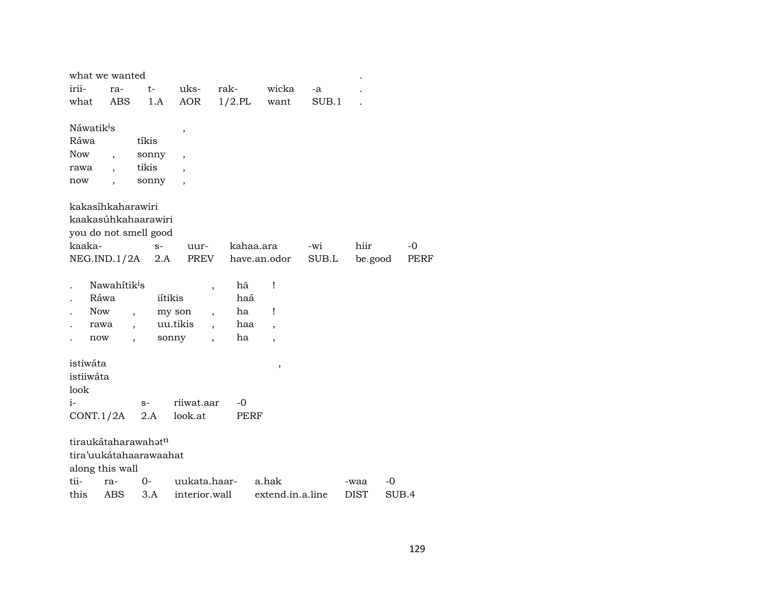|                        | what we wanted           |                          |                                    |             |                          |       |             |       |
|------------------------|--------------------------|--------------------------|------------------------------------|-------------|--------------------------|-------|-------------|-------|
| irii-                  | ra-                      | $t-$                     | uks-                               | rak-        | wicka                    | -a    |             |       |
| what                   | <b>ABS</b>               | 1.A                      | AOR                                | $1/2$ .PL   | want                     | SUB.1 |             |       |
|                        |                          |                          |                                    |             |                          |       |             |       |
| Náwatik <sup>i</sup> s |                          |                          | ,                                  |             |                          |       |             |       |
| Ráwa                   |                          | tíkis                    |                                    |             |                          |       |             |       |
| <b>Now</b>             | $\overline{ }$           | sonny                    |                                    |             |                          |       |             |       |
| rawa                   |                          | tikis                    |                                    |             |                          |       |             |       |
| now                    | $\overline{\phantom{a}}$ | sonny                    |                                    |             |                          |       |             |       |
|                        |                          |                          |                                    |             |                          |       |             |       |
|                        | kakasíhkaharawiri        |                          |                                    |             |                          |       |             |       |
|                        |                          | kaakasúhkahaarawiri      |                                    |             |                          |       |             |       |
|                        |                          | you do not smell good    |                                    |             |                          |       |             |       |
| kaaka-                 |                          | $S-$                     | uur-                               |             | kahaa.ara                | -wi   | hiir        | $-0$  |
|                        | NEG.ID.1/2A              | 2.A                      | PREV                               |             | have.an.odor             | SUB.L | be.good     | PERF  |
|                        |                          |                          |                                    |             |                          |       |             |       |
|                        | Nawahitik <sup>i</sup> s |                          | $\overline{\phantom{a}}$           | hã          | Ţ                        |       |             |       |
|                        | Ráwa                     |                          | iítikis                            | haá         |                          |       |             |       |
|                        | <b>Now</b>               | $\overline{\phantom{a}}$ | my son<br>$\overline{\phantom{a}}$ | ha          | Ţ                        |       |             |       |
|                        | rawa                     |                          | uu.tikis                           | haa         | $\overline{\phantom{a}}$ |       |             |       |
|                        | now                      | $\overline{\phantom{a}}$ | sonny                              | ha          | $\overline{\phantom{a}}$ |       |             |       |
|                        |                          |                          |                                    |             |                          |       |             |       |
| istiwáta               |                          |                          |                                    |             | $\,$                     |       |             |       |
| istiiwáta              |                          |                          |                                    |             |                          |       |             |       |
| look                   |                          |                          |                                    |             |                          |       |             |       |
| $i-$                   |                          | $S-$                     | riiwat.aar                         | $-0$        |                          |       |             |       |
|                        | CONT.1/2A                | 2.A                      | look.at                            | <b>PERF</b> |                          |       |             |       |
|                        |                          |                          |                                    |             |                          |       |             |       |
|                        |                          | tiraukátaharawahatn      |                                    |             |                          |       |             |       |
|                        |                          | tira'uukátahaarawaahat   |                                    |             |                          |       |             |       |
|                        | along this wall          |                          |                                    |             |                          |       |             |       |
| tii-                   | ra-                      | 0-                       | uukata.haar-                       |             | a.hak                    |       | -waa        | -0    |
| this                   | ABS                      | 3.A                      | interior.wall                      |             | extend.in.a.line         |       | <b>DIST</b> | SUB.4 |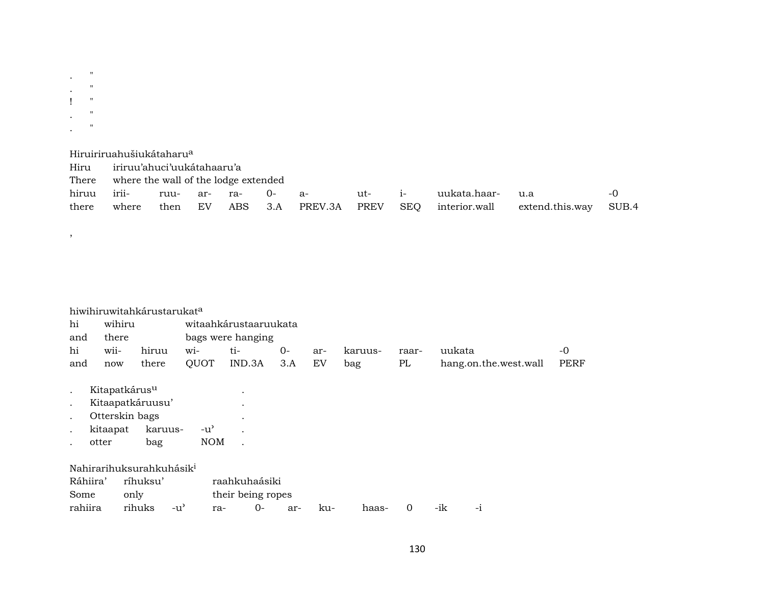$\mathcal{L}^{(n)}$  ,  $\frac{1}{1} \left( \begin{array}{cc} 0 \\ 0 \\ 0 \end{array} \right)$  $\begin{array}{cc} \ddots & \cdots & \cdots \\ \ddots & \cdots & \cdots \\ \ddots & \cdots & \cdots \end{array}$ 

 $\overline{\phantom{a}}$ 

|       | Hiruiriruahušiukátaharu <sup>a</sup> |      |     |     |       |                      |        |     |               |                 |       |
|-------|--------------------------------------|------|-----|-----|-------|----------------------|--------|-----|---------------|-----------------|-------|
| Hiru  | iriruu'ahuci'uukátahaaru'a           |      |     |     |       |                      |        |     |               |                 |       |
| There | where the wall of the lodge extended |      |     |     |       |                      |        |     |               |                 |       |
| hiruu | irii-                                | ruu- | ar- | ra- | 0- a- |                      | ut- i- |     | uukata.haar-  | u.a             | $-()$ |
| there | where                                | then | EV  |     |       | ABS 3.A PREV.3A PREV |        | SEQ | interior.wall | extend.this.way | SUB.4 |

|           |                           | hiwihiruwitahkárustarukat <sup>a</sup> |               |                       |      |     |         |       |                       |             |
|-----------|---------------------------|----------------------------------------|---------------|-----------------------|------|-----|---------|-------|-----------------------|-------------|
| hi        | wihiru                    |                                        |               | witaahkárustaaruukata |      |     |         |       |                       |             |
| and       | there                     |                                        |               | bags were hanging     |      |     |         |       |                       |             |
| hi        | wii-                      | hiruu                                  | wi-           | ti-                   | $0-$ | ar- | karuus- | raar- | uukata                | -0          |
| and       | now                       | there                                  | QUOT          | IND.3A                | 3.A  | EV  | bag     | PL    | hang.on.the.west.wall | <b>PERF</b> |
|           |                           |                                        |               |                       |      |     |         |       |                       |             |
| $\cdot$   | Kitapatkárus <sup>u</sup> |                                        |               | $\bullet$             |      |     |         |       |                       |             |
| $\bullet$ |                           | Kitaapatkáruusu'                       |               | $\bullet$             |      |     |         |       |                       |             |
| $\cdot$   | Otterskin bags            |                                        |               | $\cdot$               |      |     |         |       |                       |             |
| $\cdot$   | kitaapat                  | karuus-                                | $-u^{\prime}$ |                       |      |     |         |       |                       |             |
|           | otter                     | bag                                    | <b>NOM</b>    |                       |      |     |         |       |                       |             |
|           |                           |                                        |               |                       |      |     |         |       |                       |             |
|           |                           | Nahirarihuksurahkuhásik <sup>i</sup>   |               |                       |      |     |         |       |                       |             |
| Ráhiira'  |                           | ríhuksu'                               |               | raahkuhaásiki         |      |     |         |       |                       |             |
| Some      | only                      |                                        |               | their being ropes     |      |     |         |       |                       |             |

only then being topes<br>
rihuks -u' ra- 0- ar- ku- haas- 0 -ik -i rahiira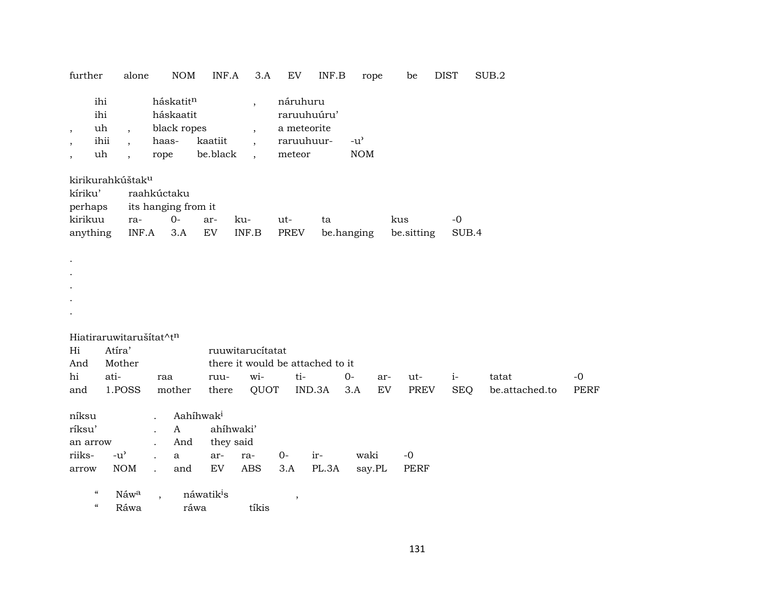| further                                                              |                                | alone                                                                            |                      | <b>NOM</b>                            | INF.A                          | 3.A                                                                                                          |       | EV                                                             | INF.B | rope                                              |     | be          | <b>DIST</b> | SUB.2          |             |
|----------------------------------------------------------------------|--------------------------------|----------------------------------------------------------------------------------|----------------------|---------------------------------------|--------------------------------|--------------------------------------------------------------------------------------------------------------|-------|----------------------------------------------------------------|-------|---------------------------------------------------|-----|-------------|-------------|----------------|-------------|
| $\,$<br>$\,$<br>$\cdot$                                              | ihi<br>ihi<br>uh<br>ihii<br>uh | $\overline{\phantom{a}}$<br>$\overline{\phantom{a}}$<br>$\overline{\phantom{a}}$ | haas-<br>rope        | háskatitn<br>háskaatit<br>black ropes | kaatiit<br>be.black            | $\overline{\phantom{a}}$<br>$\overline{\phantom{a}}$<br>$\overline{\phantom{a}}$<br>$\overline{\phantom{a}}$ |       | náruhuru<br>raruuhuúru'<br>a meteorite<br>raruuhuur-<br>meteor |       | $-u$ <sup><math>\prime</math></sup><br><b>NOM</b> |     |             |             |                |             |
| kirikurahkúštak <sup>u</sup><br>kíriku'<br>perhaps                   |                                |                                                                                  |                      | raahkúctaku<br>its hanging from it    |                                |                                                                                                              |       |                                                                |       |                                                   |     |             |             |                |             |
| kirikuu                                                              |                                | ra-                                                                              |                      | $0-$                                  | ar-                            | ku-                                                                                                          | ut-   |                                                                | ta    |                                                   |     | kus         | $-0$        |                |             |
| anything                                                             |                                | $\ensuremath{\mathsf{INF}}\xspace\text{-}\mathrm{A}\xspace$                      |                      | 3.A                                   | ${\rm EV}$                     | INF.B                                                                                                        |       | <b>PREV</b>                                                    |       | be.hanging                                        |     | be.sitting  | SUB.4       |                |             |
| $\bullet$                                                            |                                |                                                                                  |                      |                                       |                                |                                                                                                              |       |                                                                |       |                                                   |     |             |             |                |             |
| Hiatiraruwitarušítat^tn                                              |                                |                                                                                  |                      |                                       |                                |                                                                                                              |       |                                                                |       |                                                   |     |             |             |                |             |
| Hi                                                                   | Atíra'                         |                                                                                  |                      |                                       |                                | ruuwitarucítatat                                                                                             |       |                                                                |       |                                                   |     |             |             |                |             |
| And                                                                  | Mother                         |                                                                                  |                      |                                       |                                | there it would be attached to it                                                                             |       |                                                                |       |                                                   |     |             |             |                |             |
| hi                                                                   | ati-                           |                                                                                  | raa                  |                                       | ruu-                           | wi-                                                                                                          |       | ti-                                                            |       | $0-$                                              | ar- | ut-         | $i-$        | tatat          | $-0$        |
| and                                                                  |                                | 1.POSS                                                                           |                      | mother                                | there                          | QUOT                                                                                                         |       | IND.3A                                                         |       | 3.A                                               | EV  | <b>PREV</b> | <b>SEQ</b>  | be.attached.to | <b>PERF</b> |
| níksu<br>ríksu'<br>an arrow                                          |                                |                                                                                  | $\ddot{\phantom{a}}$ | $\mathbf{A}$<br>And                   | Aahíhwak <sup>i</sup>          | ahíhwaki'<br>they said                                                                                       |       |                                                                |       |                                                   |     |             |             |                |             |
| riiks-                                                               | $-u^{\prime}$                  |                                                                                  |                      | $\mathbf{a}$                          | ar-                            | ra-                                                                                                          | $O -$ |                                                                | ir-   | waki                                              |     | $-0$        |             |                |             |
| arrow                                                                |                                | <b>NOM</b>                                                                       |                      | and                                   | <b>EV</b>                      | <b>ABS</b>                                                                                                   | 3.A   |                                                                | PL.3A | say.PL                                            |     | <b>PERF</b> |             |                |             |
| $\boldsymbol{\mathcal{C}}$<br>$\boldsymbol{\zeta}\boldsymbol{\zeta}$ |                                | Náwa<br>Ráwa                                                                     |                      |                                       | náwatik <sup>i</sup> s<br>ráwa | tíkis                                                                                                        |       | $\,$                                                           |       |                                                   |     |             |             |                |             |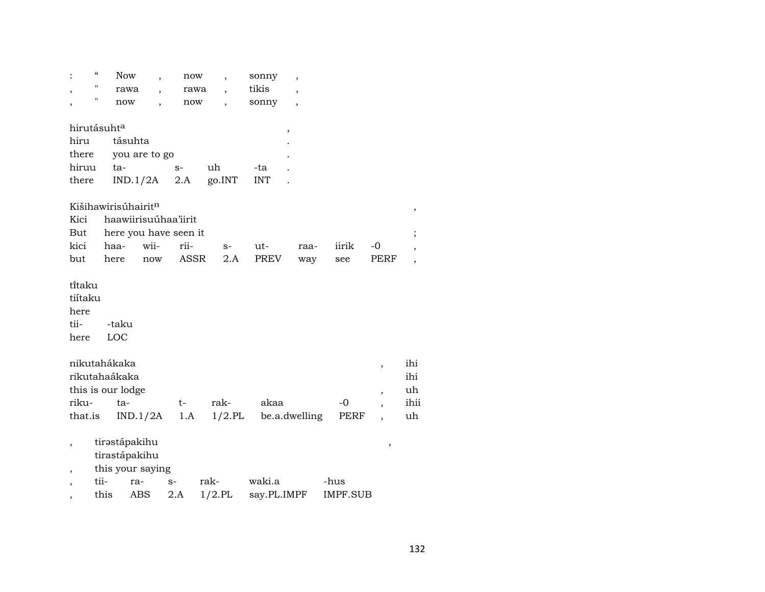|                                           | "    | Now                                                |                  | now                   | $\overline{\phantom{a}}$ | sonny       | $\overline{\phantom{a}}$ |                 |                               |                  |
|-------------------------------------------|------|----------------------------------------------------|------------------|-----------------------|--------------------------|-------------|--------------------------|-----------------|-------------------------------|------------------|
|                                           | "    | rawa                                               |                  | rawa                  |                          | tikis       |                          |                 |                               |                  |
|                                           | Π    | now                                                |                  | now                   |                          | sonny       |                          |                 |                               |                  |
| hirutásuht <sup>a</sup>                   |      |                                                    |                  |                       |                          |             |                          |                 |                               |                  |
| hiru                                      |      | tásuhta                                            |                  |                       |                          |             | ,                        |                 |                               |                  |
| there                                     |      |                                                    | you are to go    |                       |                          |             |                          |                 |                               |                  |
| hiruu                                     |      | ta-                                                |                  | $S-$                  | uh                       | -ta         |                          |                 |                               |                  |
| there                                     |      |                                                    | IND.1/2A         | 2.A                   | go.INT                   | <b>INT</b>  |                          |                 |                               |                  |
|                                           |      |                                                    |                  |                       |                          |             |                          |                 |                               |                  |
|                                           |      | Kišihawirisúhairitn                                |                  |                       |                          |             |                          |                 |                               | ,                |
| Kici                                      |      |                                                    |                  | haawiirisuúhaa'iirit  |                          |             |                          |                 |                               |                  |
| But                                       |      |                                                    |                  | here you have seen it |                          |             |                          |                 |                               |                  |
| kici                                      |      | haa-                                               | wii-             | rii-                  | $S-$                     | ut-         | raa-                     | iirik           | -0                            |                  |
| but                                       |      | here                                               | now              | <b>ASSR</b>           | 2.A                      | PREV        | way                      | see             | PERF                          |                  |
| titaku<br>tiítaku<br>here<br>tii-<br>here |      | -taku<br>LOC                                       |                  |                       |                          |             |                          |                 |                               |                  |
|                                           |      | nikutahákaka<br>rikutahaákaka<br>this is our lodge |                  |                       |                          |             |                          |                 | ,<br>$\overline{\phantom{a}}$ | ihi<br>ihi<br>uh |
| riku-                                     |      | $ta-$                                              |                  | t-                    | rak-                     | akaa        |                          | -0              |                               | ihii             |
| that.is                                   |      |                                                    | IND.1/2A         | 1.A                   | $1/2$ .PL                |             | be.a.dwelling            | PERF            |                               | uh               |
| ,                                         |      | tirastápakihu<br>tirastápakihu                     | this your saying |                       |                          |             |                          |                 | ,                             |                  |
| ,                                         | tii- |                                                    | ra-              | $S-$                  | rak-                     | waki.a      |                          | -hus            |                               |                  |
|                                           | this |                                                    | ABS              | $2.A$                 | $1/2$ .PL                | say.PL.IMPF |                          | <b>IMPF.SUB</b> |                               |                  |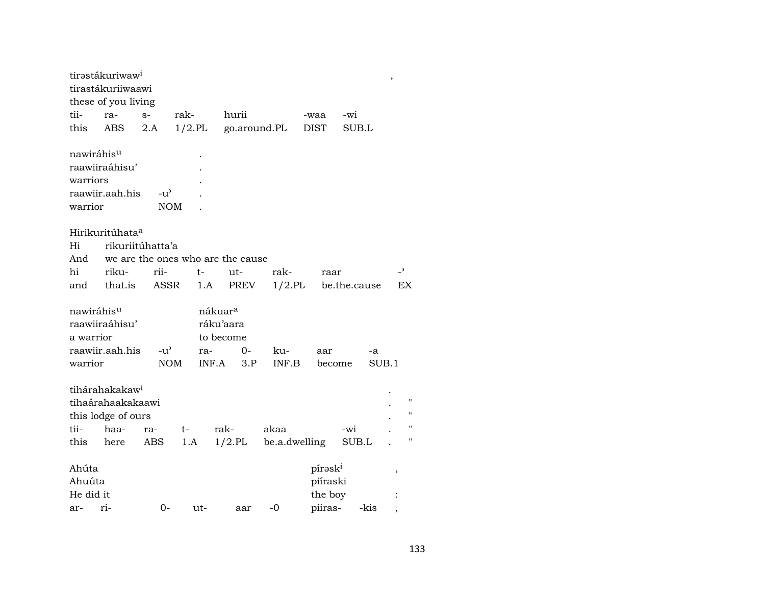|           | tirastákuriwaw <sup>i</sup> |                  |           |                                   |               |                     |              | ,                        |
|-----------|-----------------------------|------------------|-----------|-----------------------------------|---------------|---------------------|--------------|--------------------------|
|           | tirastákuriiwaawi           |                  |           |                                   |               |                     |              |                          |
|           | these of you living         |                  |           |                                   |               |                     |              |                          |
| tii-      | ra-                         | $S-$             | rak-      | hurii                             |               | -waa                | $-wi$        |                          |
| this      | ABS                         | 2.A              | $1/2$ .PL |                                   | go.around.PL  | <b>DIST</b>         | SUB.L        |                          |
|           | nawiráhis <sup>u</sup>      |                  |           |                                   |               |                     |              |                          |
|           | raawiiraáhisu'              |                  |           |                                   |               |                     |              |                          |
| warriors  |                             |                  |           |                                   |               |                     |              |                          |
|           | raawiir.aah.his             | $-u^{\prime}$    |           |                                   |               |                     |              |                          |
| warrior   |                             | <b>NOM</b>       |           |                                   |               |                     |              |                          |
|           | Hirikuritúhata <sup>a</sup> |                  |           |                                   |               |                     |              |                          |
| Hi        |                             | rikuriitúhatta'a |           |                                   |               |                     |              |                          |
| And       |                             |                  |           | we are the ones who are the cause |               |                     |              |                          |
| hi        | riku-                       | rii-             | t-        | ut-                               | rak-          | raar                |              | $\overline{\phantom{0}}$ |
| and       | that.is                     | ASSR             |           | PREV<br>1.A                       | $1/2$ .PL     |                     | be.the.cause | EX                       |
|           | nawiráhis <sup>u</sup>      |                  |           | nákuar <sup>a</sup>               |               |                     |              |                          |
|           | raawiiraáhisu'              |                  |           | ráku'aara                         |               |                     |              |                          |
| a warrior |                             |                  |           | to become                         |               |                     |              |                          |
|           | raawiir.aah.his             | $-u^{\prime}$    | ra-       | 0-                                | ku-           | aar                 | -a           |                          |
| warrior   |                             | <b>NOM</b>       |           | INF.A<br>3.P                      | INF.B         | become              | SUB.1        |                          |
|           | tihárahakakaw <sup>i</sup>  |                  |           |                                   |               |                     |              |                          |
|           | tihaárahaakakaawi           |                  |           |                                   |               |                     |              |                          |
|           | this lodge of ours          |                  |           |                                   |               |                     |              | $\pmb{\mathsf{H}}$       |
| tii-      | haa-                        | ra-              | t-        | rak-                              | akaa          |                     | -wi          | $\pmb{\mathsf{H}}$       |
| this      | here                        | ABS              | 1.A       | $1/2$ .PL                         | be.a.dwelling |                     | SUB.L        | п                        |
| Ahúta     |                             |                  |           |                                   |               | pírask <sup>i</sup> |              | ,                        |
| Ahuúta    |                             |                  |           |                                   |               | piíraski            |              |                          |
| He did it |                             |                  |           |                                   |               | the boy             |              |                          |
| ar-       | ri-                         | $0-$             | ut-       | aar                               | $-0$          | piiras-             | -kis         |                          |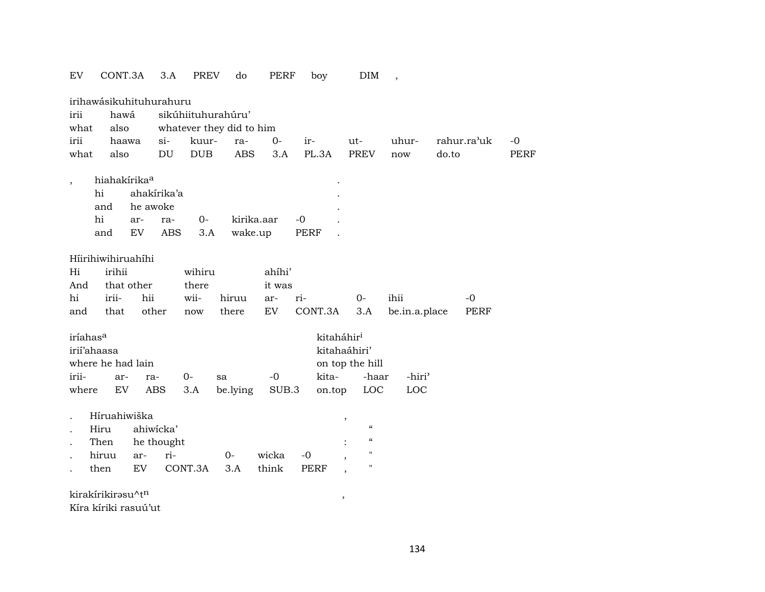| EV                       | CONT.3A                  |             | 3.A        | <b>PREV</b> | do                       | PERF       | boy         |                          | DIM                                    | $\overline{\phantom{a}}$ |       |             |             |
|--------------------------|--------------------------|-------------|------------|-------------|--------------------------|------------|-------------|--------------------------|----------------------------------------|--------------------------|-------|-------------|-------------|
|                          | irihawásikuhituhurahuru  |             |            |             |                          |            |             |                          |                                        |                          |       |             |             |
| irii                     | hawá                     |             |            |             | sikúhiituhurahúru'       |            |             |                          |                                        |                          |       |             |             |
| what                     | also                     |             |            |             | whatever they did to him |            |             |                          |                                        |                          |       |             |             |
| irii                     |                          | haawa       | $si-$      | kuur-       | ra-                      | $0-$       | ir-         | ut-                      |                                        | uhur-                    |       | rahur.ra'uk | $-0$        |
| what                     | also                     |             | DU         | <b>DUB</b>  | <b>ABS</b>               | 3.A        | PL.3A       |                          | <b>PREV</b>                            | now                      | do.to |             | <b>PERF</b> |
| $\overline{\phantom{a}}$ | hiahakírika <sup>a</sup> |             |            |             |                          |            |             |                          |                                        |                          |       |             |             |
|                          | hi                       | ahakírika'a |            |             |                          |            |             |                          |                                        |                          |       |             |             |
|                          | and                      | he awoke    |            |             |                          |            |             |                          |                                        |                          |       |             |             |
|                          | hi                       | ar-         | ra-        | $0-$        |                          | kirika.aar | $-0$        |                          |                                        |                          |       |             |             |
|                          | and                      | EV          | <b>ABS</b> | 3.A         | wake.up                  |            | <b>PERF</b> |                          |                                        |                          |       |             |             |
|                          |                          |             |            |             |                          |            |             |                          |                                        |                          |       |             |             |
|                          | Hiirihiwihiruahihi       |             |            |             |                          |            |             |                          |                                        |                          |       |             |             |
| Hi                       | irihii                   |             |            | wihiru      |                          | ahíhi'     |             |                          |                                        |                          |       |             |             |
| And                      |                          | that other  |            | there       |                          | it was     |             |                          |                                        |                          |       |             |             |
| hi                       | irii-                    | hii         |            | wii-        | hiruu                    | ar-        | ri-         | $0-$                     |                                        | ihii                     |       | $-0$        |             |
| and                      | that                     | other       |            | now         | there                    | EV         | CONT.3A     |                          | 3.A                                    | be.in.a.place            |       | PERF        |             |
| iríahas <sup>a</sup>     |                          |             |            |             |                          |            |             | kitaháhir <sup>i</sup>   |                                        |                          |       |             |             |
|                          | irií'ahaasa              |             |            |             |                          |            |             | kitahaáhiri'             |                                        |                          |       |             |             |
|                          | where he had lain        |             |            |             |                          |            |             | on top the hill          |                                        |                          |       |             |             |
| irii-                    | ar-                      | ra-         |            | $0-$        | sa                       | $-0$       | kita-       |                          | -haar                                  | -hiri <sup>3</sup>       |       |             |             |
| where                    | EV                       | <b>ABS</b>  |            | 3.A         | be.lying                 | SUB.3      | on.top      |                          | LOC                                    | LOC                      |       |             |             |
|                          |                          |             |            |             |                          |            |             |                          |                                        |                          |       |             |             |
|                          | Híruahiwiška<br>Hiru     | ahiwicka'   |            |             |                          |            |             | $\,$                     | $\boldsymbol{\zeta}\boldsymbol{\zeta}$ |                          |       |             |             |
|                          | Then                     |             | he thought |             |                          |            |             |                          | $\boldsymbol{\zeta}\boldsymbol{\zeta}$ |                          |       |             |             |
|                          | hiruu                    | ar-         | ri-        |             | $0 -$                    | wicka      | $-0$        |                          | 11                                     |                          |       |             |             |
|                          | then                     | EV          |            | CONT.3A     | 3.A                      | think      | <b>PERF</b> | $\overline{\phantom{a}}$ | П                                      |                          |       |             |             |
|                          |                          |             |            |             |                          |            |             | $\overline{\phantom{a}}$ |                                        |                          |       |             |             |
|                          | kirakírikirasu^tn        |             |            |             |                          |            |             | $\, ,$                   |                                        |                          |       |             |             |
|                          | Kíra kíriki rasuú'ut     |             |            |             |                          |            |             |                          |                                        |                          |       |             |             |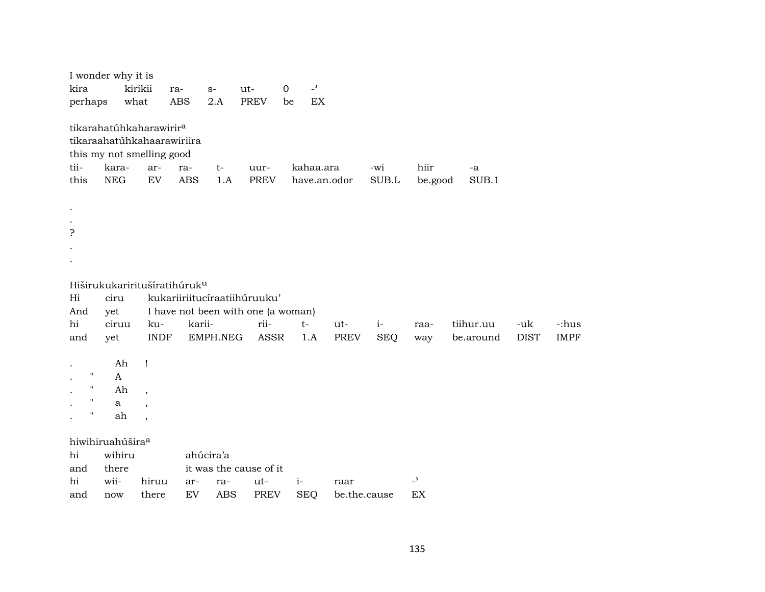| tikarahatúhkaharawirir <sup>a</sup>                                                                                                                                                                                                                   |             |
|-------------------------------------------------------------------------------------------------------------------------------------------------------------------------------------------------------------------------------------------------------|-------------|
| tikaraahatúhkahaarawiriira<br>this my not smelling good<br>tii-<br>kara-<br>kahaa.ara<br>hiir<br>ar-<br>-wi<br>$t-$<br>uur-<br>ra-<br>-a<br>this<br><b>NEG</b><br>EV<br><b>ABS</b><br><b>PREV</b><br>SUB.L<br>SUB.1<br>1.A<br>have.an.odor<br>be.good |             |
| 5                                                                                                                                                                                                                                                     |             |
| Hiširukukariritušíratihúruk <sup>u</sup>                                                                                                                                                                                                              |             |
| kukariiriitucíraatiihúruuku'<br>Hi<br>ciru                                                                                                                                                                                                            |             |
| I have not been with one (a woman)<br>And<br>yet                                                                                                                                                                                                      |             |
| hi<br>rii-<br>ciruu<br>karii-<br>tiihur.uu<br>ku-<br>$t-$<br>$i-$<br>-uk<br>ut-<br>raa-                                                                                                                                                               | -:hus       |
| <b>PREV</b><br><b>INDF</b><br>EMPH.NEG<br><b>ASSR</b><br><b>SEQ</b><br>be.around<br><b>DIST</b><br>1.A<br>and<br>yet<br>way                                                                                                                           | <b>IMPF</b> |
| Ah<br>Ţ                                                                                                                                                                                                                                               |             |
| $\mathbf{H}$<br>A                                                                                                                                                                                                                                     |             |
| $\pmb{\mathsf{H}}$<br>Ah<br>$\overline{\phantom{a}}$                                                                                                                                                                                                  |             |
| н<br>$\mathbf{a}$                                                                                                                                                                                                                                     |             |
| 11<br>ah<br>$\overline{\phantom{a}}$                                                                                                                                                                                                                  |             |
| hiwihiruahúšira <sup>a</sup>                                                                                                                                                                                                                          |             |
| hi<br>wihiru<br>ahúcira'a                                                                                                                                                                                                                             |             |
| it was the cause of it<br>and<br>there                                                                                                                                                                                                                |             |
| $\overline{\phantom{0}}$<br>wii-<br>hi<br>hiruu<br>$i-$<br>ut-<br>ar-<br>ra-<br>raar                                                                                                                                                                  |             |
| EV<br><b>ABS</b><br><b>PREV</b><br><b>SEQ</b><br>EX<br>there<br>be.the.cause<br>and<br>now                                                                                                                                                            |             |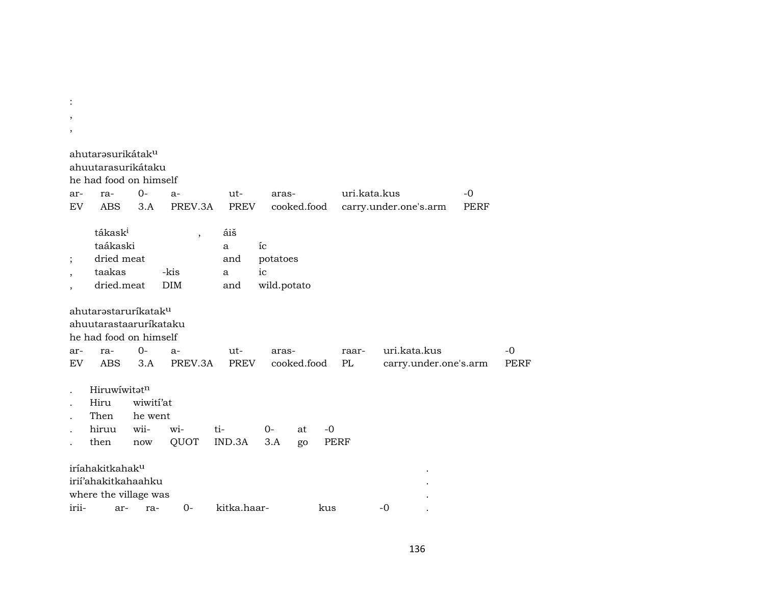| $\overline{\phantom{a}}$<br>, |                                                                                                           |                      |                          |                 |                      |             |      |              |                                       |             |              |
|-------------------------------|-----------------------------------------------------------------------------------------------------------|----------------------|--------------------------|-----------------|----------------------|-------------|------|--------------|---------------------------------------|-------------|--------------|
|                               | ahutarəsurikátak <sup>u</sup><br>ahuutarasurikátaku<br>he had food on himself                             |                      |                          |                 |                      |             |      |              |                                       |             |              |
| ar-                           | ra-                                                                                                       | 0-                   | $a-$                     | ut-             | aras-                |             |      | uri.kata.kus |                                       | $-0$        |              |
| EV                            | ABS                                                                                                       | 3.A                  | PREV.3A                  | <b>PREV</b>     |                      | cooked.food |      |              | carry.under.one's.arm                 | <b>PERF</b> |              |
| ;                             | tákask <sup>i</sup><br>taákaski<br>dried meat                                                             |                      | $\overline{\phantom{a}}$ | áiš<br>a<br>and | íc<br>potatoes<br>ic |             |      |              |                                       |             |              |
|                               | taakas<br>dried.meat                                                                                      |                      | -kis<br>DIM              | a<br>and        | wild.potato          |             |      |              |                                       |             |              |
|                               |                                                                                                           |                      |                          |                 |                      |             |      |              |                                       |             |              |
| ar-<br>EV                     | ahutarəstarurikatak <sup>u</sup><br>ahuutarastaarurikataku<br>he had food on himself<br>ra-<br><b>ABS</b> | $0-$<br>3.A          | $a-$<br>PREV.3A          | ut-<br>PREV     | aras-                | cooked.food |      | raar-<br>PL  | uri.kata.kus<br>carry.under.one's.arm |             | $-0$<br>PERF |
|                               | Hiruwiwitatn<br>Hiru<br>Then                                                                              | wiwiti'at<br>he went |                          |                 |                      |             |      |              |                                       |             |              |
|                               | hiruu                                                                                                     | wii-                 | wi-                      | ti-             | $0 -$                | at          | $-0$ |              |                                       |             |              |
|                               | then                                                                                                      | now                  | QUOT                     | IND.3A          | 3.A                  | go          | PERF |              |                                       |             |              |
| irii-                         | iríahakitkahak <sup>u</sup><br>irii'ahakitkahaahku<br>where the village was<br>ar-                        | ra-                  | $0-$                     | kitka.haar-     |                      |             | kus  |              | $-0$                                  |             |              |

: 100 million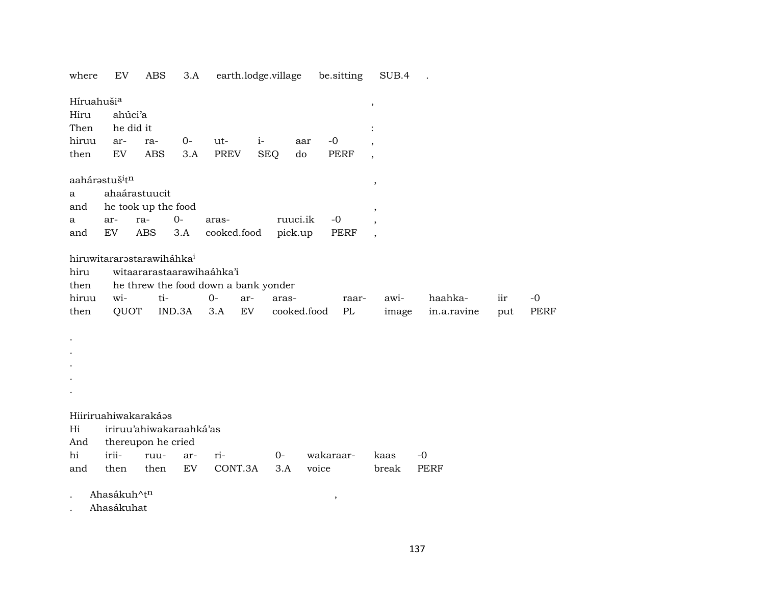where EV ABS 3.A earth.lodge.village be.sitting SUB.4 .

| Híruahušia           |                                        |                                       |        |                                      |            |             |             | $\, ,$                   |             |     |      |
|----------------------|----------------------------------------|---------------------------------------|--------|--------------------------------------|------------|-------------|-------------|--------------------------|-------------|-----|------|
| Hiru                 | ahúci'a                                |                                       |        |                                      |            |             |             |                          |             |     |      |
| Then                 | he did it                              |                                       |        |                                      |            |             |             |                          |             |     |      |
| hiruu                | ar-                                    | ra-                                   | $0-$   | ut-                                  | $i-$       | aar         | $-0$        |                          |             |     |      |
| then                 | EV                                     | <b>ABS</b>                            | 3.A    | PREV                                 | <b>SEQ</b> | do          | <b>PERF</b> | $\overline{\phantom{a}}$ |             |     |      |
|                      | aahárastuš <sup>i</sup> t <sup>n</sup> |                                       |        |                                      |            |             |             | $^\mathrm{^\mathrm{o}}$  |             |     |      |
| a                    |                                        | ahaárastuucit                         |        |                                      |            |             |             |                          |             |     |      |
| and                  |                                        | he took up the food                   |        |                                      |            |             |             | $\overline{\phantom{a}}$ |             |     |      |
| a                    | ar-                                    | ra-                                   | $0-$   | aras-                                |            | ruuci.ik    | $-0$        |                          |             |     |      |
| and                  | EV                                     | ABS                                   | 3.A    | cooked.food                          |            | pick.up     | PERF        |                          |             |     |      |
|                      |                                        | hiruwitararəstarawiháhka <sup>i</sup> |        |                                      |            |             |             |                          |             |     |      |
| hiru                 |                                        |                                       |        | witaararastaarawihaáhka'i            |            |             |             |                          |             |     |      |
| then                 |                                        |                                       |        | he threw the food down a bank yonder |            |             |             |                          |             |     |      |
| hiruu                | wi-                                    | ti-                                   |        | $O -$                                | ar-        | aras-       | raar-       | awi-                     | haahka-     | iir | $-0$ |
| then                 | QUOT                                   |                                       | IND.3A | 3.A                                  | EV         | cooked.food | PL          | image                    | in.a.ravine | put | PERF |
| $\bullet$            |                                        |                                       |        |                                      |            |             |             |                          |             |     |      |
|                      |                                        |                                       |        |                                      |            |             |             |                          |             |     |      |
|                      |                                        |                                       |        |                                      |            |             |             |                          |             |     |      |
|                      |                                        |                                       |        |                                      |            |             |             |                          |             |     |      |
|                      |                                        |                                       |        |                                      |            |             |             |                          |             |     |      |
|                      |                                        | Hiiriruahiwakarakáas                  |        |                                      |            |             |             |                          |             |     |      |
| Hi                   |                                        | iriruu'ahiwakaraahká'as               |        |                                      |            |             |             |                          |             |     |      |
| And                  |                                        | thereupon he cried                    |        |                                      |            |             |             |                          |             |     |      |
| hi                   | irii-                                  | ruu-                                  | ar-    | ri-                                  | 0-         |             | wakaraar-   | kaas                     | $-0$        |     |      |
| and                  | then                                   | then                                  | EV     | CONT.3A                              | 3.A        | voice       |             | break                    | PERF        |     |      |
| $\ddot{\phantom{0}}$ | Ahasákuh^tn                            |                                       |        |                                      |            |             |             |                          |             |     |      |

. Ahasákuhat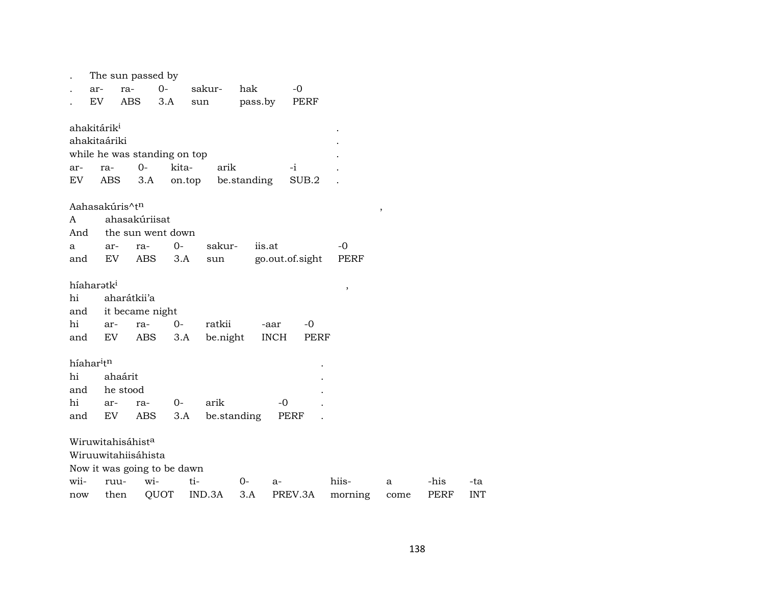|                       |                         | The sun passed by            |        |          |             |                 |             |         |               |             |            |
|-----------------------|-------------------------|------------------------------|--------|----------|-------------|-----------------|-------------|---------|---------------|-------------|------------|
|                       | ar-                     | ra-                          | $0-$   | sakur-   | hak         | $-0$            |             |         |               |             |            |
|                       | EV                      | ABS                          | 3.A    | sun      | pass.by     |                 | PERF        |         |               |             |            |
|                       | ahakitárik <sup>i</sup> |                              |        |          |             |                 |             |         |               |             |            |
|                       | ahakitaáriki            |                              |        |          |             |                 |             |         |               |             |            |
|                       |                         | while he was standing on top |        |          |             |                 |             |         |               |             |            |
| ar-                   | ra-                     | $O -$                        | kita-  | arik     |             | $-i$            |             |         |               |             |            |
| EV                    | ABS                     | 3.A                          | on.top |          | be.standing |                 | SUB.2       |         |               |             |            |
|                       |                         |                              |        |          |             |                 |             |         |               |             |            |
|                       |                         | Aahasakúris^t <sup>n</sup>   |        |          |             |                 |             |         | $^\mathrm{,}$ |             |            |
| A                     |                         | ahasakúriisat                |        |          |             |                 |             |         |               |             |            |
| And                   |                         | the sun went down            |        |          |             |                 |             |         |               |             |            |
| a                     | ar-                     | ra-                          | 0-     | sakur-   |             | iis.at          |             | -0      |               |             |            |
| and                   | EV                      | ABS                          | 3.A    | sun      |             | go.out.of.sight |             | PERF    |               |             |            |
|                       | híaharatk <sup>i</sup>  |                              |        |          |             |                 |             | $\, ,$  |               |             |            |
| hi                    |                         | aharátkii'a                  |        |          |             |                 |             |         |               |             |            |
| and                   |                         | it became night              |        |          |             |                 |             |         |               |             |            |
| hi                    | ar-                     | ra-                          | $0-$   | ratkii   |             | -aar            | -0          |         |               |             |            |
| and                   | EV                      | ABS                          | 3.A    | be.night |             | <b>INCH</b>     | <b>PERF</b> |         |               |             |            |
| híahar <sup>itn</sup> |                         |                              |        |          |             |                 |             |         |               |             |            |
| hi                    |                         | ahaárit                      |        |          |             |                 |             |         |               |             |            |
| and                   |                         | he stood                     |        |          |             |                 |             |         |               |             |            |
| hi                    | ar-                     | ra-                          | $0-$   | arik     |             | -0              |             |         |               |             |            |
| and                   | EV                      | ABS                          | 3.A    |          | be.standing | PERF            |             |         |               |             |            |
|                       |                         | Wiruwitahisáhista            |        |          |             |                 |             |         |               |             |            |
|                       |                         | Wiruuwitahiisáhista          |        |          |             |                 |             |         |               |             |            |
|                       |                         | Now it was going to be dawn  |        |          |             |                 |             |         |               |             |            |
| wii-                  | ruu-                    | wi-                          |        | ti-      | $0-$        | $a-$            |             | hiis-   | a             | -his        | -ta        |
| now                   | then                    |                              | QUOT   | IND.3A   | 3.A         | PREV.3A         |             | morning | come          | <b>PERF</b> | <b>INT</b> |
|                       |                         |                              |        |          |             |                 |             |         |               |             |            |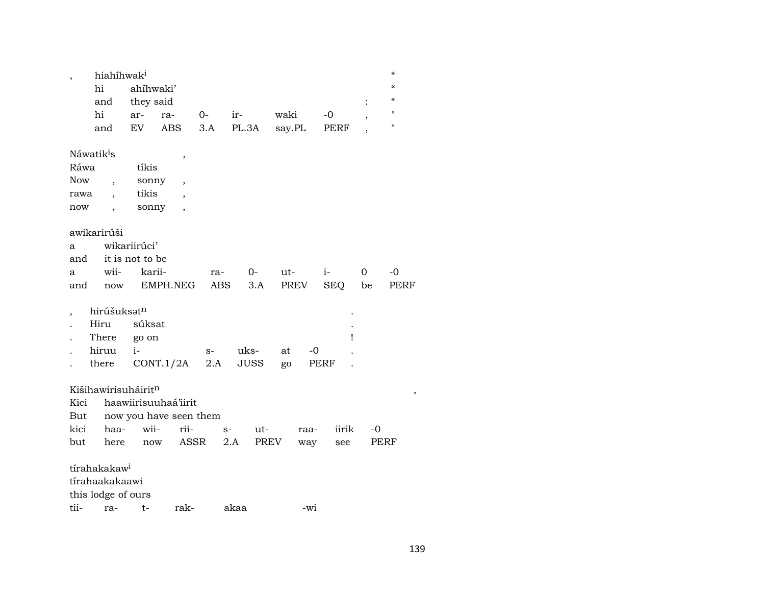| hiahíhwak <sup>i</sup>          |                 |                        |      |             |        |      |            |                          | $\mathcal{C}\mathcal{C}$               |
|---------------------------------|-----------------|------------------------|------|-------------|--------|------|------------|--------------------------|----------------------------------------|
| hi                              | ahíhwaki'       |                        |      |             |        |      |            |                          | $\boldsymbol{\zeta}\boldsymbol{\zeta}$ |
| and                             | they said       |                        |      |             |        |      |            | $\ddot{\cdot}$           | $\epsilon$                             |
| hi                              | ar-             | ra-                    | $O-$ | $ir-$       | waki   |      | -0         | $\overline{\phantom{a}}$ | $\blacksquare$                         |
| and                             | EV              | <b>ABS</b>             | 3.A  | PL.3A       | say.PL |      | PERF       |                          | $\pmb{\mathsf{H}}$                     |
|                                 |                 |                        |      |             |        |      |            |                          |                                        |
| Náwatik <sup>i</sup> s          |                 | ,                      |      |             |        |      |            |                          |                                        |
| Ráwa                            | tíkis           |                        |      |             |        |      |            |                          |                                        |
| Now<br>$\overline{\phantom{a}}$ | sonny           | ,                      |      |             |        |      |            |                          |                                        |
| rawa                            | tikis           |                        |      |             |        |      |            |                          |                                        |
| now                             | sonny           |                        |      |             |        |      |            |                          |                                        |
|                                 |                 |                        |      |             |        |      |            |                          |                                        |
| awikarirúši                     |                 |                        |      |             |        |      |            |                          |                                        |
| a                               | wikariirúci'    |                        |      |             |        |      |            |                          |                                        |
| and                             | it is not to be |                        |      |             |        |      |            |                          |                                        |
| wii-<br>a                       | karii-          |                        | ra-  |             | $O-$   | ut-  | $i$ -      | 0                        | -0                                     |
| and<br>now                      |                 | EMPH.NEG               | ABS  |             | 3.A    | PREV | <b>SEQ</b> | be                       | PERF                                   |
|                                 |                 |                        |      |             |        |      |            |                          |                                        |
| hirúšuksatn                     |                 |                        |      |             |        |      |            |                          |                                        |
| Hiru                            | súksat          |                        |      |             |        |      |            |                          |                                        |
| There                           | go on           |                        |      |             |        |      | ı          |                          |                                        |
| hiruu                           | $i-$            |                        | $S-$ | uks-        | at     | $-0$ |            |                          |                                        |
| there                           |                 | CONT.1/2A              | 2.A  | <b>JUSS</b> | go     |      | PERF       |                          |                                        |
|                                 |                 |                        |      |             |        |      |            |                          |                                        |
| Kišihawirisuháiritn             |                 |                        |      |             |        |      |            |                          | ,                                      |
| Kici                            |                 | haawiirisuuhaá'iirit   |      |             |        |      |            |                          |                                        |
| But                             |                 | now you have seen them |      |             |        |      |            |                          |                                        |
| kici<br>haa-                    | wii-            | rii-                   |      | $S-$        | ut-    | raa- | iirik      | -0                       |                                        |
| but<br>here                     | now             | ASSR                   |      | 2.A         | PREV   | way  | see        | PERF                     |                                        |
|                                 |                 |                        |      |             |        |      |            |                          |                                        |
| tírahakakaw <sup>i</sup>        |                 |                        |      |             |        |      |            |                          |                                        |
| tírahaakakaawi                  |                 |                        |      |             |        |      |            |                          |                                        |
| this lodge of ours              |                 |                        |      |             |        |      |            |                          |                                        |
|                                 |                 |                        |      |             |        |      |            |                          |                                        |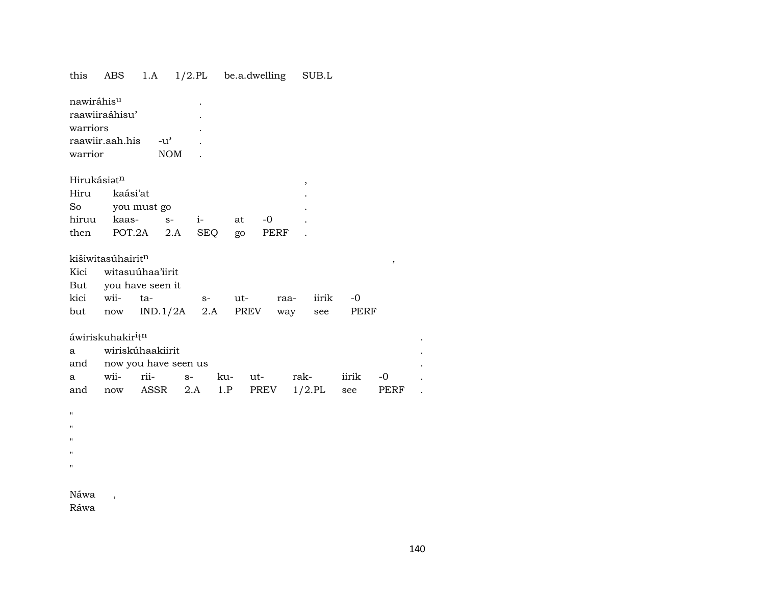| this        | ABS                                       | 1.A              |                      |      | $1/2$ .PL be.a.dwelling | SUB.L         |       |      |  |
|-------------|-------------------------------------------|------------------|----------------------|------|-------------------------|---------------|-------|------|--|
| nawiráhisu  |                                           |                  |                      |      |                         |               |       |      |  |
|             | raawiiraáhisu'                            |                  |                      |      |                         |               |       |      |  |
| warriors    |                                           |                  |                      |      |                         |               |       |      |  |
|             | raawiir.aah.his                           | $-u^{\prime}$    |                      |      |                         |               |       |      |  |
| warrior     |                                           |                  | <b>NOM</b>           |      |                         |               |       |      |  |
|             |                                           |                  |                      |      |                         |               |       |      |  |
| Hirukásiatn |                                           |                  |                      |      |                         | ,             |       |      |  |
| Hiru        | kaási'at                                  |                  |                      |      |                         |               |       |      |  |
| So          |                                           | you must go      |                      |      |                         |               |       |      |  |
| hiruu       | kaas-                                     | $S-$             | $i-$                 | at   | $-0$                    |               |       |      |  |
|             | then POT.2A                               |                  | 2.A                  | SEQ  | PERF<br>go              |               |       |      |  |
|             |                                           |                  |                      |      |                         |               |       |      |  |
|             | kišiwitasúhairitn                         |                  |                      |      |                         |               |       | ,    |  |
| Kici        |                                           | witasuúhaa'iirit |                      |      |                         |               |       |      |  |
|             | But you have seen it                      |                  |                      |      |                         |               |       |      |  |
| kici wii-   |                                           | ta-              |                      | $S-$ | ut-                     | iirik<br>raa- | $-0$  |      |  |
| but         | now                                       | IND.1/2A         |                      | 2.A  | PREV                    | way<br>see    | PERF  |      |  |
|             | áwiriskuhakir <sup>i</sup> t <sup>n</sup> |                  |                      |      |                         |               |       |      |  |
| a           |                                           | wiriskúhaakiirit |                      |      |                         |               |       |      |  |
| and         |                                           |                  | now you have seen us |      |                         |               |       |      |  |
| a           | wii-                                      | rii-             | $S-$                 | ku-  | $ut$ - $\qquad$         | rak-          | iirik | $-0$ |  |
| and         | now                                       | ASSR             | 2.A                  | 1.P  | PREV                    | $1/2$ .PL     | see   | PERF |  |
|             |                                           |                  |                      |      |                         |               |       |      |  |
| Ħ           |                                           |                  |                      |      |                         |               |       |      |  |
| 11          |                                           |                  |                      |      |                         |               |       |      |  |
| П           |                                           |                  |                      |      |                         |               |       |      |  |
| Ħ           |                                           |                  |                      |      |                         |               |       |      |  |
| 11          |                                           |                  |                      |      |                         |               |       |      |  |
|             |                                           |                  |                      |      |                         |               |       |      |  |
| Náwa        | $\,$                                      |                  |                      |      |                         |               |       |      |  |

Ráwa

 $\sim 100$  $\ddot{\phantom{a}}$  $\ddot{\phantom{a}}$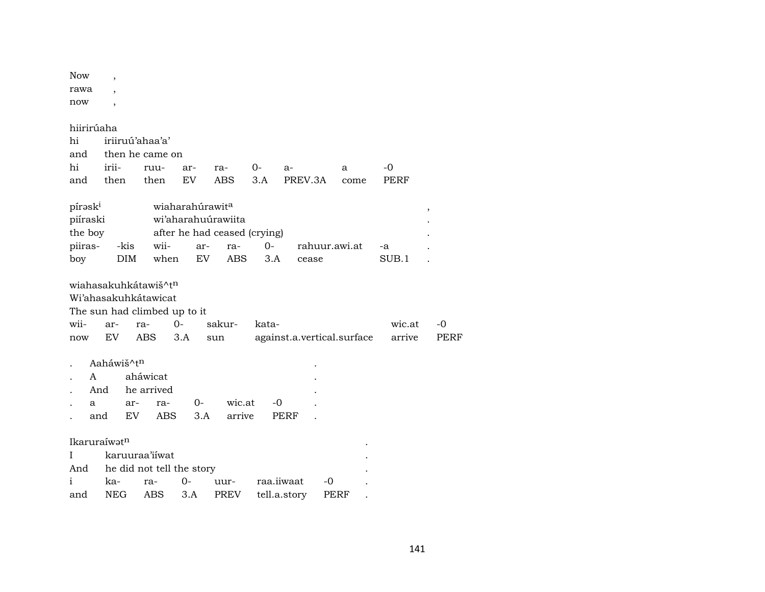| Now  | , |
|------|---|
| rawa | , |
| now  |   |

hiirirúaha

| hi iriiruú'ahaa'a'          |  |  |  |  |                                            |  |  |  |  |
|-----------------------------|--|--|--|--|--------------------------------------------|--|--|--|--|
| and then he came on         |  |  |  |  |                                            |  |  |  |  |
| hi irii- ruu- ar- ra- 0- a- |  |  |  |  | $\overline{a}$ and $\overline{a}$          |  |  |  |  |
|                             |  |  |  |  | and then then EV ABS 3.A PREV.3A come PERF |  |  |  |  |

| pírəsk <sup>i</sup> |      | wiaharahúrawit <sup>a</sup> |                              |       |               |       |   |
|---------------------|------|-----------------------------|------------------------------|-------|---------------|-------|---|
| piíraski            |      | wi'aharahuúrawiita          |                              |       |               |       |   |
| the boy             |      |                             | after he had ceased (crying) |       |               |       | ٠ |
| piiras-             | -kis | wii-                        | ar- ra-                      | $O -$ | rahuur.awi.at | -а    |   |
| boy                 | DIM. | when                        | EV ABS 3.A                   |       | cease         | SUB.1 |   |

|      | wiahasakuhkátawiš^t <sup>n</sup><br>Wi'ahasakuhkátawicat<br>The sun had climbed up to it |                                     |            |     |             |                  |       |                            |  |        |      |
|------|------------------------------------------------------------------------------------------|-------------------------------------|------------|-----|-------------|------------------|-------|----------------------------|--|--------|------|
| wii- | ar-                                                                                      | ra-                                 |            | 0-  |             | sakur-           | kata- |                            |  | wic.at | $-0$ |
| now  | EV                                                                                       | <b>ABS</b>                          |            | 3.A | sun         |                  |       | against.a.vertical.surface |  | arrive | PERF |
|      | Aaháwiš^t <sup>n</sup><br>A<br>And<br>a<br>and                                           | aháwicat<br>he arrived<br>ar-<br>EV | ra-<br>ABS |     | $0-$<br>3.A | wic.at<br>arrive |       | -0<br>PERF                 |  |        |      |

| Ikaruraíwət <sup>n</sup> |                               |  |  |  |                                        |  |  |  |
|--------------------------|-------------------------------|--|--|--|----------------------------------------|--|--|--|
|                          | I karuuraa'iiwat              |  |  |  |                                        |  |  |  |
|                          | And he did not tell the story |  |  |  |                                        |  |  |  |
| $\mathbf{i}$             |                               |  |  |  | ka- ra- 0- uur- raa.iiwaat -0          |  |  |  |
|                          |                               |  |  |  | and NEG ABS 3.A PREV tell.a.story PERF |  |  |  |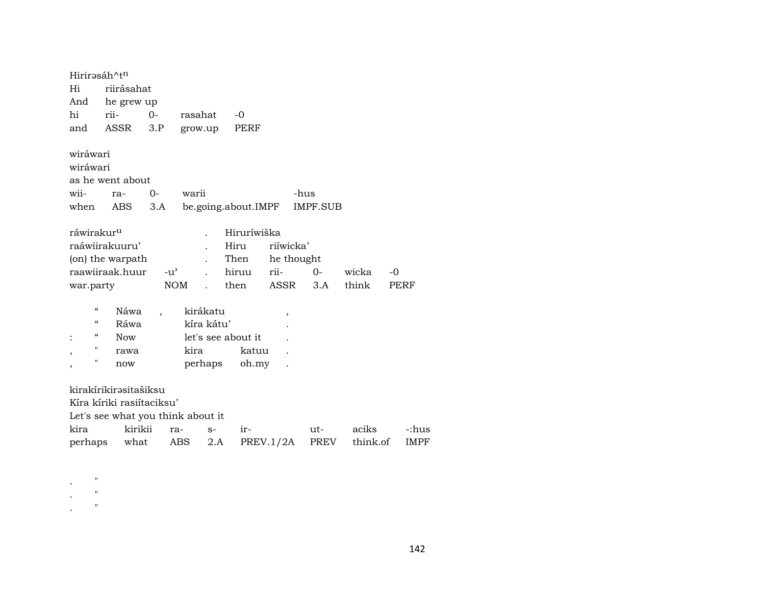Hirirəsáh^t<sup>n</sup> riirásahat Hi And he grew up riihi  $0$ rasahat  $-0$  $3.P$ PERF and ASSR grow.up wiráwari wiráwari as he went about wii- $O$ warii ra--hus be.going.about.IMPF **IMPF.SUB** when **ABS**  $3.A$ ráwirakur<sup>u</sup> Hiruríwiška  $\ddot{\phantom{a}}$ raáwiirakuuru' riíwicka' Hiru  $\ddot{\phantom{a}}$ (on) the warpath Then he thought  $\mathbb{R}^2$ raawiiraak.huur  $-u^{\prime}$ riihiruu  $0$ wicka  $-0$  $\ddot{\phantom{a}}$ think war.party then  $3.A$ **NOM** ASSR **PERF**  $\mathbf{r}$  $\alpha$ Náwa kirákatu  $\overline{\phantom{a}}$  $\overline{\phantom{a}}$  $\alpha$ Ráwa kíra kátu'  $\mathbf{r}$  $\boldsymbol{\mathcal{U}}$ **Now** let's see about it.  $\cdot$  $\mathbb{R}^2$ kira  $\mathbf{H}$ katuu rawa  $\ddot{\phantom{a}}$  $\cdot$  $\mathbf{H}$ perhaps oh.my now  $\ddot{\phantom{a}}$  $\overline{ }$ kirakírikirəsitašiksu Kíra kíriki rasiítaciksu' Let's see what you think about it kira kirikii iraciks ra- $S$ utperhaps what ABS  $2.A$  $PREV.1/2A$ PREV think.of

 $\mathbf{u}$  $\mathbf{u}$  $\boldsymbol{\mathcal{H}}$  -:hus

IMPF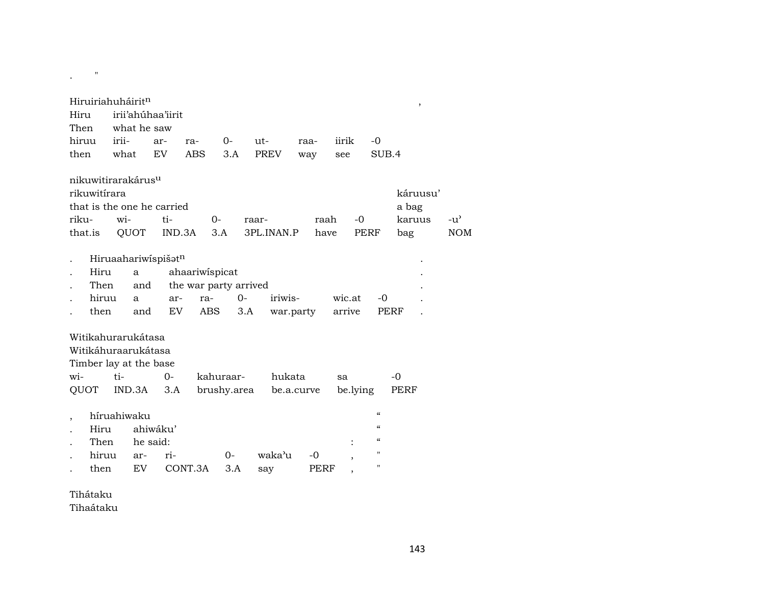| Hiruiriahuháirit <sup>n</sup><br>Hiru<br>Then                                |                                      | what he saw                        | irii'ahúhaa'iirit |                                                              |              |               |            |                  |                                                                            | $\,$              |               |
|------------------------------------------------------------------------------|--------------------------------------|------------------------------------|-------------------|--------------------------------------------------------------|--------------|---------------|------------|------------------|----------------------------------------------------------------------------|-------------------|---------------|
| hiruu                                                                        | irii-                                |                                    | ar-               | ra-                                                          | $0-$         | $ut-$         | raa-       | iirik            | $-0$                                                                       |                   |               |
| then                                                                         | what                                 |                                    | <b>EV</b>         | <b>ABS</b>                                                   | 3.A          | <b>PREV</b>   | way        | see              | SUB.4                                                                      |                   |               |
| nikuwitirarakárus <sup>u</sup><br>rikuwitírara<br>that is the one he carried |                                      |                                    |                   |                                                              |              |               |            |                  |                                                                            | káruusu'<br>a bag |               |
| riku-                                                                        | $\overline{w}$ <i>i</i> -            |                                    | ti-               | $O -$                                                        |              | raar-         | raah       | $-0$             |                                                                            | karuus            | $-u^{\prime}$ |
| that.is                                                                      |                                      | QUOT                               | IND.3A            | 3.A                                                          |              | 3PL.INAN.P    | have       |                  | PERF                                                                       | bag               | <b>NOM</b>    |
| Hiru<br>then                                                                 | Hiruaahariwispišatn<br>Then<br>hiruu | a<br>and<br>a<br>and               | ar-<br>EV         | ahaariwispicat<br>the war party arrived<br>ra-<br><b>ABS</b> | $O -$<br>3.A | iriwis-       | war.party  | wic.at<br>arrive | -0                                                                         | PERF              |               |
| Witikahurarukátasa                                                           |                                      |                                    |                   |                                                              |              |               |            |                  |                                                                            |                   |               |
| Witikáhuraarukátasa                                                          |                                      |                                    |                   |                                                              |              |               |            |                  |                                                                            |                   |               |
| Timber lay at the base                                                       |                                      |                                    |                   |                                                              |              |               |            |                  |                                                                            |                   |               |
| wi-                                                                          | $t_i$ -                              |                                    | $O -$             |                                                              | kahuraar-    | hukata        |            | sa               |                                                                            | $-0$              |               |
| QUOT                                                                         |                                      | IND.3A                             | 3.A               |                                                              | brushy.area  |               | be.a.curve | be.lying         |                                                                            | PERF              |               |
| Hiru<br>then                                                                 | híruahiwaku<br>Then<br>hiruu         | ahiwáku'<br>he said:<br>ar-<br>EV. | ri-               | CONT.3A                                                      | 0-<br>3.A    | waka'u<br>say | -0<br>PERF |                  | $\epsilon$<br>$\epsilon$<br>$\mathcal{C}\mathcal{C}$<br>$\mathbf{H}$<br>11 |                   |               |
|                                                                              |                                      |                                    |                   |                                                              |              |               |            |                  |                                                                            |                   |               |

Tihátaku

 $\mathbf{r} = \begin{bmatrix} 0 & \cdots & 0 \\ 0 & \cdots & 0 \end{bmatrix}$ 

Tihaátaku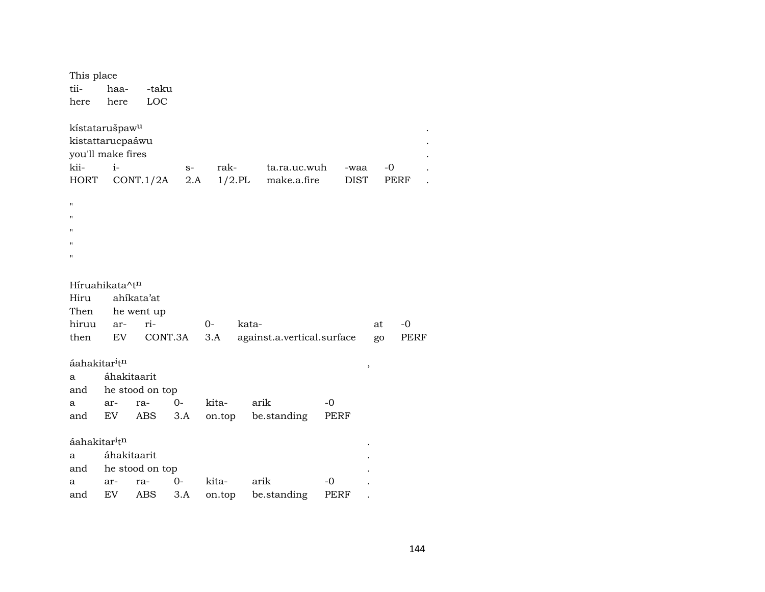| This place                                                                                 |             |                 |             |        |           |                             |      |                     |    |      |
|--------------------------------------------------------------------------------------------|-------------|-----------------|-------------|--------|-----------|-----------------------------|------|---------------------|----|------|
| tii-                                                                                       | haa-        | -taku           |             |        |           |                             |      |                     |    |      |
| here                                                                                       | here        | LOC             |             |        |           |                             |      |                     |    |      |
| kístatarušpaw <sup>u</sup><br>kistattarucpaáwu<br>you'll make fires<br>kii-<br><b>HORT</b> | $i-$        | CONT.1/2A       | $S-$<br>2.A | rak-   | $1/2$ .PL | ta.ra.uc.wuh<br>make.a.fire |      | -waa<br><b>DIST</b> | -0 | PERF |
| п                                                                                          |             |                 |             |        |           |                             |      |                     |    |      |
| $\mathbf{H}$                                                                               |             |                 |             |        |           |                             |      |                     |    |      |
| $\mathbf{H}$                                                                               |             |                 |             |        |           |                             |      |                     |    |      |
| п                                                                                          |             |                 |             |        |           |                             |      |                     |    |      |
| $\blacksquare$                                                                             |             |                 |             |        |           |                             |      |                     |    |      |
|                                                                                            |             |                 |             |        |           |                             |      |                     |    |      |
| Híruahikata^t <sup>n</sup>                                                                 |             |                 |             |        |           |                             |      |                     |    |      |
| Hiru                                                                                       |             | ahíkata'at      |             |        |           |                             |      |                     |    |      |
| Then                                                                                       |             | he went up      |             |        |           |                             |      |                     |    |      |
| hiruu                                                                                      | ar-         | ri-             |             | 0-     | kata-     |                             |      |                     | at | $-0$ |
| then                                                                                       | EV          |                 | CONT.3A     | 3.A    |           | against.a.vertical.surface  |      |                     | go | PERF |
| áahakitar <sup>i</sup> t <sup>n</sup>                                                      |             |                 |             |        |           |                             |      |                     |    |      |
| a                                                                                          | áhakitaarit |                 |             |        |           |                             |      | ,                   |    |      |
| and                                                                                        |             | he stood on top |             |        |           |                             |      |                     |    |      |
| a                                                                                          | ar-         | ra-             | $0 -$       | kita-  |           | arik                        | -0   |                     |    |      |
| and                                                                                        | EV          | ABS             | 3.A         | on.top |           | be.standing                 | PERF |                     |    |      |
|                                                                                            |             |                 |             |        |           |                             |      |                     |    |      |
| áahakitar <sup>i</sup> t <sup>n</sup>                                                      |             |                 |             |        |           |                             |      |                     |    |      |
| a                                                                                          | áhakitaarit |                 |             |        |           |                             |      |                     |    |      |
| and                                                                                        |             | he stood on top |             |        |           |                             |      |                     |    |      |
| a                                                                                          | ar-         | ra-             | 0-          | kita-  |           | arik                        | -0   |                     |    |      |
| and                                                                                        | EV          | ABS             | 3.A         | on.top |           | be.standing                 | PERF |                     |    |      |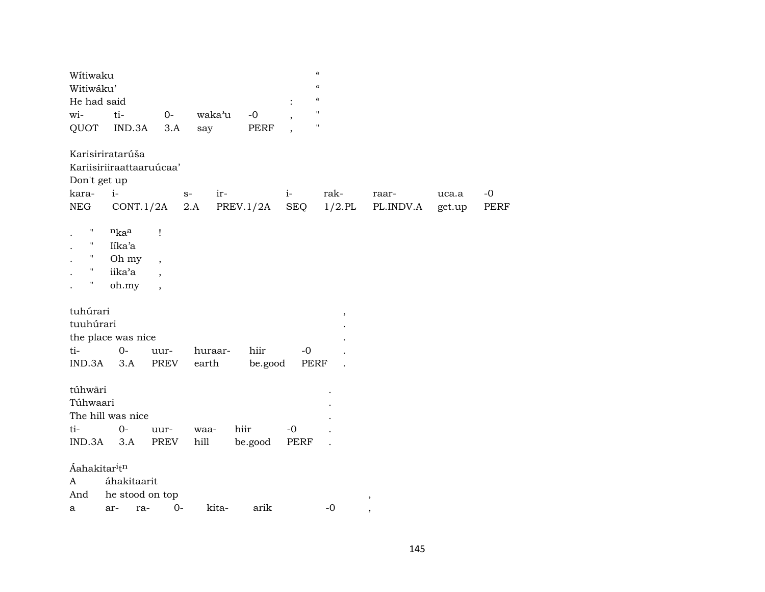| $\mathbf H$<br>waka'u<br>wi-<br>ti-<br>$0-$<br>$-0$<br>$\mathbf{H}$<br>QUOT<br>IND.3A<br>3.A<br>PERF<br>say<br>$\overline{\phantom{a}}$<br>Karisiriratarúša<br>Kariisiriiraattaaruúcaa'<br>Don't get up<br>kara-<br>rak-<br>$i-$<br>ir-<br>$S-$<br>$i-$<br>raar-<br>uca.a |                     |
|---------------------------------------------------------------------------------------------------------------------------------------------------------------------------------------------------------------------------------------------------------------------------|---------------------|
|                                                                                                                                                                                                                                                                           |                     |
|                                                                                                                                                                                                                                                                           |                     |
| $1/2$ .PL<br>NEG<br>CONT.1/2A<br>2.A<br>PREV.1/2A<br>SEQ<br>PL.INDV.A<br>get.up                                                                                                                                                                                           | $-0$<br><b>PERF</b> |
| $\pmb{\mathsf{H}}$<br>$n_{ka}$ a<br>1<br>$\pmb{\mathsf{H}}$<br>Iíka'a<br>$\pmb{\cdot}$<br>Oh my<br>$\overline{\phantom{a}}$<br>iika'a<br>$\overline{\phantom{a}}$<br>Η<br>oh.my<br>$\overline{\phantom{a}}$                                                               |                     |
| tuhúrari<br>$\, ,$<br>tuuhúrari<br>the place was nice<br>$O -$<br>ti-<br>hiir<br>huraar-<br>-0<br>uur-<br>$IND.3A$ $3.A$<br>PREV<br>earth<br>be.good<br>PERF                                                                                                              |                     |
| túhwãri<br>Túhwaari<br>The hill was nice<br>ti-<br>hiir<br>$0-$<br>$-0$<br>uur-<br>waa-<br>$IND.3A$ $3.A$<br>PREV<br>hill<br>PERF<br>be.good                                                                                                                              |                     |
| Áahakitar <sup>itn</sup><br>áhakitaarit<br>A<br>he stood on top<br>And<br>,<br>$0-$<br>kita-<br>arik<br>$-0$<br>ra-<br>ar-<br>а<br>$\cdot$                                                                                                                                |                     |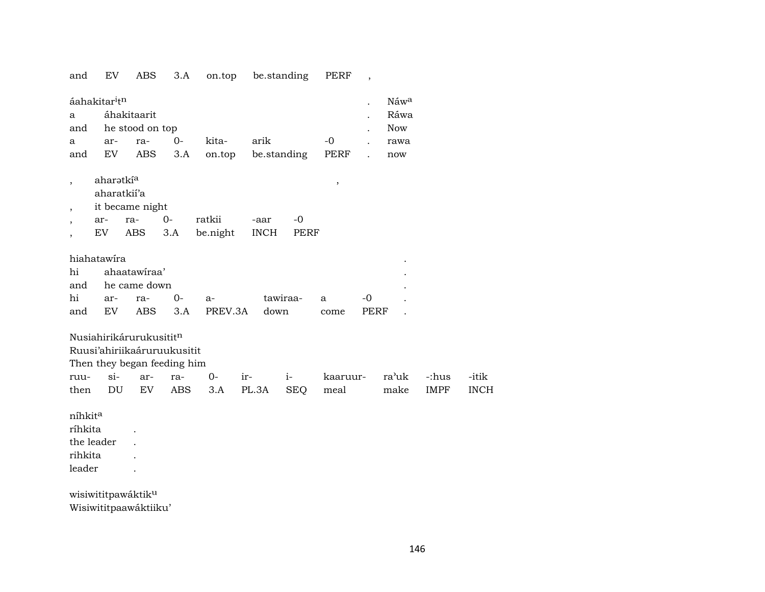and EV ABS 3.A on.top be.standing PERF ,

| a<br>and                                             | áahakitar <sup>i</sup> t <sup>n</sup> | áhakitaarit<br>he stood on top             |                             |                 |             |             |              |            | Náwa<br>Ráwa<br><b>Now</b> |             |             |
|------------------------------------------------------|---------------------------------------|--------------------------------------------|-----------------------------|-----------------|-------------|-------------|--------------|------------|----------------------------|-------------|-------------|
| a<br>and                                             | ar-<br>EV                             | ra-<br>ABS                                 | $0-$<br>3.A                 | kita-<br>on.top | arik        | be.standing | $-0$<br>PERF |            | rawa<br>now                |             |             |
| $\overline{\phantom{a}}$<br>$\overline{\phantom{a}}$ | aharətki <sup>a</sup><br>aharatkii'a  | it became night                            |                             |                 |             |             | $\, ,$       |            |                            |             |             |
| $\overline{\phantom{a}}$                             | ar-                                   | ra-                                        | $0-$                        | ratkii          | -aar        | $-0$        |              |            |                            |             |             |
| $\overline{\phantom{a}}$                             | EV                                    | ABS                                        | 3.A                         | be.night        | <b>INCH</b> | PERF        |              |            |                            |             |             |
| hi<br>and<br>hi<br>and                               | hiahatawira<br>ar-<br>EV              | ahaatawiraa'<br>he came down<br>ra-<br>ABS | $0-$<br>3.A                 | a-<br>PREV.3A   | down        | tawiraa-    | a<br>come    | -0<br>PERF |                            |             |             |
|                                                      |                                       | Nusiahirikárurukusititn                    |                             |                 |             |             |              |            |                            |             |             |
|                                                      |                                       |                                            | Ruusi'ahiriikaáruruukusitit |                 |             |             |              |            |                            |             |             |
|                                                      |                                       |                                            | Then they began feeding him |                 |             |             |              |            |                            |             |             |
| ruu-                                                 | $si-$                                 | ar-                                        | ra-                         | $0-$            | ir-         | $i-$        | kaaruur-     |            | ra'uk                      | -:hus       | -itik       |
| then                                                 | DU                                    | EV                                         | ABS                         | 3.A             | PL.3A       | <b>SEQ</b>  | meal         |            | make                       | <b>IMPF</b> | <b>INCH</b> |
| níhkit <sup>a</sup><br>ríhkita<br>rihkita<br>leader  | the leader                            |                                            |                             |                 |             |             |              |            |                            |             |             |

wisiwititpawáktikµ Wisiwititpaawáktiiku'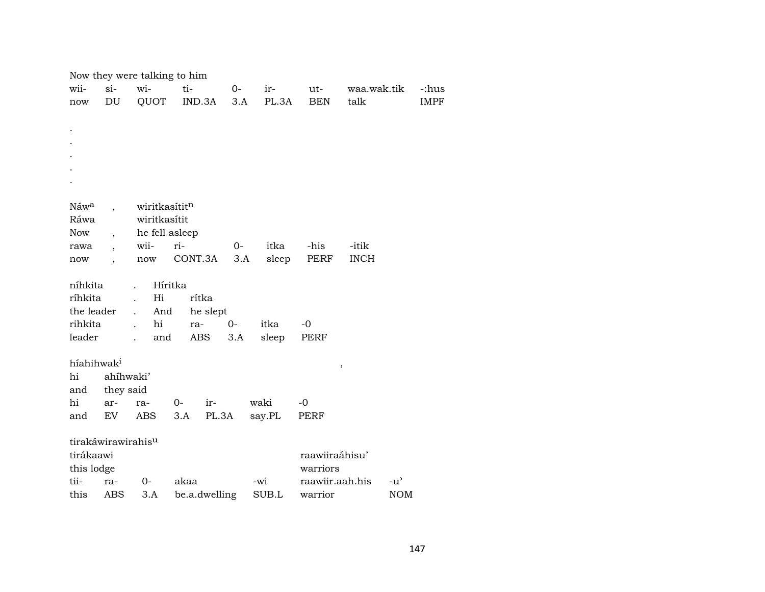|                        |                                | Now they were talking to him |               |       |        |                             |                         |               |  |
|------------------------|--------------------------------|------------------------------|---------------|-------|--------|-----------------------------|-------------------------|---------------|--|
| wii-                   | $si-$                          | wi-                          | ti-           | $O-$  | ir-    | ut-                         | waa.wak.tik             | -:hus         |  |
| now                    | $\mathop{\rm DU}\nolimits$     | QUOT                         | IND.3A        | 3.A   | PL.3A  | <b>BEN</b>                  | talk                    | <b>IMPF</b>   |  |
|                        |                                |                              |               |       |        |                             |                         |               |  |
|                        |                                |                              |               |       |        |                             |                         |               |  |
|                        |                                |                              |               |       |        |                             |                         |               |  |
|                        |                                |                              |               |       |        |                             |                         |               |  |
|                        |                                |                              |               |       |        |                             |                         |               |  |
|                        |                                |                              |               |       |        |                             |                         |               |  |
|                        |                                |                              |               |       |        |                             |                         |               |  |
| Náw <sup>a</sup>       |                                | wiritkasítitn                |               |       |        |                             |                         |               |  |
| Ráwa                   |                                | wiritkasítit                 |               |       |        |                             |                         |               |  |
| Now                    | $\overline{\phantom{a}}$       | he fell asleep               |               |       |        |                             |                         |               |  |
| rawa                   |                                | wii-                         | ri-           | $O -$ | itka   | -his                        | -itik                   |               |  |
| now                    | $\overline{\phantom{a}}$       | now                          | CONT.3A       | 3.A   | sleep  | PERF                        | <b>INCH</b>             |               |  |
|                        |                                |                              |               |       |        |                             |                         |               |  |
| níhkita                |                                | $\mathbf{r}$                 | Híritka       |       |        |                             |                         |               |  |
| ríhkita                |                                | Hi                           | rítka         |       |        |                             |                         |               |  |
| the leader             |                                | And<br>$\ddot{\phantom{0}}$  | he slept      |       |        |                             |                         |               |  |
| rihkita                |                                | hi<br>$\mathbf{r}$           | ra-           | $0-$  | itka   | $-0$                        |                         |               |  |
| leader                 |                                | and                          | ABS           | 3.A   | sleep  | PERF                        |                         |               |  |
|                        |                                |                              |               |       |        |                             |                         |               |  |
| híahihwak <sup>i</sup> |                                |                              |               |       |        |                             |                         |               |  |
| hi                     | ahíhwaki'                      |                              |               |       |        |                             | $^\mathrm{^\mathrm{o}}$ |               |  |
| and                    | they said                      |                              |               |       |        |                             |                         |               |  |
| hi                     | ar-                            | ra-                          | $0-$<br>ir-   |       | waki   | $-0$                        |                         |               |  |
| and                    | EV                             | ABS                          | 3.A           | PL.3A | say.PL | PERF                        |                         |               |  |
|                        |                                |                              |               |       |        |                             |                         |               |  |
|                        | tirakáwirawirahis <sup>u</sup> |                              |               |       |        |                             |                         |               |  |
| tirákaawi              |                                |                              |               |       |        | raawiiraáhisu'              |                         |               |  |
|                        |                                |                              |               |       |        |                             |                         |               |  |
| this lodge<br>tii-     |                                |                              |               |       |        | warriors<br>raawiir.aah.his |                         |               |  |
|                        | ra-                            | $0-$                         | akaa          |       | -wi    |                             |                         | $-u^{\prime}$ |  |
| this                   | ABS                            | 3.A                          | be.a.dwelling |       | SUB.L  | warrior                     |                         | <b>NOM</b>    |  |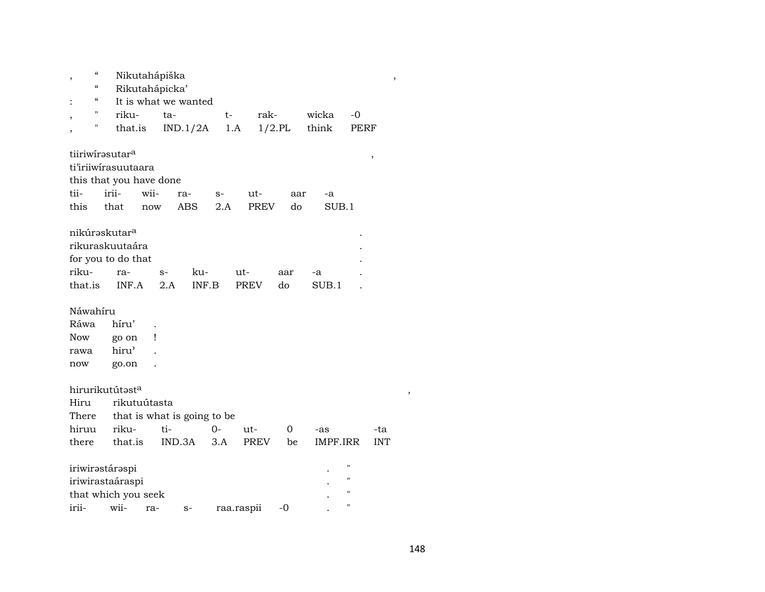| $\pmb{\zeta}\pmb{\zeta}$<br>$\overline{\phantom{a}}$ |                                                                                    | Nikutahápiška  |                             |      |                    |           |             |                                   | $\,$       |  |
|------------------------------------------------------|------------------------------------------------------------------------------------|----------------|-----------------------------|------|--------------------|-----------|-------------|-----------------------------------|------------|--|
| $\boldsymbol{\zeta}\boldsymbol{\zeta}$               |                                                                                    | Rikutahápicka' |                             |      |                    |           |             |                                   |            |  |
| $\boldsymbol{\varsigma} \boldsymbol{\varsigma}$      |                                                                                    |                | It is what we wanted        |      |                    |           |             |                                   |            |  |
| П<br>,                                               | riku-                                                                              |                | ta-                         | $t-$ | rak-               |           | wicka       | -0                                |            |  |
| П<br>$\overline{\phantom{a}}$                        | that.is                                                                            |                | IND.1/2A                    |      | $1.A$              | $1/2$ .PL | think       | PERF                              |            |  |
| tii-                                                 | tiiriwirasutara<br>ti'iriiwirasuutaara<br>this that you have done<br>irii-         | wii-           | ra-                         | $S-$ | ut-                | aar       | -a          |                                   | ,          |  |
| this                                                 | that                                                                               | now            | <b>ABS</b>                  | 2.A  | <b>PREV</b>        | do        | SUB.1       |                                   |            |  |
| riku-<br>that.is                                     | nikúrəskutar <sup>a</sup><br>rikuraskuutaára<br>for you to do that<br>ra-<br>INF.A | $S-$           | ku-<br>2.A<br>INF.B         |      | ut-<br><b>PREV</b> | aar<br>do | -a<br>SUB.1 |                                   |            |  |
| Náwahíru                                             |                                                                                    |                |                             |      |                    |           |             |                                   |            |  |
| Ráwa                                                 | híru'                                                                              |                |                             |      |                    |           |             |                                   |            |  |
| Now                                                  | go on                                                                              | Ţ              |                             |      |                    |           |             |                                   |            |  |
| rawa                                                 | hiru'                                                                              |                |                             |      |                    |           |             |                                   |            |  |
| now                                                  | go.on                                                                              |                |                             |      |                    |           |             |                                   |            |  |
|                                                      | hirurikutútast <sup>a</sup>                                                        |                |                             |      |                    |           |             |                                   |            |  |
| Hiru                                                 | rikutuútasta                                                                       |                |                             |      |                    |           |             |                                   |            |  |
| There                                                |                                                                                    |                | that is what is going to be |      |                    |           |             |                                   |            |  |
| hiruu                                                | riku-                                                                              |                | ti-                         | $0-$ | ut-                | 0         | -as         |                                   | -ta        |  |
| there                                                | that.is                                                                            |                | IND.3A                      | 3.A  | <b>PREV</b>        | be        | IMPF.IRR    |                                   | <b>INT</b> |  |
| irii-                                                | iriwirastáraspi<br>iriwirastaáraspi<br>that which you seek<br>wii-                 | ra-            | $S-$                        |      | raa.raspii         | -0        |             | н<br>"<br>"<br>$\pmb{\mathsf{H}}$ |            |  |
|                                                      |                                                                                    |                |                             |      |                    |           |             |                                   |            |  |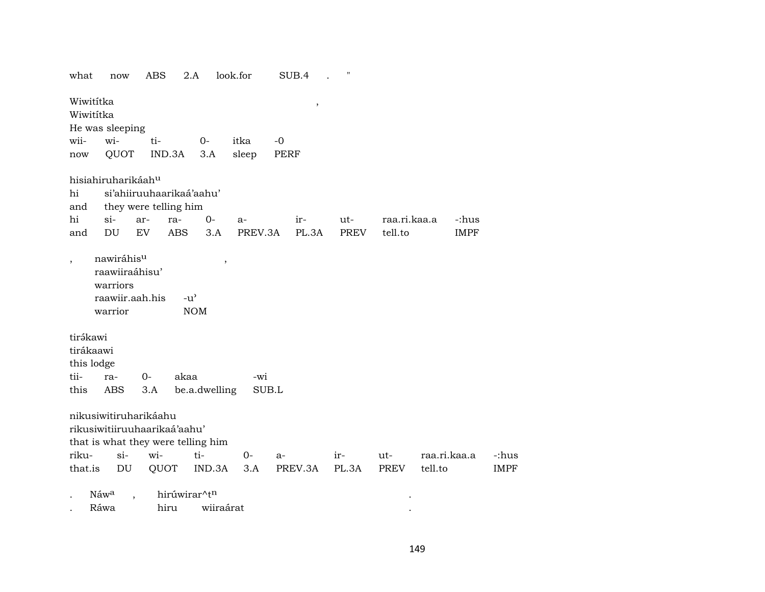| what                                | now                                                                    | ABS  |                       | 2.A                                | look.for |       | SUB.4   | 11          |              |         |              |             |
|-------------------------------------|------------------------------------------------------------------------|------|-----------------------|------------------------------------|----------|-------|---------|-------------|--------------|---------|--------------|-------------|
| Wiwititka<br>Wiwititka              | He was sleeping                                                        |      |                       |                                    |          |       | $\, ,$  |             |              |         |              |             |
| wii-                                | wi-                                                                    | ti-  |                       | $0-$                               | itka     | $-0$  |         |             |              |         |              |             |
| now                                 | QUOT                                                                   |      | IND.3A                | 3.A                                | sleep    | PERF  |         |             |              |         |              |             |
|                                     | hisiahiruharikáah <sup>u</sup>                                         |      |                       |                                    |          |       |         |             |              |         |              |             |
| hi                                  |                                                                        |      |                       | si'ahiiruuhaarikaá'aahu'           |          |       |         |             |              |         |              |             |
| and                                 |                                                                        |      | they were telling him |                                    |          |       |         |             |              |         |              |             |
| hi                                  | si-                                                                    | ar-  | ra-                   | $0-$                               | $a-$     |       | ir-     | ut-         | raa.ri.kaa.a |         | -:hus        |             |
| and                                 | DU                                                                     | EV   | <b>ABS</b>            | 3.A                                | PREV.3A  |       | PL.3A   | <b>PREV</b> | tell.to      |         | <b>IMPF</b>  |             |
| $\overline{\phantom{a}}$            | nawiráhisu<br>raawiiraáhisu'<br>warriors<br>raawiir.aah.his<br>warrior |      |                       | $-u^{\prime}$<br><b>NOM</b>        | $\, ,$   |       |         |             |              |         |              |             |
| tirákawi<br>tirákaawi<br>this lodge |                                                                        |      |                       |                                    |          |       |         |             |              |         |              |             |
| tii-                                | ra-                                                                    | $0-$ | akaa                  |                                    | -wi      |       |         |             |              |         |              |             |
| this                                | <b>ABS</b>                                                             | 3.A  |                       | be.a.dwelling                      |          | SUB.L |         |             |              |         |              |             |
|                                     | nikusiwitiruharikáahu<br>rikusiwitiiruuhaarikaá'aahu'                  |      |                       | that is what they were telling him |          |       |         |             |              |         |              |             |
| riku-                               | $si-$                                                                  | wi-  |                       | ti-                                | $0-$     | $a-$  |         | ir-         | ut-          |         | raa.ri.kaa.a | -:hus       |
| that.is                             | DU                                                                     |      | QUOT                  | IND.3A                             | 3.A      |       | PREV.3A | PL.3A       | <b>PREV</b>  | tell.to |              | <b>IMPF</b> |
|                                     | Náwa                                                                   |      |                       | hirúwirar^tn                       |          |       |         |             |              |         |              |             |
|                                     | Ráwa                                                                   |      | hiru                  | wiiraárat                          |          |       |         |             |              |         |              |             |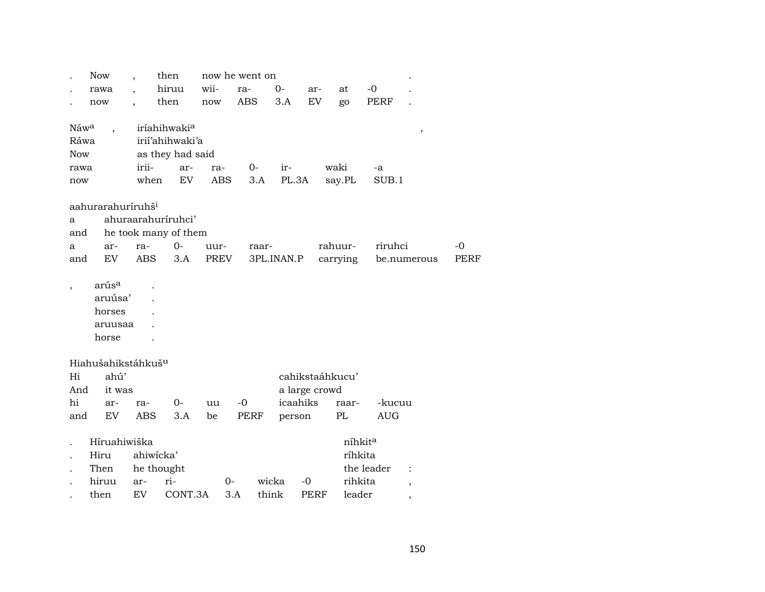|                  | <b>Now</b>                     |            | then                     |                      | now he went on |            |                 |             |          |             |                      |             |
|------------------|--------------------------------|------------|--------------------------|----------------------|----------------|------------|-----------------|-------------|----------|-------------|----------------------|-------------|
|                  | rawa                           |            | hiruu                    | wii-                 | ra-            | $0-$       |                 | ar-         | at       | $-0$        |                      |             |
|                  | now                            |            | then                     | $\operatorname{now}$ | <b>ABS</b>     |            | 3.A             | EV          | go       | <b>PERF</b> |                      |             |
|                  |                                |            |                          |                      |                |            |                 |             |          |             |                      |             |
| Náw <sup>a</sup> | $\ddot{\phantom{0}}$           |            | iríahihwaki <sup>a</sup> |                      |                |            |                 |             |          |             | $\, ,$               |             |
| Ráwa             |                                |            | irii'ahihwaki'a          |                      |                |            |                 |             |          |             |                      |             |
| <b>Now</b>       |                                |            | as they had said         |                      |                |            |                 |             |          |             |                      |             |
| rawa             |                                | irii-      | ar-                      | ra-                  | 0-             |            | ir-             |             | waki     | -a          |                      |             |
| now              |                                | when       | EV <sub></sub>           | <b>ABS</b>           |                | 3.A        | PL.3A           |             | say.PL   | SUB.1       |                      |             |
|                  |                                |            |                          |                      |                |            |                 |             |          |             |                      |             |
|                  | aahurarahuríruhš <sup>i</sup>  |            |                          |                      |                |            |                 |             |          |             |                      |             |
| a                |                                |            | ahuraarahuríruhci'       |                      |                |            |                 |             |          |             |                      |             |
| and              |                                |            | he took many of them     |                      |                |            |                 |             |          |             |                      |             |
| a                | ar-                            | ra-        | $0-$                     | uur-                 |                | raar-      |                 |             | rahuur-  | riruhci     |                      | -0          |
| and              | EV                             | <b>ABS</b> | 3.A                      | <b>PREV</b>          |                | 3PL.INAN.P |                 |             | carrying |             | be.numerous          | <b>PERF</b> |
|                  |                                |            |                          |                      |                |            |                 |             |          |             |                      |             |
|                  | arús <sup>a</sup>              |            |                          |                      |                |            |                 |             |          |             |                      |             |
|                  | aruúsa'                        |            |                          |                      |                |            |                 |             |          |             |                      |             |
|                  | horses                         |            |                          |                      |                |            |                 |             |          |             |                      |             |
|                  | aruusaa                        |            |                          |                      |                |            |                 |             |          |             |                      |             |
|                  | horse                          |            |                          |                      |                |            |                 |             |          |             |                      |             |
|                  |                                |            |                          |                      |                |            |                 |             |          |             |                      |             |
|                  | Hiahušahikstáhkuš <sup>u</sup> |            |                          |                      |                |            |                 |             |          |             |                      |             |
| Hi               | ahú'                           |            |                          |                      |                |            | cahikstaáhkucu' |             |          |             |                      |             |
|                  |                                |            |                          |                      |                |            |                 |             |          |             |                      |             |
| And              | it was                         |            |                          |                      |                |            | a large crowd   |             |          |             |                      |             |
| hi               | ar-                            | ra-        | $0-$                     | uu                   | $-0$           |            | icaahiks        |             | raar-    | -kucuu      |                      |             |
| and              | EV                             | <b>ABS</b> | 3.A                      | be                   | <b>PERF</b>    |            | person          |             | PL       | <b>AUG</b>  |                      |             |
|                  |                                |            |                          |                      |                |            |                 |             |          |             |                      |             |
|                  | Híruahiwiška                   |            |                          |                      |                |            |                 |             | níhkita  |             |                      |             |
|                  | Hiru                           | ahiwicka'  |                          |                      |                |            |                 |             | ríhkita  |             |                      |             |
|                  | Then                           |            | he thought               |                      |                |            |                 |             |          | the leader  | $\ddot{\phantom{a}}$ |             |
|                  | hiruu                          | ar-        | ri-                      |                      | $0-$           | wicka      | $-0$            |             | rihkita  |             |                      |             |
|                  | then                           | EV         | CONT.3A                  |                      | 3.A            | think      |                 | <b>PERF</b> | leader   |             | ,                    |             |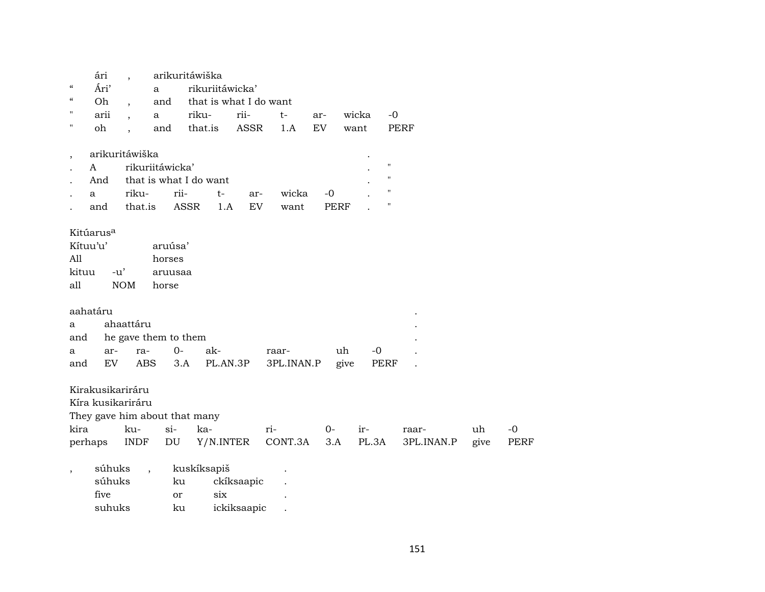| ári                   |                                  |                                                                                                                            |                                                                                                |                                                                                                                                                              |                                                                           |                                        |                               |                                         |                              |                     |             |
|-----------------------|----------------------------------|----------------------------------------------------------------------------------------------------------------------------|------------------------------------------------------------------------------------------------|--------------------------------------------------------------------------------------------------------------------------------------------------------------|---------------------------------------------------------------------------|----------------------------------------|-------------------------------|-----------------------------------------|------------------------------|---------------------|-------------|
| Ári'                  |                                  |                                                                                                                            |                                                                                                |                                                                                                                                                              |                                                                           |                                        |                               |                                         |                              |                     |             |
| Oh                    |                                  |                                                                                                                            |                                                                                                |                                                                                                                                                              |                                                                           |                                        |                               |                                         |                              |                     |             |
| arii                  |                                  |                                                                                                                            | riku-                                                                                          | rii-                                                                                                                                                         | $t-$                                                                      | ar-                                    | wicka                         | $-0$                                    |                              |                     |             |
| oh                    | $\ddot{\phantom{0}}$             |                                                                                                                            | that.is                                                                                        | <b>ASSR</b>                                                                                                                                                  | 1.A                                                                       | EV                                     | want                          | <b>PERF</b>                             |                              |                     |             |
|                       |                                  |                                                                                                                            |                                                                                                |                                                                                                                                                              |                                                                           |                                        |                               |                                         |                              |                     |             |
| A                     |                                  |                                                                                                                            |                                                                                                |                                                                                                                                                              |                                                                           |                                        |                               | $\pmb{\mathsf{H}}$                      |                              |                     |             |
| And                   |                                  |                                                                                                                            |                                                                                                |                                                                                                                                                              |                                                                           |                                        |                               | $\pmb{\shortparallel}$                  |                              |                     |             |
|                       |                                  |                                                                                                                            | $t-$                                                                                           | ar-                                                                                                                                                          | wicka                                                                     | $-0$                                   |                               | $\pmb{\mathsf{H}}$                      |                              |                     |             |
| and                   |                                  |                                                                                                                            |                                                                                                | EV                                                                                                                                                           | want                                                                      |                                        |                               | $\pmb{\mathsf{H}}$                      |                              |                     |             |
| Kitúarus <sup>a</sup> |                                  |                                                                                                                            |                                                                                                |                                                                                                                                                              |                                                                           |                                        |                               |                                         |                              |                     |             |
| Kítuu'u'              |                                  |                                                                                                                            |                                                                                                |                                                                                                                                                              |                                                                           |                                        |                               |                                         |                              |                     |             |
|                       |                                  |                                                                                                                            |                                                                                                |                                                                                                                                                              |                                                                           |                                        |                               |                                         |                              |                     |             |
|                       |                                  |                                                                                                                            |                                                                                                |                                                                                                                                                              |                                                                           |                                        |                               |                                         |                              |                     |             |
|                       |                                  |                                                                                                                            |                                                                                                |                                                                                                                                                              |                                                                           |                                        |                               |                                         |                              |                     |             |
|                       |                                  |                                                                                                                            |                                                                                                |                                                                                                                                                              |                                                                           |                                        |                               |                                         |                              |                     |             |
|                       |                                  |                                                                                                                            |                                                                                                |                                                                                                                                                              |                                                                           |                                        |                               |                                         |                              |                     |             |
|                       |                                  |                                                                                                                            |                                                                                                |                                                                                                                                                              |                                                                           |                                        |                               |                                         |                              |                     |             |
|                       |                                  |                                                                                                                            |                                                                                                |                                                                                                                                                              |                                                                           |                                        |                               |                                         |                              |                     |             |
|                       |                                  |                                                                                                                            |                                                                                                |                                                                                                                                                              |                                                                           |                                        |                               |                                         |                              |                     |             |
|                       |                                  |                                                                                                                            |                                                                                                |                                                                                                                                                              |                                                                           |                                        |                               |                                         |                              |                     |             |
|                       |                                  |                                                                                                                            |                                                                                                |                                                                                                                                                              |                                                                           |                                        |                               |                                         |                              |                     |             |
|                       |                                  |                                                                                                                            |                                                                                                |                                                                                                                                                              |                                                                           |                                        |                               |                                         |                              |                     |             |
|                       |                                  |                                                                                                                            |                                                                                                |                                                                                                                                                              |                                                                           |                                        |                               |                                         |                              |                     |             |
|                       |                                  |                                                                                                                            |                                                                                                |                                                                                                                                                              |                                                                           |                                        |                               |                                         |                              |                     | $-0$        |
|                       |                                  |                                                                                                                            |                                                                                                |                                                                                                                                                              |                                                                           |                                        |                               |                                         |                              |                     | <b>PERF</b> |
|                       |                                  |                                                                                                                            |                                                                                                |                                                                                                                                                              |                                                                           |                                        |                               |                                         |                              |                     |             |
|                       |                                  |                                                                                                                            |                                                                                                |                                                                                                                                                              |                                                                           |                                        |                               |                                         |                              |                     |             |
| súhuks                | $\overline{\phantom{a}}$         |                                                                                                                            | kuskíksapiš                                                                                    |                                                                                                                                                              |                                                                           |                                        |                               |                                         |                              |                     |             |
| súhuks                |                                  | ku                                                                                                                         |                                                                                                | ckíksaapic                                                                                                                                                   |                                                                           |                                        |                               |                                         |                              |                     |             |
| five                  |                                  | <b>or</b>                                                                                                                  | six                                                                                            |                                                                                                                                                              |                                                                           |                                        |                               |                                         |                              |                     |             |
|                       | aahatáru<br>ar-<br>EV<br>perhaps | riku-<br>that.is<br>$-u'$<br><b>NOM</b><br>ahaattáru<br>ra-<br>Kirakusikariráru<br>Kíra kusikariráru<br>ku-<br><b>INDF</b> | a<br>and<br>a<br>and<br>arikuritáwiška<br>horses<br>horse<br>$0-$<br><b>ABS</b><br>$si-$<br>DU | arikuritáwiška<br>rikuriitáwicka'<br>rii-<br><b>ASSR</b><br>aruúsa'<br>aruusaa<br>he gave them to them<br>ak-<br>3.A<br>They gave him about that many<br>ka- | rikuriitáwicka'<br>that is what I do want<br>1.A<br>PL.AN.3P<br>Y/N.INTER | that is what I do want<br>raar-<br>ri- | 3PL.INAN.P<br>$0-$<br>CONT.3A | <b>PERF</b><br>uh<br>give<br>ir-<br>3.A | $-0$<br><b>PERF</b><br>PL.3A | raar-<br>3PL.INAN.P | uh<br>give  |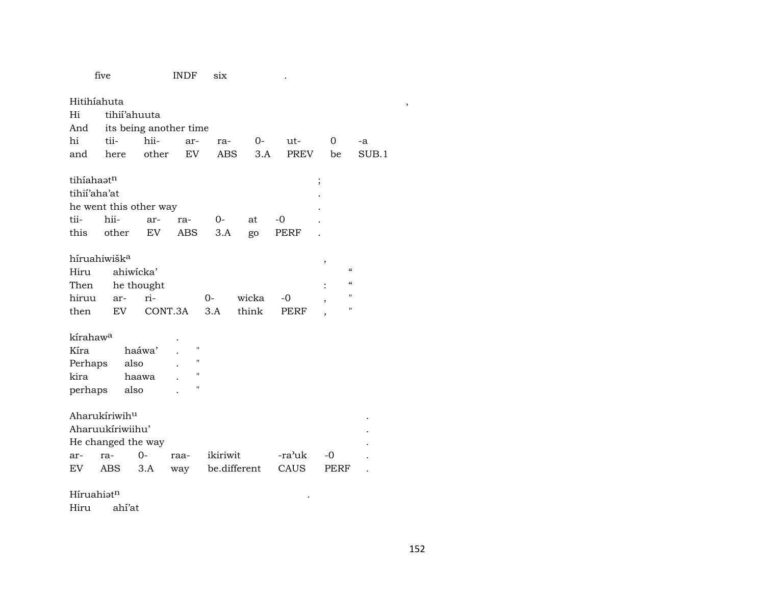|                          | five                   |         | <b>INDF</b>    | six          |       |        |                         |       |   |
|--------------------------|------------------------|---------|----------------|--------------|-------|--------|-------------------------|-------|---|
| Hitihíahuta              |                        |         |                |              |       |        |                         |       | , |
| Hi                       | tihii'ahuuta           |         |                |              |       |        |                         |       |   |
| And                      | its being another time |         |                |              |       |        |                         |       |   |
| hi                       | tii-                   | hii-    | ar-            | ra-          | $0-$  | ut-    | 0                       | -a    |   |
| and                      | here                   | other   | EV             | <b>ABS</b>   | 3.A   | PREV   | be                      | SUB.1 |   |
| tihíahaatn               |                        |         |                |              |       |        | ;                       |       |   |
| tihii'aha'at             |                        |         |                |              |       |        |                         |       |   |
|                          | he went this other way |         |                |              |       |        |                         |       |   |
| tii-                     | hii-                   | ar-     | ra-            | $0-$         | at    | $-0$   |                         |       |   |
| this                     | other                  | EV      | <b>ABS</b>     | 3.A          | go    | PERF   |                         |       |   |
| híruahiwišk <sup>a</sup> |                        |         |                |              |       |        |                         |       |   |
| Hiru                     | ahiwicka'              |         |                |              |       |        | ,<br>$\epsilon\epsilon$ |       |   |
| Then                     | he thought             |         |                |              |       |        | $\epsilon$              |       |   |
| hiruu                    | ar-                    | ri-     |                | $0-$         | wicka | $-0$   | $\blacksquare$          |       |   |
| then                     | EV                     | CONT.3A |                | 3.A          | think | PERF   | "                       |       |   |
|                          |                        |         |                |              |       |        |                         |       |   |
| kírahaw <sup>a</sup>     |                        |         |                |              |       |        |                         |       |   |
| Kíra                     |                        | haáwa'  | $\blacksquare$ |              |       |        |                         |       |   |
| Perhaps                  | also                   |         | "              |              |       |        |                         |       |   |
| kira                     |                        | haawa   | н              |              |       |        |                         |       |   |
| perhaps                  | also                   |         | $\blacksquare$ |              |       |        |                         |       |   |
|                          | Aharukíriwihu          |         |                |              |       |        |                         |       |   |
|                          | Aharuukíriwiihu'       |         |                |              |       |        |                         |       |   |
|                          | He changed the way     |         |                |              |       |        |                         |       |   |
| ar-                      | ra-                    | $0-$    | raa-           | ikiriwit     |       | -ra'uk | $-0$                    |       |   |
| EV                       | <b>ABS</b>             | 3.A     | way            | be.different |       | CAUS   | PERF                    |       |   |
|                          |                        |         |                |              |       |        |                         |       |   |

Híruahiət<sup>n</sup>

 $\hat{\rm ahi'at}$ Hiru

 $\mathcal{L}(\mathcal{L})$  and  $\mathcal{L}(\mathcal{L})$  . The  $\mathcal{L}(\mathcal{L})$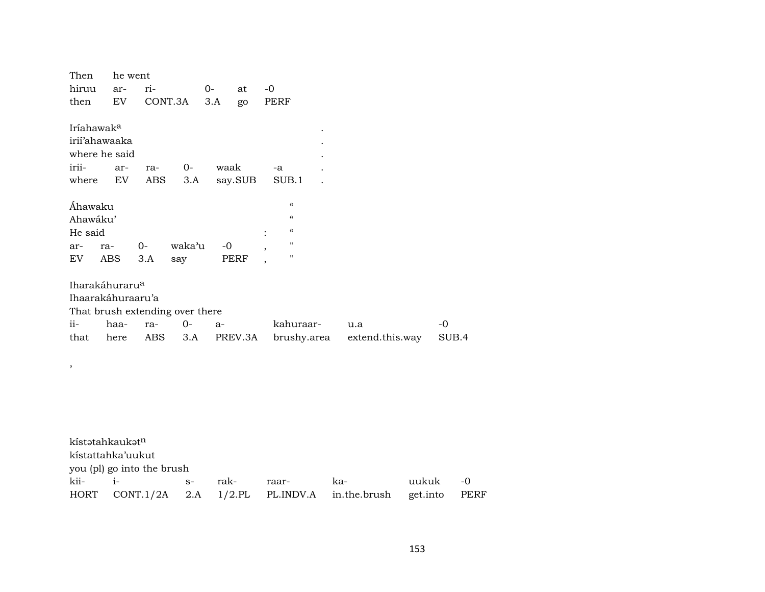| Then                                                                                                                       | he went                    |                    |                        |              |         |                                                                                                              |                        |          |               |             |
|----------------------------------------------------------------------------------------------------------------------------|----------------------------|--------------------|------------------------|--------------|---------|--------------------------------------------------------------------------------------------------------------|------------------------|----------|---------------|-------------|
| hiruu                                                                                                                      | ar-                        | ri-                | $0-$                   |              | at      | $-0$                                                                                                         |                        |          |               |             |
| then                                                                                                                       | $\mathop{\rm EV}\nolimits$ | CONT.3A            |                        | 3.A          | go      | PERF                                                                                                         |                        |          |               |             |
| Iríahawak <sup>a</sup><br>irii'ahawaaka<br>where he said<br>irii-<br>where<br>Áhawaku<br>Ahawáku'<br>He said<br>ar-<br>ra- | ar-<br>EV                  | ra-<br>ABS<br>$0-$ | $O -$<br>3.A<br>waka'u | waak<br>$-0$ | say.SUB | -a<br>SUB.1<br>$\boldsymbol{\mathcal{C}}$<br>$\mathcal{C}$<br>$\mathcal{C}\mathcal{C}$<br>$\pmb{\mathsf{H}}$ |                        |          |               |             |
| EV                                                                                                                         | ABS                        | 3.A                | say                    |              | PERF    | $\pmb{\mathsf{H}}$                                                                                           |                        |          |               |             |
| Iharakáhuraru <sup>a</sup><br>Ihaarakáhuraaru'a<br>That brush extending over there<br>ii-<br>that<br>$\, ,$                | haa-<br>here               | ra-<br>ABS         | $0-$<br>3.A            | a-           | PREV.3A | kahuraar-<br>brushy.area                                                                                     | u.a<br>extend.this.way |          | $-0$<br>SUB.4 |             |
| kístatahkaukatn                                                                                                            |                            |                    |                        |              |         |                                                                                                              |                        |          |               |             |
| kístattahka'uukut<br>you (pl) go into the brush                                                                            |                            |                    |                        |              |         |                                                                                                              |                        |          |               |             |
| kii-                                                                                                                       | $i-$                       |                    | $S-$                   | rak-         |         | raar-                                                                                                        | ka-                    | uukuk    |               | $-0$        |
| <b>HORT</b>                                                                                                                |                            | CONT.1/2A          | 2.A                    | $1/2$ .PL    |         | PL.INDV.A                                                                                                    | in.the.brush           | get.into |               | <b>PERF</b> |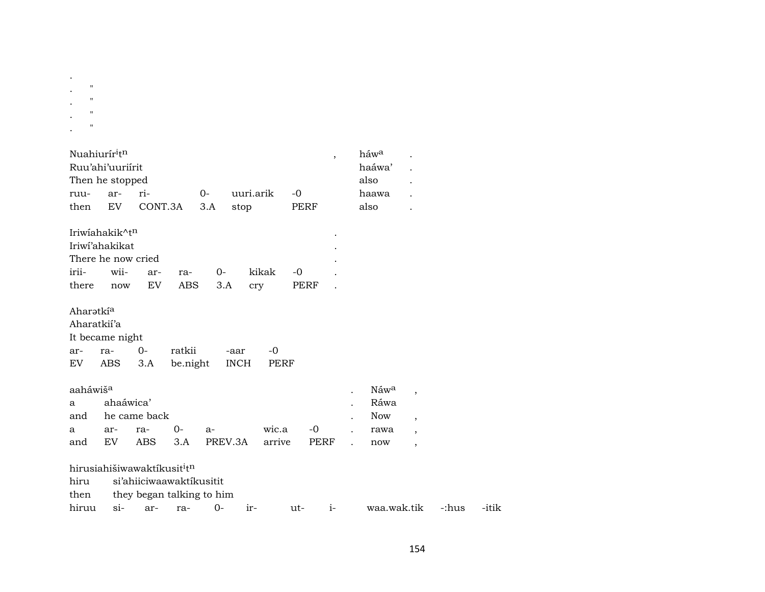| $\bullet$ |                |  |  |
|-----------|----------------|--|--|
| ٠         | $\blacksquare$ |  |  |
|           | $\mathbf{H}$   |  |  |
|           | $\mathbf{H}$   |  |  |
|           | 11             |  |  |

| Nuahiurír <sup>i</sup> t <sup>n</sup><br>ruu-<br>then | Ruu'ahi'uuriirit<br>Then he stopped<br>ar-<br>EV.                                 | ri-<br>CONT.3A                                                                  |                    | $O -$<br>3.A | uuri.arik<br>stop   |                 | $-0$<br>PERF | $\overline{ }$ | háw <sup>a</sup><br>haáwa'<br>also<br>haawa<br>also   |                                                                                |  |
|-------------------------------------------------------|-----------------------------------------------------------------------------------|---------------------------------------------------------------------------------|--------------------|--------------|---------------------|-----------------|--------------|----------------|-------------------------------------------------------|--------------------------------------------------------------------------------|--|
| irii-<br>there                                        | Iriwiahakik^t <sup>n</sup><br>Iriwi'ahakikat<br>There he now cried<br>wii-<br>now | ar-<br>EV.                                                                      | ra-<br>ABS         | 0-<br>3.A    | cry                 | kikak           | $-0$<br>PERF |                |                                                       |                                                                                |  |
| Aharətki <sup>a</sup><br>Aharatkií'a<br>ar-<br>EV.    | It became night<br>ra-<br>ABS                                                     | $0-$<br>3.A                                                                     | ratkii<br>be.night |              | -aar<br><b>INCH</b> | $-0$<br>PERF    |              |                |                                                       |                                                                                |  |
| aaháwiš <sup>a</sup><br>a<br>and<br>a<br>and          | ahaáwica'<br>ar-<br>EV.                                                           | he came back<br>ra-<br>ABS                                                      | 0-<br>3.A          | $a-$         | PREV.3A             | wic.a<br>arrive |              | -0<br>PERF     | Náw <sup>a</sup><br>Ráwa<br><b>Now</b><br>rawa<br>now | $\overline{ }$<br>$\overline{ }$<br>$\overline{ }$<br>$\overline{\phantom{a}}$ |  |
| hiru                                                  |                                                                                   | hirusiahišiwawaktíkusit <sup>i</sup> t <sup>n</sup><br>si'ahiiciwaawaktikusitit |                    |              |                     |                 |              |                |                                                       |                                                                                |  |

| then |  | they began talking to him |  |
|------|--|---------------------------|--|
|      |  |                           |  |

tnen tney-began-taiking-to-min<br>hiruu si- ar- ra- 0- ir-- ut- i- waa.wak.tik -:hus -itik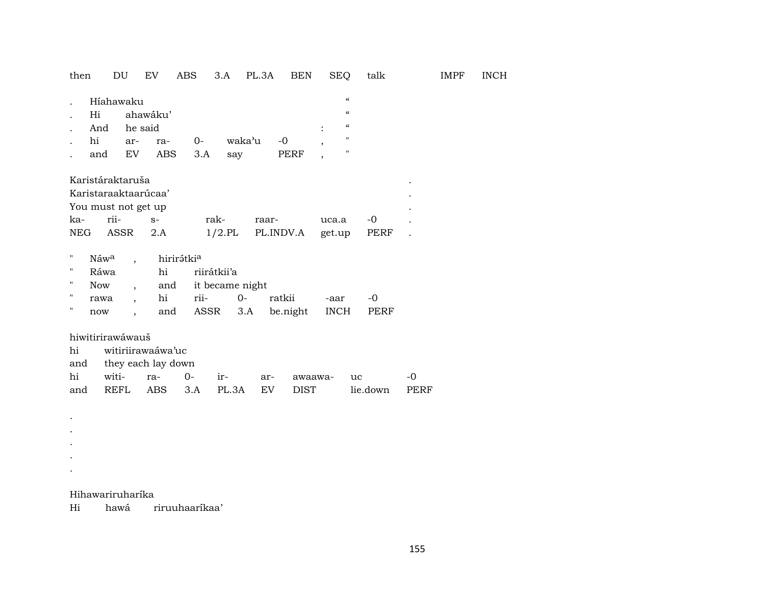| then               |                                                      | DU                       | EV                   | ABS        | 3.A             | PL.3A | <b>BEN</b>  | <b>SEQ</b>     | talk                                   |      | <b>IMPF</b> | <b>INCH</b> |
|--------------------|------------------------------------------------------|--------------------------|----------------------|------------|-----------------|-------|-------------|----------------|----------------------------------------|------|-------------|-------------|
|                    |                                                      | Híahawaku                |                      |            |                 |       |             |                | $\boldsymbol{\mathcal{C}}$             |      |             |             |
|                    | Hi                                                   |                          | ahawáku'             |            |                 |       |             |                | $\boldsymbol{\zeta}\boldsymbol{\zeta}$ |      |             |             |
|                    | And                                                  |                          | he said              |            |                 |       |             |                | $\boldsymbol{\zeta}\boldsymbol{\zeta}$ |      |             |             |
|                    | hi                                                   | ar-                      | ra-                  | $0-$       | waka'u          |       | $-0$        | $\overline{ }$ | $\pmb{\mathsf{H}}$                     |      |             |             |
|                    | and                                                  | EV                       | ABS                  | 3.A        | say             |       | PERF        | $\overline{ }$ | $\pmb{\mathsf{H}}$                     |      |             |             |
|                    |                                                      | Karistáraktaruša         |                      |            |                 |       |             |                |                                        |      |             |             |
|                    |                                                      |                          | Karistaraaktaarúcaa' |            |                 |       |             |                |                                        |      |             |             |
|                    |                                                      |                          |                      |            |                 |       |             |                |                                        |      |             |             |
| ka-                | You must not get up<br>rii-<br>rak-<br>$S-$<br>raar- |                          | uca.a                | $-0$       |                 |       |             |                |                                        |      |             |             |
| <b>NEG</b>         |                                                      | ASSR                     | 2.A                  |            | $1/2$ .PL       |       | PL.INDV.A   | get.up         | PERF                                   |      |             |             |
|                    |                                                      |                          |                      |            |                 |       |             |                |                                        |      |             |             |
| н                  | Náwa                                                 | $\overline{\phantom{a}}$ |                      | hirirátkia |                 |       |             |                |                                        |      |             |             |
| 11                 | Ráwa                                                 |                          | hi                   |            | riirátkii'a     |       |             |                |                                        |      |             |             |
| н                  | Now                                                  | $\overline{\phantom{a}}$ | and                  |            | it became night |       |             |                |                                        |      |             |             |
| п                  | rawa                                                 | $\overline{\phantom{a}}$ | hi                   | rii-       | $O -$           |       | ratkii      | -aar           | $-0$                                   |      |             |             |
| $\pmb{\mathsf{H}}$ | now                                                  | $\overline{\phantom{a}}$ | and                  | ASSR       |                 | 3.A   | be.night    | <b>INCH</b>    | PERF                                   |      |             |             |
|                    |                                                      | hiwitirirawáwauš         |                      |            |                 |       |             |                |                                        |      |             |             |
| hi                 |                                                      |                          | witiriirawaáwa'uc    |            |                 |       |             |                |                                        |      |             |             |
| and                |                                                      |                          | they each lay down   |            |                 |       |             |                |                                        |      |             |             |
| hi                 |                                                      | witi-                    | ra-                  | $0-$       | ir-             | ar-   | awaawa-     |                | uc                                     | $-0$ |             |             |
| and                |                                                      | REFL                     | ABS                  | 3.A        | PL.3A           | EV    | <b>DIST</b> |                | lie.down                               | PERF |             |             |
|                    |                                                      |                          |                      |            |                 |       |             |                |                                        |      |             |             |
|                    |                                                      |                          |                      |            |                 |       |             |                |                                        |      |             |             |
|                    |                                                      |                          |                      |            |                 |       |             |                |                                        |      |             |             |
|                    |                                                      |                          |                      |            |                 |       |             |                |                                        |      |             |             |

Hihawariruharíka

 $\mathcal{L}^{\pm}$  $\mathcal{L}_{\mathcal{A}}$  $\sim$ 

 $Hi$ hawá riruuhaaríkaa'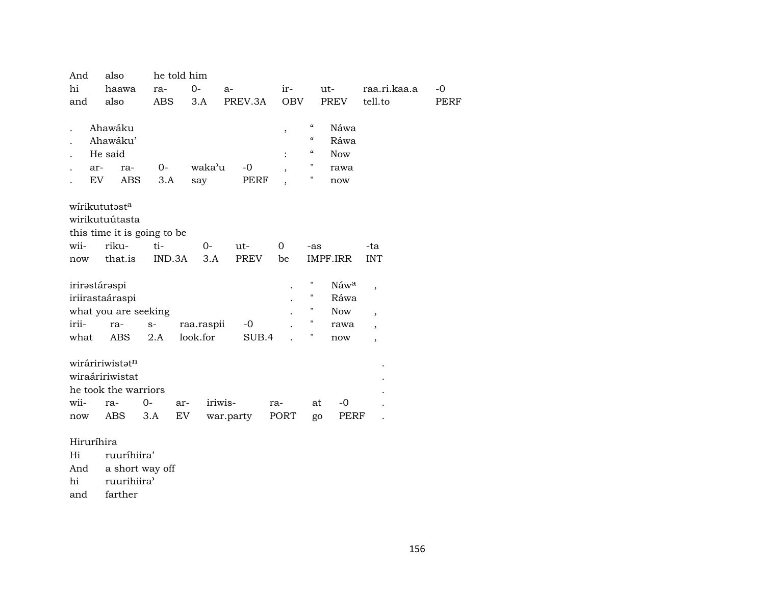| also<br>And   |           |                                                                                                |               | he told him            |                      |                       |                                                              |                                                                                                 |                                                       |                                                                                                              |             |
|---------------|-----------|------------------------------------------------------------------------------------------------|---------------|------------------------|----------------------|-----------------------|--------------------------------------------------------------|-------------------------------------------------------------------------------------------------|-------------------------------------------------------|--------------------------------------------------------------------------------------------------------------|-------------|
| hi            |           | haawa                                                                                          | ra-           | $0-$                   | $a-$                 |                       | ir-                                                          |                                                                                                 | ut-                                                   | raa.ri.kaa.a                                                                                                 | $-0$        |
| and           |           | also                                                                                           | <b>ABS</b>    | 3.A                    |                      | PREV.3A               | <b>OBV</b>                                                   |                                                                                                 | <b>PREV</b>                                           | tell.to                                                                                                      | <b>PERF</b> |
|               | ar-<br>EV | Ahawáku<br>Ahawáku'<br>He said<br>ra-<br><b>ABS</b>                                            | 0-<br>3.A     | say                    | waka'u               | $-0$<br><b>PERF</b>   | $\overline{\phantom{a}}$<br>$\ddot{\cdot}$<br>$\overline{ }$ | $\boldsymbol{\zeta}\boldsymbol{\zeta}$<br>$\mathcal{C}$<br>$\mathcal{C}\mathcal{C}$<br>11<br>11 | Náwa<br>Ráwa<br><b>Now</b><br>rawa<br>now             |                                                                                                              |             |
| wii-<br>now   |           | wirikututəst <sup>a</sup><br>wirikutuútasta<br>this time it is going to be<br>riku-<br>that.is | ti-<br>IND.3A |                        | $0-$<br>3.A          | $ut -$<br><b>PREV</b> | 0<br>be                                                      | -as                                                                                             | IMPF.IRR                                              | -ta<br><b>INT</b>                                                                                            |             |
| irii-<br>what |           | irirəstárəspi<br>iriirastaáraspi<br>what you are seeking<br>ra-<br>ABS                         | $S-$<br>2.A   | raa.raspii<br>look.for |                      | $-0$<br>SUB.4         |                                                              | 11<br>11<br>П<br>п<br>п                                                                         | Náw <sup>a</sup><br>Ráwa<br><b>Now</b><br>rawa<br>now | $\overline{\phantom{a}}$<br>$\overline{\phantom{a}}$<br>$\overline{\phantom{a}}$<br>$\overline{\phantom{a}}$ |             |
| wii-<br>now   |           | wiráririwistət <sup>n</sup><br>wiraáririwistat<br>he took the warriors<br>ra-<br>ABS           | 0-<br>3.A     | ar-<br>EV              | iriwis-<br>war.party |                       | ra-<br>PORT                                                  | at<br>go                                                                                        | $-0$<br>PERF                                          |                                                                                                              |             |

# Hiruríhira

Hi ruuríhiira'<br>And a short way

a short way off

hi ruurihiira'

and farther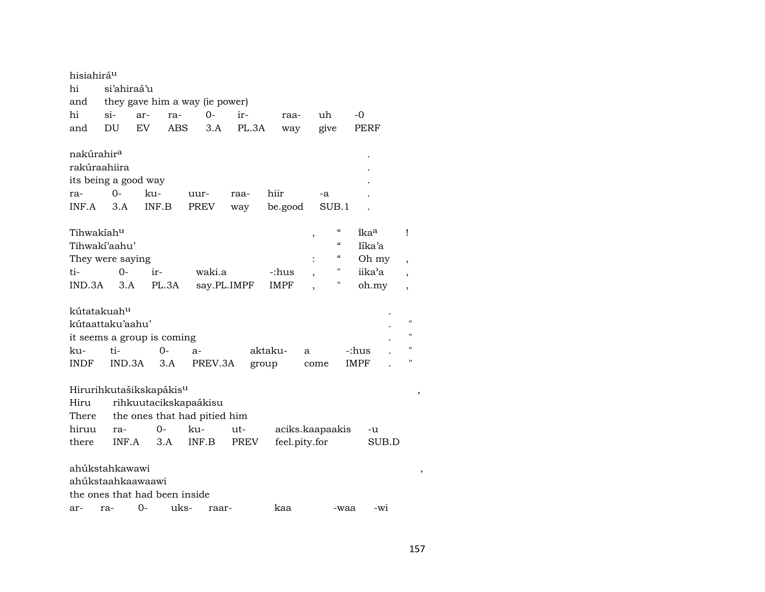| hisiahirá <sup>u</sup><br>hi<br>and | si'ahiraá'u  |                       |      | they gave him a way (ie power) |             |               |                                                                    |             |                          |
|-------------------------------------|--------------|-----------------------|------|--------------------------------|-------------|---------------|--------------------------------------------------------------------|-------------|--------------------------|
| hi                                  | $\sin$ -     | ar-                   | ra-  | $O -$                          | ir-         | raa-          | uh                                                                 | -0          |                          |
|                                     |              |                       |      |                                |             |               |                                                                    |             |                          |
| and                                 | DU           | EV                    | ABS  | 3.A                            | PL.3A       | way           | give                                                               | PERF        |                          |
| nakúrahir <sup>a</sup>              |              |                       |      |                                |             |               |                                                                    |             |                          |
| rakúraahiira                        |              |                       |      |                                |             |               |                                                                    |             |                          |
| its being a good way                |              |                       |      |                                |             |               |                                                                    |             |                          |
| ra-                                 | $O -$        | ku-                   |      | uur-                           | raa-        | hiir          | -a                                                                 |             |                          |
| INF.A                               | 3.A          | INF.B                 |      | <b>PREV</b>                    | way         | be.good       | SUB.1                                                              |             |                          |
|                                     |              |                       |      |                                |             |               |                                                                    |             |                          |
| Tihwakiah <sup>u</sup>              |              |                       |      |                                |             |               | $\boldsymbol{\zeta}\boldsymbol{\zeta}$<br>$\overline{\phantom{a}}$ | ikaa        | Ţ                        |
| Tihwaki'aahu'                       |              |                       |      |                                |             |               | $\boldsymbol{\mathcal{C}}$                                         | Iíka'a      |                          |
| They were saying                    |              |                       |      |                                |             |               | $\boldsymbol{\zeta}\boldsymbol{\zeta}$                             | Oh my       | $\overline{\phantom{a}}$ |
| ti-                                 | 0-           | ir-                   |      | waki.a                         |             | -:hus         | $\pmb{\mathsf{H}}$                                                 | iika'a      | $\overline{\phantom{a}}$ |
| IND.3A                              | 3.A<br>PL.3A |                       |      |                                | say.PL.IMPF | IMPF          | Η                                                                  | oh.my       | $\overline{\phantom{a}}$ |
|                                     |              |                       |      |                                |             |               |                                                                    |             |                          |
| kútatakuahu                         |              |                       |      |                                |             |               |                                                                    |             |                          |
| kútaattaku'aahu'                    |              |                       |      |                                |             |               |                                                                    |             | $\pmb{\mathsf{H}}$       |
| it seems a group is coming          |              |                       |      |                                |             |               |                                                                    |             | П                        |
| ku-                                 | ti-          |                       | 0-   | $a-$                           |             | aktaku-       | a                                                                  | -:hus       | н                        |
| <b>INDF</b>                         | IND.3A       |                       | 3.A  | PREV.3A                        | group       |               | come                                                               | <b>IMPF</b> | П                        |
|                                     |              |                       |      |                                |             |               |                                                                    |             |                          |
| Hirurihkutašikskapákis <sup>u</sup> |              |                       |      |                                |             |               |                                                                    |             |                          |
| Hiru                                |              | rihkuutacikskapaákisu |      |                                |             |               |                                                                    |             |                          |
| There                               |              |                       |      | the ones that had pitied him   |             |               |                                                                    |             |                          |
| hiruu                               | ra-          | $0 -$                 |      | ku-                            | ut-         |               | aciks.kaapaakis                                                    | -u          |                          |
| there                               | INF.A        |                       | 3.A  | INF.B                          | PREV        | feel.pity.for |                                                                    | SUB.D       |                          |
|                                     |              |                       |      |                                |             |               |                                                                    |             |                          |
| ahúkstahkawawi                      |              |                       |      |                                |             |               |                                                                    |             |                          |
| ahúkstaahkaawaawi                   |              |                       |      |                                |             |               |                                                                    |             |                          |
| the ones that had been inside       |              |                       |      |                                |             |               |                                                                    |             |                          |
| ar-                                 | ra-          | 0-                    | uks- | raar-                          |             | kaa           | -waa                                                               | $-wi$       |                          |

157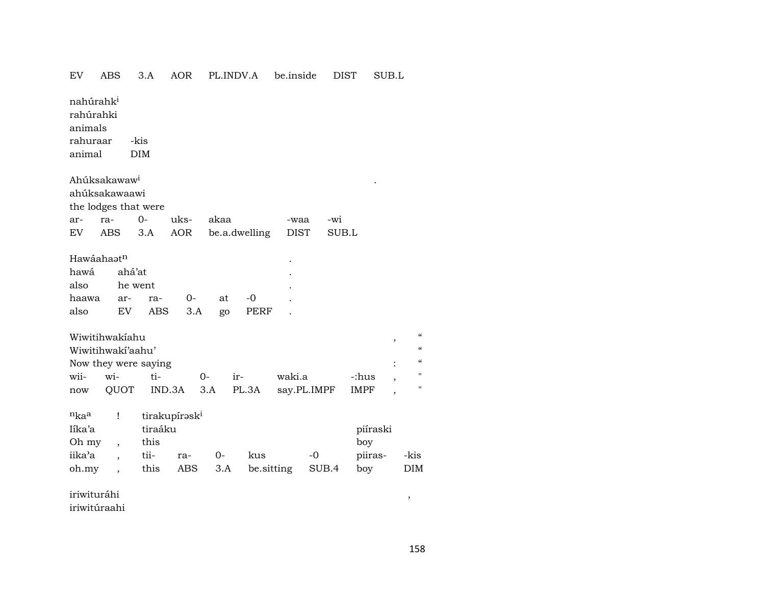iriwituráhi ,

iriwitúraahi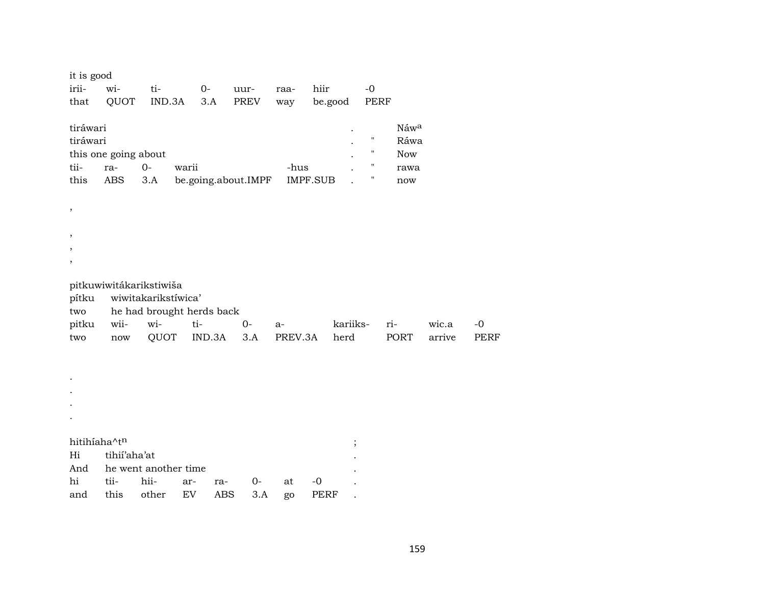| it is good    |                         |                           |                     |            |      |                 |         |                    |            |        |             |
|---------------|-------------------------|---------------------------|---------------------|------------|------|-----------------|---------|--------------------|------------|--------|-------------|
| irii-         | wi-                     | ti-                       | $0-$                |            | uur- | raa-            | hiir    | $-0$               |            |        |             |
| that          | QUOT                    | IND.3A                    | 3.A                 |            | PREV | way             | be.good | PERF               |            |        |             |
| tiráwari      |                         |                           |                     |            |      |                 |         |                    | Náwa       |        |             |
| tiráwari      |                         |                           |                     |            |      |                 |         | $\pmb{\mathsf{H}}$ | Ráwa       |        |             |
|               | this one going about    |                           |                     |            |      |                 |         | $\pmb{\mathsf{H}}$ | <b>Now</b> |        |             |
| tii-          | ra-                     | $0-$                      | warii               |            |      | -hus            |         | $\pmb{\mathsf{H}}$ | rawa       |        |             |
| this          | ABS                     | 3.A                       | be.going.about.IMPF |            |      | <b>IMPF.SUB</b> |         | Ħ                  | now        |        |             |
| $\, ,$        |                         |                           |                     |            |      |                 |         |                    |            |        |             |
|               |                         |                           |                     |            |      |                 |         |                    |            |        |             |
| $^\mathrm{,}$ |                         |                           |                     |            |      |                 |         |                    |            |        |             |
| $\, ,$        |                         |                           |                     |            |      |                 |         |                    |            |        |             |
| $\, ,$        |                         |                           |                     |            |      |                 |         |                    |            |        |             |
|               | pitkuwiwitákarikstiwiša |                           |                     |            |      |                 |         |                    |            |        |             |
| pítku         |                         | wiwitakarikstíwica'       |                     |            |      |                 |         |                    |            |        |             |
| two           |                         | he had brought herds back |                     |            |      |                 |         |                    |            |        |             |
| pitku         | wii-                    | wi-                       | ti-                 |            | $0-$ | a-              |         | kariiks-           | ri-        | wic.a  | $-0$        |
| two           | $\operatorname{now}$    | QUOT                      | IND.3A              |            | 3.A  | PREV.3A         | herd    |                    | PORT       | arrive | <b>PERF</b> |
|               |                         |                           |                     |            |      |                 |         |                    |            |        |             |
|               |                         |                           |                     |            |      |                 |         |                    |            |        |             |
|               |                         |                           |                     |            |      |                 |         |                    |            |        |             |
|               |                         |                           |                     |            |      |                 |         |                    |            |        |             |
|               |                         |                           |                     |            |      |                 |         |                    |            |        |             |
| hitihíaha^tn  |                         |                           |                     |            |      |                 |         | $\vdots$           |            |        |             |
| Hi            | tihii'aha'at            |                           |                     |            |      |                 |         |                    |            |        |             |
| And           |                         | he went another time      |                     |            |      |                 |         |                    |            |        |             |
| hi            | tii-                    | hii-                      | ar-                 | ra-        | 0-   | at              | $-0$    |                    |            |        |             |
| and           | this                    | other                     | EV                  | <b>ABS</b> | 3.A  | go              | PERF    |                    |            |        |             |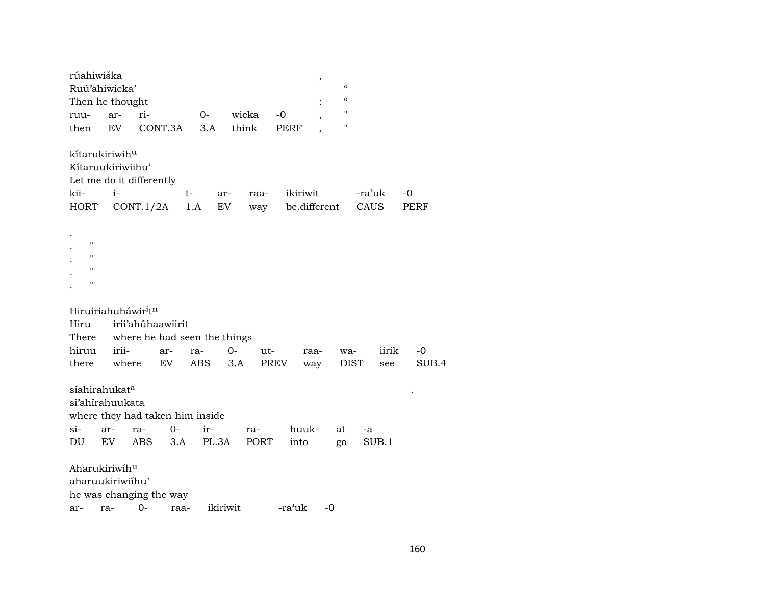| rúahiwiška          | Ruú'ahiwicka'                               |                                    |           |           |             |          | $\overline{\phantom{a}}$<br>$\boldsymbol{\zeta}\boldsymbol{\zeta}$ |                |            |
|---------------------|---------------------------------------------|------------------------------------|-----------|-----------|-------------|----------|--------------------------------------------------------------------|----------------|------------|
|                     | Then he thought                             |                                    |           |           |             |          | $\mathcal{C}$                                                      |                |            |
| ruu-                | ar-                                         | ri-                                | 0-        |           | wicka       | $-0$     | 11                                                                 |                |            |
| then                | <b>EV</b>                                   | CONT.3A                            |           | 3.A       | think       | PERF     | 11                                                                 |                |            |
|                     | kítarukiriwih <sup>u</sup>                  |                                    |           |           |             |          |                                                                    |                |            |
|                     | Kítaruukiriwiihu'                           |                                    |           |           |             |          |                                                                    |                |            |
|                     |                                             | Let me do it differently           |           |           |             |          |                                                                    |                |            |
| kii-<br><b>HORT</b> | $i-$                                        | CONT.1/2A                          | t-<br>1.A | ar-<br>EV | raa-<br>way | ikiriwit | be.different                                                       | -ra'uk<br>CAUS | -0<br>PERF |
|                     |                                             |                                    |           |           |             |          |                                                                    |                |            |
|                     |                                             |                                    |           |           |             |          |                                                                    |                |            |
| $\pmb{\mathsf{H}}$  |                                             |                                    |           |           |             |          |                                                                    |                |            |
| $\mathbf{H}$        |                                             |                                    |           |           |             |          |                                                                    |                |            |
| $^{\prime}$         |                                             |                                    |           |           |             |          |                                                                    |                |            |
| $\mathbf{H}$        |                                             |                                    |           |           |             |          |                                                                    |                |            |
|                     |                                             |                                    |           |           |             |          |                                                                    |                |            |
|                     | Hiruiriahuháwir <sup>i</sup> t <sup>n</sup> |                                    |           |           |             |          |                                                                    |                |            |
| Hiru                |                                             | irii'ahúhaawiirit                  |           |           |             |          |                                                                    |                |            |
|                     |                                             | There where he had seen the things |           |           |             |          |                                                                    |                |            |
| hiruu               | irii-                                       | ar-                                | ra-       | 0-        | ut-         | raa-     | wa-                                                                | iirik          | $-0$       |
| there               | where                                       | EV.                                | ABS       | 3.A       | <b>PREV</b> |          | way                                                                | DIST<br>see    | SUB.4      |
|                     |                                             |                                    |           |           |             |          |                                                                    |                |            |
|                     | síahirahukat <sup>a</sup>                   |                                    |           |           |             |          |                                                                    |                |            |
|                     | si'ahirahuukata                             |                                    |           |           |             |          |                                                                    |                |            |
|                     |                                             | where they had taken him inside    |           |           |             |          |                                                                    |                |            |
| $\sin$              | ar-                                         | ra-                                | $O -$     | ir-       | ra-         | huuk-    | at                                                                 | -a             |            |
| DU                  | EV                                          | <b>ABS</b>                         | 3.A       | PL.3A     | <b>PORT</b> | into     | go                                                                 | SUB.1          |            |
|                     | Aharukiriwihu                               |                                    |           |           |             |          |                                                                    |                |            |
|                     | aharuukiriwiihu'                            |                                    |           |           |             |          |                                                                    |                |            |
|                     |                                             | he was changing the way            |           |           |             |          |                                                                    |                |            |
| ar-                 | ra-                                         | $O -$                              | raa-      | ikiriwit  |             | -ra'uk   | $-0$                                                               |                |            |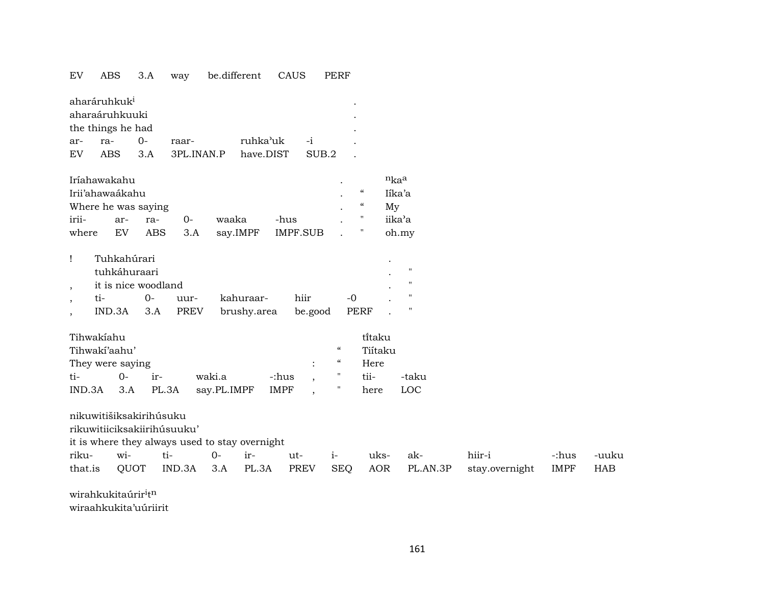## EV ABS 3.A way be.different CAUS PERF

| aharáruhkuk <sup>i</sup><br>٠  |      |     |            |           |                  |  |  |  |  |  |  |  |
|--------------------------------|------|-----|------------|-----------|------------------|--|--|--|--|--|--|--|
| aharaáruhkuuki<br>$\bullet$    |      |     |            |           |                  |  |  |  |  |  |  |  |
| the things he had<br>$\bullet$ |      |     |            |           |                  |  |  |  |  |  |  |  |
| ar-                            | ra-  | ()  | raar-      | ruhka'uk  | $-1$             |  |  |  |  |  |  |  |
| EV                             | ARS. | 3 A | 3PL INAN P | have.DIST | SUB <sub>2</sub> |  |  |  |  |  |  |  |

| Iríahawakahu        |     |            | $n_{ka}$ |       |                       |            |        |
|---------------------|-----|------------|----------|-------|-----------------------|------------|--------|
| Irii'ahawaákahu     |     | "          | Iíka'a   |       |                       |            |        |
| Where he was saying |     |            |          |       |                       | $\epsilon$ | Mv     |
| irii-               | ar- | ra-        | $() -$   | waaka | -hus                  |            | iika'a |
| where               |     | EV ABS 3.A |          |       | say.IMPF IMPF.SUB . " |            | oh.my  |

| Tuhkahúrari         |        |          |                          |      |       |  |  |  |  |  |  |  |  |
|---------------------|--------|----------|--------------------------|------|-------|--|--|--|--|--|--|--|--|
| tuhkáhuraari        |        |          |                          |      |       |  |  |  |  |  |  |  |  |
| it is nice woodland |        |          |                          |      |       |  |  |  |  |  |  |  |  |
| ti-                 | $()$ - | uur-     | kahuraar-                | hiir | $-()$ |  |  |  |  |  |  |  |  |
| IND.3A              |        | 3.A PREV | brushy.area be.good PERF |      |       |  |  |  |  |  |  |  |  |

| Tihwakíahu       |          |                  |                  |           |                          |            | ti̇̃taku |       |
|------------------|----------|------------------|------------------|-----------|--------------------------|------------|----------|-------|
| Tihwaki'aahu'    |          |                  |                  |           |                          | $\epsilon$ | Tiítaku  |       |
| They were saying |          |                  |                  |           | <b>Contract Contract</b> | $\epsilon$ | Here     |       |
| $t_{i-}$         | $\Omega$ | $-ir-$           | waki.a           | -:hus , " |                          |            | tii-     | -taku |
|                  |          | IND.3A 3.A PL.3A | say.PL.IMPF IMPF |           |                          |            | here     | LOC   |

nikuwitišiksakirihúsuku

rikuwitiiciksakiirihúsuuku'

it is where they always used to stay overnight

|  |  |  |  | riku- wi- ti- 0- ir- ut- i- uks- ak- hiir-i                                 | -:hus -uuku |
|--|--|--|--|-----------------------------------------------------------------------------|-------------|
|  |  |  |  | that.is QUOT IND.3A 3.A PL.3A PREV SEQ AOR PL.AN.3P stay.overnight IMPF HAB |             |

wirahkukitaúrir<sup>i</sup>t<sup>n</sup>

wiraahkukita'uúriirit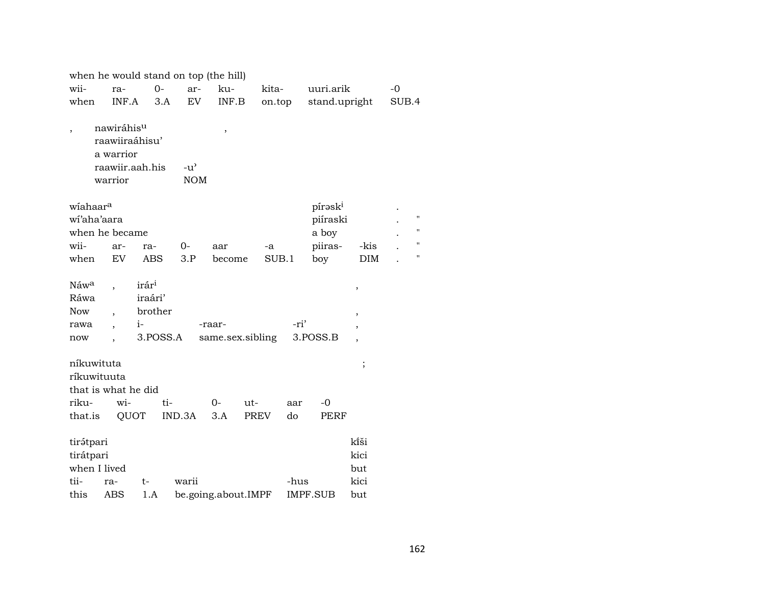| when he would stand on top (the hill)          |  |                                                                         |                                         |          |                             |                  |                        |        |      |           |          |                             |      |       |                    |
|------------------------------------------------|--|-------------------------------------------------------------------------|-----------------------------------------|----------|-----------------------------|------------------|------------------------|--------|------|-----------|----------|-----------------------------|------|-------|--------------------|
| wii-                                           |  | ra-                                                                     | $0-$                                    |          | ar-                         | ku-              |                        | kita-  |      | uuri.arik |          |                             | $-0$ |       |                    |
| when                                           |  | INF.A                                                                   |                                         | 3.A      | EV                          | INF.B            |                        | on.top |      |           |          | stand.upright               |      | SUB.4 |                    |
| $\overline{\phantom{a}}$                       |  | nawiráhisu<br>raawiiraáhisu'<br>a warrior<br>raawiir.aah.his<br>warrior |                                         |          | $-u^{\prime}$<br><b>NOM</b> | $\,$             |                        |        |      |           |          |                             |      |       |                    |
| wiahaar <sup>a</sup>                           |  |                                                                         |                                         |          |                             |                  |                        |        |      | píraski   |          |                             |      |       |                    |
| wi'aha'aara                                    |  |                                                                         |                                         |          |                             |                  |                        |        |      |           | piíraski |                             |      |       | $\pmb{\mathsf{H}}$ |
|                                                |  | when he became                                                          |                                         |          |                             |                  |                        |        |      | a boy     |          |                             |      |       | $\blacksquare$     |
| wii-                                           |  | ar-                                                                     | ra-                                     | 0-       |                             | aar              |                        | -a     |      | piiras-   |          | -kis                        |      |       | $\blacksquare$     |
| when                                           |  | EV                                                                      | <b>ABS</b>                              |          | 3.P                         | become           |                        | SUB.1  |      | boy       |          | <b>DIM</b>                  |      |       | $\pmb{\mathsf{H}}$ |
| Náwa<br>Ráwa<br>Now                            |  |                                                                         | irár <sup>i</sup><br>iraári'<br>brother |          |                             |                  |                        |        |      |           |          | $\,$<br>,                   |      |       |                    |
| rawa                                           |  |                                                                         | $i-$                                    |          |                             | -raar-           |                        |        | -ri' |           |          | ,                           |      |       |                    |
| now                                            |  |                                                                         |                                         | 3.POSS.A |                             | same.sex.sibling |                        |        |      | 3.POSS.B  |          | $\overline{\phantom{a}}$    |      |       |                    |
| níkuwituta<br>ríkuwituuta<br>riku-             |  | that is what he did<br>wi-                                              |                                         | ti-      |                             | $O-$             | ut-                    |        | aar  | $-0$      |          | $\vdots$                    |      |       |                    |
| that.is                                        |  | QUOT                                                                    |                                         | IND.3A   |                             | 3.A              | <b>PREV</b>            |        | do   |           | PERF     |                             |      |       |                    |
| tirátpari<br>tirátpari<br>when I lived<br>tii- |  | ra-                                                                     | t-                                      | warii    |                             |                  |                        |        | -hus |           |          | kîši<br>kici<br>but<br>kici |      |       |                    |
| this<br><b>ABS</b><br>1.A                      |  |                                                                         |                                         |          | be.going.about.IMPF         |                  | <b>IMPF.SUB</b><br>but |        |      |           |          |                             |      |       |                    |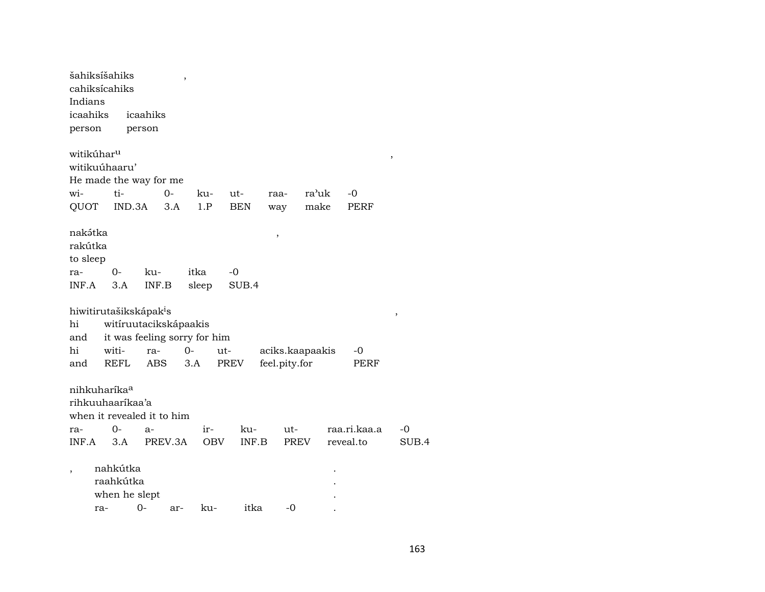| šahiksíšahiks            |     |             |                                    | $\overline{\phantom{a}}$ |                              |            |               |                 |              |        |  |
|--------------------------|-----|-------------|------------------------------------|--------------------------|------------------------------|------------|---------------|-----------------|--------------|--------|--|
| cahiksícahiks            |     |             |                                    |                          |                              |            |               |                 |              |        |  |
| Indians                  |     |             |                                    |                          |                              |            |               |                 |              |        |  |
| icaahiks                 |     |             | icaahiks                           |                          |                              |            |               |                 |              |        |  |
| person                   |     |             | person                             |                          |                              |            |               |                 |              |        |  |
| witikúhar <sup>u</sup>   |     |             |                                    |                          |                              |            |               |                 |              | $\, ,$ |  |
| witikuúhaaru'            |     |             |                                    |                          |                              |            |               |                 |              |        |  |
|                          |     |             | He made the way for me             |                          |                              |            |               |                 |              |        |  |
| wi-                      |     | ti-         |                                    | $0-$                     | ku-                          | ut-        | raa-          | ra'uk           | -0           |        |  |
| QUOT                     |     | IND.3A      |                                    | 3.A                      | 1.P                          | <b>BEN</b> | way           | make            | PERF         |        |  |
|                          |     |             |                                    |                          |                              |            |               |                 |              |        |  |
| nakətka                  |     |             |                                    |                          |                              |            | ,             |                 |              |        |  |
| rakútka                  |     |             |                                    |                          |                              |            |               |                 |              |        |  |
| to sleep                 |     |             |                                    |                          |                              |            |               |                 |              |        |  |
| ra-                      |     | $0-$        | ku-                                |                          | itka                         | -0         |               |                 |              |        |  |
| INF.A                    |     | 3.A         | INF.B                              |                          | sleep                        | SUB.4      |               |                 |              |        |  |
|                          |     |             |                                    |                          |                              |            |               |                 |              |        |  |
|                          |     |             | hiwitirutašikskápak <sup>i</sup> s |                          |                              |            |               |                 |              | ,      |  |
| hi                       |     |             | witíruutacikskápaakis              |                          |                              |            |               |                 |              |        |  |
| and                      |     |             |                                    |                          | it was feeling sorry for him |            |               |                 |              |        |  |
| hi                       |     | witi-       | ra-                                |                          | $0-$                         | ut-        |               | aciks.kaapaakis | -0           |        |  |
| and                      |     | <b>REFL</b> | <b>ABS</b>                         |                          | 3.A                          | PREV       | feel.pity.for |                 | PERF         |        |  |
|                          |     |             |                                    |                          |                              |            |               |                 |              |        |  |
| nihkuharíka <sup>a</sup> |     |             |                                    |                          |                              |            |               |                 |              |        |  |
| rihkuuhaaríkaa'a         |     |             |                                    |                          |                              |            |               |                 |              |        |  |
|                          |     |             | when it revealed it to him         |                          |                              |            |               |                 |              |        |  |
| ra-                      |     | 0-          | $a-$                               |                          | ir-                          | ku-        |               | ut-             | raa.ri.kaa.a | -0     |  |
| INF.A                    |     | 3.A         |                                    | PREV.3A                  | <b>OBV</b>                   |            | INF.B         | <b>PREV</b>     | reveal.to    | SUB.4  |  |
|                          |     |             |                                    |                          |                              |            |               |                 |              |        |  |
|                          |     | nahkútka    |                                    |                          |                              |            |               |                 |              |        |  |
|                          |     | raahkútka   |                                    |                          |                              |            |               |                 |              |        |  |
|                          |     |             | when he slept                      |                          |                              |            |               |                 |              |        |  |
|                          | ra- |             | $O -$                              | ar-                      | ku-                          | itka       |               | $-0$            |              |        |  |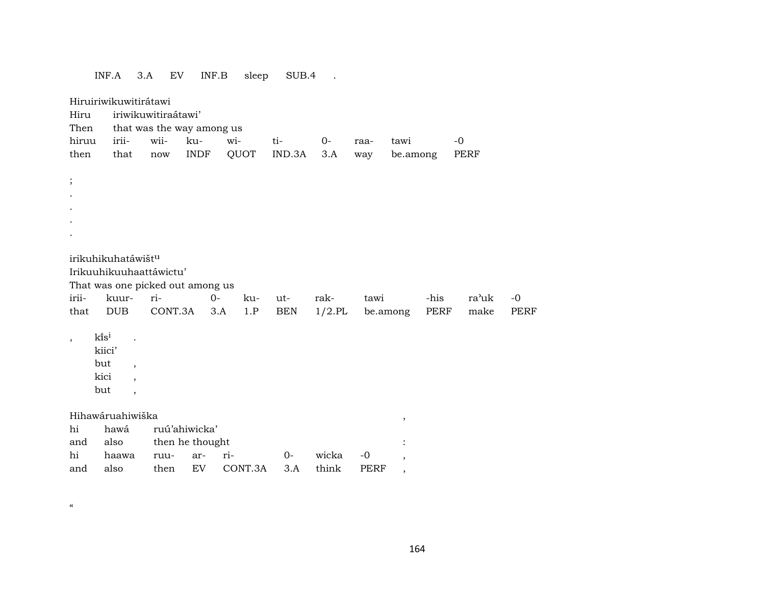|              | INF.A                                                                             | 3.A                                                                          | ${\rm EV}$                                       | INF.B       | sleep   | SUB.4      | $\ddot{\phantom{a}}$ |             |                          |      |       |             |
|--------------|-----------------------------------------------------------------------------------|------------------------------------------------------------------------------|--------------------------------------------------|-------------|---------|------------|----------------------|-------------|--------------------------|------|-------|-------------|
| Hiru<br>Then | Hiruiriwikuwitirátawi                                                             |                                                                              | iriwikuwitiraátawi'<br>that was the way among us |             |         |            |                      |             |                          |      |       |             |
| hiruu        | irii-                                                                             | wii-                                                                         | ku-                                              |             | wi-     | ti-        | $0-$                 | raa-        | tawi                     |      | $-0$  |             |
| then         | that                                                                              | $\operatorname{now}$                                                         |                                                  | <b>INDF</b> | QUOT    | IND.3A     | 3.A                  | way         | be.among                 |      | PERF  |             |
| $\vdots$     | irikuhikuhatáwištu<br>Irikuuhikuuhaattáwictu'<br>That was one picked out among us |                                                                              |                                                  |             |         |            |                      |             |                          |      |       |             |
| irii-        | kuur-                                                                             | ri-                                                                          |                                                  | $0-$        | ku-     | ut-        | rak-                 | tawi        |                          | -his | ra'uk | $-0$        |
| that         | <b>DUB</b>                                                                        |                                                                              | CONT.3A                                          | 3.A         | $1.P$   | <b>BEN</b> | $1/2$ .PL            | be.among    |                          | PERF | make  | <b>PERF</b> |
| $\cdot$      | $k$ is <sup>i</sup><br>kiici'<br>but<br>kici<br>but                               | $\overline{\phantom{a}}$<br>$\ddot{\phantom{0}}$<br>$\overline{\phantom{a}}$ |                                                  |             |         |            |                      |             |                          |      |       |             |
|              | Hihawáruahiwiška                                                                  |                                                                              |                                                  |             |         |            |                      |             |                          |      |       |             |
| hi           | hawá                                                                              |                                                                              | ruú'ahiwicka'                                    |             |         |            |                      |             | $^\mathrm{^\mathrm{o}}$  |      |       |             |
| and          | also                                                                              |                                                                              | then he thought                                  |             |         |            |                      |             |                          |      |       |             |
| hi           | haawa                                                                             |                                                                              | ruu-                                             | ar-         | ri-     | $0-$       | wicka                | $-0$        | $\overline{\phantom{a}}$ |      |       |             |
| and          | also                                                                              |                                                                              | then                                             | EV          | CONT.3A | 3.A        | think                | <b>PERF</b> | ,                        |      |       |             |

 $\pmb{\mathfrak{c}}\pmb{\mathfrak{c}}$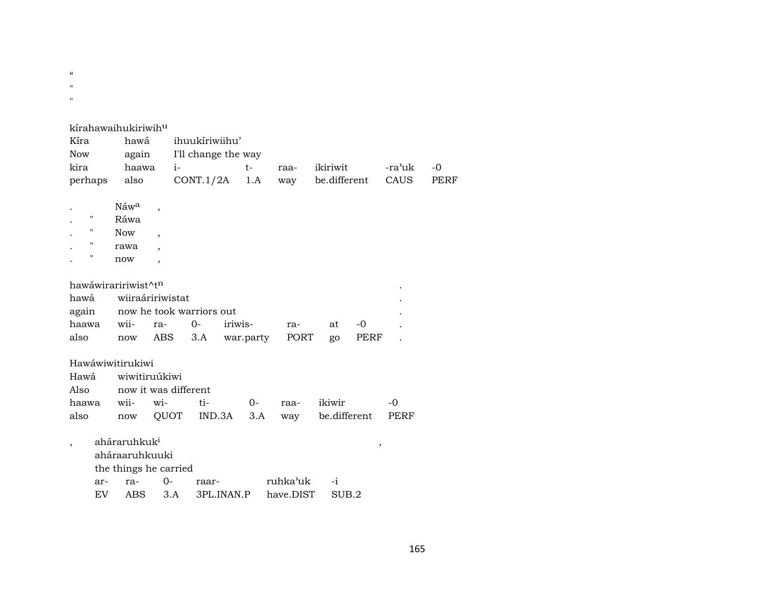$\epsilon\epsilon$ 

 $\mathbf{u}^{\top}$ 

 $\mathbf{u}^{\pm}$ 

|                          | kírahawaihukiriwih <sup>u</sup>        |                          |           |           |                   |        |      |
|--------------------------|----------------------------------------|--------------------------|-----------|-----------|-------------------|--------|------|
| Kíra                     | hawá                                   | ihuukiriwiihu'           |           |           |                   |        |      |
| Now                      | again                                  | I'll change the way      |           |           |                   |        |      |
| kira                     | haawa                                  | $i-$                     | $t-$      | raa-      | ikiriwit          | -ra'uk | $-0$ |
| perhaps                  | also                                   | CONT.1/2A                | 1.A       | way       | be.different      | CAUS   | PERF |
|                          |                                        |                          |           |           |                   |        |      |
|                          | Náwa<br>$\overline{\phantom{a}}$       |                          |           |           |                   |        |      |
| 11                       | Ráwa                                   |                          |           |           |                   |        |      |
|                          | <b>Now</b><br>$\overline{\phantom{a}}$ |                          |           |           |                   |        |      |
| 11                       | rawa<br>$\overline{\phantom{a}}$       |                          |           |           |                   |        |      |
| п                        | now<br>$\overline{\phantom{a}}$        |                          |           |           |                   |        |      |
|                          |                                        |                          |           |           |                   |        |      |
|                          | hawáwiraririwist^tn                    |                          |           |           |                   |        |      |
| hawá                     | wiiraáririwistat                       |                          |           |           |                   |        |      |
| again                    |                                        | now he took warriors out |           |           |                   |        |      |
| haawa                    | wii-<br>ra-                            | $0-$                     | iriwis-   | ra-       | $-0$<br>at        |        |      |
| also                     | now                                    | ABS<br>3.A               | war.party | PORT      | go                | PERF   |      |
|                          |                                        |                          |           |           |                   |        |      |
|                          | Hawáwiwitirukiwi                       |                          |           |           |                   |        |      |
| Hawá                     | wiwitiruúkiwi                          |                          |           |           |                   |        |      |
| Also                     |                                        | now it was different     |           |           |                   |        |      |
| haawa                    | wii-<br>wi-                            | ti-                      | $0-$      | raa-      | ikiwir            | $-0$   |      |
| also                     | now                                    | QUOT<br>IND.3A           | 3.A       | way       | be.different      | PERF   |      |
|                          |                                        |                          |           |           |                   |        |      |
| $\overline{\phantom{a}}$ | aháraruhkuk <sup>i</sup>               |                          |           |           |                   | $\,$   |      |
|                          | aháraaruhkuuki                         |                          |           |           |                   |        |      |
|                          | the things he carried                  |                          |           |           |                   |        |      |
| ar-                      | ra-                                    | $0-$<br>raar-            |           | ruhka'uk  | $-i$              |        |      |
| EV                       | <b>ABS</b>                             | 3.A<br>3PL.INAN.P        |           | have.DIST | SUB <sub>.2</sub> |        |      |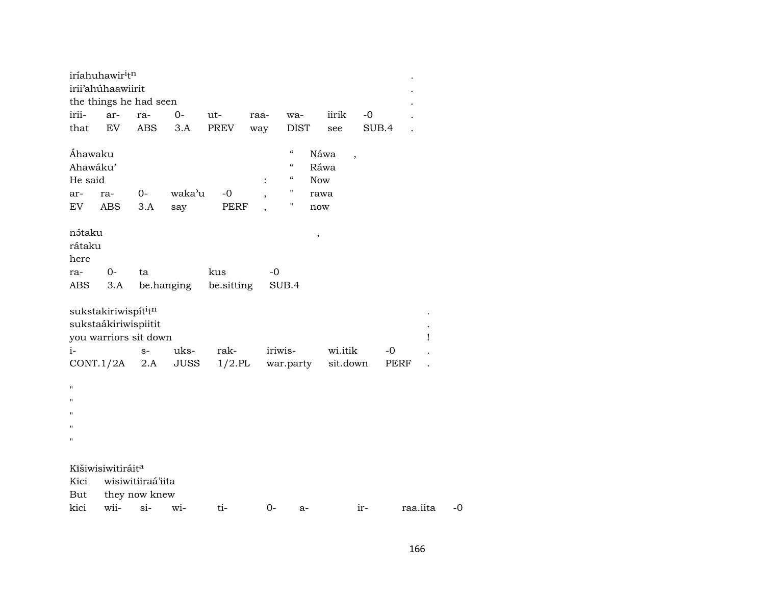|                                                               | iríahuhawir <sup>i</sup> t <sup>n</sup>                                           |                   |               |              |      |                                                                         |                                           |       |          |   |      |
|---------------------------------------------------------------|-----------------------------------------------------------------------------------|-------------------|---------------|--------------|------|-------------------------------------------------------------------------|-------------------------------------------|-------|----------|---|------|
|                                                               | irii'ahúhaawiirit                                                                 |                   |               |              |      |                                                                         |                                           |       |          |   |      |
|                                                               | the things he had seen                                                            |                   |               |              |      |                                                                         |                                           |       |          |   |      |
| irii-                                                         | ar-                                                                               | ra-               | $0-$          | ut-          | raa- | wa-                                                                     | iirik                                     | $-0$  |          |   |      |
| that                                                          | EV                                                                                | <b>ABS</b>        | 3.A           | PREV         | way  | <b>DIST</b>                                                             | see                                       | SUB.4 |          |   |      |
| Áhawaku<br>Ahawáku'<br>He said<br>ar-<br>EV                   | ra-<br>ABS                                                                        | $0-$<br>3.A       | waka'u<br>say | $-0$<br>PERF | :    | $\mathcal{C}$<br>$\boldsymbol{\zeta}\boldsymbol{\zeta}$<br>"<br>11<br>Ħ | Náwa<br>Ráwa<br><b>Now</b><br>rawa<br>now | ,     |          |   |      |
| nátaku<br>rátaku<br>here                                      |                                                                                   |                   |               |              |      |                                                                         | $\,$                                      |       |          |   |      |
| ra-                                                           | $O -$                                                                             | ta                |               | kus          | $-0$ |                                                                         |                                           |       |          |   |      |
| ABS                                                           | 3.A                                                                               |                   | be.hanging    | be.sitting   |      | SUB.4                                                                   |                                           |       |          |   |      |
|                                                               | sukstakiriwispít <sup>i</sup> tn<br>sukstaákiriwispiitit<br>you warriors sit down |                   |               |              |      |                                                                         |                                           |       |          | Ţ |      |
| $i-$                                                          |                                                                                   | $S-$              | uks-          | rak-         |      | iriwis-                                                                 | wi.itik                                   |       | $-0$     |   |      |
|                                                               | CONT.1/2A                                                                         | 2.A               | JUSS          | $1/2$ .PL    |      | war.party                                                               | sit.down                                  |       | PERF     |   |      |
| П<br>$\blacksquare$<br>$^{\prime\prime}$<br>$\mathbf{H}$<br>П |                                                                                   |                   |               |              |      |                                                                         |                                           |       |          |   |      |
|                                                               | Kīšiwisiwitiráit <sup>a</sup>                                                     |                   |               |              |      |                                                                         |                                           |       |          |   |      |
| Kici                                                          |                                                                                   | wisiwitiiraá'iita |               |              |      |                                                                         |                                           |       |          |   |      |
| But                                                           |                                                                                   | they now knew     |               |              |      |                                                                         |                                           |       |          |   |      |
| kici                                                          | wii-                                                                              | $si$ -            | wi-           | ti-          | $0-$ | a-                                                                      |                                           | ir-   | raa.iita |   | $-0$ |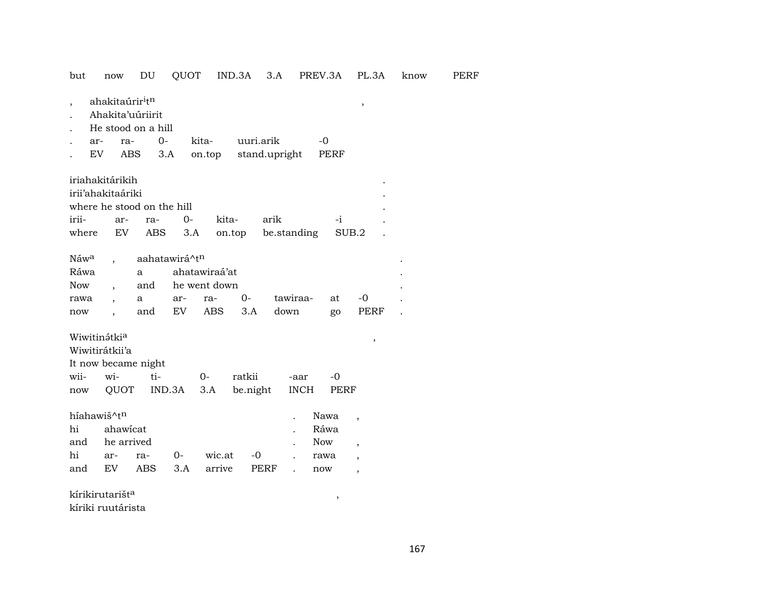but now DU QUOT IND.3A 3.A PREV.3A PL.3A know PERF

| ahakitaúrir <sup>i</sup> t <sup>n</sup> |  |
|-----------------------------------------|--|
|                                         |  |

- . Ahakita'uúriirit
- . He stood on a hill

| ar- | ra- |  | 0- kita- uuri.arik                   | $-\Omega$ |
|-----|-----|--|--------------------------------------|-----------|
|     |     |  | EV ABS 3.A on.top stand.upright PERF |           |

| iriahakitárikih            |  |  |                                           |      |  |
|----------------------------|--|--|-------------------------------------------|------|--|
| irii'ahakitaáriki          |  |  |                                           |      |  |
| where he stood on the hill |  |  |                                           |      |  |
| irii- ar- ra- 0- kita-     |  |  | arik                                      | $-i$ |  |
|                            |  |  | where EV ABS 3.A on.top be.standing SUB.2 |      |  |

| Náw <sup>a</sup> , aahatawirá^t <sup>n</sup> |  |                 |                                    |      |  |
|----------------------------------------------|--|-----------------|------------------------------------|------|--|
| Ráwa                                         |  | a ahatawiraá'at |                                    |      |  |
| Now , and he went down                       |  |                 |                                    |      |  |
|                                              |  |                 | rawa , a ar- ra- 0- tawiraa- at -0 |      |  |
| now                                          |  |                 | and EV ABS 3.A down go             | PERF |  |

# ${\hbox{Wivitin5tki}^a} \hspace{2cm} ,$

Wiwitirátkii'a

| It now became night |  |  |                                        |  |  |  |  |  |  |  |
|---------------------|--|--|----------------------------------------|--|--|--|--|--|--|--|
|                     |  |  | wii- wi- ti- 0- ratkii -aar -0         |  |  |  |  |  |  |  |
|                     |  |  | now QUOT IND.3A 3.A be.night INCH PERF |  |  |  |  |  |  |  |

| híahawiš^t <sup>n</sup> |  | . Nawa , |                                |                          |     |  |
|-------------------------|--|----------|--------------------------------|--------------------------|-----|--|
| hi ahawicat             |  |          |                                | Ráwa                     |     |  |
| and he arrived          |  |          | . Now                          | $\overline{\phantom{a}}$ |     |  |
|                         |  |          | hi ar- ra- 0- wic.at -0 . rawa |                          |     |  |
| and EV                  |  |          | ABS 3.A arrive PERF .          |                          | now |  |

kírikirutarišt° , kíriki ruutárista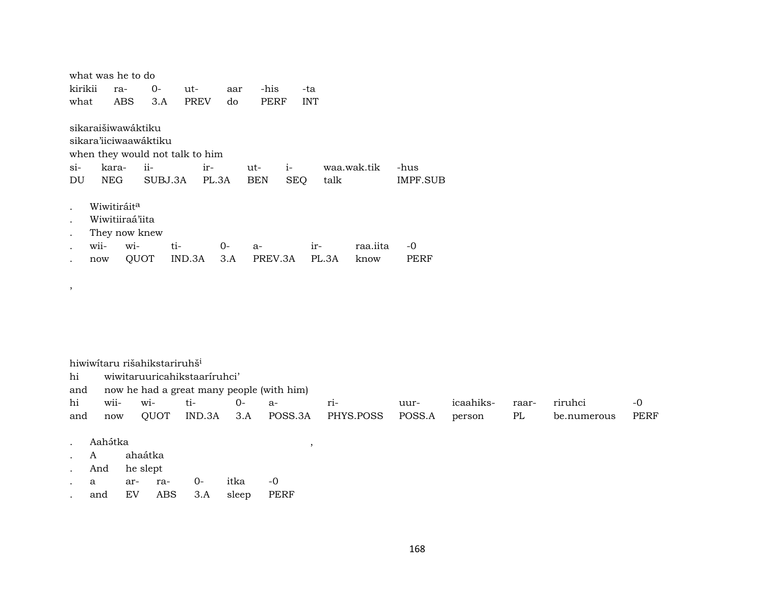|         | what was he to do               |                         |         |             |      |            |            |            |             |          |  |  |
|---------|---------------------------------|-------------------------|---------|-------------|------|------------|------------|------------|-------------|----------|--|--|
| kirikii |                                 | ra-                     | $O -$   | ut-         | aar  | -his       |            | -ta        |             |          |  |  |
| what    |                                 | ABS                     | 3.A     | <b>PREV</b> | do   | PERF       |            | <b>INT</b> |             |          |  |  |
|         |                                 |                         |         |             |      |            |            |            |             |          |  |  |
|         | sikaraišiwawáktiku              |                         |         |             |      |            |            |            |             |          |  |  |
|         | sikara'iiciwaawáktiku           |                         |         |             |      |            |            |            |             |          |  |  |
|         | when they would not talk to him |                         |         |             |      |            |            |            |             |          |  |  |
| $\sin$  |                                 | kara-                   | $ii-$   | ir-         |      | ut-        | $i-$       |            | waa.wak.tik | -hus     |  |  |
| DU      | <b>NEG</b>                      |                         | SUBJ.3A | PL.3A       |      | <b>BEN</b> | <b>SEQ</b> | talk       |             | IMPF.SUB |  |  |
|         |                                 |                         |         |             |      |            |            |            |             |          |  |  |
|         |                                 |                         |         |             |      |            |            |            |             |          |  |  |
|         |                                 | Wiwitiráit <sup>a</sup> |         |             |      |            |            |            |             |          |  |  |
|         |                                 | Wiwitiiraá'iita         |         |             |      |            |            |            |             |          |  |  |
|         |                                 | They now knew           |         |             |      |            |            |            |             |          |  |  |
|         | wii-                            | wi-                     | ti-     |             | $0-$ | $a-$       |            | $ir-$      | raa.iita    | $-0$     |  |  |
|         | now                             | QUOT                    |         | IND.3A      | 3.A  | PREV.3A    |            | PL.3A      | know        | PERF     |  |  |

 $\,$  ,

|     | hiwiwitaru rišahikstariruhš <sup>i</sup>  |             |          |        |    |                   |        |           |       |             |      |
|-----|-------------------------------------------|-------------|----------|--------|----|-------------------|--------|-----------|-------|-------------|------|
| hi  | wiwitaruuricahikstaariruhci'              |             |          |        |    |                   |        |           |       |             |      |
| and | now he had a great many people (with him) |             |          |        |    |                   |        |           |       |             |      |
| h1  | wii-                                      | $W1-$       | $t_{1-}$ | $() -$ | а- | $r_{1}$ -         | uur-   | icaahiks- | raar- | riruhci     | $-0$ |
| and | now                                       | <b>OUOT</b> | IND.3A   | 3.A    |    | POSS.3A PHYS.POSS | POSS.A | person    | PL    | be.numerous | PERF |

 $\overline{\phantom{a}}$ 

- . Aah<sub>á</sub>tka
- ahaátka  $\cdot$  A
- And he slept  $\mathcal{L}^{\pm}$
- $\mbox{-}0$  $\mathbf{a}$ ar- ra- $0$ itka  $\mathcal{L}^{\pm}$
- and EV ABS 3.A sleep PERF  $\mathcal{L}^{\pm}$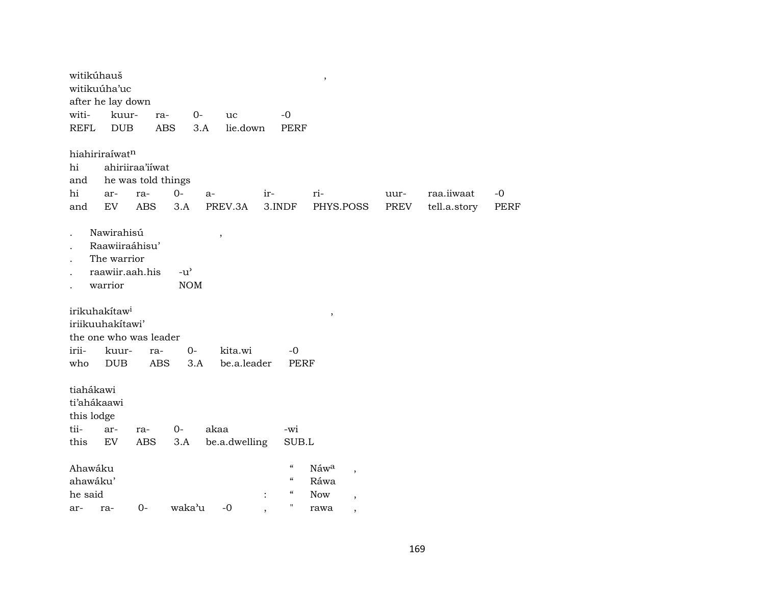| witikúhauš<br>witikuúha'uc<br>after he lay down<br>witi-                                                       | kuur-<br>ra-                                               | $0-$                                              | uc                     | $-0$                                                                      | $\, ,$                                                                        |                     |                            |                     |
|----------------------------------------------------------------------------------------------------------------|------------------------------------------------------------|---------------------------------------------------|------------------------|---------------------------------------------------------------------------|-------------------------------------------------------------------------------|---------------------|----------------------------|---------------------|
| <b>REFL</b>                                                                                                    | <b>ABS</b><br><b>DUB</b>                                   | 3.A                                               | lie.down               | <b>PERF</b>                                                               |                                                                               |                     |                            |                     |
| hiahiriraíwatn<br>hi<br>and<br>hi<br>ar-<br>and<br>EV                                                          | ahiriiraa'iiwat<br>he was told things<br>ra-<br><b>ABS</b> | $0-$<br>a-<br>3.A                                 | PREV.3A                | ir-<br>3.INDF                                                             | ri-<br>PHYS.POSS                                                              | uur-<br><b>PREV</b> | raa.iiwaat<br>tell.a.story | $-0$<br><b>PERF</b> |
| Nawirahisú<br>The warrior<br>warrior                                                                           | Raawiiraáhisu'<br>raawiir.aah.his                          | $-u$ <sup><math>\prime</math></sup><br><b>NOM</b> | $\, ,$                 |                                                                           |                                                                               |                     |                            |                     |
| irikuhakítaw <sup>i</sup><br>iriikuuhakítawi'<br>the one who was leader<br>irii-<br>kuur-<br>who<br><b>DUB</b> | ra-<br><b>ABS</b>                                          | $0-$<br>3.A                                       | kita.wi<br>be.a.leader | $-0$<br><b>PERF</b>                                                       | $\, ,$                                                                        |                     |                            |                     |
| tiahákawi<br>ti'ahákaawi<br>this lodge<br>tii-<br>ar-<br>this<br>EV                                            | ra-<br><b>ABS</b>                                          | $0-$<br>3.A                                       | akaa<br>be.a.dwelling  | -wi<br>SUB.L                                                              |                                                                               |                     |                            |                     |
| Ahawáku<br>ahawáku'<br>he said<br>ar-<br>ra-                                                                   | $O -$                                                      | waka'u                                            | $-0$                   | $\mathcal{C}$<br>$\epsilon$<br>$\boldsymbol{\mathcal{C}}$<br>$\mathbf{H}$ | Náwa<br>$\, ,$<br>Ráwa<br><b>Now</b><br>$\overline{\phantom{a}}$<br>rawa<br>, |                     |                            |                     |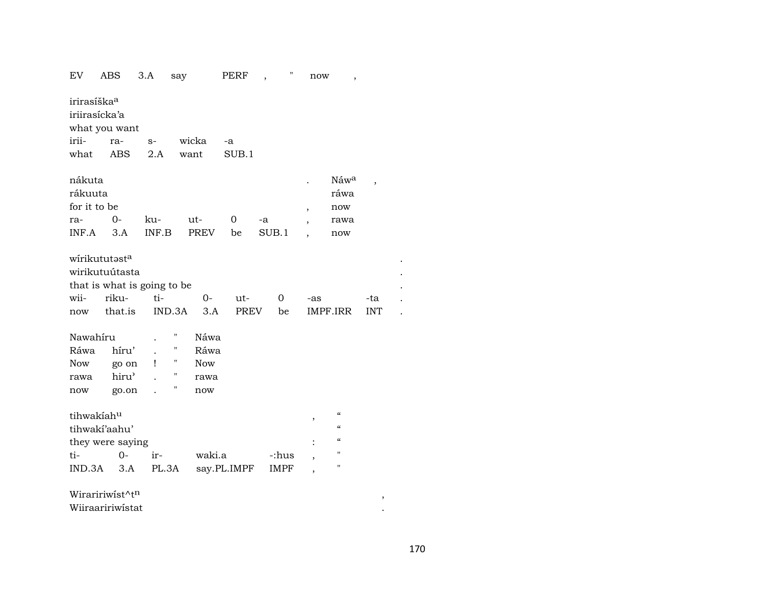| EV                      | ABS                         | 3.A   | say    |             | PERF        | $\overline{\phantom{a}}$ | н | now                      | $\overline{\phantom{a}}$               |                          |  |
|-------------------------|-----------------------------|-------|--------|-------------|-------------|--------------------------|---|--------------------------|----------------------------------------|--------------------------|--|
| irirasíška <sup>a</sup> |                             |       |        |             |             |                          |   |                          |                                        |                          |  |
|                         | iriirasícka'a               |       |        |             |             |                          |   |                          |                                        |                          |  |
|                         | what you want               |       |        |             |             |                          |   |                          |                                        |                          |  |
| irii-                   | ra-                         | $S-$  |        | wicka       | -a          |                          |   |                          |                                        |                          |  |
| what                    | <b>ABS</b>                  | 2.A   |        | want        | SUB.1       |                          |   |                          |                                        |                          |  |
|                         |                             |       |        |             |             |                          |   |                          |                                        |                          |  |
| nákuta                  |                             |       |        |             |             |                          |   |                          | Náwa                                   | $\overline{\phantom{a}}$ |  |
| rákuuta                 |                             |       |        |             |             |                          |   |                          | ráwa                                   |                          |  |
| for it to be            |                             |       |        |             |             |                          |   | $\overline{\phantom{a}}$ | now                                    |                          |  |
| ra-                     | $O -$                       | ku-   |        | ut-         | 0           | -a                       |   | $\overline{\phantom{a}}$ | rawa                                   |                          |  |
| INF.A                   | 3.A                         | INF.B |        | <b>PREV</b> | be          | SUB.1                    |   |                          | now                                    |                          |  |
|                         |                             |       |        |             |             |                          |   |                          |                                        |                          |  |
|                         | wirikututasta               |       |        |             |             |                          |   |                          |                                        |                          |  |
|                         | wirikutuútasta              |       |        |             |             |                          |   |                          |                                        |                          |  |
|                         | that is what is going to be |       |        |             |             |                          |   |                          |                                        |                          |  |
| wii-                    | riku-                       | ti-   |        | 0-          | ut-         | 0                        |   | -as                      |                                        | -ta                      |  |
| now                     | that.is                     |       | IND.3A | 3.A         | <b>PREV</b> | be                       |   |                          | IMPF.IRR                               | <b>INT</b>               |  |
|                         |                             |       |        |             |             |                          |   |                          |                                        |                          |  |
| Nawahíru                |                             |       | Π      | Náwa        |             |                          |   |                          |                                        |                          |  |
| Ráwa                    | híru'                       |       | 11     | Ráwa        |             |                          |   |                          |                                        |                          |  |
| Now                     | go on                       | Ţ     | Ħ      | <b>Now</b>  |             |                          |   |                          |                                        |                          |  |
| rawa                    | hiru'                       |       | 11     | rawa        |             |                          |   |                          |                                        |                          |  |
| now                     | go.on                       |       | 11     | now         |             |                          |   |                          |                                        |                          |  |
|                         |                             |       |        |             |             |                          |   |                          |                                        |                          |  |
| tihwakíahu              |                             |       |        |             |             |                          |   | ,                        | $\boldsymbol{\zeta}\boldsymbol{\zeta}$ |                          |  |
|                         | tihwakí'aahu'               |       |        |             |             |                          |   |                          | $\epsilon$                             |                          |  |
|                         | they were saying            |       |        |             |             |                          |   |                          | $\epsilon\epsilon$                     |                          |  |
| ti-                     | $0 -$                       | ir-   |        | waki.a      |             | -:hus                    |   |                          | "                                      |                          |  |
| IND.3A                  | 3.A                         | PL.3A |        |             | say.PL.IMPF | IMPF                     |   | $\overline{\phantom{a}}$ | н                                      |                          |  |
|                         |                             |       |        |             |             |                          |   |                          |                                        |                          |  |
|                         |                             |       |        |             |             |                          |   |                          |                                        |                          |  |
|                         | Wiraririwist^tn             |       |        |             |             |                          |   |                          |                                        | $\, ,$                   |  |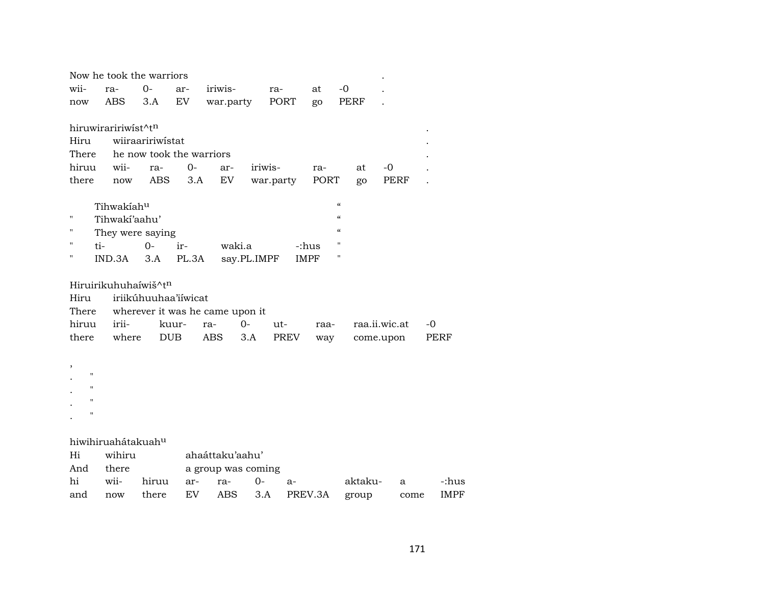|                    |                             | Now he took the warriors |       |                                 |             |           |             |                          |               |             |
|--------------------|-----------------------------|--------------------------|-------|---------------------------------|-------------|-----------|-------------|--------------------------|---------------|-------------|
| wii-               | ra-                         | $O -$                    | ar-   | iriwis-                         |             | ra-       | at          | $-0$                     |               |             |
| now                | ABS                         | 3.A                      | EV    | war.party                       |             | PORT      | go          | PERF                     |               |             |
|                    |                             |                          |       |                                 |             |           |             |                          |               |             |
|                    | hiruwiraririwist^tn         |                          |       |                                 |             |           |             |                          |               |             |
| Hiru               |                             | wiiraaririwistat         |       |                                 |             |           |             |                          |               |             |
| There              |                             | he now took the warriors |       |                                 |             |           |             |                          |               |             |
| hiruu              | wii-                        | ra-                      | $0 -$ | ar-                             | iriwis-     |           | ra-         | at                       | $-0$          |             |
| there              | now                         | <b>ABS</b>               | 3.A   | EV                              |             | war.party | PORT        | go                       | PERF          |             |
|                    |                             |                          |       |                                 |             |           |             | $\pmb{\zeta}\pmb{\zeta}$ |               |             |
| П                  | Tihwakiahu<br>Tihwaki'aahu' |                          |       |                                 |             |           |             | $\epsilon\epsilon$       |               |             |
| н                  |                             | They were saying         |       |                                 |             |           |             | $\epsilon\epsilon$       |               |             |
| н                  | ti-                         | $0-$                     | ir-   | waki.a                          |             |           | -:hus       | $\pmb{\mathsf{H}}$       |               |             |
| н                  | IND.3A                      | 3.A                      | PL.3A |                                 | say.PL.IMPF |           | <b>IMPF</b> | $\pmb{\mathsf{H}}$       |               |             |
|                    |                             |                          |       |                                 |             |           |             |                          |               |             |
|                    |                             | Hiruirikuhuhaíwiš^tn     |       |                                 |             |           |             |                          |               |             |
| Hiru               |                             | iriikúhuuhaa'iíwicat     |       |                                 |             |           |             |                          |               |             |
| There              |                             |                          |       | wherever it was he came upon it |             |           |             |                          |               |             |
| hiruu              | irii-                       |                          | kuur- | ra-                             | $0-$        | ut-       | raa-        |                          | raa.ii.wic.at | $-0$        |
| there              | where                       | <b>DUB</b>               |       | <b>ABS</b>                      | 3.A         | PREV      | way         |                          | come.upon     | PERF        |
|                    |                             |                          |       |                                 |             |           |             |                          |               |             |
|                    |                             |                          |       |                                 |             |           |             |                          |               |             |
| $\pmb{\mathsf{H}}$ |                             |                          |       |                                 |             |           |             |                          |               |             |
| $\mathbf H$        |                             |                          |       |                                 |             |           |             |                          |               |             |
| $\mathbf{H}$       |                             |                          |       |                                 |             |           |             |                          |               |             |
| $\pmb{\mathsf{H}}$ |                             |                          |       |                                 |             |           |             |                          |               |             |
|                    | hiwihiruahátakuahu          |                          |       |                                 |             |           |             |                          |               |             |
| Hi                 | wihiru                      |                          |       | ahaáttaku'aahu'                 |             |           |             |                          |               |             |
| And                | there                       |                          |       | a group was coming              |             |           |             |                          |               |             |
| hi                 | wii-                        | hiruu                    | ar-   | ra-                             | $0-$        | $a-$      |             | aktaku-                  | a             | -:hus       |
| and                | now                         | there                    | EV    | <b>ABS</b>                      | 3.A         |           | PREV.3A     | group                    | come          | <b>IMPF</b> |
|                    |                             |                          |       |                                 |             |           |             |                          |               |             |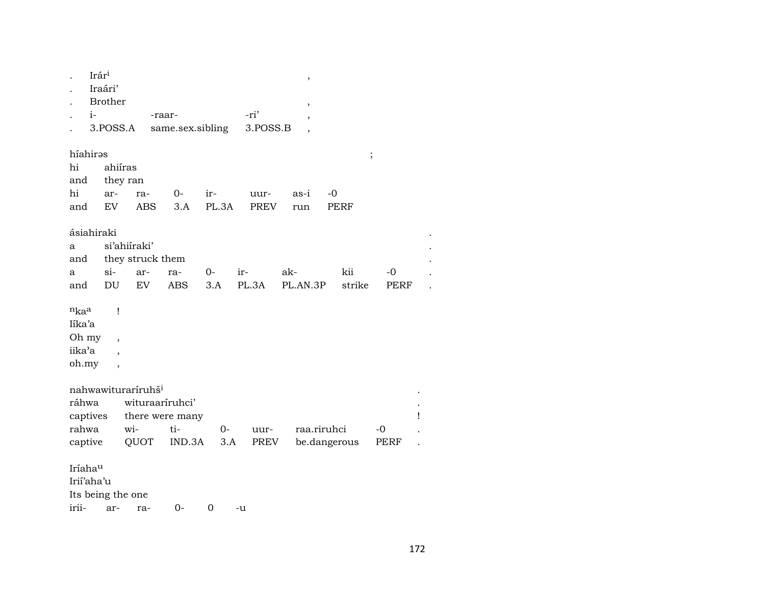|                                                | Irár <sup>i</sup><br>$i-$ | Iraári'<br><b>Brother</b><br>3.POSS.A                     | -raar-                                                    | same.sex.sibling                 |              | -ri'<br>3.POSS.B | ,<br>$\,$       |                   |              |   |
|------------------------------------------------|---------------------------|-----------------------------------------------------------|-----------------------------------------------------------|----------------------------------|--------------|------------------|-----------------|-------------------|--------------|---|
| híahirəs<br>hi<br>and<br>hi<br>and             |                           | ahiíras<br>they ran<br>ar-<br>EV                          | ra-<br><b>ABS</b>                                         | $0-$<br>3.A                      | ir-<br>PL.3A | uur-<br>PREV     | as-i<br>run     | -0<br><b>PERF</b> | $\vdots$     |   |
| ásiahiraki<br>a<br>and<br>a<br>and             |                           | si'ahiiraki'<br>$si-$<br>DU                               | they struck them<br>ar-<br>EV                             | ra-<br><b>ABS</b>                | $0-$<br>3.A  | ir-<br>PL.3A     | ak-<br>PL.AN.3P | kii<br>strike     | $-0$<br>PERF |   |
| $n_{ka}$<br>Iíka'a<br>Oh my<br>iika'a<br>oh.my |                           | Ţ<br>$\overline{\phantom{a}}$<br>$\overline{\phantom{a}}$ |                                                           |                                  |              |                  |                 |                   |              |   |
| ráhwa<br>captives<br>rahwa<br>captive          |                           | wi-                                                       | nahwawituraríruhš <sup>i</sup><br>wituraaríruhci'<br>QUOT | there were many<br>ti-<br>IND.3A | $O-$<br>3.A  | uur-<br>PREV     | raa.riruhci     | be.dangerous      | $-0$<br>PERF | Ţ |
| Iríahau<br>Irii'aha'u<br>irii-                 |                           | Its being the one<br>ar-                                  | ra-                                                       | $0-$                             | 0            | -u               |                 |                   |              |   |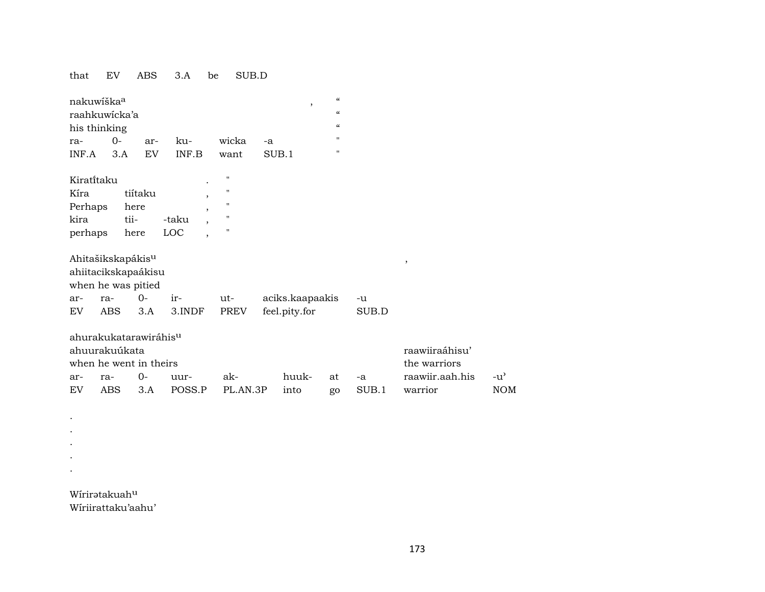that EV ABS 3.A be SUB.D

|            | nakuwíška <sup>a</sup><br>raahkuwicka'a<br>his thinking |         |                                   |                    |       | ,                                | $\mathcal{C}\mathcal{C}$<br>$\epsilon$<br>$\epsilon$ |       |                          |
|------------|---------------------------------------------------------|---------|-----------------------------------|--------------------|-------|----------------------------------|------------------------------------------------------|-------|--------------------------|
| ra-        | $0 -$                                                   | ar-     | ku-                               | wicka              | $-a$  |                                  | $\mathbf{H}$                                         |       |                          |
| INF.A      | 3.A                                                     | EV      | INF.B                             | want               | SUB.1 |                                  | п.                                                   |       |                          |
| Kiratitaku |                                                         |         |                                   | $\pmb{\mathsf{H}}$ |       |                                  |                                                      |       |                          |
| Kíra       |                                                         | tiítaku | $\cdot$                           | $\pmb{\mathsf{H}}$ |       |                                  |                                                      |       |                          |
| Perhaps    |                                                         | here    | $\overline{ }$                    | п                  |       |                                  |                                                      |       |                          |
| kira       | tii-                                                    |         | -taku<br>$\overline{\phantom{a}}$ | п                  |       |                                  |                                                      |       |                          |
| perhaps    |                                                         | here    | LOC<br>$\overline{ }$             | $\blacksquare$     |       |                                  |                                                      |       |                          |
|            | Ahitašikskapákis <sup>u</sup>                           |         |                                   |                    |       |                                  |                                                      |       | $\overline{\phantom{a}}$ |
|            | ahiitacikskapaákisu                                     |         |                                   |                    |       |                                  |                                                      |       |                          |
|            |                                                         |         |                                   |                    |       |                                  |                                                      |       |                          |
|            |                                                         |         |                                   |                    |       |                                  |                                                      |       |                          |
| ar-        | when he was pitied<br>ra-                               | $0-$    | ir-                               | ut-                |       |                                  |                                                      | -u    |                          |
| EV         | ABS                                                     | 3.A     | 3.INDF                            | <b>PREV</b>        |       | aciks.kaapaakis<br>feel.pity.for |                                                      | SUB.D |                          |
|            | ahurakukatarawiráhis <sup>u</sup>                       |         |                                   |                    |       |                                  |                                                      |       |                          |
|            | ahuurakuúkata                                           |         |                                   |                    |       |                                  |                                                      |       | raawiiraáhisu'           |
|            | when he went in theirs                                  |         |                                   |                    |       |                                  |                                                      |       | the warriors             |
| ar-        | ra-                                                     | 0-      | uur-                              | ak-                |       | huuk-                            | at                                                   | $-a$  | raawiir.aah.his          |

Wíriratakuahu Wiriirattaku'aahu'

 $\sim$  $\ddot{\phantom{a}}$  $\langle \cdot \rangle$  $\mathcal{L}^{\pm}$  $\sim$   $-u^{\prime}$  $\rm{NOM}$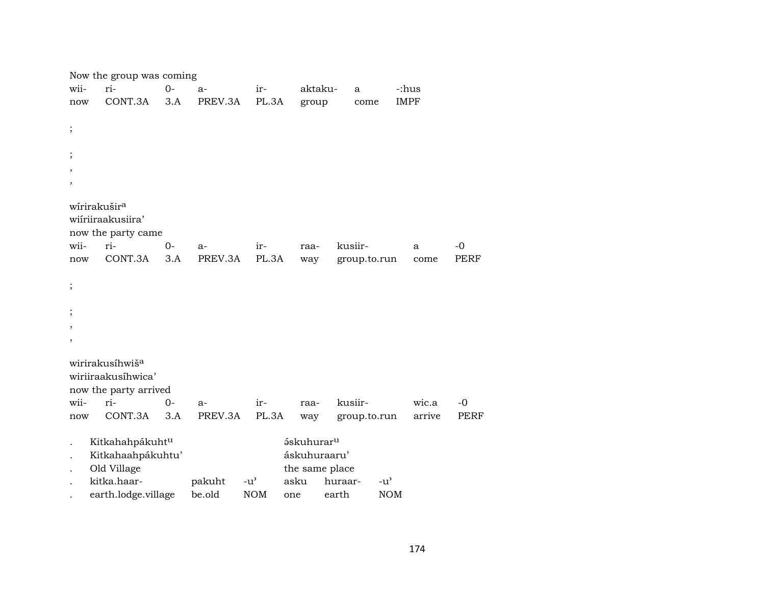|                          | Now the group was coming                         |      |         |               |                        |              |               |        |             |
|--------------------------|--------------------------------------------------|------|---------|---------------|------------------------|--------------|---------------|--------|-------------|
| wii-                     | ri-                                              | $0-$ | $a-$    | ir-           | aktaku-                | a            | -:hus         |        |             |
| now                      | CONT.3A                                          | 3.A  | PREV.3A | PL.3A         | group                  | come         | <b>IMPF</b>   |        |             |
|                          |                                                  |      |         |               |                        |              |               |        |             |
| $\vdots$                 |                                                  |      |         |               |                        |              |               |        |             |
|                          |                                                  |      |         |               |                        |              |               |        |             |
| $\vdots$                 |                                                  |      |         |               |                        |              |               |        |             |
| $\overline{\phantom{a}}$ |                                                  |      |         |               |                        |              |               |        |             |
| $\overline{\phantom{a}}$ |                                                  |      |         |               |                        |              |               |        |             |
|                          | wírirakušir <sup>a</sup>                         |      |         |               |                        |              |               |        |             |
|                          | wiiriiraakusiira'                                |      |         |               |                        |              |               |        |             |
|                          | now the party came                               |      |         |               |                        |              |               |        |             |
| wii-                     | ri-                                              | $0-$ | $a-$    | ir-           | raa-                   | kusiir-      |               | a      | $-0$        |
| now                      | CONT.3A                                          | 3.A  | PREV.3A | PL.3A         | way                    | group.to.run |               | come   | PERF        |
|                          |                                                  |      |         |               |                        |              |               |        |             |
| $\vdots$                 |                                                  |      |         |               |                        |              |               |        |             |
|                          |                                                  |      |         |               |                        |              |               |        |             |
| $\vdots$                 |                                                  |      |         |               |                        |              |               |        |             |
| $\,$                     |                                                  |      |         |               |                        |              |               |        |             |
| $\,$                     |                                                  |      |         |               |                        |              |               |        |             |
|                          | wirirakusíhwiš <sup>a</sup>                      |      |         |               |                        |              |               |        |             |
|                          | wiriiraakusíhwica'                               |      |         |               |                        |              |               |        |             |
|                          | now the party arrived                            |      |         |               |                        |              |               |        |             |
| wii-                     | ri-                                              | $0-$ | $a-$    | ir-           | raa-                   | kusiir-      |               | wic.a  | $-0$        |
| now                      | CONT.3A                                          | 3.A  | PREV.3A | PL.3A         | way                    | group.to.run |               | arrive | <b>PERF</b> |
|                          |                                                  |      |         |               | áskuhurar <sup>u</sup> |              |               |        |             |
| $\ddot{\phantom{0}}$     | Kitkahahpákuht <sup>u</sup><br>Kitkahaahpákuhtu' |      |         |               | áskuhuraaru'           |              |               |        |             |
|                          | Old Village                                      |      |         |               | the same place         |              |               |        |             |
|                          | kitka.haar-                                      |      | pakuht  | $-u^{\prime}$ | asku                   | huraar-      | $-u^{\prime}$ |        |             |
|                          | earth.lodge.village                              |      | be.old  | <b>NOM</b>    | one                    | earth        | <b>NOM</b>    |        |             |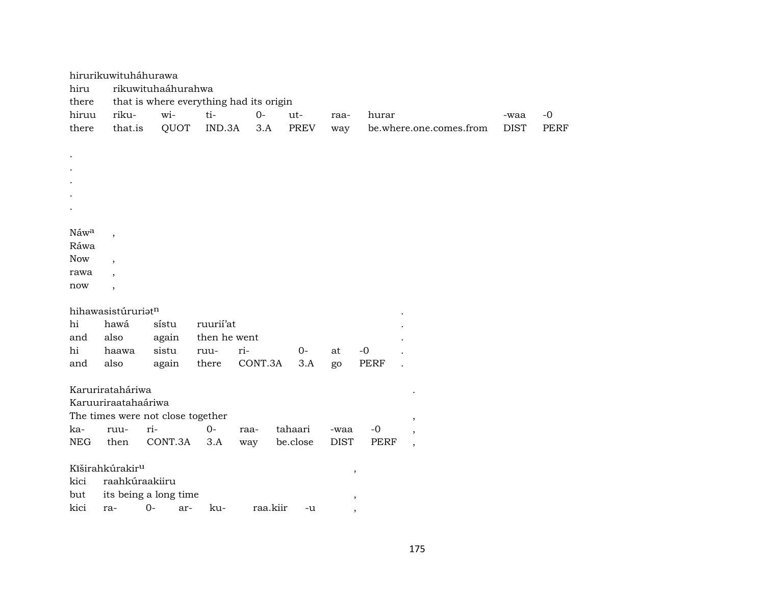|            | hirurikuwituháhurawa        |                                   |              |                                         |          |             |             |                          |             |      |
|------------|-----------------------------|-----------------------------------|--------------|-----------------------------------------|----------|-------------|-------------|--------------------------|-------------|------|
| hiru       |                             | rikuwituhaáhurahwa                |              |                                         |          |             |             |                          |             |      |
| there      |                             |                                   |              | that is where everything had its origin |          |             |             |                          |             |      |
| hiruu      | riku-                       | wi-                               | ti-          | $0 -$                                   | ut-      | raa-        | hurar       |                          | -waa        | $-0$ |
| there      | that.is                     | QUOT                              | IND.3A       | 3.A                                     | PREV     | way         |             | be.where.one.comes.from  | <b>DIST</b> | PERF |
|            |                             |                                   |              |                                         |          |             |             |                          |             |      |
|            |                             |                                   |              |                                         |          |             |             |                          |             |      |
|            |                             |                                   |              |                                         |          |             |             |                          |             |      |
|            |                             |                                   |              |                                         |          |             |             |                          |             |      |
|            |                             |                                   |              |                                         |          |             |             |                          |             |      |
|            |                             |                                   |              |                                         |          |             |             |                          |             |      |
|            |                             |                                   |              |                                         |          |             |             |                          |             |      |
| Náwa       | $\overline{ }$              |                                   |              |                                         |          |             |             |                          |             |      |
| Ráwa       |                             |                                   |              |                                         |          |             |             |                          |             |      |
| <b>Now</b> | $\overline{\phantom{a}}$    |                                   |              |                                         |          |             |             |                          |             |      |
| rawa       |                             |                                   |              |                                         |          |             |             |                          |             |      |
| now        | $\overline{\phantom{a}}$    |                                   |              |                                         |          |             |             |                          |             |      |
|            |                             |                                   |              |                                         |          |             |             |                          |             |      |
|            | hihawasistúruriatn          |                                   |              |                                         |          |             |             |                          |             |      |
| hi         | hawá                        | sístu                             | ruurii'at    |                                         |          |             |             |                          |             |      |
| and        | also                        | again                             | then he went |                                         |          |             |             |                          |             |      |
| hi         | haawa                       | sistu                             | ruu-         | ri-                                     | $0-$     | at          | $-0$        |                          |             |      |
| and        | also                        | again                             | there        | CONT.3A                                 | 3.A      | go          | <b>PERF</b> |                          |             |      |
|            |                             |                                   |              |                                         |          |             |             |                          |             |      |
|            | Karurirataháriwa            |                                   |              |                                         |          |             |             |                          |             |      |
|            | Karuuriraatahaáriwa         |                                   |              |                                         |          |             |             |                          |             |      |
|            |                             | The times were not close together |              |                                         |          |             |             | $^\mathrm{,}$            |             |      |
| ka-        | ruu-                        | ri-                               | $O -$        | raa-                                    | tahaari  | -waa        | $-0$        | $\overline{ }$           |             |      |
| <b>NEG</b> | then                        | CONT.3A                           | 3.A          | way                                     | be.close | <b>DIST</b> | <b>PERF</b> | $\overline{\phantom{a}}$ |             |      |
|            |                             |                                   |              |                                         |          |             |             |                          |             |      |
|            | Kîširahkúrakir <sup>u</sup> |                                   |              |                                         |          |             | ,           |                          |             |      |
| kici       | raahkúraakiiru              |                                   |              |                                         |          |             |             |                          |             |      |
| but        |                             | its being a long time             |              |                                         |          |             | ,           |                          |             |      |
| kici       | ra-                         | $0-$<br>ar-                       | ku-          | raa.kiir                                | -u       |             |             |                          |             |      |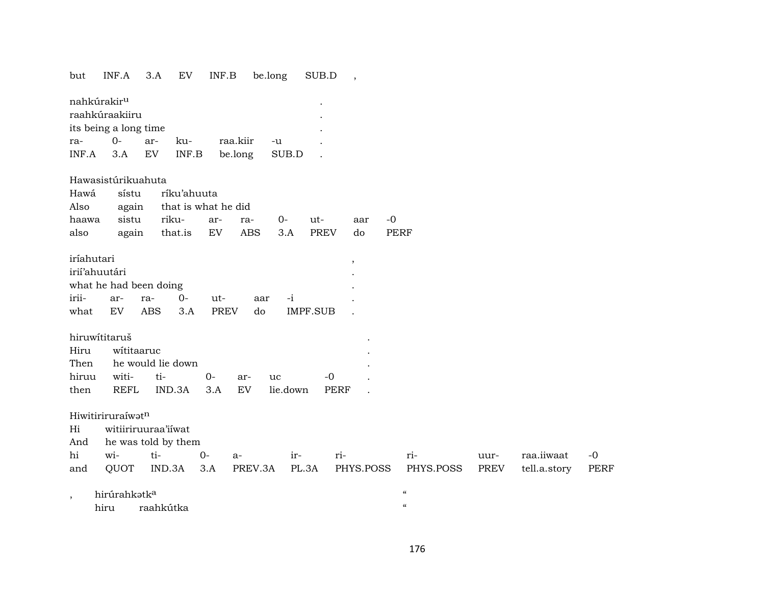## but INF.A 3.A EV INF.B be.long SUB.D ,

| nahkúrakir <sup>u</sup> |        |     |     |          |       | ۰ |  |  |  |  |
|-------------------------|--------|-----|-----|----------|-------|---|--|--|--|--|
| raahkúraakiiru          |        |     |     |          |       |   |  |  |  |  |
| its being a long time   |        |     |     |          |       |   |  |  |  |  |
| ra-                     | $()$ - | ar- | ku- | raa.kiir | -11   |   |  |  |  |  |
| $INF.A$ 3.A EV $INF.B$  |        |     |     | be.long  | SUB.D |   |  |  |  |  |

#### Hawasistúrikuahuta

|                                            | Hawá sístu ríku'ahuuta |                                |  |  |  |  |  |  |  |  |
|--------------------------------------------|------------------------|--------------------------------|--|--|--|--|--|--|--|--|
|                                            |                        | Also again that is what he did |  |  |  |  |  |  |  |  |
| haawa sistu riku- ar- ra- 0- ut- aar -0    |                        |                                |  |  |  |  |  |  |  |  |
| also again that.is EV ABS 3.A PREV do PERF |                        |                                |  |  |  |  |  |  |  |  |

| iríahutari    |                        |                      |     |          |  |
|---------------|------------------------|----------------------|-----|----------|--|
| irií'ahuutári |                        |                      |     |          |  |
|               | what he had been doing |                      |     |          |  |
|               | irii- ar- ra- 0-       | $\mathbf{u}$         | aar |          |  |
|               |                        | what EV ABS 3.A PREV | do. | IMPF.SUB |  |

| hiruwítitaruš   |                        |                     |  |         |                                  |       |  |  |  |
|-----------------|------------------------|---------------------|--|---------|----------------------------------|-------|--|--|--|
| Hiru wititaaruc |                        |                     |  |         |                                  |       |  |  |  |
|                 | Then he would lie down |                     |  |         |                                  |       |  |  |  |
|                 |                        | hiruu witi- ti-  0- |  | ar- 11C |                                  | $-()$ |  |  |  |
|                 |                        |                     |  |         | then REFL IND.3A 3.A EV lie.down | PERF  |  |  |  |

#### Hiwitiriruraíwat<sup>n</sup>

Hi witiiriruuraa'iíwat

And he was told by them

|  |  |  | hi wi- ti- 0- a- ir- ri- - ri-                                               |  | uur- raa.iiwaat -0 |  |
|--|--|--|------------------------------------------------------------------------------|--|--------------------|--|
|  |  |  | and QUOT IND.3A 3.A PREV.3A PL.3A PHYS.POSS PHYS.POSS PREV tell.a.story PERF |  |                    |  |

, hirúrahkətk $a$  " hiru raahkútka "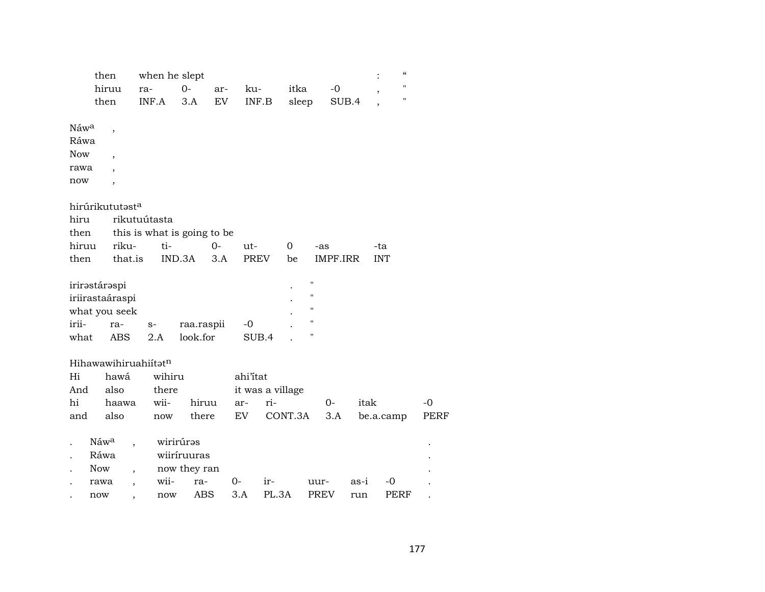| then       |                          | when he slept                    |              |      |                  |       |             |             | $\boldsymbol{\varsigma}\boldsymbol{\varsigma}$ |      |            |                    |             |
|------------|--------------------------|----------------------------------|--------------|------|------------------|-------|-------------|-------------|------------------------------------------------|------|------------|--------------------|-------------|
|            | hiruu                    | ra-                              | $O -$        | ar-  | ku-              |       | itka        |             | -0                                             |      |            | н                  |             |
|            | then                     | INF.A                            | 3.A          | EV   | INF.B            |       | sleep       |             | SUB.4                                          |      |            | $\pmb{\mathsf{H}}$ |             |
|            |                          |                                  |              |      |                  |       |             |             |                                                |      |            |                    |             |
| Náwa       | $\overline{\phantom{a}}$ |                                  |              |      |                  |       |             |             |                                                |      |            |                    |             |
| Ráwa       |                          |                                  |              |      |                  |       |             |             |                                                |      |            |                    |             |
| <b>Now</b> | $\overline{ }$           |                                  |              |      |                  |       |             |             |                                                |      |            |                    |             |
| rawa       |                          |                                  |              |      |                  |       |             |             |                                                |      |            |                    |             |
| now        | ,                        |                                  |              |      |                  |       |             |             |                                                |      |            |                    |             |
|            | hirúrikututasta          |                                  |              |      |                  |       |             |             |                                                |      |            |                    |             |
| hiru       |                          | rikutuútasta                     |              |      |                  |       |             |             |                                                |      |            |                    |             |
| then       |                          | this is what is going to be      |              |      |                  |       |             |             |                                                |      |            |                    |             |
| hiruu      | riku-                    | ti-                              |              | $0-$ | ut-              |       | $\mathbf 0$ | -as         |                                                |      | -ta        |                    |             |
| then       | that.is                  |                                  | IND.3A       | 3.A  | <b>PREV</b>      |       | be          |             | IMPF.IRR                                       |      | <b>INT</b> |                    |             |
|            |                          |                                  |              |      |                  |       |             |             |                                                |      |            |                    |             |
|            | irirəstárəspi            |                                  |              |      |                  |       |             | П           |                                                |      |            |                    |             |
|            | iriirastaáraspi          |                                  |              |      |                  |       |             | н           |                                                |      |            |                    |             |
|            | what you seek            |                                  |              |      |                  |       |             | н           |                                                |      |            |                    |             |
| irii-      | ra-                      | $S-$                             | raa.raspii   |      | -0               |       |             | П           |                                                |      |            |                    |             |
| what       | <b>ABS</b>               | 2.A                              | look.for     |      | SUB.4            |       |             | П           |                                                |      |            |                    |             |
|            |                          |                                  |              |      |                  |       |             |             |                                                |      |            |                    |             |
|            |                          | Hihawawihiruahiitatn             |              |      |                  |       |             |             |                                                |      |            |                    |             |
| Hi         | hawá                     | wihiru                           |              |      | ahi'itat         |       |             |             |                                                |      |            |                    |             |
| And        | also                     | there                            |              |      | it was a village |       |             |             |                                                |      |            |                    |             |
| hi         | haawa                    | wii-                             | hiruu        |      | ar-              | ri-   |             |             | $0 -$                                          | itak |            |                    | -0          |
| and        | also                     | now                              | there        |      | EV               |       | CONT.3A     |             | 3.A                                            |      | be.a.camp  |                    | <b>PERF</b> |
|            | Náwa                     |                                  | wirirúras    |      |                  |       |             |             |                                                |      |            |                    |             |
|            | Ráwa                     |                                  | wiiríruuras  |      |                  |       |             |             |                                                |      |            |                    |             |
|            | <b>Now</b>               | $\overline{\phantom{a}}$         | now they ran |      |                  |       |             |             |                                                |      |            |                    |             |
|            | rawa                     | wii-<br>$\overline{\phantom{a}}$ | ra-          |      | 0-               | ir-   |             | uur-        |                                                | as-i | -0         |                    |             |
|            | now                      | now<br>$\cdot$                   | ABS          |      | 3.A              | PL.3A |             | <b>PREV</b> |                                                | run  |            | <b>PERF</b>        |             |
|            |                          |                                  |              |      |                  |       |             |             |                                                |      |            |                    |             |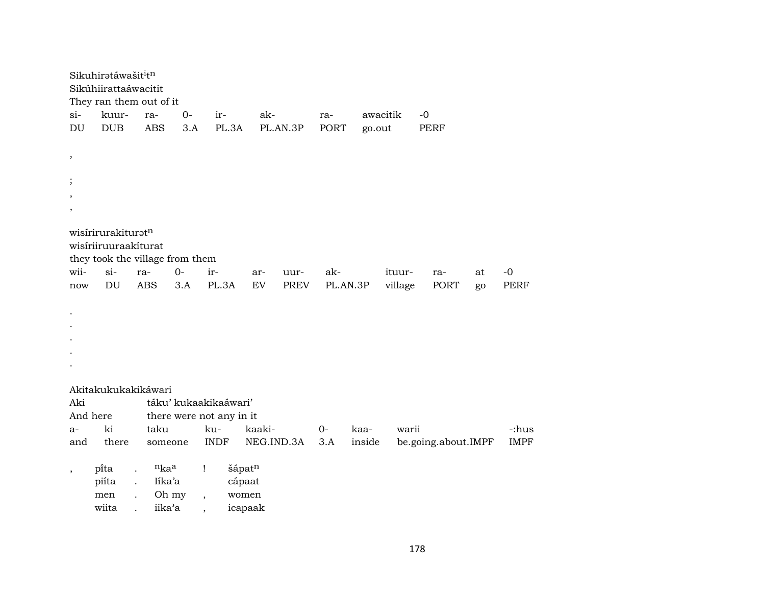| Sikúhiirattaáwacitit                                                                                                                                                             |              |
|----------------------------------------------------------------------------------------------------------------------------------------------------------------------------------|--------------|
|                                                                                                                                                                                  |              |
| They ran them out of it<br>$si-$<br>kuur-<br>$0-$<br>ak-<br>awacitik<br>$-0$<br>ir-<br>ra-<br>ra-                                                                                |              |
| DU<br><b>DUB</b><br><b>ABS</b><br>PL.3A<br>3.A<br>PL.AN.3P<br><b>PORT</b><br>go.out<br><b>PERF</b>                                                                               |              |
|                                                                                                                                                                                  |              |
| $\, ,$                                                                                                                                                                           |              |
|                                                                                                                                                                                  |              |
| $\,$                                                                                                                                                                             |              |
| $\cdot$<br>$\cdot$                                                                                                                                                               |              |
|                                                                                                                                                                                  |              |
| wisirirurakituratn                                                                                                                                                               |              |
| wisiriiruuraakiturat                                                                                                                                                             |              |
| they took the village from them                                                                                                                                                  |              |
| $si-$<br>wii-<br>$O -$<br>ir-<br>ra-<br>ak-<br>ituur-<br>ar-<br>uur-<br>ra-<br>at<br><b>ABS</b><br>PL.3A<br>DU<br>3.A<br><b>EV</b><br><b>PREV</b><br>PL.AN.3P<br>village<br>PORT | $-0$<br>PERF |
| now<br>go                                                                                                                                                                        |              |
|                                                                                                                                                                                  |              |
|                                                                                                                                                                                  |              |
|                                                                                                                                                                                  |              |
|                                                                                                                                                                                  |              |
|                                                                                                                                                                                  |              |
| Akitakukukakikáwari                                                                                                                                                              |              |
| Aki<br>táku' kukaakikaáwari'                                                                                                                                                     |              |
| And here<br>there were not any in it                                                                                                                                             |              |
| ki<br>taku<br>ku-<br>kaaki-<br>$0-$<br>kaa-<br>warii<br>a-                                                                                                                       | -:hus        |
| there<br><b>INDF</b><br>NEG.IND.3A<br>and<br>3.A<br>inside<br>be.going.about.IMPF<br>someone                                                                                     | <b>IMPF</b>  |
|                                                                                                                                                                                  |              |
| $n_{ka}$ a<br>šápatn<br>pi̇̃ta<br>Ţ<br>÷.<br>$\overline{\phantom{a}}$                                                                                                            |              |
| piíta<br>Iíka'a<br>cápaat<br>$\ddot{\phantom{0}}$                                                                                                                                |              |
| Oh my<br>women<br>men<br>$\overline{ }$<br>iika'a<br>wiita<br>icapaak                                                                                                            |              |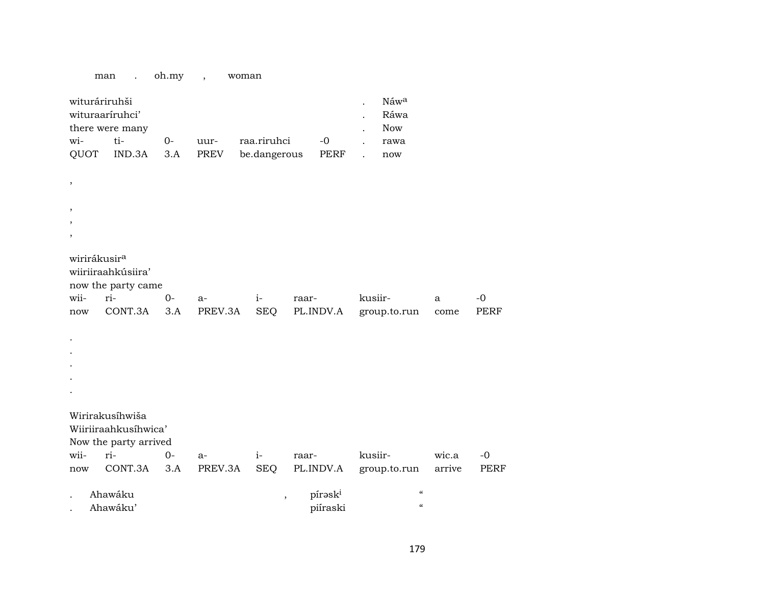#### man . oh.my , woman

| wituráriruhši   |           |  |  |                                          |  |  | Náw <sup>a</sup> |  |  |
|-----------------|-----------|--|--|------------------------------------------|--|--|------------------|--|--|
| wituraariruhci' |           |  |  |                                          |  |  |                  |  |  |
| there were many |           |  |  |                                          |  |  |                  |  |  |
| $W$ i-          | $t_{i-1}$ |  |  | 0- uur- raa.riruhci -0                   |  |  | rawa             |  |  |
|                 |           |  |  | QUOT IND.3A 3.A PREV be.dangerous PERF . |  |  | now              |  |  |

| $\, ,$                  |                          |      |      |      |                       |              |      |             |
|-------------------------|--------------------------|------|------|------|-----------------------|--------------|------|-------------|
|                         |                          |      |      |      |                       |              |      |             |
| $^\mathrm{^\mathrm{o}}$ |                          |      |      |      |                       |              |      |             |
| $\, ,$                  |                          |      |      |      |                       |              |      |             |
| $\, ,$                  |                          |      |      |      |                       |              |      |             |
|                         | wirirákusir <sup>a</sup> |      |      |      |                       |              |      |             |
|                         | wiiriiraahkúsiira'       |      |      |      |                       |              |      |             |
|                         | now the party came       |      |      |      |                       |              |      |             |
| wii-                    | ri-                      | $0-$ | $a-$ | $i-$ | raar-                 | kusiir-      | a    | $-0$        |
|                         | now CONT.3A 3.A          |      |      |      | PREV.3A SEQ PL.INDV.A | group.to.run | come | <b>PERF</b> |
|                         |                          |      |      |      |                       |              |      |             |
| $\bullet$               |                          |      |      |      |                       |              |      |             |
| $\bullet$               |                          |      |      |      |                       |              |      |             |
| $\bullet$               |                          |      |      |      |                       |              |      |             |
| $\ddot{\phantom{0}}$    |                          |      |      |      |                       |              |      |             |
| $\bullet$               |                          |      |      |      |                       |              |      |             |
|                         |                          |      |      |      |                       |              |      |             |
|                         | Wirirakusíhwiša          |      |      |      |                       |              |      |             |
|                         | Wiiriiraahkusíhwica'     |      |      |      |                       |              |      |             |
|                         | Now the party arrived    |      |      |      |                       |              |      |             |

|         | $1.0.7$ and $1.0.7$ and $1.0.04$ |        |                                   |       |          |                                                |        |       |  |  |  |  |
|---------|----------------------------------|--------|-----------------------------------|-------|----------|------------------------------------------------|--------|-------|--|--|--|--|
| wii-    | $ri-$                            | $()$ - | $a-$                              | $1 -$ | raar-    | kusiir-                                        | wic.a  | $-()$ |  |  |  |  |
| now     |                                  |        |                                   |       |          | CONT.3A 3.A PREV.3A SEQ PL.INDV.A group.to.run | arrive | PERF  |  |  |  |  |
|         |                                  |        |                                   |       |          |                                                |        |       |  |  |  |  |
| Ahawáku |                                  |        | $\epsilon$<br>pírəsk <sup>i</sup> |       |          |                                                |        |       |  |  |  |  |
|         | Ahawáku'                         |        |                                   |       | piíraski | $\epsilon$                                     |        |       |  |  |  |  |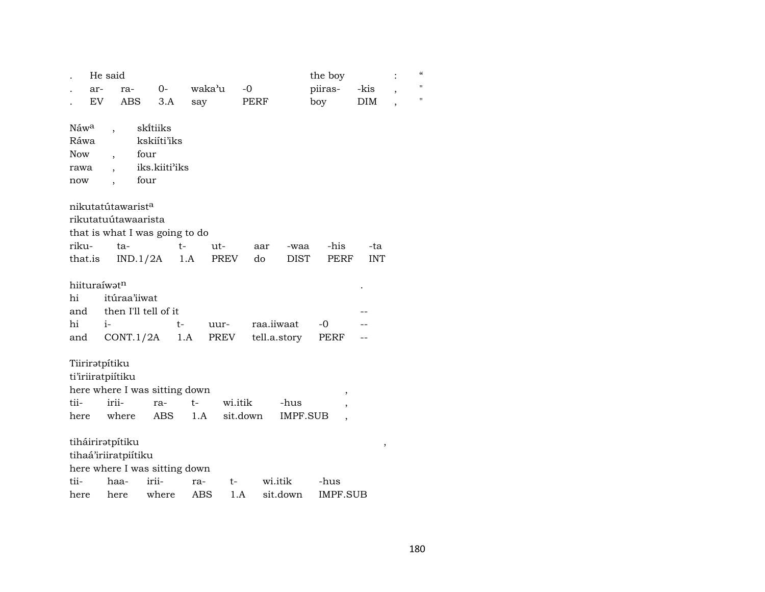|                                                       | He said                                               |                                                          |             |                     | the boy                                                  |            |                          | $\boldsymbol{\mathcal{C}}$ |
|-------------------------------------------------------|-------------------------------------------------------|----------------------------------------------------------|-------------|---------------------|----------------------------------------------------------|------------|--------------------------|----------------------------|
| ar-                                                   | ra-                                                   | $0-$                                                     | waka'u      | $-0$                | piiras-                                                  | -kis       | $\overline{\phantom{a}}$ | $\pmb{\mathsf{H}}$         |
| EV                                                    | ABS                                                   | 3.A                                                      | say         | PERF                | boy                                                      | DIM        |                          | $\pmb{\mathsf{H}}$         |
| Náw <sup>a</sup><br>Ráwa<br><b>Now</b><br>rawa<br>now | $\overline{ }$<br>$\overline{\phantom{a}}$            | skítiiks<br>kskiíti'iks<br>four<br>iks.kiiti'iks<br>four |             |                     |                                                          |            |                          |                            |
|                                                       | nikutatútawarist <sup>a</sup>                         |                                                          |             |                     |                                                          |            |                          |                            |
|                                                       | rikutatuútawaarista                                   |                                                          |             |                     |                                                          |            |                          |                            |
|                                                       |                                                       | that is what I was going to do                           |             |                     |                                                          |            |                          |                            |
| riku-                                                 | ta-                                                   | $t-$                                                     | ut-         | aar                 | -his<br>-waa                                             | -ta        |                          |                            |
| that.is                                               |                                                       | IND.1/2A                                                 | 1.A         | PREV<br>do          | DIST<br>PERF                                             | <b>INT</b> |                          |                            |
| hiituraíwatn<br>hi<br>and<br>hi                       | itúraa'iiwat<br>$i-$                                  | then I'll tell of it<br>t-                               | uur-        | raa.iiwaat          | $-0$                                                     |            |                          |                            |
| and                                                   | CONT.1/2A                                             |                                                          | PREV<br>1.A |                     | tell.a.story<br>PERF                                     |            |                          |                            |
| tii-<br>here                                          | Tiiriratpítiku<br>ti'iriiratpiitiku<br>irii-<br>where | here where I was sitting down<br>ra-<br>ABS              | $t-$<br>1.A | wi.itik<br>sit.down | ,<br>-hus<br><b>IMPF.SUB</b><br>$\overline{\phantom{a}}$ |            |                          |                            |
|                                                       | tiháiriratpítiku                                      |                                                          |             |                     |                                                          | ,          |                          |                            |
|                                                       | tihaá'iriiratpiítiku                                  | here where I was sitting down                            |             |                     |                                                          |            |                          |                            |
| tii-                                                  | haa-                                                  | irii-                                                    | ra-         | wi.itik<br>t-       | -hus                                                     |            |                          |                            |
| here                                                  | here                                                  | where                                                    | ABS         | 1.A                 | IMPF.SUB<br>sit.down                                     |            |                          |                            |